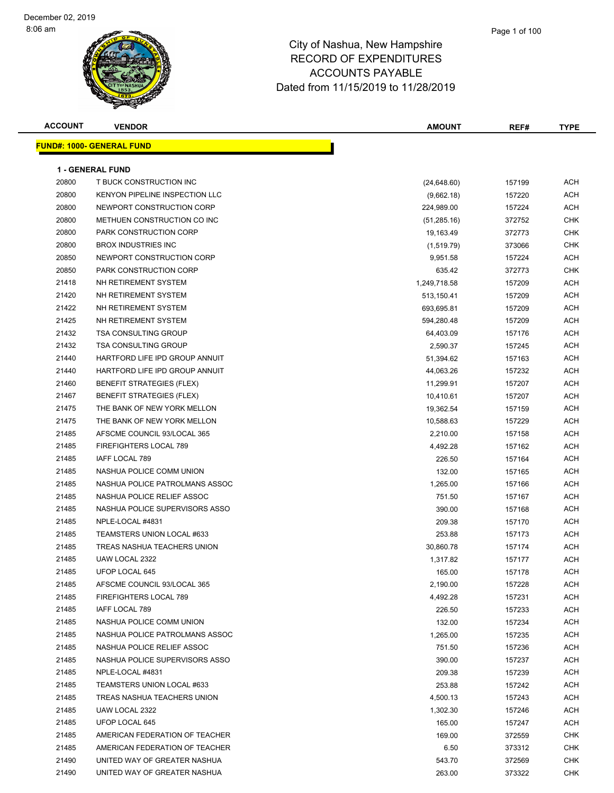| <b>ACCOUNT</b> | <b>VENDOR</b>                         | <b>AMOUNT</b> | REF#   | TYPE       |
|----------------|---------------------------------------|---------------|--------|------------|
|                | <b>FUND#: 1000- GENERAL FUND</b>      |               |        |            |
|                |                                       |               |        |            |
|                | <b>1 - GENERAL FUND</b>               |               |        |            |
| 20800          | T BUCK CONSTRUCTION INC               | (24, 648.60)  | 157199 | ACH        |
| 20800          | <b>KENYON PIPELINE INSPECTION LLC</b> | (9,662.18)    | 157220 | <b>ACH</b> |
| 20800          | NEWPORT CONSTRUCTION CORP             | 224,989.00    | 157224 | ACH        |
| 20800          | METHUEN CONSTRUCTION CO INC           | (51, 285.16)  | 372752 | CHK        |
| 20800          | PARK CONSTRUCTION CORP                | 19,163.49     | 372773 | <b>CHK</b> |
| 20800          | <b>BROX INDUSTRIES INC</b>            | (1,519.79)    | 373066 | <b>CHK</b> |
| 20850          | NEWPORT CONSTRUCTION CORP             | 9,951.58      | 157224 | ACH        |
| 20850          | PARK CONSTRUCTION CORP                | 635.42        | 372773 | CHK        |
| 21418          | NH RETIREMENT SYSTEM                  | 1,249,718.58  | 157209 | ACH        |
| 21420          | NH RETIREMENT SYSTEM                  | 513,150.41    | 157209 | ACH        |
| 21422          | NH RETIREMENT SYSTEM                  | 693,695.81    | 157209 | ACH        |
| 21425          | NH RETIREMENT SYSTEM                  | 594,280.48    | 157209 | ACH        |
| 21432          | <b>TSA CONSULTING GROUP</b>           | 64,403.09     | 157176 | ACH        |
| 21432          | <b>TSA CONSULTING GROUP</b>           | 2,590.37      | 157245 | ACH        |
| 21440          | HARTFORD LIFE IPD GROUP ANNUIT        | 51,394.62     | 157163 | ACH        |
| 21440          | HARTFORD LIFE IPD GROUP ANNUIT        | 44,063.26     | 157232 | ACH        |
| 21460          | <b>BENEFIT STRATEGIES (FLEX)</b>      | 11,299.91     | 157207 | ACH        |
| 21467          | <b>BENEFIT STRATEGIES (FLEX)</b>      | 10,410.61     | 157207 | ACH        |
| 21475          | THE BANK OF NEW YORK MELLON           | 19,362.54     | 157159 | ACH        |
| 21475          | THE BANK OF NEW YORK MELLON           | 10,588.63     | 157229 | ACH        |
| 21485          | AFSCME COUNCIL 93/LOCAL 365           | 2,210.00      | 157158 | ACH        |
| 21485          | FIREFIGHTERS LOCAL 789                | 4,492.28      | 157162 | ACH        |
| 21485          | IAFF LOCAL 789                        | 226.50        | 157164 | ACH        |
| 21485          | NASHUA POLICE COMM UNION              | 132.00        | 157165 | <b>ACH</b> |
| 21485          | NASHUA POLICE PATROLMANS ASSOC        | 1,265.00      | 157166 | ACH        |
| 21485          | NASHUA POLICE RELIEF ASSOC            | 751.50        | 157167 | ACH        |
| 21485          | NASHUA POLICE SUPERVISORS ASSO        | 390.00        | 157168 | ACH        |
| 21485          | NPLE-LOCAL #4831                      | 209.38        | 157170 | ACH        |
| 21485          | TEAMSTERS UNION LOCAL #633            | 253.88        | 157173 | ACH        |
| 21485          | TREAS NASHUA TEACHERS UNION           | 30,860.78     | 157174 | ACH        |
| 21485          | UAW LOCAL 2322                        | 1,317.82      | 157177 | <b>ACH</b> |
| 21485          | UFOP LOCAL 645                        | 165.00        | 157178 | ACH        |
| 21485          | AFSCME COUNCIL 93/LOCAL 365           | 2,190.00      | 157228 | ACH        |
| 21485          | FIREFIGHTERS LOCAL 789                | 4,492.28      | 157231 | ACH        |
| 21485          | IAFF LOCAL 789                        | 226.50        | 157233 | ACH        |
| 21485          | NASHUA POLICE COMM UNION              | 132.00        | 157234 | ACH        |
| 21485          | NASHUA POLICE PATROLMANS ASSOC        | 1,265.00      | 157235 | ACH        |
| 21485          | NASHUA POLICE RELIEF ASSOC            | 751.50        | 157236 | ACH        |
| 21485          | NASHUA POLICE SUPERVISORS ASSO        | 390.00        | 157237 | ACH        |
| 21485          | NPLE-LOCAL #4831                      | 209.38        | 157239 | ACH        |
| 21485          | TEAMSTERS UNION LOCAL #633            | 253.88        | 157242 | ACH        |
| 21485          | TREAS NASHUA TEACHERS UNION           | 4,500.13      | 157243 | ACH        |
| 21485          | UAW LOCAL 2322                        | 1,302.30      | 157246 | ACH        |
| 21485          | UFOP LOCAL 645                        | 165.00        | 157247 | ACH        |
| 21485          | AMERICAN FEDERATION OF TEACHER        | 169.00        | 372559 | CHK        |
| 21485          | AMERICAN FEDERATION OF TEACHER        | 6.50          | 373312 | <b>CHK</b> |
| 21490          | UNITED WAY OF GREATER NASHUA          | 543.70        | 372569 | CHK        |
| 21490          | UNITED WAY OF GREATER NASHUA          | 263.00        | 373322 | <b>CHK</b> |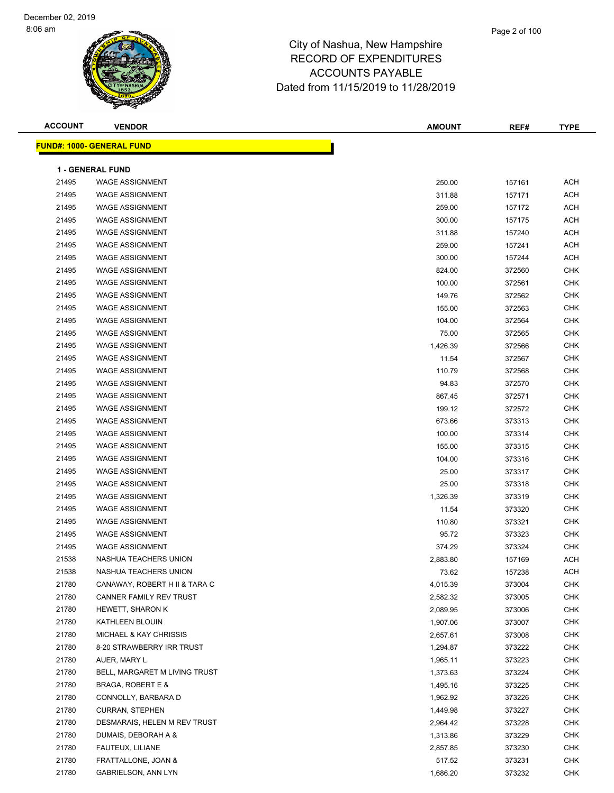| <b>ACCOUNT</b> | <b>VENDOR</b>                    | <b>AMOUNT</b> | REF#   | <b>TYPE</b> |
|----------------|----------------------------------|---------------|--------|-------------|
|                | <b>FUND#: 1000- GENERAL FUND</b> |               |        |             |
|                |                                  |               |        |             |
|                | <b>1 - GENERAL FUND</b>          |               |        |             |
| 21495          | <b>WAGE ASSIGNMENT</b>           | 250.00        | 157161 | ACH         |
| 21495          | <b>WAGE ASSIGNMENT</b>           | 311.88        | 157171 | <b>ACH</b>  |
| 21495          | <b>WAGE ASSIGNMENT</b>           | 259.00        | 157172 | ACH         |
| 21495          | <b>WAGE ASSIGNMENT</b>           | 300.00        | 157175 | <b>ACH</b>  |
| 21495          | <b>WAGE ASSIGNMENT</b>           | 311.88        | 157240 | <b>ACH</b>  |
| 21495          | <b>WAGE ASSIGNMENT</b>           | 259.00        | 157241 | <b>ACH</b>  |
| 21495          | <b>WAGE ASSIGNMENT</b>           | 300.00        | 157244 | ACH         |
| 21495          | <b>WAGE ASSIGNMENT</b>           | 824.00        | 372560 | <b>CHK</b>  |
| 21495          | <b>WAGE ASSIGNMENT</b>           | 100.00        | 372561 | <b>CHK</b>  |
| 21495          | <b>WAGE ASSIGNMENT</b>           | 149.76        | 372562 | <b>CHK</b>  |
| 21495          | <b>WAGE ASSIGNMENT</b>           | 155.00        | 372563 | <b>CHK</b>  |
| 21495          | <b>WAGE ASSIGNMENT</b>           | 104.00        | 372564 | <b>CHK</b>  |
| 21495          | <b>WAGE ASSIGNMENT</b>           | 75.00         | 372565 | <b>CHK</b>  |
| 21495          | <b>WAGE ASSIGNMENT</b>           | 1,426.39      | 372566 | <b>CHK</b>  |
| 21495          | <b>WAGE ASSIGNMENT</b>           | 11.54         | 372567 | <b>CHK</b>  |
| 21495          | <b>WAGE ASSIGNMENT</b>           | 110.79        | 372568 | <b>CHK</b>  |
| 21495          | <b>WAGE ASSIGNMENT</b>           | 94.83         | 372570 | <b>CHK</b>  |
| 21495          | <b>WAGE ASSIGNMENT</b>           | 867.45        | 372571 | <b>CHK</b>  |
| 21495          | <b>WAGE ASSIGNMENT</b>           | 199.12        | 372572 | <b>CHK</b>  |
| 21495          | <b>WAGE ASSIGNMENT</b>           | 673.66        | 373313 | <b>CHK</b>  |
| 21495          | <b>WAGE ASSIGNMENT</b>           | 100.00        | 373314 | <b>CHK</b>  |
| 21495          | <b>WAGE ASSIGNMENT</b>           | 155.00        | 373315 | <b>CHK</b>  |
| 21495          | <b>WAGE ASSIGNMENT</b>           | 104.00        | 373316 | <b>CHK</b>  |
| 21495          | <b>WAGE ASSIGNMENT</b>           | 25.00         | 373317 | <b>CHK</b>  |
| 21495          | <b>WAGE ASSIGNMENT</b>           | 25.00         | 373318 | <b>CHK</b>  |
| 21495          | <b>WAGE ASSIGNMENT</b>           | 1,326.39      | 373319 | <b>CHK</b>  |
| 21495          | <b>WAGE ASSIGNMENT</b>           | 11.54         | 373320 | <b>CHK</b>  |
| 21495          | <b>WAGE ASSIGNMENT</b>           | 110.80        | 373321 | <b>CHK</b>  |
| 21495          | <b>WAGE ASSIGNMENT</b>           | 95.72         | 373323 | <b>CHK</b>  |
| 21495          | <b>WAGE ASSIGNMENT</b>           | 374.29        | 373324 | <b>CHK</b>  |
| 21538          | NASHUA TEACHERS UNION            | 2,883.80      | 157169 | <b>ACH</b>  |
| 21538          | NASHUA TEACHERS UNION            | 73.62         | 157238 | <b>ACH</b>  |
| 21780          | CANAWAY, ROBERT H II & TARA C    | 4,015.39      | 373004 | <b>CHK</b>  |
| 21780          | CANNER FAMILY REV TRUST          | 2,582.32      | 373005 | CHK         |
| 21780          | HEWETT, SHARON K                 | 2,089.95      | 373006 | <b>CHK</b>  |
| 21780          | KATHLEEN BLOUIN                  | 1,907.06      | 373007 | CHK         |
| 21780          | MICHAEL & KAY CHRISSIS           | 2,657.61      | 373008 | <b>CHK</b>  |
| 21780          | 8-20 STRAWBERRY IRR TRUST        | 1,294.87      | 373222 | <b>CHK</b>  |
| 21780          | AUER, MARY L                     | 1,965.11      | 373223 | CHK         |
| 21780          | BELL, MARGARET M LIVING TRUST    | 1,373.63      | 373224 | CHK         |
| 21780          | BRAGA, ROBERT E &                | 1,495.16      | 373225 | <b>CHK</b>  |
| 21780          | CONNOLLY, BARBARA D              | 1,962.92      | 373226 | CHK         |
| 21780          | <b>CURRAN, STEPHEN</b>           | 1,449.98      | 373227 | CHK         |
| 21780          | DESMARAIS, HELEN M REV TRUST     | 2,964.42      | 373228 | <b>CHK</b>  |
| 21780          | DUMAIS, DEBORAH A &              | 1,313.86      | 373229 | CHK         |
| 21780          | FAUTEUX, LILIANE                 | 2,857.85      | 373230 | <b>CHK</b>  |
| 21780          | FRATTALLONE, JOAN &              | 517.52        | 373231 | <b>CHK</b>  |
| 21780          | GABRIELSON, ANN LYN              | 1,686.20      | 373232 | <b>CHK</b>  |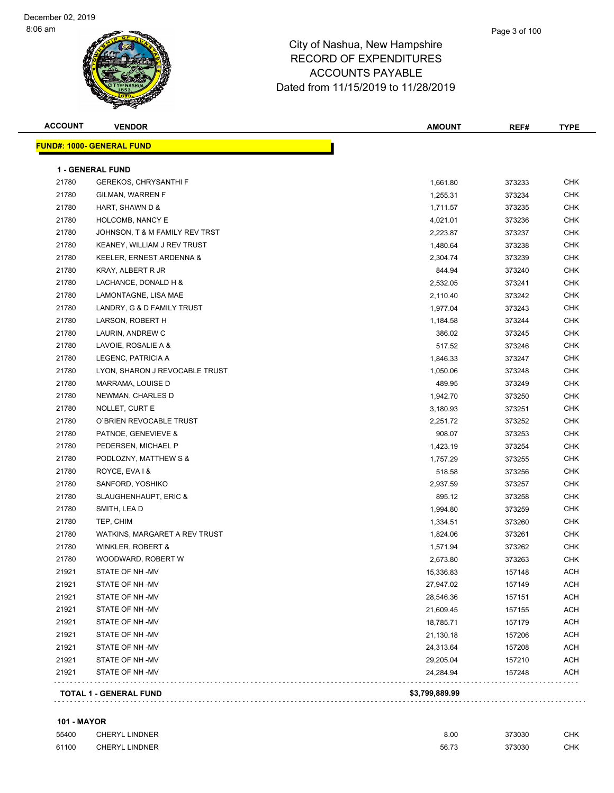#### Page 3 of 100

### City of Nashua, New Hampshire RECORD OF EXPENDITURES ACCOUNTS PAYABLE Dated from 11/15/2019 to 11/28/2019

| <b>ACCOUNT</b> | <b>VENDOR</b>                    | <b>AMOUNT</b> | REF#   | <b>TYPE</b> |
|----------------|----------------------------------|---------------|--------|-------------|
|                | <b>FUND#: 1000- GENERAL FUND</b> |               |        |             |
|                | <b>1 - GENERAL FUND</b>          |               |        |             |
| 21780          | <b>GEREKOS, CHRYSANTHI F</b>     | 1,661.80      | 373233 | <b>CHK</b>  |
| 21780          | <b>GILMAN, WARREN F</b>          | 1,255.31      | 373234 | <b>CHK</b>  |
| 21780          | HART, SHAWN D &                  | 1,711.57      | 373235 | <b>CHK</b>  |
| 21780          | HOLCOMB, NANCY E                 | 4,021.01      | 373236 | CHK         |
| 21780          | JOHNSON, T & M FAMILY REV TRST   | 2,223.87      | 373237 | <b>CHK</b>  |
| 21780          | KEANEY, WILLIAM J REV TRUST      | 1,480.64      | 373238 | <b>CHK</b>  |
| 21780          | KEELER, ERNEST ARDENNA &         | 2,304.74      | 373239 | <b>CHK</b>  |
| 21780          | KRAY, ALBERT R JR                | 844.94        | 373240 | <b>CHK</b>  |
| 21780          | LACHANCE, DONALD H &             | 2,532.05      | 373241 | <b>CHK</b>  |
| 21780          | LAMONTAGNE, LISA MAE             | 2,110.40      | 373242 | <b>CHK</b>  |
| 21780          | LANDRY, G & D FAMILY TRUST       | 1,977.04      | 373243 | <b>CHK</b>  |
| 21780          | LARSON, ROBERT H                 | 1,184.58      | 373244 | <b>CHK</b>  |
| 21780          | LAURIN, ANDREW C                 | 386.02        | 373245 | <b>CHK</b>  |
| 21780          | LAVOIE, ROSALIE A &              | 517.52        | 373246 | <b>CHK</b>  |
| 21780          | LEGENC, PATRICIA A               | 1,846.33      | 373247 | CHK         |
| 21780          | LYON, SHARON J REVOCABLE TRUST   | 1,050.06      | 373248 | <b>CHK</b>  |
| 21780          | MARRAMA, LOUISE D                | 489.95        | 373249 | <b>CHK</b>  |
| 21780          | NEWMAN, CHARLES D                | 1,942.70      | 373250 | <b>CHK</b>  |
| 21780          | NOLLET, CURT E                   | 3,180.93      | 373251 | <b>CHK</b>  |
| 21780          | O'BRIEN REVOCABLE TRUST          | 2,251.72      | 373252 | <b>CHK</b>  |
| 21780          | PATNOE, GENEVIEVE &              | 908.07        | 373253 | <b>CHK</b>  |
| 21780          | PEDERSEN, MICHAEL P              | 1,423.19      | 373254 | <b>CHK</b>  |
| 21780          | PODLOZNY, MATTHEW S &            | 1,757.29      | 373255 | <b>CHK</b>  |
| 21780          | ROYCE, EVA I &                   | 518.58        | 373256 | <b>CHK</b>  |
| 21780          | SANFORD, YOSHIKO                 | 2,937.59      | 373257 | <b>CHK</b>  |
| 21780          | SLAUGHENHAUPT, ERIC &            | 895.12        | 373258 | CHK         |
| 21780          | SMITH, LEA D                     | 1,994.80      | 373259 | <b>CHK</b>  |
| 21780          | TEP, CHIM                        | 1,334.51      | 373260 | <b>CHK</b>  |
| 21780          | WATKINS, MARGARET A REV TRUST    | 1,824.06      | 373261 | <b>CHK</b>  |
| 21780          | WINKLER, ROBERT &                | 1,571.94      | 373262 | <b>CHK</b>  |
| 21780          | WOODWARD, ROBERT W               | 2,673.80      | 373263 | <b>CHK</b>  |
| 21921          | STATE OF NH-MV                   | 15,336.83     | 157148 | <b>ACH</b>  |
| 21921          | STATE OF NH-MV                   | 27,947.02     | 157149 | <b>ACH</b>  |
| 21921          | STATE OF NH-MV                   | 28,546.36     | 157151 | ACH         |
| 21921          | STATE OF NH-MV                   | 21,609.45     | 157155 | <b>ACH</b>  |
| 21921          | STATE OF NH-MV                   | 18,785.71     | 157179 | <b>ACH</b>  |
| 21921          | STATE OF NH-MV                   | 21,130.18     | 157206 | <b>ACH</b>  |
| 21921          | STATE OF NH-MV                   | 24,313.64     | 157208 | <b>ACH</b>  |
| 21921          | STATE OF NH-MV                   | 29,205.04     | 157210 | <b>ACH</b>  |
| 21921          | STATE OF NH-MV                   | 24,284.94     | 157248 | <b>ACH</b>  |
|                |                                  |               |        |             |

#### **101 - MAYOR**

| 55400 | CHERYL LINDNER | 8.00  | 373030 | CHK. |
|-------|----------------|-------|--------|------|
| 61100 | CHERYL LINDNER | 56.73 | 373030 | CHK. |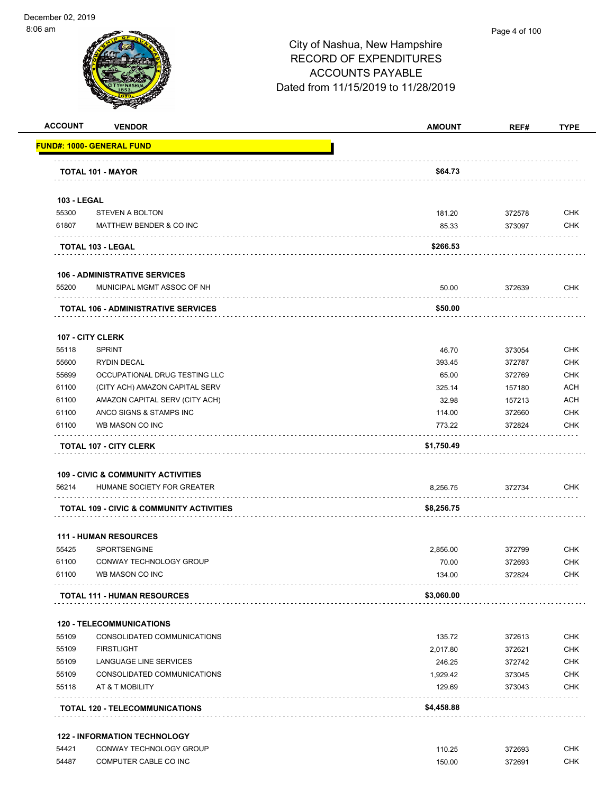| <b>ACCOUNT</b>     | <b>VENDOR</b>                                       | <b>AMOUNT</b> | REF#   | <b>TYPE</b> |
|--------------------|-----------------------------------------------------|---------------|--------|-------------|
|                    | <b>FUND#: 1000- GENERAL FUND</b>                    |               |        |             |
|                    | TOTAL 101 - MAYOR                                   | \$64.73       |        |             |
|                    |                                                     |               |        |             |
| <b>103 - LEGAL</b> |                                                     |               |        |             |
| 55300              | <b>STEVEN A BOLTON</b>                              | 181.20        | 372578 | <b>CHK</b>  |
| 61807              | MATTHEW BENDER & CO INC                             | 85.33         | 373097 | CHK         |
|                    | <b>TOTAL 103 - LEGAL</b>                            | \$266.53      |        |             |
|                    | <b>106 - ADMINISTRATIVE SERVICES</b>                |               |        |             |
| 55200              | MUNICIPAL MGMT ASSOC OF NH                          | 50.00         | 372639 | CHK         |
|                    | <b>TOTAL 106 - ADMINISTRATIVE SERVICES</b>          | \$50.00       |        |             |
|                    | 107 - CITY CLERK                                    |               |        |             |
| 55118              | <b>SPRINT</b>                                       | 46.70         | 373054 | <b>CHK</b>  |
| 55600              | RYDIN DECAL                                         | 393.45        | 372787 | <b>CHK</b>  |
| 55699              | OCCUPATIONAL DRUG TESTING LLC                       | 65.00         | 372769 | <b>CHK</b>  |
| 61100              | (CITY ACH) AMAZON CAPITAL SERV                      | 325.14        | 157180 | <b>ACH</b>  |
| 61100              | AMAZON CAPITAL SERV (CITY ACH)                      | 32.98         | 157213 | <b>ACH</b>  |
| 61100              | ANCO SIGNS & STAMPS INC                             | 114.00        | 372660 | <b>CHK</b>  |
| 61100              | WB MASON CO INC                                     | 773.22        | 372824 | <b>CHK</b>  |
|                    | <b>TOTAL 107 - CITY CLERK</b>                       | \$1,750.49    |        |             |
|                    | <b>109 - CIVIC &amp; COMMUNITY ACTIVITIES</b>       |               |        |             |
| 56214              | HUMANE SOCIETY FOR GREATER                          | 8,256.75      | 372734 | CHK         |
|                    | <b>TOTAL 109 - CIVIC &amp; COMMUNITY ACTIVITIES</b> | \$8,256.75    |        |             |
|                    | <b>111 - HUMAN RESOURCES</b>                        |               |        |             |
| 55425              | SPORTSENGINE                                        | 2,856.00      | 372799 | <b>CHK</b>  |
| 61100              | CONWAY TECHNOLOGY GROUP                             | 70.00         | 372693 | <b>CHK</b>  |
| 61100              | WB MASON CO INC                                     | 134.00        | 372824 | CHK         |
|                    | <b>TOTAL 111 - HUMAN RESOURCES</b>                  | \$3,060.00    |        |             |
|                    | <b>120 - TELECOMMUNICATIONS</b>                     |               |        |             |
| 55109              | CONSOLIDATED COMMUNICATIONS                         | 135.72        | 372613 | <b>CHK</b>  |
| 55109              | <b>FIRSTLIGHT</b>                                   | 2,017.80      | 372621 | <b>CHK</b>  |
| 55109              | LANGUAGE LINE SERVICES                              | 246.25        | 372742 | <b>CHK</b>  |
| 55109              | CONSOLIDATED COMMUNICATIONS                         | 1,929.42      | 373045 | <b>CHK</b>  |
| 55118              | AT & T MOBILITY                                     | 129.69        | 373043 | CHK         |
|                    | <b>TOTAL 120 - TELECOMMUNICATIONS</b>               | \$4,458.88    |        |             |
|                    | <b>122 - INFORMATION TECHNOLOGY</b>                 |               |        |             |
| 54421              | CONWAY TECHNOLOGY GROUP                             | 110.25        | 372693 | <b>CHK</b>  |
| 54487              | COMPUTER CABLE CO INC                               | 150.00        | 372691 | <b>CHK</b>  |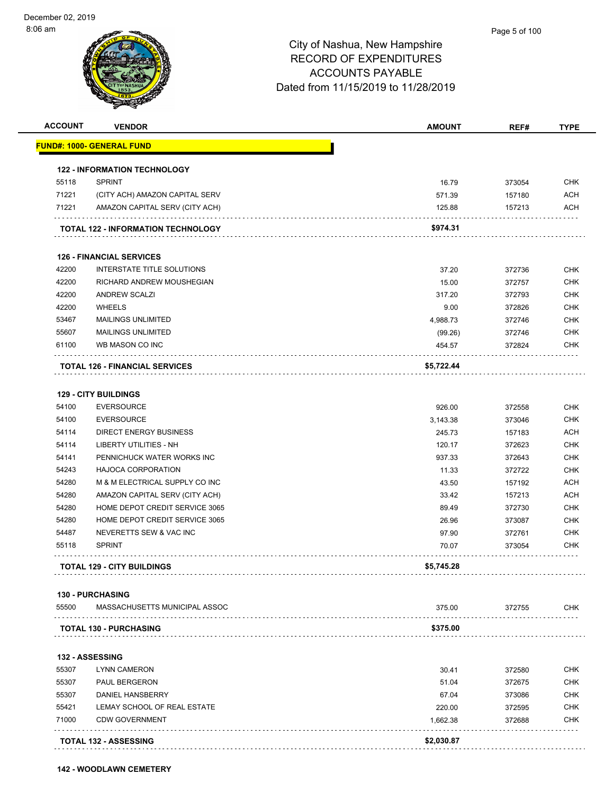

| <b>ACCOUNT</b> | <b>VENDOR</b>                             | <b>AMOUNT</b> | REF#   | <b>TYPE</b> |
|----------------|-------------------------------------------|---------------|--------|-------------|
|                | <u> FUND#: 1000- GENERAL FUND</u>         |               |        |             |
|                | <b>122 - INFORMATION TECHNOLOGY</b>       |               |        |             |
| 55118          | <b>SPRINT</b>                             | 16.79         | 373054 | CHK         |
| 71221          | (CITY ACH) AMAZON CAPITAL SERV            | 571.39        | 157180 | <b>ACH</b>  |
| 71221          | AMAZON CAPITAL SERV (CITY ACH)            | 125.88        | 157213 | <b>ACH</b>  |
|                | <b>TOTAL 122 - INFORMATION TECHNOLOGY</b> | \$974.31      |        |             |
|                | <b>126 - FINANCIAL SERVICES</b>           |               |        |             |
| 42200          | <b>INTERSTATE TITLE SOLUTIONS</b>         | 37.20         | 372736 | CHK         |
| 42200          | RICHARD ANDREW MOUSHEGIAN                 | 15.00         | 372757 | <b>CHK</b>  |
| 42200          | <b>ANDREW SCALZI</b>                      | 317.20        | 372793 | <b>CHK</b>  |
| 42200          | <b>WHEELS</b>                             | 9.00          | 372826 | <b>CHK</b>  |
| 53467          | <b>MAILINGS UNLIMITED</b>                 | 4,988.73      | 372746 | <b>CHK</b>  |
| 55607          | <b>MAILINGS UNLIMITED</b>                 | (99.26)       | 372746 | CHK         |
| 61100          | WB MASON CO INC                           | 454.57        | 372824 | CHK         |
|                | <b>TOTAL 126 - FINANCIAL SERVICES</b>     | \$5,722.44    |        |             |
|                | <b>129 - CITY BUILDINGS</b>               |               |        |             |
| 54100          | <b>EVERSOURCE</b>                         | 926.00        | 372558 | <b>CHK</b>  |
| 54100          | <b>EVERSOURCE</b>                         | 3,143.38      | 373046 | <b>CHK</b>  |
| 54114          | <b>DIRECT ENERGY BUSINESS</b>             | 245.73        | 157183 | <b>ACH</b>  |
| 54114          | LIBERTY UTILITIES - NH                    | 120.17        | 372623 | <b>CHK</b>  |
| 54141          | PENNICHUCK WATER WORKS INC                | 937.33        | 372643 | <b>CHK</b>  |
| 54243          | <b>HAJOCA CORPORATION</b>                 | 11.33         | 372722 | <b>CHK</b>  |
| 54280          | M & M ELECTRICAL SUPPLY CO INC            | 43.50         | 157192 | ACH         |
| 54280          | AMAZON CAPITAL SERV (CITY ACH)            | 33.42         | 157213 | <b>ACH</b>  |
| 54280          | HOME DEPOT CREDIT SERVICE 3065            | 89.49         | 372730 | <b>CHK</b>  |
| 54280          | HOME DEPOT CREDIT SERVICE 3065            | 26.96         | 373087 | <b>CHK</b>  |
| 54487          | NEVERETTS SEW & VAC INC                   | 97.90         | 372761 | <b>CHK</b>  |
| 55118          | <b>SPRINT</b>                             | 70.07         | 373054 | CHK         |
|                | <b>TOTAL 129 - CITY BUILDINGS</b>         | \$5,745.28    |        |             |
|                | <b>130 - PURCHASING</b>                   |               |        |             |
| 55500          | MASSACHUSETTS MUNICIPAL ASSOC             | 375.00        | 372755 | CHK         |
|                | <b>TOTAL 130 - PURCHASING</b>             | \$375.00      |        |             |
|                | <b>132 - ASSESSING</b>                    |               |        |             |
| 55307          | <b>LYNN CAMERON</b>                       | 30.41         | 372580 | <b>CHK</b>  |
| 55307          | PAUL BERGERON                             | 51.04         | 372675 | <b>CHK</b>  |
| 55307          | DANIEL HANSBERRY                          | 67.04         | 373086 | <b>CHK</b>  |
| 55421          | LEMAY SCHOOL OF REAL ESTATE               | 220.00        | 372595 | <b>CHK</b>  |
| 71000          | <b>CDW GOVERNMENT</b>                     | 1,662.38      | 372688 | CHK         |
|                |                                           | \$2,030.87    |        |             |
|                | <b>TOTAL 132 - ASSESSING</b>              |               |        |             |

**142 - WOODLAWN CEMETERY**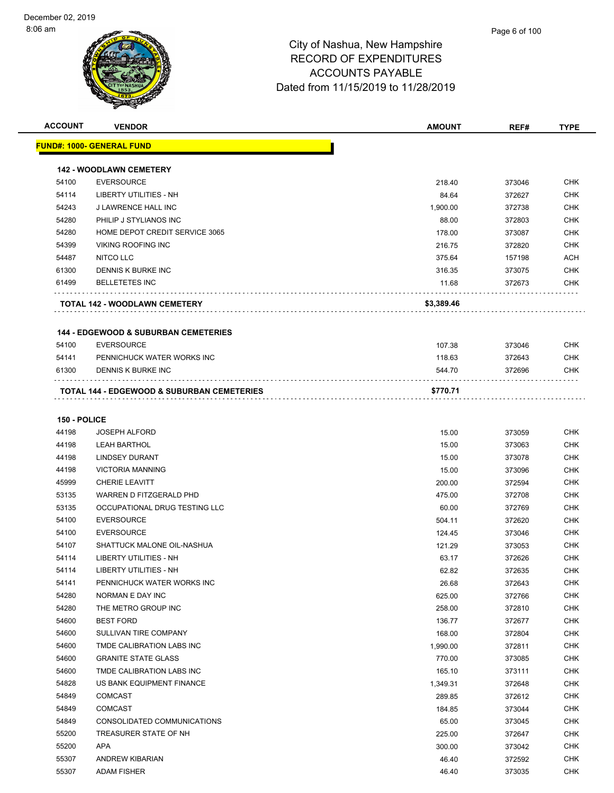| <b>ACCOUNT</b> | <b>VENDOR</b>                                   | <b>AMOUNT</b> | REF#             | <b>TYPE</b> |
|----------------|-------------------------------------------------|---------------|------------------|-------------|
|                | <u> FUND#: 1000- GENERAL FUND</u>               |               |                  |             |
|                |                                                 |               |                  |             |
|                | <b>142 - WOODLAWN CEMETERY</b>                  |               |                  |             |
| 54100          | <b>EVERSOURCE</b>                               | 218.40        | 373046           | <b>CHK</b>  |
| 54114          | LIBERTY UTILITIES - NH                          | 84.64         | 372627           | <b>CHK</b>  |
| 54243          | J LAWRENCE HALL INC                             | 1,900.00      | 372738           | <b>CHK</b>  |
| 54280          | PHILIP J STYLIANOS INC                          | 88.00         | 372803           | <b>CHK</b>  |
| 54280          | HOME DEPOT CREDIT SERVICE 3065                  | 178.00        | 373087           | <b>CHK</b>  |
| 54399          | <b>VIKING ROOFING INC</b>                       | 216.75        | 372820           | <b>CHK</b>  |
| 54487          | NITCO LLC                                       | 375.64        | 157198           | <b>ACH</b>  |
| 61300          | DENNIS K BURKE INC                              | 316.35        | 373075           | <b>CHK</b>  |
| 61499          | <b>BELLETETES INC</b>                           | 11.68         | 372673           | <b>CHK</b>  |
|                | <b>TOTAL 142 - WOODLAWN CEMETERY</b>            | \$3,389.46    |                  |             |
|                |                                                 |               |                  |             |
|                | <b>144 - EDGEWOOD &amp; SUBURBAN CEMETERIES</b> |               |                  |             |
| 54100          | <b>EVERSOURCE</b>                               | 107.38        | 373046           | <b>CHK</b>  |
| 54141          | PENNICHUCK WATER WORKS INC                      | 118.63        | 372643           | <b>CHK</b>  |
| 61300          | DENNIS K BURKE INC                              | 544.70        | 372696           | <b>CHK</b>  |
|                | TOTAL 144 - EDGEWOOD & SUBURBAN CEMETERIES      | \$770.71      |                  |             |
| 150 - POLICE   |                                                 |               |                  |             |
| 44198          | <b>JOSEPH ALFORD</b>                            | 15.00         | 373059           | <b>CHK</b>  |
| 44198          | <b>LEAH BARTHOL</b>                             | 15.00         | 373063           | <b>CHK</b>  |
| 44198          | <b>LINDSEY DURANT</b>                           | 15.00         |                  | <b>CHK</b>  |
| 44198          | <b>VICTORIA MANNING</b>                         | 15.00         | 373078<br>373096 | <b>CHK</b>  |
| 45999          | <b>CHERIE LEAVITT</b>                           | 200.00        | 372594           | <b>CHK</b>  |
| 53135          | WARREN D FITZGERALD PHD                         | 475.00        | 372708           | <b>CHK</b>  |
| 53135          | OCCUPATIONAL DRUG TESTING LLC                   | 60.00         | 372769           | <b>CHK</b>  |
| 54100          | <b>EVERSOURCE</b>                               | 504.11        | 372620           | <b>CHK</b>  |
| 54100          | <b>EVERSOURCE</b>                               | 124.45        | 373046           | <b>CHK</b>  |
| 54107          | SHATTUCK MALONE OIL-NASHUA                      | 121.29        | 373053           | <b>CHK</b>  |
| 54114          | LIBERTY UTILITIES - NH                          | 63.17         | 372626           | <b>CHK</b>  |
| 54114          | LIBERTY UTILITIES - NH                          | 62.82         | 372635           | <b>CHK</b>  |
| 54141          | PENNICHUCK WATER WORKS INC                      | 26.68         | 372643           | <b>CHK</b>  |
| 54280          | NORMAN E DAY INC                                | 625.00        | 372766           | <b>CHK</b>  |
| 54280          | THE METRO GROUP INC                             | 258.00        | 372810           | <b>CHK</b>  |
| 54600          | <b>BEST FORD</b>                                | 136.77        | 372677           | <b>CHK</b>  |
| 54600          | SULLIVAN TIRE COMPANY                           | 168.00        | 372804           | <b>CHK</b>  |
| 54600          | TMDE CALIBRATION LABS INC                       | 1,990.00      | 372811           | <b>CHK</b>  |
| 54600          | <b>GRANITE STATE GLASS</b>                      | 770.00        | 373085           | <b>CHK</b>  |
| 54600          | TMDE CALIBRATION LABS INC                       | 165.10        | 373111           | <b>CHK</b>  |
| 54828          | US BANK EQUIPMENT FINANCE                       | 1,349.31      | 372648           | <b>CHK</b>  |
| 54849          | <b>COMCAST</b>                                  | 289.85        | 372612           | <b>CHK</b>  |
| 54849          | <b>COMCAST</b>                                  | 184.85        | 373044           | <b>CHK</b>  |
| 54849          | CONSOLIDATED COMMUNICATIONS                     | 65.00         | 373045           | <b>CHK</b>  |
| 55200          | TREASURER STATE OF NH                           | 225.00        | 372647           | <b>CHK</b>  |
| 55200          | APA                                             | 300.00        | 373042           | <b>CHK</b>  |
| 55307          | <b>ANDREW KIBARIAN</b>                          | 46.40         | 372592           | <b>CHK</b>  |
| 55307          | ADAM FISHER                                     | 46.40         | 373035           | <b>CHK</b>  |
|                |                                                 |               |                  |             |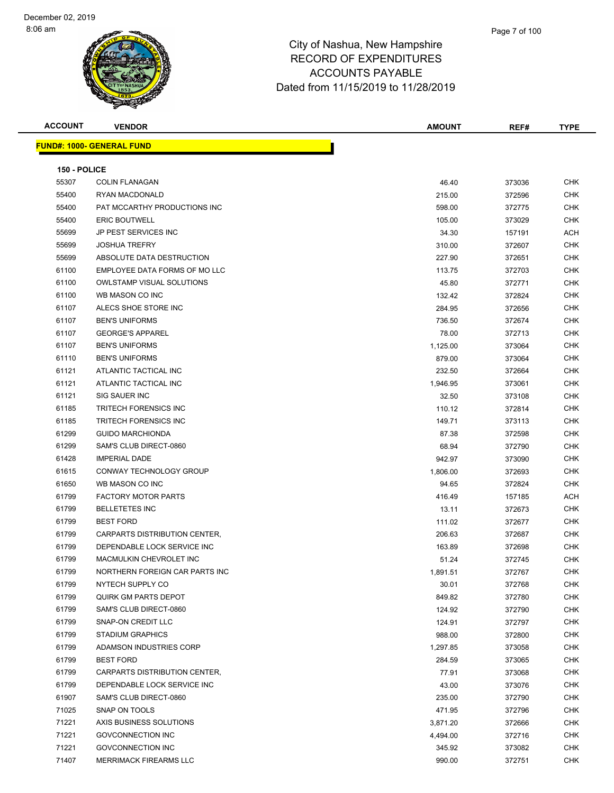| <b>ACCOUNT</b> | <b>VENDOR</b>                     | <b>AMOUNT</b> | REF#   | <b>TYPE</b> |
|----------------|-----------------------------------|---------------|--------|-------------|
|                | <u> FUND#: 1000- GENERAL FUND</u> |               |        |             |
|                |                                   |               |        |             |
| 150 - POLICE   |                                   |               |        |             |
| 55307          | <b>COLIN FLANAGAN</b>             | 46.40         | 373036 | CHK         |
| 55400          | RYAN MACDONALD                    | 215.00        | 372596 | CHK         |
| 55400          | PAT MCCARTHY PRODUCTIONS INC      | 598.00        | 372775 | <b>CHK</b>  |
| 55400          | <b>ERIC BOUTWELL</b>              | 105.00        | 373029 | <b>CHK</b>  |
| 55699          | JP PEST SERVICES INC              | 34.30         | 157191 | ACH         |
| 55699          | <b>JOSHUA TREFRY</b>              | 310.00        | 372607 | CHK         |
| 55699          | ABSOLUTE DATA DESTRUCTION         | 227.90        | 372651 | <b>CHK</b>  |
| 61100          | EMPLOYEE DATA FORMS OF MO LLC     | 113.75        | 372703 | <b>CHK</b>  |
| 61100          | <b>OWLSTAMP VISUAL SOLUTIONS</b>  | 45.80         | 372771 | <b>CHK</b>  |
| 61100          | WB MASON CO INC                   | 132.42        | 372824 | <b>CHK</b>  |
| 61107          | ALECS SHOE STORE INC              | 284.95        | 372656 | CHK         |
| 61107          | <b>BEN'S UNIFORMS</b>             | 736.50        | 372674 | CHK         |
| 61107          | <b>GEORGE'S APPAREL</b>           | 78.00         | 372713 | CHK         |
| 61107          | <b>BEN'S UNIFORMS</b>             | 1,125.00      | 373064 | <b>CHK</b>  |
| 61110          | <b>BEN'S UNIFORMS</b>             | 879.00        | 373064 | CHK         |
| 61121          | ATLANTIC TACTICAL INC             | 232.50        | 372664 | CHK         |
| 61121          | ATLANTIC TACTICAL INC             | 1,946.95      | 373061 | CHK         |
| 61121          | SIG SAUER INC                     | 32.50         | 373108 | <b>CHK</b>  |
| 61185          | TRITECH FORENSICS INC             | 110.12        | 372814 | CHK         |
| 61185          | <b>TRITECH FORENSICS INC</b>      | 149.71        | 373113 | <b>CHK</b>  |
| 61299          | <b>GUIDO MARCHIONDA</b>           | 87.38         | 372598 | <b>CHK</b>  |
| 61299          | SAM'S CLUB DIRECT-0860            | 68.94         | 372790 | <b>CHK</b>  |
| 61428          | <b>IMPERIAL DADE</b>              | 942.97        | 373090 | <b>CHK</b>  |
| 61615          | CONWAY TECHNOLOGY GROUP           | 1,806.00      | 372693 | <b>CHK</b>  |
| 61650          | WB MASON CO INC                   | 94.65         | 372824 | <b>CHK</b>  |
| 61799          | <b>FACTORY MOTOR PARTS</b>        | 416.49        | 157185 | ACH         |
| 61799          | <b>BELLETETES INC</b>             | 13.11         | 372673 | CHK         |
| 61799          | <b>BEST FORD</b>                  | 111.02        | 372677 | <b>CHK</b>  |
| 61799          | CARPARTS DISTRIBUTION CENTER,     | 206.63        | 372687 | <b>CHK</b>  |
| 61799          | DEPENDABLE LOCK SERVICE INC       | 163.89        | 372698 | <b>CHK</b>  |
| 61799          | MACMULKIN CHEVROLET INC           | 51.24         | 372745 | <b>CHK</b>  |
| 61799          | NORTHERN FOREIGN CAR PARTS INC    | 1,891.51      | 372767 | CHK         |
| 61799          | NYTECH SUPPLY CO                  | 30.01         | 372768 | <b>CHK</b>  |
| 61799          | QUIRK GM PARTS DEPOT              | 849.82        | 372780 | <b>CHK</b>  |
| 61799          | SAM'S CLUB DIRECT-0860            | 124.92        | 372790 | <b>CHK</b>  |
| 61799          | SNAP-ON CREDIT LLC                | 124.91        | 372797 | <b>CHK</b>  |
| 61799          | <b>STADIUM GRAPHICS</b>           | 988.00        | 372800 | <b>CHK</b>  |
| 61799          | ADAMSON INDUSTRIES CORP           | 1,297.85      | 373058 | <b>CHK</b>  |
| 61799          | <b>BEST FORD</b>                  | 284.59        | 373065 | <b>CHK</b>  |
| 61799          | CARPARTS DISTRIBUTION CENTER,     | 77.91         | 373068 | <b>CHK</b>  |
| 61799          | DEPENDABLE LOCK SERVICE INC       | 43.00         | 373076 | <b>CHK</b>  |
| 61907          | SAM'S CLUB DIRECT-0860            | 235.00        | 372790 | <b>CHK</b>  |
| 71025          | SNAP ON TOOLS                     | 471.95        | 372796 | <b>CHK</b>  |
| 71221          | AXIS BUSINESS SOLUTIONS           | 3,871.20      | 372666 | CHK         |
| 71221          | GOVCONNECTION INC                 | 4,494.00      | 372716 | <b>CHK</b>  |
| 71221          | <b>GOVCONNECTION INC</b>          | 345.92        | 373082 | <b>CHK</b>  |
| 71407          | MERRIMACK FIREARMS LLC            | 990.00        | 372751 | <b>CHK</b>  |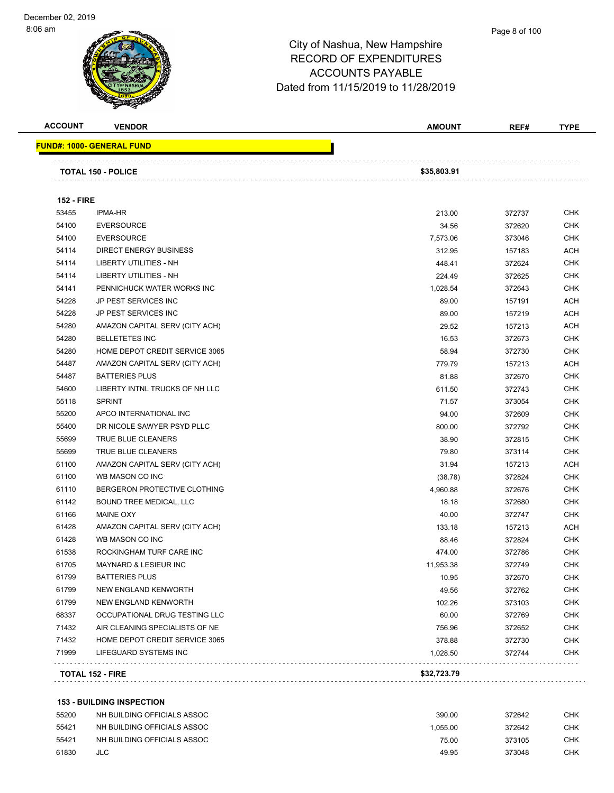

**FUND#: 1000- GENERAL FUND**

# City of Nashua, New Hampshire RECORD OF EXPENDITURES ACCOUNTS PAYABLE

|                   | CITYOF NASHUA                    | Dated from 11/15/2019 to 11/28/2019 |               |        |             |
|-------------------|----------------------------------|-------------------------------------|---------------|--------|-------------|
| ACCOUNT           | <b>VENDOR</b>                    |                                     | <b>AMOUNT</b> | REF#   | <b>TYPE</b> |
|                   | <u> IND#: 1000- GENERAL FUND</u> |                                     |               |        |             |
|                   | <b>TOTAL 150 - POLICE</b>        |                                     | \$35,803.91   |        |             |
| <b>152 - FIRE</b> |                                  |                                     |               |        |             |
| 53455             | <b>IPMA-HR</b>                   |                                     | 213.00        | 372737 | <b>CHK</b>  |
| 54100             | <b>EVERSOURCE</b>                |                                     | 34.56         | 372620 | <b>CHK</b>  |
| 54100             | <b>EVERSOURCE</b>                |                                     | 7,573.06      | 373046 | <b>CHK</b>  |
| 54114             | <b>DIRECT ENERGY BUSINESS</b>    |                                     | 312.95        | 157183 | ACH         |
| 54114             | LIBERTY UTILITIES - NH           |                                     | 448.41        | 372624 | <b>CHK</b>  |
| 54114             | LIBERTY UTILITIES - NH           |                                     | 224.49        | 372625 | <b>CHK</b>  |
| 54141             | PENNICHLICK WATER WORKS INC.     |                                     | 1 028 54      | 372643 | <b>CHK</b>  |

|       | <b>TOTAL 152 - FIRE</b>          | \$32,723.79 |        |            |
|-------|----------------------------------|-------------|--------|------------|
| 71999 | LIFEGUARD SYSTEMS INC            | 1,028.50    | 372744 | <b>CHK</b> |
| 71432 | HOME DEPOT CREDIT SERVICE 3065   | 378.88      | 372730 | <b>CHK</b> |
| 71432 | AIR CLEANING SPECIALISTS OF NE   | 756.96      | 372652 | <b>CHK</b> |
| 68337 | OCCUPATIONAL DRUG TESTING LLC    | 60.00       | 372769 | <b>CHK</b> |
| 61799 | NEW ENGLAND KENWORTH             | 102.26      | 373103 | <b>CHK</b> |
| 61799 | NEW ENGLAND KENWORTH             | 49.56       | 372762 | <b>CHK</b> |
| 61799 | <b>BATTERIES PLUS</b>            | 10.95       | 372670 | <b>CHK</b> |
| 61705 | <b>MAYNARD &amp; LESIEUR INC</b> | 11,953.38   | 372749 | <b>CHK</b> |
| 61538 | ROCKINGHAM TURF CARE INC         | 474.00      | 372786 | <b>CHK</b> |
| 61428 | WB MASON CO INC                  | 88.46       | 372824 | <b>CHK</b> |
| 61428 | AMAZON CAPITAL SERV (CITY ACH)   | 133.18      | 157213 | ACH        |
| 61166 | <b>MAINE OXY</b>                 | 40.00       | 372747 | <b>CHK</b> |
| 61142 | <b>BOUND TREE MEDICAL, LLC</b>   | 18.18       | 372680 | <b>CHK</b> |
| 61110 | BERGERON PROTECTIVE CLOTHING     | 4,960.88    | 372676 | <b>CHK</b> |
| 61100 | WB MASON CO INC                  | (38.78)     | 372824 | <b>CHK</b> |
| 61100 | AMAZON CAPITAL SERV (CITY ACH)   | 31.94       | 157213 | ACH        |
| 55699 | TRUE BLUE CLEANERS               | 79.80       | 373114 | <b>CHK</b> |
| 55699 | TRUE BLUE CLEANERS               | 38.90       | 372815 | <b>CHK</b> |
| 55400 | DR NICOLE SAWYER PSYD PLLC       | 800.00      | 372792 | <b>CHK</b> |
| 55200 | APCO INTERNATIONAL INC           | 94.00       | 372609 | <b>CHK</b> |
| 55118 | <b>SPRINT</b>                    | 71.57       | 373054 | <b>CHK</b> |
| 54600 | LIBERTY INTNL TRUCKS OF NH LLC   | 611.50      | 372743 | <b>CHK</b> |
| 54487 | <b>BATTERIES PLUS</b>            | 81.88       | 372670 | <b>CHK</b> |
| 54487 | AMAZON CAPITAL SERV (CITY ACH)   | 779.79      | 157213 | ACH        |
| 54280 | HOME DEPOT CREDIT SERVICE 3065   | 58.94       | 372730 | <b>CHK</b> |
| 54280 | <b>BELLETETES INC</b>            | 16.53       | 372673 | <b>CHK</b> |
| 54280 | AMAZON CAPITAL SERV (CITY ACH)   | 29.52       | 157213 | ACH        |
| 54228 | JP PEST SERVICES INC             | 89.00       | 157219 | ACH        |
| 54228 | JP PEST SERVICES INC             | 89.00       | 157191 | ACH        |
| 54141 | PENNICHUCK WATER WORKS INC       | 1,028.54    | 372643 | <b>CHK</b> |
| 54114 | <b>LIBERTY UTILITIES - NH</b>    | 224.49      | 372625 | <b>CHK</b> |
| 54114 | <b>LIBERTY UTILITIES - NH</b>    | 448.41      | 372624 | <b>CHK</b> |
| 54114 | <b>DIRECT ENERGY BUSINESS</b>    | 312.95      | 157183 | ACH        |
|       |                                  |             |        |            |

#### **153 - BUILDING INSPECTION**

| 55200 | NH BUILDING OFFICIALS ASSOC | 390.00  | 372642 | CHK |
|-------|-----------------------------|---------|--------|-----|
| 55421 | NH BUILDING OFFICIALS ASSOC | .055.00 | 372642 | CHK |
| 55421 | NH BUILDING OFFICIALS ASSOC | 75.00   | 373105 | CHK |
| 61830 | JLC                         | 49.95   | 373048 | CHK |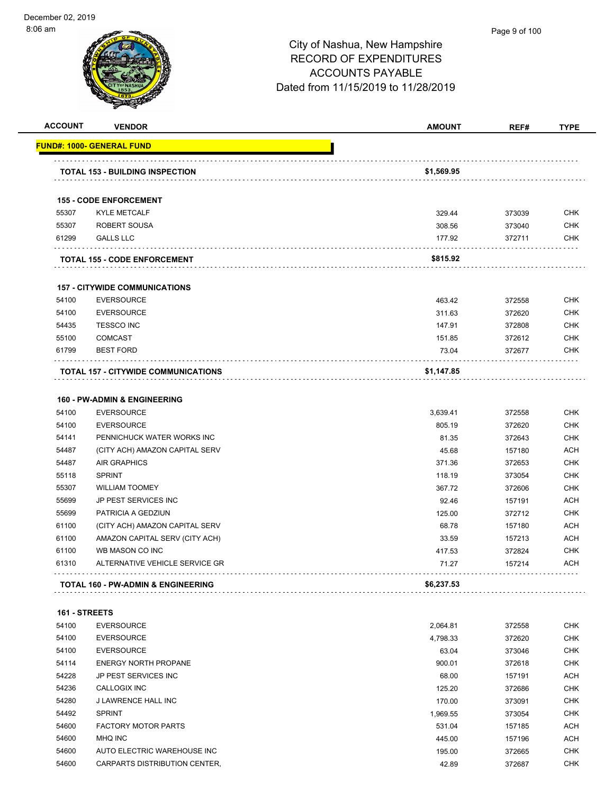#### Page 9 of 100

### City of Nashua, New Hampshire RECORD OF EXPENDITURES ACCOUNTS PAYABLE Dated from 11/15/2019 to 11/28/2019

| <b>ACCOUNT</b> | <b>VENDOR</b>                                                    | <b>AMOUNT</b>   | REF#             | <b>TYPE</b>              |
|----------------|------------------------------------------------------------------|-----------------|------------------|--------------------------|
|                | <b>FUND#: 1000- GENERAL FUND</b>                                 |                 |                  |                          |
|                |                                                                  |                 |                  |                          |
|                | <b>TOTAL 153 - BUILDING INSPECTION</b>                           | \$1,569.95      |                  |                          |
|                | <b>155 - CODE ENFORCEMENT</b>                                    |                 |                  |                          |
| 55307          | <b>KYLE METCALF</b>                                              | 329.44          | 373039           | <b>CHK</b>               |
| 55307          | ROBERT SOUSA                                                     | 308.56          | 373040           | <b>CHK</b>               |
| 61299          | <b>GALLS LLC</b>                                                 | 177.92          | 372711           | CHK                      |
|                | <b>TOTAL 155 - CODE ENFORCEMENT</b>                              | \$815.92        |                  |                          |
|                | <b>157 - CITYWIDE COMMUNICATIONS</b>                             |                 |                  |                          |
| 54100          | <b>EVERSOURCE</b>                                                | 463.42          | 372558           | <b>CHK</b>               |
| 54100          | <b>EVERSOURCE</b>                                                | 311.63          | 372620           | <b>CHK</b>               |
| 54435          | <b>TESSCO INC</b>                                                | 147.91          | 372808           | <b>CHK</b>               |
| 55100          | <b>COMCAST</b>                                                   | 151.85          | 372612           | <b>CHK</b>               |
| 61799          | <b>BEST FORD</b>                                                 | 73.04           | 372677           | <b>CHK</b>               |
|                | TOTAL 157 - CITYWIDE COMMUNICATIONS                              | \$1,147.85      |                  |                          |
|                |                                                                  |                 |                  |                          |
|                | <b>160 - PW-ADMIN &amp; ENGINEERING</b>                          |                 |                  |                          |
| 54100          | <b>EVERSOURCE</b><br><b>EVERSOURCE</b>                           | 3,639.41        | 372558           | <b>CHK</b>               |
| 54100          |                                                                  | 805.19          | 372620           | <b>CHK</b><br><b>CHK</b> |
| 54141<br>54487 | PENNICHUCK WATER WORKS INC                                       | 81.35<br>45.68  | 372643           | <b>ACH</b>               |
| 54487          | (CITY ACH) AMAZON CAPITAL SERV<br><b>AIR GRAPHICS</b>            | 371.36          | 157180<br>372653 | <b>CHK</b>               |
| 55118          | <b>SPRINT</b>                                                    | 118.19          | 373054           | <b>CHK</b>               |
|                |                                                                  | 367.72          |                  | <b>CHK</b>               |
| 55307          | <b>WILLIAM TOOMEY</b>                                            |                 | 372606           |                          |
| 55699<br>55699 | JP PEST SERVICES INC<br>PATRICIA A GEDZIUN                       | 92.46           | 157191           | <b>ACH</b>               |
|                |                                                                  | 125.00          | 372712           | <b>CHK</b>               |
| 61100<br>61100 | (CITY ACH) AMAZON CAPITAL SERV<br>AMAZON CAPITAL SERV (CITY ACH) | 68.78           | 157180           | <b>ACH</b><br><b>ACH</b> |
| 61100          | WB MASON CO INC                                                  | 33.59           | 157213           | <b>CHK</b>               |
| 61310          | ALTERNATIVE VEHICLE SERVICE GR                                   | 417.53<br>71.27 | 372824<br>157214 | ACH                      |
|                |                                                                  | \$6,237.53      |                  |                          |
|                | <b>TOTAL 160 - PW-ADMIN &amp; ENGINEERING</b>                    |                 |                  |                          |
| 161 - STREETS  |                                                                  |                 |                  |                          |
| 54100          | <b>EVERSOURCE</b>                                                | 2,064.81        | 372558           | <b>CHK</b>               |
| 54100          | <b>EVERSOURCE</b>                                                | 4,798.33        | 372620           | <b>CHK</b>               |
| 54100          | <b>EVERSOURCE</b>                                                | 63.04           | 373046           | <b>CHK</b>               |
| 54114          | <b>ENERGY NORTH PROPANE</b>                                      | 900.01          | 372618           | <b>CHK</b>               |
| 54228          | JP PEST SERVICES INC                                             | 68.00           | 157191           | <b>ACH</b>               |
| 54236          | <b>CALLOGIX INC</b>                                              | 125.20          | 372686           | <b>CHK</b>               |
| 54280          | J LAWRENCE HALL INC                                              | 170.00          | 373091           | <b>CHK</b>               |
| 54492          | <b>SPRINT</b>                                                    | 1,969.55        | 373054           | CHK                      |
| 54600          | <b>FACTORY MOTOR PARTS</b>                                       | 531.04          | 157185           | <b>ACH</b>               |
| 54600          | MHQ INC                                                          | 445.00          | 157196           | ACH                      |

 AUTO ELECTRIC WAREHOUSE INC 195.00 372665 CHK CARPARTS DISTRIBUTION CENTER, 42.89 372687 CHK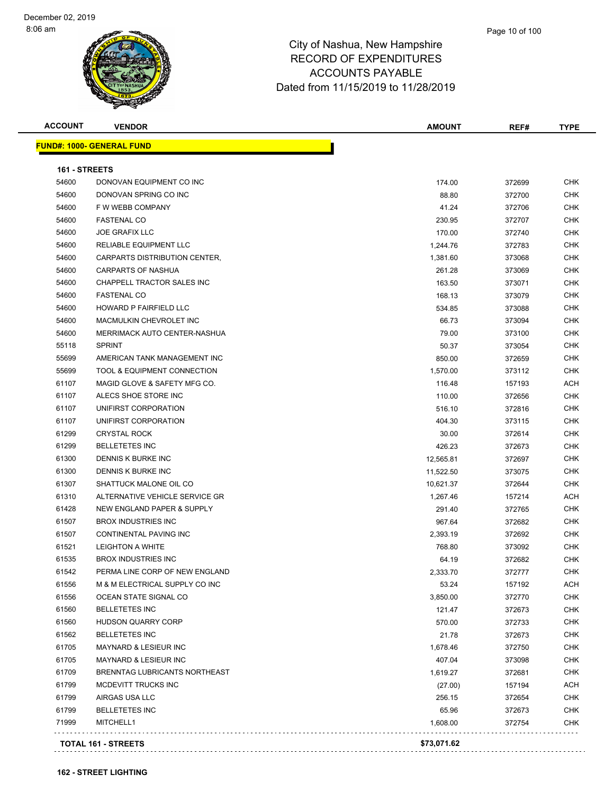| <b>ACCOUNT</b> | <b>VENDOR</b>                          | <b>AMOUNT</b>   | REF#   | <b>TYPE</b> |
|----------------|----------------------------------------|-----------------|--------|-------------|
|                | <b>FUND#: 1000- GENERAL FUND</b>       |                 |        |             |
| 161 - STREETS  |                                        |                 |        |             |
| 54600          | DONOVAN EQUIPMENT CO INC               | 174.00          | 372699 | <b>CHK</b>  |
| 54600          | DONOVAN SPRING CO INC                  | 88.80           | 372700 | <b>CHK</b>  |
| 54600          | F W WEBB COMPANY                       | 41.24           | 372706 | CHK         |
| 54600          | <b>FASTENAL CO</b>                     | 230.95          | 372707 | <b>CHK</b>  |
| 54600          | <b>JOE GRAFIX LLC</b>                  | 170.00          | 372740 | <b>CHK</b>  |
| 54600          | RELIABLE EQUIPMENT LLC                 | 1,244.76        | 372783 | CHK         |
| 54600          | CARPARTS DISTRIBUTION CENTER.          | 1,381.60        | 373068 | <b>CHK</b>  |
| 54600          | <b>CARPARTS OF NASHUA</b>              | 261.28          | 373069 | <b>CHK</b>  |
| 54600          | CHAPPELL TRACTOR SALES INC             | 163.50          | 373071 | <b>CHK</b>  |
| 54600          | <b>FASTENAL CO</b>                     |                 |        | <b>CHK</b>  |
| 54600          | HOWARD P FAIRFIELD LLC                 | 168.13          | 373079 | CHK         |
|                | MACMULKIN CHEVROLET INC                | 534.85<br>66.73 | 373088 | <b>CHK</b>  |
| 54600<br>54600 | MERRIMACK AUTO CENTER-NASHUA           |                 | 373094 | <b>CHK</b>  |
|                |                                        | 79.00           | 373100 |             |
| 55118          | <b>SPRINT</b>                          | 50.37           | 373054 | <b>CHK</b>  |
| 55699          | AMERICAN TANK MANAGEMENT INC           | 850.00          | 372659 | <b>CHK</b>  |
| 55699          | <b>TOOL &amp; EQUIPMENT CONNECTION</b> | 1,570.00        | 373112 | CHK         |
| 61107          | MAGID GLOVE & SAFETY MFG CO.           | 116.48          | 157193 | ACH         |
| 61107          | ALECS SHOE STORE INC                   | 110.00          | 372656 | <b>CHK</b>  |
| 61107          | UNIFIRST CORPORATION                   | 516.10          | 372816 | <b>CHK</b>  |
| 61107          | UNIFIRST CORPORATION                   | 404.30          | 373115 | <b>CHK</b>  |
| 61299          | <b>CRYSTAL ROCK</b>                    | 30.00           | 372614 | CHK         |
| 61299          | <b>BELLETETES INC</b>                  | 426.23          | 372673 | CHK         |
| 61300          | DENNIS K BURKE INC                     | 12,565.81       | 372697 | <b>CHK</b>  |
| 61300          | DENNIS K BURKE INC                     | 11,522.50       | 373075 | CHK         |
| 61307          | SHATTUCK MALONE OIL CO                 | 10,621.37       | 372644 | <b>CHK</b>  |
| 61310          | ALTERNATIVE VEHICLE SERVICE GR         | 1,267.46        | 157214 | ACH         |
| 61428          | NEW ENGLAND PAPER & SUPPLY             | 291.40          | 372765 | <b>CHK</b>  |
| 61507          | <b>BROX INDUSTRIES INC</b>             | 967.64          | 372682 | <b>CHK</b>  |
| 61507          | CONTINENTAL PAVING INC                 | 2,393.19        | 372692 | <b>CHK</b>  |
| 61521          | <b>LEIGHTON A WHITE</b>                | 768.80          | 373092 | CHK         |
| 61535          | <b>BROX INDUSTRIES INC</b>             | 64.19           | 372682 | CHK         |
| 61542          | PERMA LINE CORP OF NEW ENGLAND         | 2,333.70        | 372777 | <b>CHK</b>  |
| 61556          | M & M ELECTRICAL SUPPLY CO INC         | 53.24           | 157192 | ACH         |
| 61556          | OCEAN STATE SIGNAL CO                  | 3,850.00        | 372770 | <b>CHK</b>  |
| 61560          | <b>BELLETETES INC</b>                  | 121.47          | 372673 | <b>CHK</b>  |
| 61560          | <b>HUDSON QUARRY CORP</b>              | 570.00          | 372733 | <b>CHK</b>  |
| 61562          | <b>BELLETETES INC</b>                  | 21.78           | 372673 | <b>CHK</b>  |
| 61705          | MAYNARD & LESIEUR INC                  | 1,678.46        | 372750 | <b>CHK</b>  |
| 61705          | MAYNARD & LESIEUR INC                  | 407.04          | 373098 | <b>CHK</b>  |
| 61709          | BRENNTAG LUBRICANTS NORTHEAST          | 1,619.27        | 372681 | <b>CHK</b>  |
| 61799          | MCDEVITT TRUCKS INC                    | (27.00)         | 157194 | <b>ACH</b>  |
| 61799          | AIRGAS USA LLC                         | 256.15          | 372654 | <b>CHK</b>  |
|                | <b>BELLETETES INC</b>                  | 65.96           | 372673 | <b>CHK</b>  |
| 61799          |                                        |                 |        |             |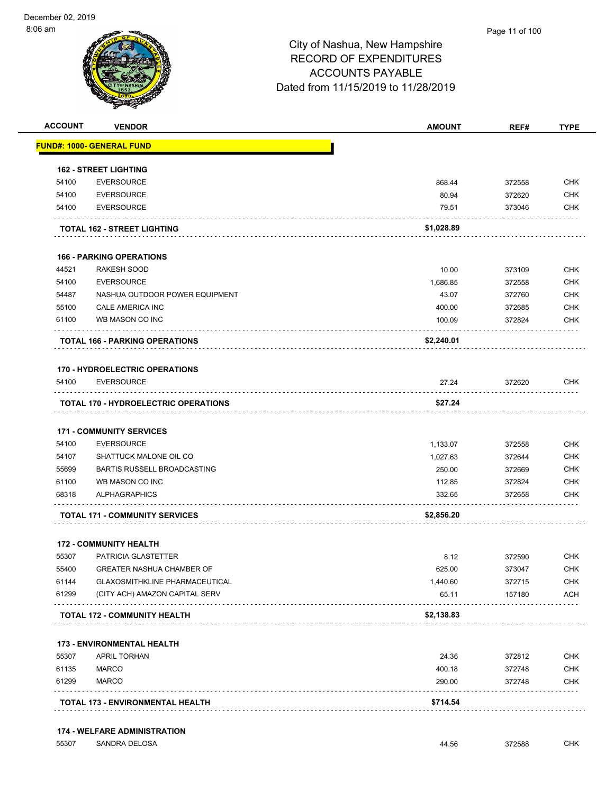|                | <b>VENDOR</b>                                                           | <b>AMOUNT</b>     | REF#             | <b>TYPE</b>                                                                                    |
|----------------|-------------------------------------------------------------------------|-------------------|------------------|------------------------------------------------------------------------------------------------|
|                | <b>FUND#: 1000- GENERAL FUND</b>                                        |                   |                  |                                                                                                |
|                | <b>162 - STREET LIGHTING</b>                                            |                   |                  |                                                                                                |
| 54100          | <b>EVERSOURCE</b>                                                       | 868.44            | 372558           | <b>CHK</b>                                                                                     |
| 54100          | <b>EVERSOURCE</b>                                                       | 80.94             | 372620           | <b>CHK</b>                                                                                     |
| 54100          | <b>EVERSOURCE</b>                                                       | 79.51             | 373046           | <b>CHK</b>                                                                                     |
|                | <b>TOTAL 162 - STREET LIGHTING</b>                                      | \$1,028.89        |                  |                                                                                                |
|                | <b>166 - PARKING OPERATIONS</b>                                         |                   |                  |                                                                                                |
| 44521          | <b>RAKESH SOOD</b>                                                      | 10.00             | 373109           | <b>CHK</b>                                                                                     |
| 54100          | <b>EVERSOURCE</b>                                                       |                   | 372558           | <b>CHK</b>                                                                                     |
| 54487          | NASHUA OUTDOOR POWER EQUIPMENT                                          | 1,686.85          |                  | <b>CHK</b>                                                                                     |
| 55100          | CALE AMERICA INC                                                        | 43.07             | 372760           | <b>CHK</b>                                                                                     |
| 61100          | WB MASON CO INC                                                         | 400.00<br>100.09  | 372685<br>372824 | <b>CHK</b>                                                                                     |
|                | <b>TOTAL 166 - PARKING OPERATIONS</b>                                   | \$2,240.01        |                  |                                                                                                |
|                |                                                                         |                   |                  |                                                                                                |
|                | <b>170 - HYDROELECTRIC OPERATIONS</b>                                   |                   |                  |                                                                                                |
| 54100          | <b>EVERSOURCE</b>                                                       | 27.24             | 372620           | <b>CHK</b>                                                                                     |
|                | <b>TOTAL 170 - HYDROELECTRIC OPERATIONS</b>                             | \$27.24           |                  |                                                                                                |
|                |                                                                         |                   |                  |                                                                                                |
|                | <b>171 - COMMUNITY SERVICES</b>                                         |                   |                  |                                                                                                |
| 54100          | <b>EVERSOURCE</b>                                                       | 1,133.07          | 372558           | <b>CHK</b>                                                                                     |
| 54107          | SHATTUCK MALONE OIL CO                                                  | 1,027.63          | 372644           | <b>CHK</b>                                                                                     |
| 55699          | <b>BARTIS RUSSELL BROADCASTING</b>                                      | 250.00            | 372669           | <b>CHK</b>                                                                                     |
| 61100          | WB MASON CO INC                                                         | 112.85            | 372824           | <b>CHK</b>                                                                                     |
| 68318          | ALPHAGRAPHICS                                                           | 332.65            | 372658           | <b>CHK</b>                                                                                     |
|                | <b>TOTAL 171 - COMMUNITY SERVICES</b>                                   |                   |                  |                                                                                                |
|                |                                                                         | \$2,856.20        |                  |                                                                                                |
|                |                                                                         |                   |                  |                                                                                                |
| 55307          | <b>172 - COMMUNITY HEALTH</b><br>PATRICIA GLASTETTER                    | 8.12              | 372590           |                                                                                                |
|                |                                                                         |                   |                  |                                                                                                |
| 55400<br>61144 | GREATER NASHUA CHAMBER OF                                               | 625.00            | 373047           |                                                                                                |
| 61299          | <b>GLAXOSMITHKLINE PHARMACEUTICAL</b><br>(CITY ACH) AMAZON CAPITAL SERV | 1,440.60<br>65.11 | 372715<br>157180 |                                                                                                |
|                | <b>TOTAL 172 - COMMUNITY HEALTH</b>                                     | \$2,138.83        |                  |                                                                                                |
|                |                                                                         |                   |                  |                                                                                                |
|                | <b>173 - ENVIRONMENTAL HEALTH</b>                                       |                   |                  |                                                                                                |
| 55307          | <b>APRIL TORHAN</b>                                                     | 24.36             | 372812           |                                                                                                |
|                | <b>MARCO</b>                                                            | 400.18            | 372748           |                                                                                                |
| 61135<br>61299 | <b>MARCO</b>                                                            | 290.00            | 372748           | <b>CHK</b><br><b>CHK</b><br><b>CHK</b><br><b>ACH</b><br><b>CHK</b><br><b>CHK</b><br><b>CHK</b> |

55307 SANDRA DELOSA 44.56 372588 CHK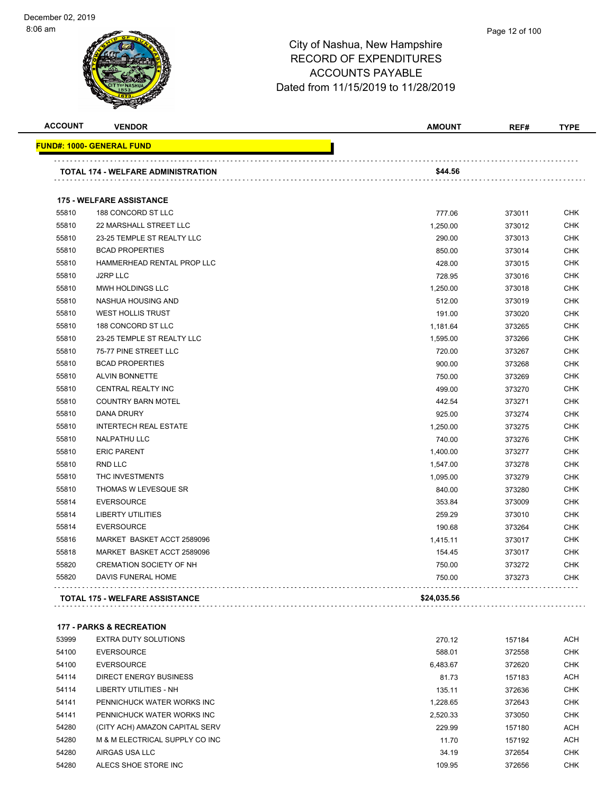#### Page 12 of 100

| <b>ACCOUNT</b> | <b>VENDOR</b>                         | <b>AMOUNT</b>    | REF#   | <b>TYPE</b>              |
|----------------|---------------------------------------|------------------|--------|--------------------------|
|                | <b>FUND#: 1000- GENERAL FUND</b>      |                  |        |                          |
|                | TOTAL 174 - WELFARE ADMINISTRATION    | \$44.56          |        |                          |
|                | <b>175 - WELFARE ASSISTANCE</b>       |                  |        |                          |
| 55810          | 188 CONCORD ST LLC                    | 777.06           | 373011 | <b>CHK</b>               |
| 55810          | 22 MARSHALL STREET LLC                | 1,250.00         | 373012 | <b>CHK</b>               |
| 55810          | 23-25 TEMPLE ST REALTY LLC            | 290.00           | 373013 | <b>CHK</b>               |
| 55810          | <b>BCAD PROPERTIES</b>                | 850.00           | 373014 | <b>CHK</b>               |
| 55810          | HAMMERHEAD RENTAL PROP LLC            | 428.00           | 373015 | <b>CHK</b>               |
| 55810          | J2RP LLC                              | 728.95           | 373016 | <b>CHK</b>               |
| 55810          | MWH HOLDINGS LLC                      | 1,250.00         | 373018 | <b>CHK</b>               |
| 55810          | NASHUA HOUSING AND                    | 512.00           | 373019 | <b>CHK</b>               |
| 55810          | <b>WEST HOLLIS TRUST</b>              | 191.00           | 373020 | <b>CHK</b>               |
| 55810          | 188 CONCORD ST LLC                    | 1,181.64         | 373265 | <b>CHK</b>               |
| 55810          | 23-25 TEMPLE ST REALTY LLC            | 1,595.00         | 373266 | <b>CHK</b>               |
| 55810          | 75-77 PINE STREET LLC                 | 720.00           | 373267 | <b>CHK</b>               |
| 55810          | <b>BCAD PROPERTIES</b>                | 900.00           | 373268 | <b>CHK</b>               |
| 55810          | <b>ALVIN BONNETTE</b>                 | 750.00           | 373269 | <b>CHK</b>               |
| 55810          | CENTRAL REALTY INC                    | 499.00           | 373270 | <b>CHK</b>               |
| 55810          | <b>COUNTRY BARN MOTEL</b>             | 442.54           | 373271 | <b>CHK</b>               |
| 55810          | DANA DRURY                            | 925.00           | 373274 | <b>CHK</b>               |
| 55810          | <b>INTERTECH REAL ESTATE</b>          | 1,250.00         | 373275 | <b>CHK</b>               |
| 55810          | <b>NALPATHU LLC</b>                   | 740.00           | 373276 | <b>CHK</b>               |
| 55810          | <b>ERIC PARENT</b>                    | 1,400.00         | 373277 | <b>CHK</b>               |
| 55810          | RND LLC                               | 1,547.00         | 373278 | <b>CHK</b>               |
| 55810          | THC INVESTMENTS                       | 1,095.00         | 373279 | <b>CHK</b>               |
| 55810          | THOMAS W LEVESQUE SR                  | 840.00           | 373280 | <b>CHK</b>               |
| 55814          | <b>EVERSOURCE</b>                     | 353.84           | 373009 | <b>CHK</b>               |
| 55814          | <b>LIBERTY UTILITIES</b>              | 259.29           | 373010 | <b>CHK</b>               |
| 55814          | <b>EVERSOURCE</b>                     | 190.68           | 373264 | <b>CHK</b>               |
| 55816          | MARKET BASKET ACCT 2589096            | 1,415.11         | 373017 | <b>CHK</b>               |
| 55818          | MARKET BASKET ACCT 2589096            | 154.45           | 373017 | <b>CHK</b>               |
| 55820          | CREMATION SOCIETY OF NH               | 750.00           | 373272 | <b>CHK</b>               |
| 55820          | DAVIS FUNERAL HOME                    | 750.00           | 373273 | <b>CHK</b>               |
|                | <b>TOTAL 175 - WELFARE ASSISTANCE</b> | \$24,035.56      |        |                          |
|                | <b>177 - PARKS &amp; RECREATION</b>   |                  |        |                          |
| 53999          | <b>EXTRA DUTY SOLUTIONS</b>           |                  |        | ACH                      |
| 54100          | <b>EVERSOURCE</b>                     | 270.12           | 157184 |                          |
|                | <b>EVERSOURCE</b>                     | 588.01<br>648367 | 372558 | <b>CHK</b><br><b>CHK</b> |
| 54100          |                                       |                  | 372620 |                          |

|       |                                | ------   |        | ----       |
|-------|--------------------------------|----------|--------|------------|
| 54100 | <b>EVERSOURCE</b>              | 6.483.67 | 372620 | <b>CHK</b> |
| 54114 | <b>DIRECT ENERGY BUSINESS</b>  | 81.73    | 157183 | <b>ACH</b> |
| 54114 | LIBERTY UTILITIES - NH         | 135.11   | 372636 | <b>CHK</b> |
| 54141 | PENNICHUCK WATER WORKS INC     | 1.228.65 | 372643 | <b>CHK</b> |
| 54141 | PENNICHUCK WATER WORKS INC     | 2.520.33 | 373050 | <b>CHK</b> |
| 54280 | (CITY ACH) AMAZON CAPITAL SERV | 229.99   | 157180 | <b>ACH</b> |
| 54280 | M & M ELECTRICAL SUPPLY CO INC | 11.70    | 157192 | <b>ACH</b> |
| 54280 | AIRGAS USA LLC                 | 34.19    | 372654 | <b>CHK</b> |
| 54280 | ALECS SHOE STORE INC           | 109.95   | 372656 | <b>CHK</b> |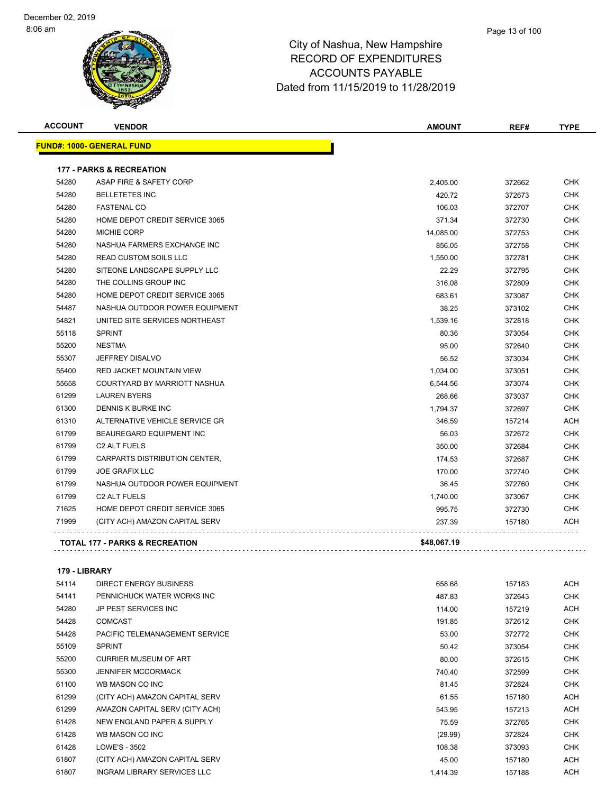

|       | <b>VENDOR</b>                             | <b>AMOUNT</b> | REF#   | <b>TYPE</b> |
|-------|-------------------------------------------|---------------|--------|-------------|
|       | <b>FUND#: 1000- GENERAL FUND</b>          |               |        |             |
|       | <b>177 - PARKS &amp; RECREATION</b>       |               |        |             |
| 54280 | ASAP FIRE & SAFETY CORP                   | 2,405.00      | 372662 | <b>CHK</b>  |
| 54280 | <b>BELLETETES INC</b>                     | 420.72        | 372673 | <b>CHK</b>  |
| 54280 | <b>FASTENAL CO</b>                        | 106.03        | 372707 | <b>CHK</b>  |
| 54280 | HOME DEPOT CREDIT SERVICE 3065            | 371.34        | 372730 | <b>CHK</b>  |
| 54280 | <b>MICHIE CORP</b>                        | 14,085.00     | 372753 | <b>CHK</b>  |
| 54280 | NASHUA FARMERS EXCHANGE INC               | 856.05        | 372758 | <b>CHK</b>  |
| 54280 | <b>READ CUSTOM SOILS LLC</b>              | 1,550.00      | 372781 | <b>CHK</b>  |
| 54280 | SITEONE LANDSCAPE SUPPLY LLC              | 22.29         | 372795 | <b>CHK</b>  |
| 54280 | THE COLLINS GROUP INC                     | 316.08        | 372809 | <b>CHK</b>  |
| 54280 | HOME DEPOT CREDIT SERVICE 3065            | 683.61        | 373087 | <b>CHK</b>  |
| 54487 | NASHUA OUTDOOR POWER EQUIPMENT            | 38.25         | 373102 | <b>CHK</b>  |
| 54821 | UNITED SITE SERVICES NORTHEAST            | 1,539.16      | 372818 | <b>CHK</b>  |
| 55118 | <b>SPRINT</b>                             | 80.36         | 373054 | <b>CHK</b>  |
| 55200 | <b>NESTMA</b>                             | 95.00         | 372640 | <b>CHK</b>  |
| 55307 | <b>JEFFREY DISALVO</b>                    | 56.52         | 373034 | CHK         |
| 55400 | <b>RED JACKET MOUNTAIN VIEW</b>           | 1,034.00      | 373051 | <b>CHK</b>  |
| 55658 | COURTYARD BY MARRIOTT NASHUA              | 6,544.56      | 373074 | <b>CHK</b>  |
| 61299 | <b>LAUREN BYERS</b>                       | 268.66        | 373037 | <b>CHK</b>  |
| 61300 | DENNIS K BURKE INC                        | 1,794.37      | 372697 | <b>CHK</b>  |
| 61310 | ALTERNATIVE VEHICLE SERVICE GR            | 346.59        | 157214 | ACH         |
| 61799 | BEAUREGARD EQUIPMENT INC                  | 56.03         | 372672 | <b>CHK</b>  |
| 61799 | C2 ALT FUELS                              | 350.00        | 372684 | <b>CHK</b>  |
| 61799 | CARPARTS DISTRIBUTION CENTER,             | 174.53        | 372687 | <b>CHK</b>  |
| 61799 | <b>JOE GRAFIX LLC</b>                     | 170.00        | 372740 | <b>CHK</b>  |
| 61799 | NASHUA OUTDOOR POWER EQUIPMENT            | 36.45         | 372760 | <b>CHK</b>  |
| 61799 | <b>C2 ALT FUELS</b>                       | 1,740.00      | 373067 | <b>CHK</b>  |
| 71625 | HOME DEPOT CREDIT SERVICE 3065            | 995.75        | 372730 | <b>CHK</b>  |
| 71999 | (CITY ACH) AMAZON CAPITAL SERV            | 237.39        | 157180 | <b>ACH</b>  |
|       | <b>TOTAL 177 - PARKS &amp; RECREATION</b> | \$48,067.19   |        |             |

#### **179 - LIBRARY**

| 54114 | DIRECT ENERGY BUSINESS                | 658.68   | 157183 | ACH        |
|-------|---------------------------------------|----------|--------|------------|
| 54141 | PENNICHUCK WATER WORKS INC            | 487.83   | 372643 | <b>CHK</b> |
| 54280 | <b>JP PEST SERVICES INC</b>           | 114.00   | 157219 | <b>ACH</b> |
| 54428 | <b>COMCAST</b>                        | 191.85   | 372612 | <b>CHK</b> |
| 54428 | PACIFIC TELEMANAGEMENT SERVICE        | 53.00    | 372772 | <b>CHK</b> |
| 55109 | <b>SPRINT</b>                         | 50.42    | 373054 | <b>CHK</b> |
| 55200 | <b>CURRIER MUSEUM OF ART</b>          | 80.00    | 372615 | <b>CHK</b> |
| 55300 | <b>JENNIFER MCCORMACK</b>             | 740.40   | 372599 | <b>CHK</b> |
| 61100 | WB MASON CO INC                       | 81.45    | 372824 | <b>CHK</b> |
| 61299 | (CITY ACH) AMAZON CAPITAL SERV        | 61.55    | 157180 | <b>ACH</b> |
| 61299 | AMAZON CAPITAL SERV (CITY ACH)        | 543.95   | 157213 | <b>ACH</b> |
| 61428 | <b>NEW ENGLAND PAPER &amp; SUPPLY</b> | 75.59    | 372765 | <b>CHK</b> |
| 61428 | WB MASON CO INC                       | (29.99)  | 372824 | <b>CHK</b> |
| 61428 | LOWE'S - 3502                         | 108.38   | 373093 | <b>CHK</b> |
| 61807 | (CITY ACH) AMAZON CAPITAL SERV        | 45.00    | 157180 | <b>ACH</b> |
| 61807 | <b>INGRAM LIBRARY SERVICES LLC</b>    | 1,414.39 | 157188 | <b>ACH</b> |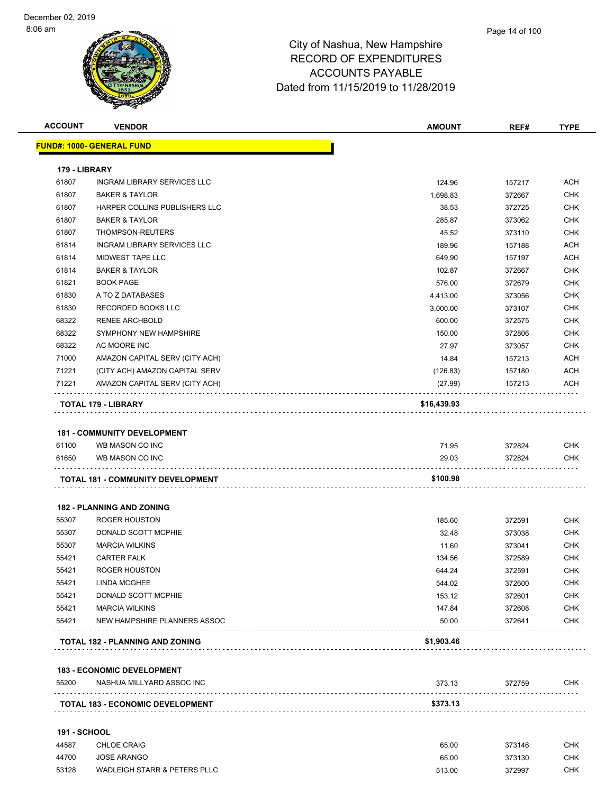| <b>ACCOUNT</b>      | <b>VENDOR</b>                                         | <b>AMOUNT</b>   | REF#             | <b>TYPE</b>       |
|---------------------|-------------------------------------------------------|-----------------|------------------|-------------------|
|                     | <b>FUND#: 1000- GENERAL FUND</b>                      |                 |                  |                   |
| 179 - LIBRARY       |                                                       |                 |                  |                   |
| 61807               | INGRAM LIBRARY SERVICES LLC                           | 124.96          | 157217           | <b>ACH</b>        |
| 61807               | <b>BAKER &amp; TAYLOR</b>                             | 1,698.83        | 372667           | <b>CHK</b>        |
| 61807               | HARPER COLLINS PUBLISHERS LLC                         | 38.53           | 372725           | <b>CHK</b>        |
| 61807               | <b>BAKER &amp; TAYLOR</b>                             | 285.87          | 373062           | <b>CHK</b>        |
| 61807               | THOMPSON-REUTERS                                      | 45.52           | 373110           | <b>CHK</b>        |
| 61814               | INGRAM LIBRARY SERVICES LLC                           | 189.96          | 157188           | <b>ACH</b>        |
| 61814               | MIDWEST TAPE LLC                                      | 649.90          | 157197           | <b>ACH</b>        |
| 61814               | <b>BAKER &amp; TAYLOR</b>                             | 102.87          | 372667           | <b>CHK</b>        |
| 61821               | <b>BOOK PAGE</b>                                      | 576.00          | 372679           | <b>CHK</b>        |
| 61830               | A TO Z DATABASES                                      | 4,413.00        | 373056           | <b>CHK</b>        |
| 61830               | RECORDED BOOKS LLC                                    | 3,000.00        | 373107           | CHK               |
| 68322               | <b>RENEE ARCHBOLD</b>                                 | 600.00          | 372575           | <b>CHK</b>        |
| 68322               | SYMPHONY NEW HAMPSHIRE                                | 150.00          | 372806           | <b>CHK</b>        |
| 68322               | AC MOORE INC                                          | 27.97           | 373057           | CHK               |
| 71000               | AMAZON CAPITAL SERV (CITY ACH)                        | 14.84           | 157213           | ACH               |
| 71221               | (CITY ACH) AMAZON CAPITAL SERV                        | (126.83)        | 157180           | <b>ACH</b>        |
| 71221               | AMAZON CAPITAL SERV (CITY ACH)                        | (27.99)         | 157213           | <b>ACH</b>        |
|                     | <b>TOTAL 179 - LIBRARY</b>                            | \$16,439.93     |                  |                   |
|                     |                                                       |                 |                  |                   |
|                     | <b>181 - COMMUNITY DEVELOPMENT</b>                    |                 |                  |                   |
| 61100               | WB MASON CO INC                                       | 71.95           | 372824           | <b>CHK</b>        |
| 61650               | WB MASON CO INC                                       | 29.03           | 372824           | CHK               |
|                     | <b>TOTAL 181 - COMMUNITY DEVELOPMENT</b>              | \$100.98        |                  |                   |
|                     |                                                       |                 |                  |                   |
|                     | <b>182 - PLANNING AND ZONING</b>                      |                 |                  |                   |
| 55307               | <b>ROGER HOUSTON</b>                                  | 185.60          | 372591           | <b>CHK</b>        |
| 55307               | DONALD SCOTT MCPHIE                                   | 32.48           | 373038           | <b>CHK</b>        |
| 55307               | <b>MARCIA WILKINS</b>                                 | 11.60           | 373041           | CHK               |
| 55421               | <b>CARTER FALK</b>                                    | 134.56          | 372589           | <b>CHK</b>        |
| 55421               | <b>ROGER HOUSTON</b>                                  | 644.24          | 372591           | <b>CHK</b>        |
| 55421               | <b>LINDA MCGHEE</b>                                   | 544.02          | 372600           | CHK               |
| 55421               | DONALD SCOTT MCPHIE                                   | 153.12          | 372601           | CHK               |
| 55421<br>55421      | <b>MARCIA WILKINS</b><br>NEW HAMPSHIRE PLANNERS ASSOC | 147.84<br>50.00 | 372608<br>372641 | CHK<br><b>CHK</b> |
|                     |                                                       |                 |                  |                   |
|                     | TOTAL 182 - PLANNING AND ZONING                       | \$1,903.46      |                  |                   |
|                     | <b>183 - ECONOMIC DEVELOPMENT</b>                     |                 |                  |                   |
| 55200               | NASHUA MILLYARD ASSOC INC                             | 373.13          | 372759           | <b>CHK</b>        |
|                     | <b>TOTAL 183 - ECONOMIC DEVELOPMENT</b>               | \$373.13        |                  |                   |
|                     |                                                       |                 |                  |                   |
| <b>191 - SCHOOL</b> |                                                       |                 |                  |                   |
| 44587               | <b>CHLOE CRAIG</b>                                    | 65.00           | 373146           | CHK               |
| 44700               | <b>JOSE ARANGO</b>                                    | 65.00           | 373130           | CHK               |
| 53128               | <b>WADLEIGH STARR &amp; PETERS PLLC</b>               | 513.00          | 372997           | <b>CHK</b>        |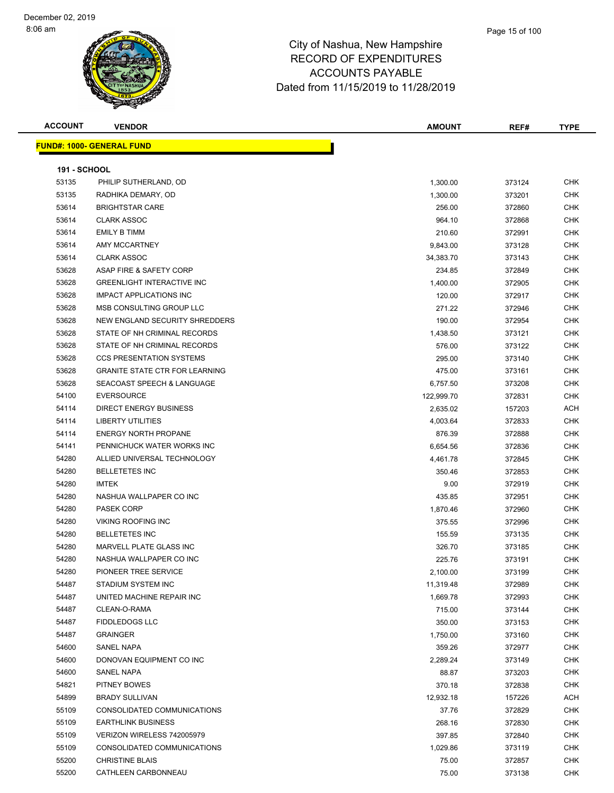**FUND#: 1000- GENERAL FUND**

| <b>ACCOUNT</b>      | <b>VENDOR</b>                         | <b>AMOUNT</b> | REF#   | <b>TYPE</b> |
|---------------------|---------------------------------------|---------------|--------|-------------|
|                     | <b>IND#: 1000- GENERAL FUND</b>       |               |        |             |
|                     |                                       |               |        |             |
| <b>191 - SCHOOL</b> |                                       |               |        |             |
| 53135               | PHILIP SUTHERLAND, OD                 | 1,300.00      | 373124 | <b>CHK</b>  |
| 53135               | RADHIKA DEMARY, OD                    | 1,300.00      | 373201 | <b>CHK</b>  |
| 53614               | <b>BRIGHTSTAR CARE</b>                | 256.00        | 372860 | <b>CHK</b>  |
| 53614               | <b>CLARK ASSOC</b>                    | 964.10        | 372868 | <b>CHK</b>  |
| 53614               | <b>EMILY B TIMM</b>                   | 210.60        | 372991 | <b>CHK</b>  |
| 53614               | <b>AMY MCCARTNEY</b>                  | 9,843.00      | 373128 | <b>CHK</b>  |
| 53614               | <b>CLARK ASSOC</b>                    | 34,383.70     | 373143 | <b>CHK</b>  |
| 53628               | ASAP FIRE & SAFETY CORP               | 234.85        | 372849 | <b>CHK</b>  |
| 53628               | <b>GREENLIGHT INTERACTIVE INC</b>     | 1,400.00      | 372905 | <b>CHK</b>  |
| 53628               | <b>IMPACT APPLICATIONS INC</b>        | 120.00        | 372917 | <b>CHK</b>  |
| 53628               | MSB CONSULTING GROUP LLC              | 271.22        | 372946 | <b>CHK</b>  |
| 53628               | NEW ENGLAND SECURITY SHREDDERS        | 190.00        | 372954 | <b>CHK</b>  |
| 53628               | STATE OF NH CRIMINAL RECORDS          | 1,438.50      | 373121 | <b>CHK</b>  |
| 53628               | STATE OF NH CRIMINAL RECORDS          | 576.00        | 373122 | <b>CHK</b>  |
| 53628               | <b>CCS PRESENTATION SYSTEMS</b>       | 295.00        | 373140 | <b>CHK</b>  |
| 53628               | <b>GRANITE STATE CTR FOR LEARNING</b> | 475.00        | 373161 | <b>CHK</b>  |
| 53628               | SEACOAST SPEECH & LANGUAGE            | 6,757.50      | 373208 | <b>CHK</b>  |
| 54100               | <b>EVERSOURCE</b>                     | 122,999.70    | 372831 | <b>CHK</b>  |
| 54114               | <b>DIRECT ENERGY BUSINESS</b>         | 2,635.02      | 157203 | <b>ACH</b>  |
| 54114               | <b>LIBERTY UTILITIES</b>              | 4,003.64      | 372833 | <b>CHK</b>  |
| 54114               | <b>ENERGY NORTH PROPANE</b>           | 876.39        | 372888 | <b>CHK</b>  |

| 53628 | CCS PRESENTATION SYSTEMS              | 295.00     | 373140 | <b>CHK</b> |  |
|-------|---------------------------------------|------------|--------|------------|--|
| 53628 | <b>GRANITE STATE CTR FOR LEARNING</b> | 475.00     | 373161 | <b>CHK</b> |  |
| 53628 | SEACOAST SPEECH & LANGUAGE            | 6,757.50   | 373208 | <b>CHK</b> |  |
| 54100 | <b>EVERSOURCE</b>                     | 122,999.70 | 372831 | <b>CHK</b> |  |
| 54114 | <b>DIRECT ENERGY BUSINESS</b>         | 2,635.02   | 157203 | <b>ACH</b> |  |
| 54114 | <b>LIBERTY UTILITIES</b>              | 4,003.64   | 372833 | <b>CHK</b> |  |
| 54114 | <b>ENERGY NORTH PROPANE</b>           | 876.39     | 372888 | <b>CHK</b> |  |
| 54141 | PENNICHUCK WATER WORKS INC            | 6,654.56   | 372836 | <b>CHK</b> |  |
| 54280 | ALLIED UNIVERSAL TECHNOLOGY           | 4,461.78   | 372845 | <b>CHK</b> |  |
| 54280 | <b>BELLETETES INC</b>                 | 350.46     | 372853 | <b>CHK</b> |  |
| 54280 | <b>IMTEK</b>                          | 9.00       | 372919 | <b>CHK</b> |  |
| 54280 | NASHUA WALLPAPER CO INC               | 435.85     | 372951 | <b>CHK</b> |  |
| 54280 | <b>PASEK CORP</b>                     | 1,870.46   | 372960 | <b>CHK</b> |  |
| 54280 | <b>VIKING ROOFING INC</b>             | 375.55     | 372996 | <b>CHK</b> |  |
| 54280 | <b>BELLETETES INC</b>                 | 155.59     | 373135 | <b>CHK</b> |  |
| 54280 | MARVELL PLATE GLASS INC               | 326.70     | 373185 | <b>CHK</b> |  |
| 54280 | NASHUA WALLPAPER CO INC               | 225.76     | 373191 | <b>CHK</b> |  |
| 54280 | PIONEER TREE SERVICE                  | 2,100.00   | 373199 | <b>CHK</b> |  |
| 54487 | STADIUM SYSTEM INC                    | 11,319.48  | 372989 | CHK        |  |
| 54487 | UNITED MACHINE REPAIR INC             | 1,669.78   | 372993 | <b>CHK</b> |  |
| 54487 | CLEAN-O-RAMA                          | 715.00     | 373144 | <b>CHK</b> |  |
| 54487 | <b>FIDDLEDOGS LLC</b>                 | 350.00     | 373153 | <b>CHK</b> |  |
| 54487 | <b>GRAINGER</b>                       | 1,750.00   | 373160 | <b>CHK</b> |  |
| 54600 | <b>SANEL NAPA</b>                     | 359.26     | 372977 | <b>CHK</b> |  |
| 54600 | DONOVAN EQUIPMENT CO INC              | 2,289.24   | 373149 | <b>CHK</b> |  |
| 54600 | <b>SANEL NAPA</b>                     | 88.87      | 373203 | <b>CHK</b> |  |
| 54821 | PITNEY BOWES                          | 370.18     | 372838 | <b>CHK</b> |  |
| 54899 | <b>BRADY SULLIVAN</b>                 | 12,932.18  | 157226 | <b>ACH</b> |  |
| 55109 | CONSOLIDATED COMMUNICATIONS           | 37.76      | 372829 | <b>CHK</b> |  |
| 55109 | <b>EARTHLINK BUSINESS</b>             | 268.16     | 372830 | <b>CHK</b> |  |
| 55109 | VERIZON WIRELESS 742005979            | 397.85     | 372840 | <b>CHK</b> |  |
| 55109 | CONSOLIDATED COMMUNICATIONS           | 1,029.86   | 373119 | <b>CHK</b> |  |
| 55200 | <b>CHRISTINE BLAIS</b>                | 75.00      | 372857 | <b>CHK</b> |  |
| 55200 | CATHLEEN CARBONNEAU                   | 75.00      | 373138 | <b>CHK</b> |  |
|       |                                       |            |        |            |  |
|       |                                       |            |        |            |  |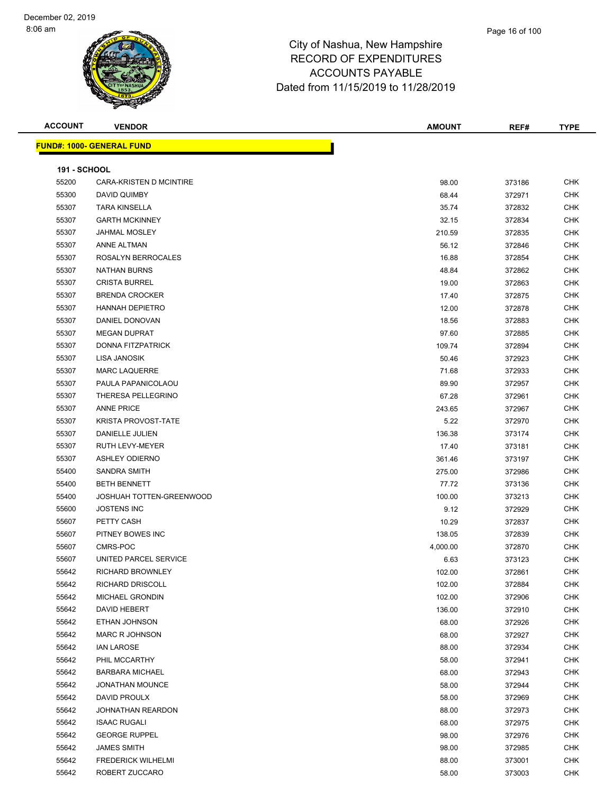#### Page 16 of 100

| <b>ACCOUNT</b>      | <b>VENDOR</b>                                   | <b>AMOUNT</b> | REF#   | <b>TYPE</b>              |
|---------------------|-------------------------------------------------|---------------|--------|--------------------------|
|                     | <b>FUND#: 1000- GENERAL FUND</b>                |               |        |                          |
|                     |                                                 |               |        |                          |
| <b>191 - SCHOOL</b> |                                                 |               |        |                          |
| 55200               | CARA-KRISTEN D MCINTIRE                         | 98.00         | 373186 | <b>CHK</b>               |
| 55300               | DAVID QUIMBY                                    | 68.44         | 372971 | <b>CHK</b>               |
| 55307               | <b>TARA KINSELLA</b>                            | 35.74         | 372832 | <b>CHK</b>               |
| 55307               | <b>GARTH MCKINNEY</b>                           | 32.15         | 372834 | <b>CHK</b>               |
| 55307               | <b>JAHMAL MOSLEY</b>                            | 210.59        | 372835 | <b>CHK</b>               |
| 55307               | <b>ANNE ALTMAN</b>                              | 56.12         | 372846 | <b>CHK</b>               |
| 55307               | ROSALYN BERROCALES                              | 16.88         | 372854 | <b>CHK</b>               |
| 55307               | <b>NATHAN BURNS</b>                             | 48.84         | 372862 | <b>CHK</b>               |
| 55307               | <b>CRISTA BURREL</b>                            | 19.00         | 372863 | <b>CHK</b>               |
| 55307               | <b>BRENDA CROCKER</b>                           | 17.40         | 372875 | <b>CHK</b>               |
| 55307               | <b>HANNAH DEPIETRO</b>                          | 12.00         | 372878 | <b>CHK</b>               |
| 55307               | DANIEL DONOVAN                                  | 18.56         | 372883 | <b>CHK</b>               |
| 55307               | <b>MEGAN DUPRAT</b>                             | 97.60         | 372885 | <b>CHK</b>               |
| 55307               | DONNA FITZPATRICK                               | 109.74        | 372894 | <b>CHK</b>               |
| 55307               | LISA JANOSIK                                    | 50.46         | 372923 | <b>CHK</b>               |
| 55307               | <b>MARC LAQUERRE</b>                            | 71.68         | 372933 | <b>CHK</b>               |
| 55307               | PAULA PAPANICOLAOU                              | 89.90         | 372957 | <b>CHK</b>               |
| 55307               | THERESA PELLEGRINO                              | 67.28         | 372961 | <b>CHK</b>               |
| 55307               | <b>ANNE PRICE</b>                               | 243.65        | 372967 | <b>CHK</b>               |
| 55307               | <b>KRISTA PROVOST-TATE</b>                      | 5.22          | 372970 | <b>CHK</b>               |
| 55307               | DANIELLE JULIEN                                 | 136.38        | 373174 | <b>CHK</b>               |
| 55307               | RUTH LEVY-MEYER                                 | 17.40         | 373181 | <b>CHK</b>               |
| 55307               | <b>ASHLEY ODIERNO</b>                           | 361.46        |        | <b>CHK</b>               |
| 55400               | <b>SANDRA SMITH</b>                             |               | 373197 |                          |
|                     |                                                 | 275.00        | 372986 | <b>CHK</b>               |
| 55400<br>55400      | <b>BETH BENNETT</b><br>JOSHUAH TOTTEN-GREENWOOD | 77.72         | 373136 | <b>CHK</b><br><b>CHK</b> |
|                     | <b>JOSTENS INC</b>                              | 100.00        | 373213 |                          |
| 55600               | PETTY CASH                                      | 9.12          | 372929 | <b>CHK</b>               |
| 55607               |                                                 | 10.29         | 372837 | <b>CHK</b>               |
| 55607               | PITNEY BOWES INC                                | 138.05        | 372839 | <b>CHK</b>               |
| 55607               | CMRS-POC                                        | 4,000.00      | 372870 | <b>CHK</b>               |
| 55607               | UNITED PARCEL SERVICE                           | 6.63          | 373123 | <b>CHK</b>               |
| 55642               | <b>RICHARD BROWNLEY</b>                         | 102.00        | 372861 | <b>CHK</b>               |
| 55642               | <b>RICHARD DRISCOLL</b>                         | 102.00        | 372884 | <b>CHK</b>               |
| 55642               | <b>MICHAEL GRONDIN</b>                          | 102.00        | 372906 | <b>CHK</b>               |
| 55642               | DAVID HEBERT                                    | 136.00        | 372910 | <b>CHK</b>               |
| 55642               | ETHAN JOHNSON                                   | 68.00         | 372926 | <b>CHK</b>               |
| 55642               | <b>MARC R JOHNSON</b>                           | 68.00         | 372927 | <b>CHK</b>               |
| 55642               | <b>IAN LAROSE</b>                               | 88.00         | 372934 | <b>CHK</b>               |
| 55642               | PHIL MCCARTHY                                   | 58.00         | 372941 | <b>CHK</b>               |
| 55642               | <b>BARBARA MICHAEL</b>                          | 68.00         | 372943 | <b>CHK</b>               |
| 55642               | <b>JONATHAN MOUNCE</b>                          | 58.00         | 372944 | <b>CHK</b>               |
| 55642               | <b>DAVID PROULX</b>                             | 58.00         | 372969 | <b>CHK</b>               |
| 55642               | JOHNATHAN REARDON                               | 88.00         | 372973 | <b>CHK</b>               |
| 55642               | <b>ISAAC RUGALI</b>                             | 68.00         | 372975 | <b>CHK</b>               |
| 55642               | <b>GEORGE RUPPEL</b>                            | 98.00         | 372976 | <b>CHK</b>               |
| 55642               | <b>JAMES SMITH</b>                              | 98.00         | 372985 | <b>CHK</b>               |
| 55642               | <b>FREDERICK WILHELMI</b>                       | 88.00         | 373001 | CHK                      |
| 55642               | ROBERT ZUCCARO                                  | 58.00         | 373003 | <b>CHK</b>               |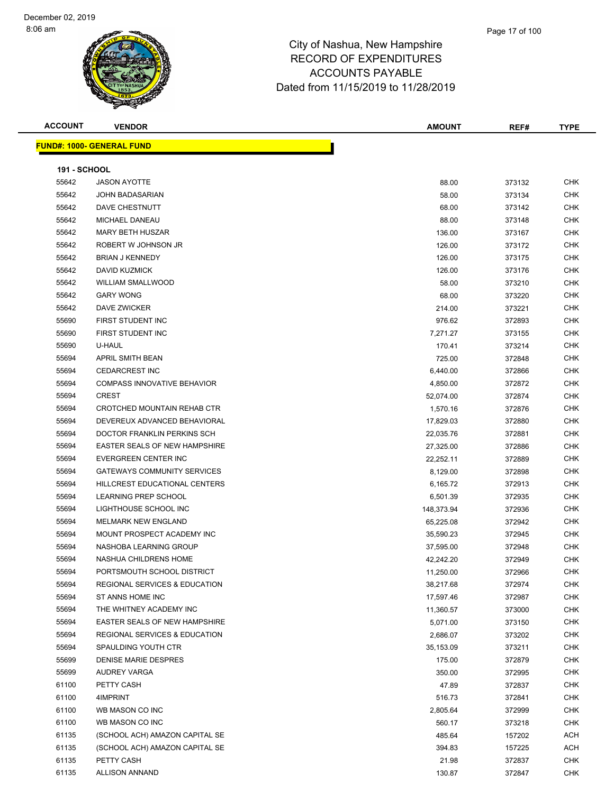## Page 17 of 100

| <b>ACCOUNT</b>      | <b>VENDOR</b>                            | <b>AMOUNT</b> | REF#   | <b>TYPE</b> |
|---------------------|------------------------------------------|---------------|--------|-------------|
|                     | <b>FUND#: 1000- GENERAL FUND</b>         |               |        |             |
|                     |                                          |               |        |             |
| <b>191 - SCHOOL</b> |                                          |               |        |             |
| 55642               | <b>JASON AYOTTE</b>                      | 88.00         | 373132 | <b>CHK</b>  |
| 55642               | JOHN BADASARIAN                          | 58.00         | 373134 | <b>CHK</b>  |
| 55642               | DAVE CHESTNUTT                           | 68.00         | 373142 | CHK         |
| 55642               | MICHAEL DANEAU                           | 88.00         | 373148 | CHK         |
| 55642               | <b>MARY BETH HUSZAR</b>                  | 136.00        | 373167 | <b>CHK</b>  |
| 55642               | ROBERT W JOHNSON JR                      | 126.00        | 373172 | <b>CHK</b>  |
| 55642               | <b>BRIAN J KENNEDY</b>                   | 126.00        | 373175 | <b>CHK</b>  |
| 55642               | <b>DAVID KUZMICK</b>                     | 126.00        | 373176 | <b>CHK</b>  |
| 55642               | <b>WILLIAM SMALLWOOD</b>                 | 58.00         | 373210 | <b>CHK</b>  |
| 55642               | <b>GARY WONG</b>                         | 68.00         | 373220 | CHK         |
| 55642               | DAVE ZWICKER                             | 214.00        | 373221 | <b>CHK</b>  |
| 55690               | FIRST STUDENT INC                        | 976.62        | 372893 | CHK         |
| 55690               | FIRST STUDENT INC                        | 7,271.27      | 373155 | CHK         |
| 55690               | U-HAUL                                   | 170.41        | 373214 | CHK         |
| 55694               | <b>APRIL SMITH BEAN</b>                  | 725.00        | 372848 | CHK         |
| 55694               | <b>CEDARCREST INC</b>                    | 6,440.00      | 372866 | CHK         |
| 55694               | <b>COMPASS INNOVATIVE BEHAVIOR</b>       | 4,850.00      | 372872 | CHK         |
| 55694               | <b>CREST</b>                             | 52,074.00     | 372874 | <b>CHK</b>  |
| 55694               | CROTCHED MOUNTAIN REHAB CTR              | 1,570.16      | 372876 | <b>CHK</b>  |
| 55694               | DEVEREUX ADVANCED BEHAVIORAL             | 17,829.03     | 372880 | <b>CHK</b>  |
| 55694               | DOCTOR FRANKLIN PERKINS SCH              | 22,035.76     | 372881 | CHK         |
| 55694               | <b>EASTER SEALS OF NEW HAMPSHIRE</b>     | 27,325.00     | 372886 | CHK         |
| 55694               | EVERGREEN CENTER INC                     | 22,252.11     | 372889 | CHK         |
| 55694               | <b>GATEWAYS COMMUNITY SERVICES</b>       | 8,129.00      | 372898 | CHK         |
| 55694               | HILLCREST EDUCATIONAL CENTERS            | 6,165.72      | 372913 | CHK         |
| 55694               | <b>LEARNING PREP SCHOOL</b>              | 6,501.39      | 372935 | CHK         |
| 55694               | LIGHTHOUSE SCHOOL INC                    | 148,373.94    | 372936 | <b>CHK</b>  |
| 55694               | <b>MELMARK NEW ENGLAND</b>               | 65,225.08     | 372942 | <b>CHK</b>  |
| 55694               | MOUNT PROSPECT ACADEMY INC               | 35,590.23     | 372945 | <b>CHK</b>  |
| 55694               | NASHOBA LEARNING GROUP                   | 37,595.00     | 372948 | <b>CHK</b>  |
| 55694               | NASHUA CHILDRENS HOME                    | 42,242.20     | 372949 | CHK         |
| 55694               | PORTSMOUTH SCHOOL DISTRICT               | 11,250.00     | 372966 | <b>CHK</b>  |
| 55694               | <b>REGIONAL SERVICES &amp; EDUCATION</b> | 38,217.68     | 372974 | <b>CHK</b>  |
| 55694               | ST ANNS HOME INC                         | 17,597.46     | 372987 | <b>CHK</b>  |
| 55694               | THE WHITNEY ACADEMY INC                  | 11,360.57     | 373000 | <b>CHK</b>  |
| 55694               | EASTER SEALS OF NEW HAMPSHIRE            | 5,071.00      | 373150 | <b>CHK</b>  |
| 55694               | <b>REGIONAL SERVICES &amp; EDUCATION</b> | 2,686.07      | 373202 | <b>CHK</b>  |
| 55694               | SPAULDING YOUTH CTR                      | 35,153.09     | 373211 | <b>CHK</b>  |
| 55699               | <b>DENISE MARIE DESPRES</b>              | 175.00        | 372879 | <b>CHK</b>  |
| 55699               | AUDREY VARGA                             | 350.00        | 372995 | <b>CHK</b>  |
| 61100               | PETTY CASH                               | 47.89         | 372837 | <b>CHK</b>  |
| 61100               | 4IMPRINT                                 | 516.73        | 372841 | <b>CHK</b>  |
| 61100               | WB MASON CO INC                          | 2,805.64      | 372999 | CHK         |
| 61100               | WB MASON CO INC                          | 560.17        | 373218 | CHK         |
| 61135               | (SCHOOL ACH) AMAZON CAPITAL SE           | 485.64        | 157202 | ACH         |
| 61135               | (SCHOOL ACH) AMAZON CAPITAL SE           | 394.83        | 157225 | ACH         |
| 61135               | PETTY CASH                               | 21.98         | 372837 | CHK         |
| 61135               | <b>ALLISON ANNAND</b>                    | 130.87        | 372847 | CHK         |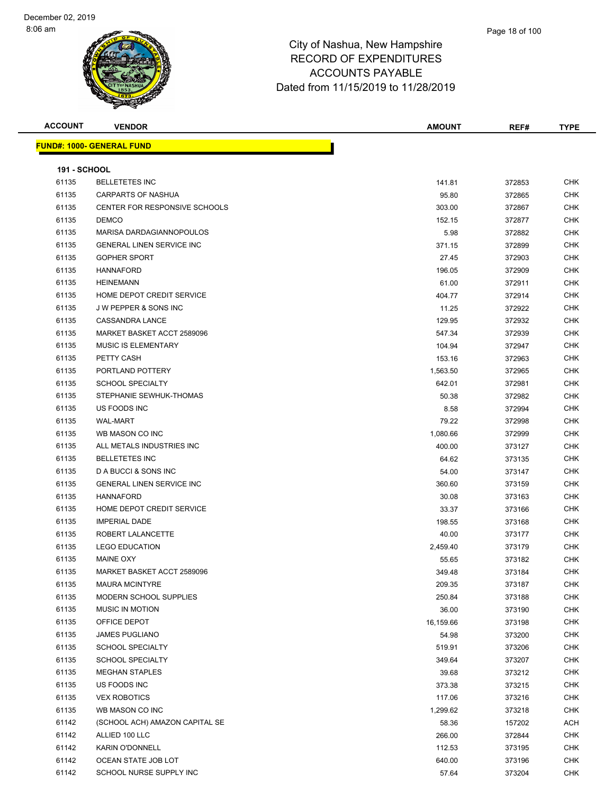| <b>ACCOUNT</b>      | <b>VENDOR</b>                                | <b>AMOUNT</b> | REF#             | <b>TYPE</b> |
|---------------------|----------------------------------------------|---------------|------------------|-------------|
|                     |                                              |               |                  |             |
|                     | <u> FUND#: 1000- GENERAL FUND</u>            |               |                  |             |
| <b>191 - SCHOOL</b> |                                              |               |                  |             |
| 61135               | <b>BELLETETES INC</b>                        | 141.81        | 372853           | CHK         |
| 61135               | <b>CARPARTS OF NASHUA</b>                    | 95.80         | 372865           | <b>CHK</b>  |
| 61135               | CENTER FOR RESPONSIVE SCHOOLS                | 303.00        | 372867           | <b>CHK</b>  |
| 61135               | <b>DEMCO</b>                                 | 152.15        | 372877           | CHK         |
| 61135               | MARISA DARDAGIANNOPOULOS                     | 5.98          | 372882           | <b>CHK</b>  |
| 61135               | <b>GENERAL LINEN SERVICE INC</b>             | 371.15        | 372899           | CHK         |
| 61135               | <b>GOPHER SPORT</b>                          | 27.45         | 372903           | CHK         |
| 61135               | <b>HANNAFORD</b>                             | 196.05        |                  | <b>CHK</b>  |
| 61135               | <b>HEINEMANN</b>                             | 61.00         | 372909<br>372911 | CHK         |
| 61135               | HOME DEPOT CREDIT SERVICE                    | 404.77        | 372914           | <b>CHK</b>  |
| 61135               | <b>JW PEPPER &amp; SONS INC</b>              | 11.25         | 372922           | <b>CHK</b>  |
| 61135               | <b>CASSANDRA LANCE</b>                       | 129.95        | 372932           | CHK         |
| 61135               | MARKET BASKET ACCT 2589096                   |               |                  | CHK         |
|                     | <b>MUSIC IS ELEMENTARY</b>                   | 547.34        | 372939           |             |
| 61135               |                                              | 104.94        | 372947           | CHK         |
| 61135               | PETTY CASH<br>PORTLAND POTTERY               | 153.16        | 372963           | CHK         |
| 61135               | <b>SCHOOL SPECIALTY</b>                      | 1,563.50      | 372965           | CHK         |
| 61135               | STEPHANIE SEWHUK-THOMAS                      | 642.01        | 372981           | <b>CHK</b>  |
| 61135               |                                              | 50.38         | 372982           | CHK         |
| 61135<br>61135      | US FOODS INC                                 | 8.58          | 372994           | <b>CHK</b>  |
|                     | <b>WAL-MART</b>                              | 79.22         | 372998           | <b>CHK</b>  |
| 61135<br>61135      | WB MASON CO INC<br>ALL METALS INDUSTRIES INC | 1,080.66      | 372999           | <b>CHK</b>  |
|                     |                                              | 400.00        | 373127           | <b>CHK</b>  |
| 61135               | <b>BELLETETES INC</b>                        | 64.62         | 373135           | <b>CHK</b>  |
| 61135               | D A BUCCI & SONS INC                         | 54.00         | 373147           | <b>CHK</b>  |
| 61135               | GENERAL LINEN SERVICE INC                    | 360.60        | 373159           | <b>CHK</b>  |
| 61135               | <b>HANNAFORD</b>                             | 30.08         | 373163           | CHK         |
| 61135               | HOME DEPOT CREDIT SERVICE                    | 33.37         | 373166           | <b>CHK</b>  |
| 61135               | <b>IMPERIAL DADE</b>                         | 198.55        | 373168           | CHK         |
| 61135               | ROBERT LALANCETTE                            | 40.00         | 373177           | CHK         |
| 61135               | <b>LEGO EDUCATION</b>                        | 2,459.40      | 373179           | <b>CHK</b>  |
| 61135               | MAINE OXY                                    | 55.65         | 373182           | <b>CHK</b>  |
| 61135               | MARKET BASKET ACCT 2589096                   | 349.48        | 373184           | CHK         |
| 61135               | <b>MAURA MCINTYRE</b>                        | 209.35        | 373187           | CHK         |
| 61135               | MODERN SCHOOL SUPPLIES                       | 250.84        | 373188           | <b>CHK</b>  |
| 61135               | <b>MUSIC IN MOTION</b>                       | 36.00         | 373190           | <b>CHK</b>  |
| 61135               | OFFICE DEPOT                                 | 16,159.66     | 373198           | <b>CHK</b>  |
| 61135               | <b>JAMES PUGLIANO</b>                        | 54.98         | 373200           | <b>CHK</b>  |
| 61135               | <b>SCHOOL SPECIALTY</b>                      | 519.91        | 373206           | <b>CHK</b>  |
| 61135               | <b>SCHOOL SPECIALTY</b>                      | 349.64        | 373207           | CHK         |
| 61135               | <b>MEGHAN STAPLES</b>                        | 39.68         | 373212           | <b>CHK</b>  |
| 61135               | US FOODS INC                                 | 373.38        | 373215           | <b>CHK</b>  |
| 61135               | <b>VEX ROBOTICS</b>                          | 117.06        | 373216           | <b>CHK</b>  |
| 61135               | WB MASON CO INC                              | 1,299.62      | 373218           | <b>CHK</b>  |
| 61142               | (SCHOOL ACH) AMAZON CAPITAL SE               | 58.36         | 157202           | ACH         |
| 61142               | ALLIED 100 LLC                               | 266.00        | 372844           | <b>CHK</b>  |
| 61142               | <b>KARIN O'DONNELL</b>                       | 112.53        | 373195           | <b>CHK</b>  |
| 61142               | OCEAN STATE JOB LOT                          | 640.00        | 373196           | CHK         |
| 61142               | SCHOOL NURSE SUPPLY INC                      | 57.64         | 373204           | <b>CHK</b>  |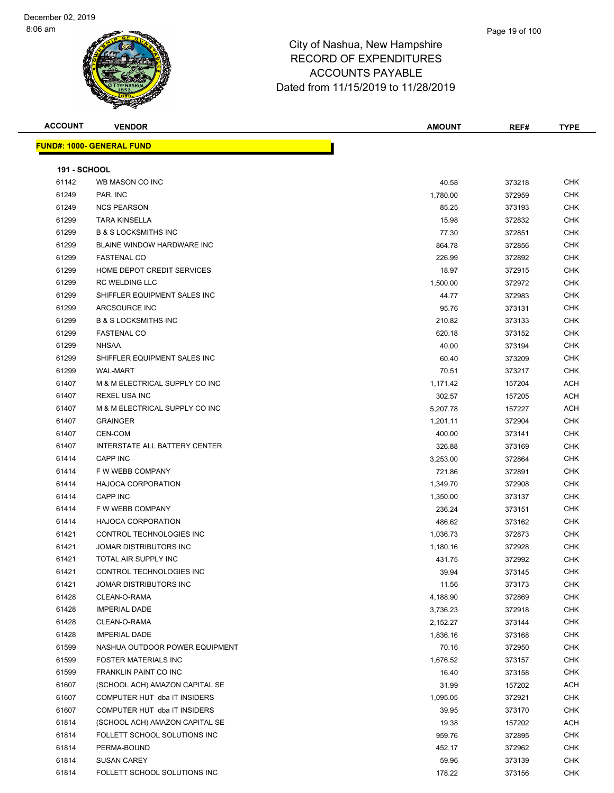| <b>ACCOUNT</b>      | <b>VENDOR</b>                     | <b>AMOUNT</b> | REF#   | <b>TYPE</b> |
|---------------------|-----------------------------------|---------------|--------|-------------|
|                     | <u> FUND#: 1000- GENERAL FUND</u> |               |        |             |
|                     |                                   |               |        |             |
| <b>191 - SCHOOL</b> |                                   |               |        |             |
| 61142               | WB MASON CO INC                   | 40.58         | 373218 | CHK         |
| 61249               | PAR, INC                          | 1,780.00      | 372959 | <b>CHK</b>  |
| 61249               | <b>NCS PEARSON</b>                | 85.25         | 373193 | <b>CHK</b>  |
| 61299               | <b>TARA KINSELLA</b>              | 15.98         | 372832 | <b>CHK</b>  |
| 61299               | <b>B &amp; S LOCKSMITHS INC</b>   | 77.30         | 372851 | CHK         |
| 61299               | BLAINE WINDOW HARDWARE INC        | 864.78        | 372856 | CHK         |
| 61299               | <b>FASTENAL CO</b>                | 226.99        | 372892 | <b>CHK</b>  |
| 61299               | HOME DEPOT CREDIT SERVICES        | 18.97         | 372915 | <b>CHK</b>  |
| 61299               | <b>RC WELDING LLC</b>             | 1,500.00      | 372972 | <b>CHK</b>  |
| 61299               | SHIFFLER EQUIPMENT SALES INC      | 44.77         | 372983 | <b>CHK</b>  |
| 61299               | ARCSOURCE INC                     | 95.76         | 373131 | <b>CHK</b>  |
| 61299               | <b>B &amp; S LOCKSMITHS INC</b>   | 210.82        | 373133 | CHK         |
| 61299               | <b>FASTENAL CO</b>                | 620.18        | 373152 | CHK         |
| 61299               | <b>NHSAA</b>                      | 40.00         | 373194 | CHK         |
| 61299               | SHIFFLER EQUIPMENT SALES INC      | 60.40         | 373209 | CHK         |
| 61299               | WAL-MART                          | 70.51         | 373217 | CHK         |
| 61407               | M & M ELECTRICAL SUPPLY CO INC    | 1,171.42      | 157204 | ACH         |
| 61407               | <b>REXEL USA INC</b>              | 302.57        | 157205 | ACH         |
| 61407               | M & M ELECTRICAL SUPPLY CO INC    | 5,207.78      | 157227 | ACH         |
| 61407               | <b>GRAINGER</b>                   | 1,201.11      | 372904 | <b>CHK</b>  |
| 61407               | CEN-COM                           | 400.00        | 373141 | <b>CHK</b>  |
| 61407               | INTERSTATE ALL BATTERY CENTER     | 326.88        | 373169 | <b>CHK</b>  |
| 61414               | <b>CAPP INC</b>                   | 3,253.00      | 372864 | <b>CHK</b>  |
| 61414               | F W WEBB COMPANY                  | 721.86        | 372891 | <b>CHK</b>  |
| 61414               | HAJOCA CORPORATION                | 1,349.70      | 372908 | <b>CHK</b>  |
| 61414               | CAPP INC                          | 1,350.00      | 373137 | CHK         |
| 61414               | F W WEBB COMPANY                  | 236.24        | 373151 | <b>CHK</b>  |
| 61414               | <b>HAJOCA CORPORATION</b>         | 486.62        | 373162 | <b>CHK</b>  |
| 61421               | CONTROL TECHNOLOGIES INC          | 1,036.73      | 372873 | <b>CHK</b>  |
| 61421               | JOMAR DISTRIBUTORS INC            | 1,180.16      | 372928 | <b>CHK</b>  |
| 61421               | TOTAL AIR SUPPLY INC              | 431.75        | 372992 | <b>CHK</b>  |
| 61421               | CONTROL TECHNOLOGIES INC          | 39.94         | 373145 | CHK         |
| 61421               | JOMAR DISTRIBUTORS INC            | 11.56         | 373173 | <b>CHK</b>  |
| 61428               | CLEAN-O-RAMA                      | 4,188.90      | 372869 | <b>CHK</b>  |
| 61428               | <b>IMPERIAL DADE</b>              | 3,736.23      | 372918 | <b>CHK</b>  |
| 61428               | CLEAN-O-RAMA                      | 2,152.27      | 373144 | <b>CHK</b>  |
| 61428               | <b>IMPERIAL DADE</b>              | 1,836.16      | 373168 | <b>CHK</b>  |
| 61599               | NASHUA OUTDOOR POWER EQUIPMENT    | 70.16         | 372950 | CHK         |
| 61599               | <b>FOSTER MATERIALS INC</b>       | 1,676.52      | 373157 | <b>CHK</b>  |
| 61599               | FRANKLIN PAINT CO INC             | 16.40         | 373158 | <b>CHK</b>  |
| 61607               | (SCHOOL ACH) AMAZON CAPITAL SE    | 31.99         | 157202 | <b>ACH</b>  |
| 61607               | COMPUTER HUT dba IT INSIDERS      | 1,095.05      | 372921 | <b>CHK</b>  |
| 61607               | COMPUTER HUT dba IT INSIDERS      | 39.95         | 373170 | <b>CHK</b>  |
| 61814               | (SCHOOL ACH) AMAZON CAPITAL SE    | 19.38         | 157202 | ACH         |
| 61814               | FOLLETT SCHOOL SOLUTIONS INC      | 959.76        | 372895 | <b>CHK</b>  |
| 61814               | PERMA-BOUND                       | 452.17        | 372962 | <b>CHK</b>  |
| 61814               | <b>SUSAN CAREY</b>                | 59.96         | 373139 | CHK         |
| 61814               | FOLLETT SCHOOL SOLUTIONS INC      | 178.22        | 373156 | <b>CHK</b>  |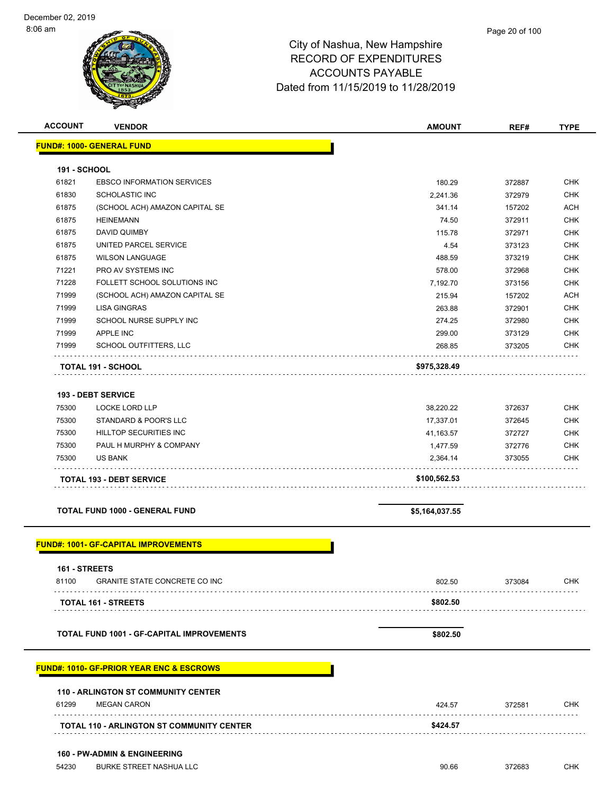

| <b>ACCOUNT</b>      | <b>VENDOR</b>                                                             | <b>AMOUNT</b>  | REF#   | <b>TYPE</b> |
|---------------------|---------------------------------------------------------------------------|----------------|--------|-------------|
|                     | <b>FUND#: 1000- GENERAL FUND</b>                                          |                |        |             |
|                     |                                                                           |                |        |             |
| <b>191 - SCHOOL</b> |                                                                           |                |        |             |
| 61821               | <b>EBSCO INFORMATION SERVICES</b>                                         | 180.29         | 372887 | <b>CHK</b>  |
| 61830               | <b>SCHOLASTIC INC</b>                                                     | 2,241.36       | 372979 | <b>CHK</b>  |
| 61875               | (SCHOOL ACH) AMAZON CAPITAL SE                                            | 341.14         | 157202 | <b>ACH</b>  |
| 61875               | <b>HEINEMANN</b>                                                          | 74.50          | 372911 | <b>CHK</b>  |
| 61875               | <b>DAVID QUIMBY</b>                                                       | 115.78         | 372971 | <b>CHK</b>  |
| 61875               | UNITED PARCEL SERVICE                                                     | 4.54           | 373123 | <b>CHK</b>  |
| 61875               | <b>WILSON LANGUAGE</b>                                                    | 488.59         | 373219 | <b>CHK</b>  |
| 71221               | PRO AV SYSTEMS INC                                                        | 578.00         | 372968 | <b>CHK</b>  |
| 71228               | FOLLETT SCHOOL SOLUTIONS INC                                              | 7,192.70       | 373156 | <b>CHK</b>  |
| 71999               | (SCHOOL ACH) AMAZON CAPITAL SE                                            | 215.94         | 157202 | <b>ACH</b>  |
| 71999               | <b>LISA GINGRAS</b>                                                       | 263.88         | 372901 | <b>CHK</b>  |
| 71999               | SCHOOL NURSE SUPPLY INC                                                   | 274.25         | 372980 | <b>CHK</b>  |
| 71999               | APPLE INC                                                                 | 299.00         | 373129 | <b>CHK</b>  |
| 71999               | SCHOOL OUTFITTERS, LLC                                                    | 268.85         | 373205 | <b>CHK</b>  |
|                     | <b>TOTAL 191 - SCHOOL</b>                                                 | \$975,328.49   |        |             |
|                     | <b>193 - DEBT SERVICE</b>                                                 |                |        |             |
| 75300               | <b>LOCKE LORD LLP</b>                                                     | 38,220.22      | 372637 | <b>CHK</b>  |
| 75300               | STANDARD & POOR'S LLC                                                     | 17,337.01      | 372645 | <b>CHK</b>  |
| 75300               | HILLTOP SECURITIES INC                                                    | 41,163.57      | 372727 | <b>CHK</b>  |
| 75300               | PAUL H MURPHY & COMPANY                                                   | 1,477.59       | 372776 | <b>CHK</b>  |
| 75300               | <b>US BANK</b>                                                            | 2,364.14       | 373055 | CHK         |
|                     | <b>TOTAL 193 - DEBT SERVICE</b>                                           | \$100,562.53   |        |             |
|                     |                                                                           |                |        |             |
|                     | <b>TOTAL FUND 1000 - GENERAL FUND</b>                                     | \$5,164,037.55 |        |             |
|                     | <b>FUND#: 1001- GF-CAPITAL IMPROVEMENTS</b>                               |                |        |             |
|                     |                                                                           |                |        |             |
| 161 - STREETS       |                                                                           |                |        |             |
| 81100               | <b>GRANITE STATE CONCRETE CO INC</b>                                      | 802.50         | 373084 | CHK         |
|                     | <b>TOTAL 161 - STREETS</b>                                                | \$802.50       |        |             |
|                     | <b>TOTAL FUND 1001 - GF-CAPITAL IMPROVEMENTS</b>                          | \$802.50       |        |             |
|                     |                                                                           |                |        |             |
|                     | <b>FUND#: 1010- GF-PRIOR YEAR ENC &amp; ESCROWS</b>                       |                |        |             |
|                     | <b>110 - ARLINGTON ST COMMUNITY CENTER</b>                                |                |        |             |
| 61299               | <b>MEGAN CARON</b>                                                        | 424.57         | 372581 | CHK         |
|                     | TOTAL 110 - ARLINGTON ST COMMUNITY CENTER                                 | \$424.57       |        |             |
|                     |                                                                           |                |        |             |
| 54230               | <b>160 - PW-ADMIN &amp; ENGINEERING</b><br><b>BURKE STREET NASHUA LLC</b> | 90.66          | 372683 | <b>CHK</b>  |
|                     |                                                                           |                |        |             |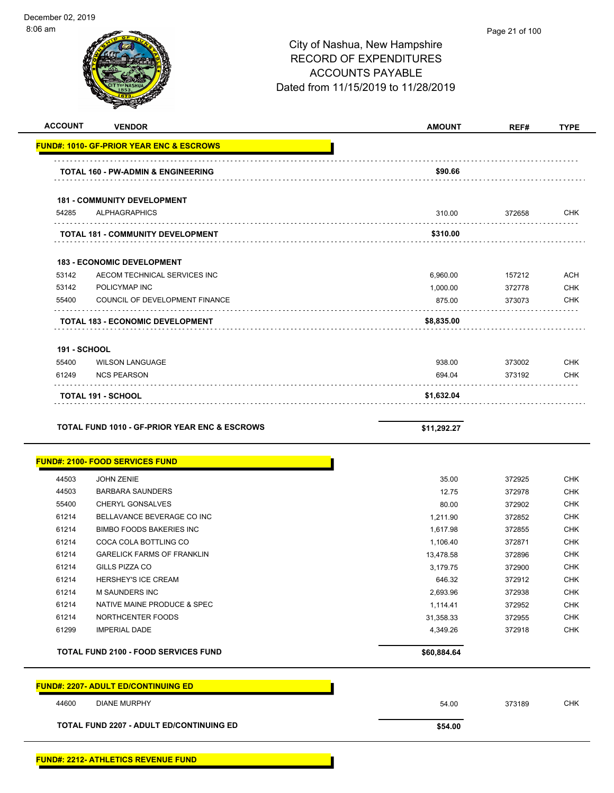| <b>ACCOUNT</b>      | <b>VENDOR</b>                                                                  | <b>AMOUNT</b>             | REF#             | <b>TYPE</b>                                                                      |
|---------------------|--------------------------------------------------------------------------------|---------------------------|------------------|----------------------------------------------------------------------------------|
|                     | <u> FUND#: 1010- GF-PRIOR YEAR ENC &amp; ESCROWS</u>                           |                           |                  |                                                                                  |
|                     |                                                                                |                           |                  |                                                                                  |
|                     | TOTAL 160 - PW-ADMIN & ENGINEERING                                             | \$90.66                   |                  |                                                                                  |
|                     | <b>181 - COMMUNITY DEVELOPMENT</b>                                             |                           |                  |                                                                                  |
| 54285               | <b>ALPHAGRAPHICS</b>                                                           | 310.00                    | 372658           | <b>CHK</b>                                                                       |
|                     | <b>TOTAL 181 - COMMUNITY DEVELOPMENT</b>                                       | \$310.00                  |                  |                                                                                  |
|                     | <b>183 - ECONOMIC DEVELOPMENT</b>                                              |                           |                  |                                                                                  |
| 53142               | AECOM TECHNICAL SERVICES INC                                                   | 6,960.00                  | 157212           | <b>ACH</b>                                                                       |
| 53142               | POLICYMAP INC                                                                  | 1,000.00                  | 372778           | <b>CHK</b>                                                                       |
| 55400               | COUNCIL OF DEVELOPMENT FINANCE                                                 | 875.00                    | 373073           | <b>CHK</b>                                                                       |
|                     | <b>TOTAL 183 - ECONOMIC DEVELOPMENT</b>                                        | \$8,835.00                |                  |                                                                                  |
| <b>191 - SCHOOL</b> |                                                                                |                           |                  |                                                                                  |
| 55400               | <b>WILSON LANGUAGE</b>                                                         | 938.00                    | 373002           | <b>CHK</b>                                                                       |
| 61249               | <b>NCS PEARSON</b>                                                             | 694.04                    | 373192           | <b>CHK</b>                                                                       |
|                     |                                                                                |                           |                  |                                                                                  |
|                     | TOTAL 191 - SCHOOL<br><b>TOTAL FUND 1010 - GF-PRIOR YEAR ENC &amp; ESCROWS</b> | \$1,632.04<br>\$11,292.27 |                  |                                                                                  |
|                     | <b>FUND#: 2100- FOOD SERVICES FUND</b>                                         |                           |                  |                                                                                  |
| 44503               | <b>JOHN ZENIE</b>                                                              | 35.00                     | 372925           | <b>CHK</b>                                                                       |
| 44503               | <b>BARBARA SAUNDERS</b>                                                        | 12.75                     | 372978           |                                                                                  |
| 55400               | <b>CHERYL GONSALVES</b>                                                        | 80.00                     | 372902           |                                                                                  |
| 61214               | BELLAVANCE BEVERAGE CO INC                                                     | 1,211.90                  | 372852           |                                                                                  |
| 61214<br>61214      | <b>BIMBO FOODS BAKERIES INC</b><br>COCA COLA BOTTLING CO                       | 1,617.98                  | 372855           |                                                                                  |
| 61214               | <b>GARELICK FARMS OF FRANKLIN</b>                                              | 1,106.40<br>13,478.58     | 372871<br>372896 | <b>CHK</b><br><b>CHK</b><br><b>CHK</b><br><b>CHK</b><br><b>CHK</b><br><b>CHK</b> |
| 61214               | GILLS PIZZA CO                                                                 | 3,179.75                  | 372900           |                                                                                  |
| 61214               | HERSHEY'S ICE CREAM                                                            | 646.32                    | 372912           | <b>CHK</b><br><b>CHK</b>                                                         |
| 61214               | <b>M SAUNDERS INC</b>                                                          | 2,693.96                  | 372938           |                                                                                  |
| 61214               | NATIVE MAINE PRODUCE & SPEC                                                    | 1,114.41                  | 372952           |                                                                                  |
| 61214               | NORTHCENTER FOODS                                                              | 31,358.33                 | 372955           |                                                                                  |
| 61299               | <b>IMPERIAL DADE</b>                                                           | 4,349.26                  | 372918           |                                                                                  |
|                     | <b>TOTAL FUND 2100 - FOOD SERVICES FUND</b>                                    | \$60,884.64               |                  | <b>CHK</b><br><b>CHK</b><br><b>CHK</b><br><b>CHK</b>                             |
|                     | <b>FUND#: 2207- ADULT ED/CONTINUING ED</b>                                     |                           |                  |                                                                                  |
| 44600               | <b>DIANE MURPHY</b>                                                            | 54.00                     | 373189           | <b>CHK</b>                                                                       |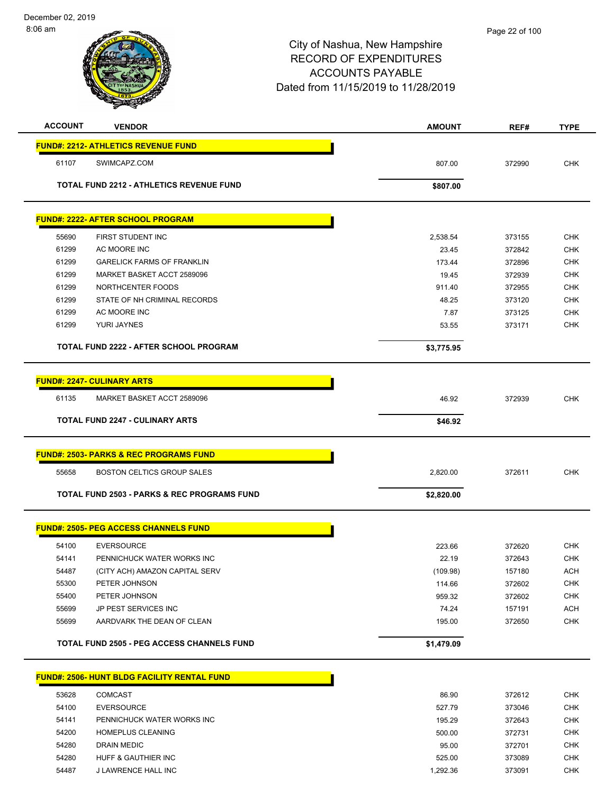| <b>ACCOUNT</b> | <b>VENDOR</b>                                          | <b>AMOUNT</b> | REF#   | <b>TYPE</b> |
|----------------|--------------------------------------------------------|---------------|--------|-------------|
|                | <b>FUND#: 2212- ATHLETICS REVENUE FUND</b>             |               |        |             |
| 61107          | SWIMCAPZ.COM                                           | 807.00        | 372990 | <b>CHK</b>  |
|                | <b>TOTAL FUND 2212 - ATHLETICS REVENUE FUND</b>        | \$807.00      |        |             |
|                |                                                        |               |        |             |
|                | <b>FUND#: 2222- AFTER SCHOOL PROGRAM</b>               |               |        |             |
| 55690          | FIRST STUDENT INC                                      | 2,538.54      | 373155 | <b>CHK</b>  |
| 61299          | AC MOORE INC                                           | 23.45         | 372842 | <b>CHK</b>  |
| 61299          | <b>GARELICK FARMS OF FRANKLIN</b>                      | 173.44        | 372896 | <b>CHK</b>  |
| 61299          | MARKET BASKET ACCT 2589096                             | 19.45         | 372939 | <b>CHK</b>  |
| 61299          | NORTHCENTER FOODS                                      | 911.40        | 372955 | <b>CHK</b>  |
| 61299          | STATE OF NH CRIMINAL RECORDS                           | 48.25         | 373120 | <b>CHK</b>  |
| 61299          | AC MOORE INC                                           | 7.87          | 373125 | <b>CHK</b>  |
| 61299          | YURI JAYNES                                            | 53.55         | 373171 | <b>CHK</b>  |
|                | <b>TOTAL FUND 2222 - AFTER SCHOOL PROGRAM</b>          | \$3,775.95    |        |             |
|                |                                                        |               |        |             |
|                | <b>FUND#: 2247- CULINARY ARTS</b>                      |               |        |             |
| 61135          | MARKET BASKET ACCT 2589096                             | 46.92         | 372939 | <b>CHK</b>  |
|                | <b>TOTAL FUND 2247 - CULINARY ARTS</b>                 | \$46.92       |        |             |
|                |                                                        |               |        |             |
|                | <b>FUND#: 2503- PARKS &amp; REC PROGRAMS FUND</b>      |               |        |             |
| 55658          | <b>BOSTON CELTICS GROUP SALES</b>                      | 2,820.00      | 372611 | <b>CHK</b>  |
|                | <b>TOTAL FUND 2503 - PARKS &amp; REC PROGRAMS FUND</b> | \$2,820.00    |        |             |
|                | <b>FUND#: 2505- PEG ACCESS CHANNELS FUND</b>           |               |        |             |
| 54100          | <b>EVERSOURCE</b>                                      | 223.66        | 372620 | <b>CHK</b>  |
| 54141          | PENNICHUCK WATER WORKS INC                             | 22.19         | 372643 | <b>CHK</b>  |
| 54487          | (CITY ACH) AMAZON CAPITAL SERV                         | (109.98)      | 157180 | <b>ACH</b>  |
| 55300          | PETER JOHNSON                                          | 114.66        | 372602 | <b>CHK</b>  |
| 55400          | PETER JOHNSON                                          | 959.32        | 372602 | <b>CHK</b>  |
| 55699          | JP PEST SERVICES INC                                   | 74.24         | 157191 | ACH         |
| 55699          | AARDVARK THE DEAN OF CLEAN                             | 195.00        | 372650 | <b>CHK</b>  |
|                | <b>TOTAL FUND 2505 - PEG ACCESS CHANNELS FUND</b>      | \$1,479.09    |        |             |
|                |                                                        |               |        |             |
|                | <b>FUND#: 2506- HUNT BLDG FACILITY RENTAL FUND</b>     |               |        |             |
| 53628          | <b>COMCAST</b>                                         | 86.90         | 372612 | <b>CHK</b>  |
| 54100          | <b>EVERSOURCE</b>                                      | 527.79        | 373046 | <b>CHK</b>  |
| 54141          | PENNICHUCK WATER WORKS INC                             | 195.29        | 372643 | <b>CHK</b>  |
| 54200          | HOMEPLUS CLEANING                                      | 500.00        | 372731 | <b>CHK</b>  |
| 54280          | DRAIN MEDIC                                            | 95.00         | 372701 | <b>CHK</b>  |
| 54280          | HUFF & GAUTHIER INC                                    | 525.00        | 373089 | <b>CHK</b>  |
| 54487          | J LAWRENCE HALL INC                                    | 1,292.36      | 373091 | CHK         |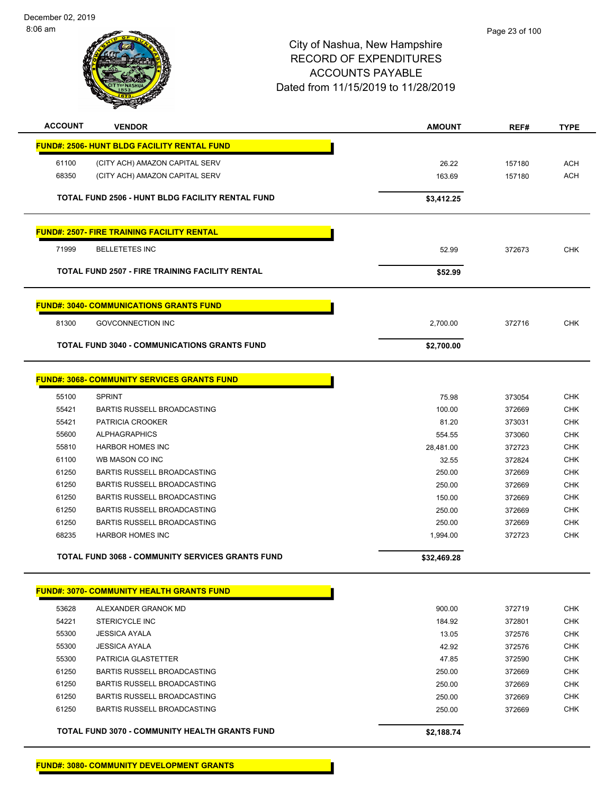December 02, 2019 8:06 am



| <b>ACCOUNT</b> | <b>VENDOR</b>                                           | <b>AMOUNT</b> | REF#   | <b>TYPE</b> |
|----------------|---------------------------------------------------------|---------------|--------|-------------|
|                | <b>FUND#: 2506- HUNT BLDG FACILITY RENTAL FUND</b>      |               |        |             |
| 61100          | (CITY ACH) AMAZON CAPITAL SERV                          | 26.22         | 157180 | <b>ACH</b>  |
| 68350          | (CITY ACH) AMAZON CAPITAL SERV                          | 163.69        | 157180 | <b>ACH</b>  |
|                |                                                         |               |        |             |
|                | TOTAL FUND 2506 - HUNT BLDG FACILITY RENTAL FUND        | \$3,412.25    |        |             |
|                | <b>FUND#: 2507- FIRE TRAINING FACILITY RENTAL</b>       |               |        |             |
| 71999          | <b>BELLETETES INC</b>                                   | 52.99         | 372673 | <b>CHK</b>  |
|                | TOTAL FUND 2507 - FIRE TRAINING FACILITY RENTAL         | \$52.99       |        |             |
|                | <b>FUND#: 3040- COMMUNICATIONS GRANTS FUND</b>          |               |        |             |
| 81300          | <b>GOVCONNECTION INC</b>                                | 2,700.00      | 372716 | <b>CHK</b>  |
|                | <b>TOTAL FUND 3040 - COMMUNICATIONS GRANTS FUND</b>     | \$2,700.00    |        |             |
|                |                                                         |               |        |             |
|                | <b>FUND#: 3068- COMMUNITY SERVICES GRANTS FUND</b>      |               |        |             |
| 55100          | <b>SPRINT</b>                                           | 75.98         | 373054 | <b>CHK</b>  |
| 55421          | <b>BARTIS RUSSELL BROADCASTING</b>                      | 100.00        | 372669 | <b>CHK</b>  |
| 55421          | PATRICIA CROOKER                                        | 81.20         | 373031 | <b>CHK</b>  |
| 55600          | <b>ALPHAGRAPHICS</b>                                    | 554.55        | 373060 | <b>CHK</b>  |
| 55810          | <b>HARBOR HOMES INC</b>                                 | 28,481.00     | 372723 | <b>CHK</b>  |
| 61100          | WB MASON CO INC                                         | 32.55         | 372824 | <b>CHK</b>  |
| 61250          | <b>BARTIS RUSSELL BROADCASTING</b>                      | 250.00        | 372669 | <b>CHK</b>  |
| 61250          | <b>BARTIS RUSSELL BROADCASTING</b>                      | 250.00        | 372669 | <b>CHK</b>  |
| 61250          | <b>BARTIS RUSSELL BROADCASTING</b>                      | 150.00        | 372669 | <b>CHK</b>  |
| 61250          | <b>BARTIS RUSSELL BROADCASTING</b>                      | 250.00        | 372669 | <b>CHK</b>  |
| 61250          | <b>BARTIS RUSSELL BROADCASTING</b>                      | 250.00        | 372669 | <b>CHK</b>  |
| 68235          | <b>HARBOR HOMES INC</b>                                 | 1,994.00      | 372723 | <b>CHK</b>  |
|                | <b>TOTAL FUND 3068 - COMMUNITY SERVICES GRANTS FUND</b> | \$32,469.28   |        |             |
|                |                                                         |               |        |             |

|       | <b>FUND#: 3070- COMMUNITY HEALTH GRANTS FUND</b>      |            |        |            |
|-------|-------------------------------------------------------|------------|--------|------------|
| 53628 | ALEXANDER GRANOK MD                                   | 900.00     | 372719 | <b>CHK</b> |
| 54221 | STERICYCLE INC                                        | 184.92     | 372801 | <b>CHK</b> |
| 55300 | <b>JESSICA AYALA</b>                                  | 13.05      | 372576 | <b>CHK</b> |
| 55300 | <b>JESSICA AYALA</b>                                  | 42.92      | 372576 | <b>CHK</b> |
| 55300 | <b>PATRICIA GLASTETTER</b>                            | 47.85      | 372590 | <b>CHK</b> |
| 61250 | BARTIS RUSSELL BROADCASTING                           | 250.00     | 372669 | <b>CHK</b> |
| 61250 | BARTIS RUSSELL BROADCASTING                           | 250.00     | 372669 | <b>CHK</b> |
| 61250 | BARTIS RUSSELL BROADCASTING                           | 250.00     | 372669 | <b>CHK</b> |
| 61250 | BARTIS RUSSELL BROADCASTING                           | 250.00     | 372669 | CHK        |
|       | <b>TOTAL FUND 3070 - COMMUNITY HEALTH GRANTS FUND</b> | \$2.188.74 |        |            |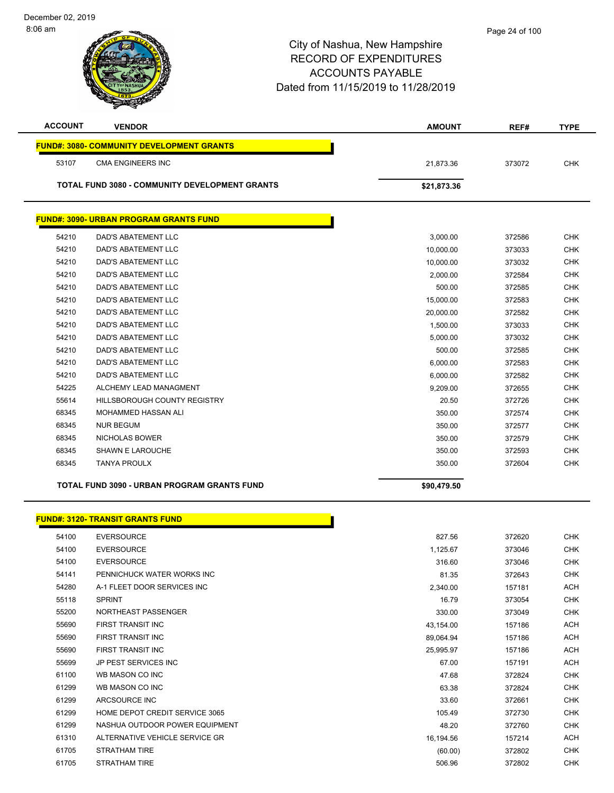| <b>ACCOUNT</b> | <b>VENDOR</b>                                         | <b>AMOUNT</b> | REF#   | <b>TYPE</b> |
|----------------|-------------------------------------------------------|---------------|--------|-------------|
|                | <b>FUND#: 3080- COMMUNITY DEVELOPMENT GRANTS</b>      |               |        |             |
| 53107          | CMA ENGINEERS INC                                     | 21,873.36     | 373072 | <b>CHK</b>  |
|                | <b>TOTAL FUND 3080 - COMMUNITY DEVELOPMENT GRANTS</b> | \$21,873.36   |        |             |
|                |                                                       |               |        |             |
|                | <b>FUND#: 3090- URBAN PROGRAM GRANTS FUND</b>         |               |        |             |
| 54210          | DAD'S ABATEMENT LLC                                   | 3,000.00      | 372586 | <b>CHK</b>  |
| 54210          | DAD'S ABATEMENT LLC                                   | 10,000.00     | 373033 | <b>CHK</b>  |
| 54210          | <b>DAD'S ABATEMENT LLC</b>                            | 10,000.00     | 373032 | <b>CHK</b>  |
| 54210          | DAD'S ABATEMENT LLC                                   | 2,000.00      | 372584 | <b>CHK</b>  |
| 54210          | DAD'S ABATEMENT LLC                                   | 500.00        | 372585 | <b>CHK</b>  |
| 54210          | DAD'S ABATEMENT LLC                                   | 15,000.00     | 372583 | <b>CHK</b>  |
| 54210          | DAD'S ABATEMENT LLC                                   | 20,000.00     | 372582 | <b>CHK</b>  |
| 54210          | DAD'S ABATEMENT LLC                                   | 1,500.00      | 373033 | <b>CHK</b>  |
| 54210          | DAD'S ABATEMENT LLC                                   | 5,000.00      | 373032 | <b>CHK</b>  |
| 54210          | DAD'S ABATEMENT LLC                                   | 500.00        | 372585 | <b>CHK</b>  |
| 54210          | <b>DAD'S ABATEMENT LLC</b>                            | 6,000.00      | 372583 | <b>CHK</b>  |
| 54210          | DAD'S ABATEMENT LLC                                   | 6,000.00      | 372582 | <b>CHK</b>  |
| 54225          | ALCHEMY LEAD MANAGMENT                                | 9,209.00      | 372655 | <b>CHK</b>  |
| 55614          | HILLSBOROUGH COUNTY REGISTRY                          | 20.50         | 372726 | <b>CHK</b>  |
| 68345          | MOHAMMED HASSAN ALI                                   | 350.00        | 372574 | <b>CHK</b>  |
| 68345          | <b>NUR BEGUM</b>                                      | 350.00        | 372577 | <b>CHK</b>  |
| 68345          | NICHOLAS BOWER                                        | 350.00        | 372579 | <b>CHK</b>  |
| 68345          | <b>SHAWN E LAROUCHE</b>                               | 350.00        | 372593 | <b>CHK</b>  |
| 68345          | <b>TANYA PROULX</b>                                   | 350.00        | 372604 | <b>CHK</b>  |
|                | TOTAL FUND 3090 - URBAN PROGRAM GRANTS FUND           | \$90,479.50   |        |             |
|                | <b>FUND#: 3120- TRANSIT GRANTS FUND</b>               |               |        |             |
| 54100          | <b>EVERSOURCE</b>                                     | 827.56        | 372620 | <b>CHK</b>  |
| 54100          | <b>EVERSOURCE</b>                                     | 1,125.67      | 373046 | <b>CHK</b>  |
| 54100          | <b>EVERSOURCE</b>                                     | 316.60        | 373046 | <b>CHK</b>  |
| 54141          | PENNICHUCK WATER WORKS INC                            | 81.35         | 372643 | <b>CHK</b>  |
| 54280          | A-1 FLEET DOOR SERVICES INC                           | 2,340.00      | 157181 | <b>ACH</b>  |
| 55118          | <b>SPRINT</b>                                         | 16.79         | 373054 | <b>CHK</b>  |
| 55200          | NORTHEAST PASSENGER                                   | 330.00        | 373049 | <b>CHK</b>  |
| 55690          | FIRST TRANSIT INC                                     | 43,154.00     | 157186 | <b>ACH</b>  |
| 55690          | <b>FIRST TRANSIT INC</b>                              | 89,064.94     | 157186 | <b>ACH</b>  |
| 55690          | FIRST TRANSIT INC                                     | 25,995.97     | 157186 | ACH         |
| 55699          | JP PEST SERVICES INC                                  | 67.00         | 157191 | <b>ACH</b>  |
| 61100          | WB MASON CO INC                                       | 47.68         | 372824 | CHK         |
| 61299          | WB MASON CO INC                                       | 63.38         | 372824 | <b>CHK</b>  |
| 61299          | ARCSOURCE INC                                         | 33.60         | 372661 | <b>CHK</b>  |
| 61299          | HOME DEPOT CREDIT SERVICE 3065                        | 105.49        | 372730 | CHK         |
| 61299          | NASHUA OUTDOOR POWER EQUIPMENT                        | 48.20         | 372760 | <b>CHK</b>  |
| 61310          | ALTERNATIVE VEHICLE SERVICE GR                        | 16,194.56     | 157214 | ACH         |
| 61705          | <b>STRATHAM TIRE</b>                                  | (60.00)       | 372802 | <b>CHK</b>  |
| 61705          | <b>STRATHAM TIRE</b>                                  |               | 372802 | <b>CHK</b>  |
|                |                                                       | 506.96        |        |             |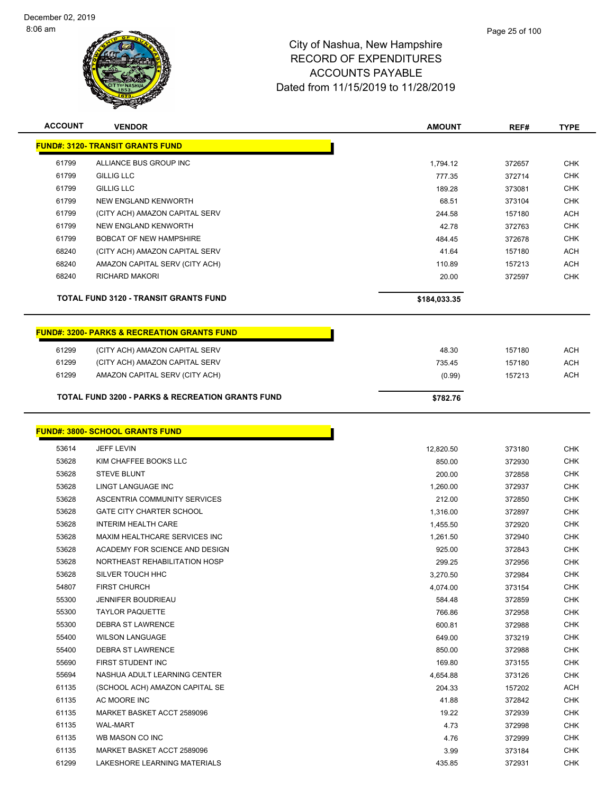

| <b>ACCOUNT</b> | <b>VENDOR</b>                                               | <b>AMOUNT</b> | REF#   | <b>TYPE</b> |
|----------------|-------------------------------------------------------------|---------------|--------|-------------|
|                | <b>FUND#: 3120- TRANSIT GRANTS FUND</b>                     |               |        |             |
| 61799          | ALLIANCE BUS GROUP INC                                      | 1.794.12      | 372657 | <b>CHK</b>  |
| 61799          | <b>GILLIG LLC</b>                                           | 777.35        | 372714 | <b>CHK</b>  |
| 61799          | <b>GILLIG LLC</b>                                           | 189.28        | 373081 | <b>CHK</b>  |
| 61799          | NEW ENGLAND KENWORTH                                        | 68.51         | 373104 | <b>CHK</b>  |
| 61799          | (CITY ACH) AMAZON CAPITAL SERV                              | 244.58        | 157180 | <b>ACH</b>  |
| 61799          | NEW ENGLAND KENWORTH                                        | 42.78         | 372763 | <b>CHK</b>  |
| 61799          | <b>BOBCAT OF NEW HAMPSHIRE</b>                              | 484.45        | 372678 | <b>CHK</b>  |
| 68240          | (CITY ACH) AMAZON CAPITAL SERV                              | 41.64         | 157180 | <b>ACH</b>  |
| 68240          | AMAZON CAPITAL SERV (CITY ACH)                              | 110.89        | 157213 | <b>ACH</b>  |
| 68240          | <b>RICHARD MAKORI</b>                                       | 20.00         | 372597 | <b>CHK</b>  |
|                | <b>TOTAL FUND 3120 - TRANSIT GRANTS FUND</b>                | \$184,033.35  |        |             |
|                | <b>FUND#: 3200- PARKS &amp; RECREATION GRANTS FUND</b>      |               |        |             |
| 61299          | (CITY ACH) AMAZON CAPITAL SERV                              | 48.30         | 157180 | <b>ACH</b>  |
| 61299          | (CITY ACH) AMAZON CAPITAL SERV                              | 735.45        | 157180 | <b>ACH</b>  |
| 61299          | AMAZON CAPITAL SERV (CITY ACH)                              | (0.99)        | 157213 | <b>ACH</b>  |
|                | <b>TOTAL FUND 3200 - PARKS &amp; RECREATION GRANTS FUND</b> | \$782.76      |        |             |

# **FUND#: 3800- SCHOOL GRANTS FUND**

| 53614 | <b>JEFF LEVIN</b>               | 12,820.50 | 373180 | <b>CHK</b> |
|-------|---------------------------------|-----------|--------|------------|
| 53628 | KIM CHAFFEE BOOKS LLC           | 850.00    | 372930 | <b>CHK</b> |
| 53628 | <b>STEVE BLUNT</b>              | 200.00    | 372858 | <b>CHK</b> |
| 53628 | <b>LINGT LANGUAGE INC</b>       | 1,260.00  | 372937 | <b>CHK</b> |
| 53628 | ASCENTRIA COMMUNITY SERVICES    | 212.00    | 372850 | <b>CHK</b> |
| 53628 | <b>GATE CITY CHARTER SCHOOL</b> | 1,316.00  | 372897 | <b>CHK</b> |
| 53628 | <b>INTERIM HEALTH CARE</b>      | 1,455.50  | 372920 | <b>CHK</b> |
| 53628 | MAXIM HEALTHCARE SERVICES INC   | 1,261.50  | 372940 | <b>CHK</b> |
| 53628 | ACADEMY FOR SCIENCE AND DESIGN  | 925.00    | 372843 | <b>CHK</b> |
| 53628 | NORTHEAST REHABILITATION HOSP   | 299.25    | 372956 | <b>CHK</b> |
| 53628 | SILVER TOUCH HHC                | 3,270.50  | 372984 | <b>CHK</b> |
| 54807 | <b>FIRST CHURCH</b>             | 4,074.00  | 373154 | <b>CHK</b> |
| 55300 | <b>JENNIFER BOUDRIEAU</b>       | 584.48    | 372859 | <b>CHK</b> |
| 55300 | <b>TAYLOR PAQUETTE</b>          | 766.86    | 372958 | <b>CHK</b> |
| 55300 | <b>DEBRA ST LAWRENCE</b>        | 600.81    | 372988 | <b>CHK</b> |
| 55400 | <b>WILSON LANGUAGE</b>          | 649.00    | 373219 | <b>CHK</b> |
| 55400 | <b>DEBRA ST LAWRENCE</b>        | 850.00    | 372988 | <b>CHK</b> |
| 55690 | FIRST STUDENT INC               | 169.80    | 373155 | <b>CHK</b> |
| 55694 | NASHUA ADULT LEARNING CENTER    | 4,654.88  | 373126 | <b>CHK</b> |
| 61135 | (SCHOOL ACH) AMAZON CAPITAL SE  | 204.33    | 157202 | <b>ACH</b> |
| 61135 | AC MOORE INC                    | 41.88     | 372842 | <b>CHK</b> |
| 61135 | MARKET BASKET ACCT 2589096      | 19.22     | 372939 | <b>CHK</b> |
| 61135 | <b>WAL-MART</b>                 | 4.73      | 372998 | <b>CHK</b> |
| 61135 | WB MASON CO INC                 | 4.76      | 372999 | CHK        |
| 61135 | MARKET BASKET ACCT 2589096      | 3.99      | 373184 | <b>CHK</b> |
| 61299 | LAKESHORE LEARNING MATERIALS    | 435.85    | 372931 | <b>CHK</b> |
|       |                                 |           |        |            |

П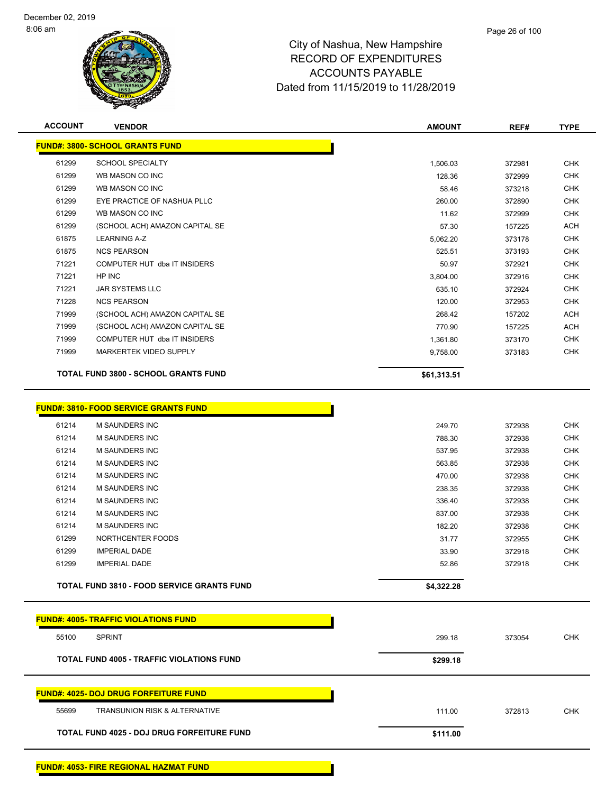

| <b>ACCOUNT</b>                                                                                           | <b>VENDOR</b>                                                                                                                                                                                                                                            | AMOUNT                                                                                                            | REF#                                                                                                                 | <b>TYPE</b>                                                                                                                                                          |
|----------------------------------------------------------------------------------------------------------|----------------------------------------------------------------------------------------------------------------------------------------------------------------------------------------------------------------------------------------------------------|-------------------------------------------------------------------------------------------------------------------|----------------------------------------------------------------------------------------------------------------------|----------------------------------------------------------------------------------------------------------------------------------------------------------------------|
|                                                                                                          | <b>FUND#: 3800- SCHOOL GRANTS FUND</b>                                                                                                                                                                                                                   |                                                                                                                   |                                                                                                                      |                                                                                                                                                                      |
| 61299                                                                                                    | <b>SCHOOL SPECIALTY</b>                                                                                                                                                                                                                                  | 1,506.03                                                                                                          | 372981                                                                                                               | <b>CHK</b>                                                                                                                                                           |
| 61299                                                                                                    | WB MASON CO INC                                                                                                                                                                                                                                          | 128.36                                                                                                            | 372999                                                                                                               | <b>CHK</b>                                                                                                                                                           |
| 61299                                                                                                    | WB MASON CO INC                                                                                                                                                                                                                                          | 58.46                                                                                                             | 373218                                                                                                               | <b>CHK</b>                                                                                                                                                           |
| 61299                                                                                                    | EYE PRACTICE OF NASHUA PLLC                                                                                                                                                                                                                              | 260.00                                                                                                            | 372890                                                                                                               | <b>CHK</b>                                                                                                                                                           |
| 61299                                                                                                    | WB MASON CO INC                                                                                                                                                                                                                                          | 11.62                                                                                                             | 372999                                                                                                               | <b>CHK</b>                                                                                                                                                           |
| 61299                                                                                                    | (SCHOOL ACH) AMAZON CAPITAL SE                                                                                                                                                                                                                           | 57.30                                                                                                             | 157225                                                                                                               | <b>ACH</b>                                                                                                                                                           |
| 61875                                                                                                    | <b>LEARNING A-Z</b>                                                                                                                                                                                                                                      | 5,062.20                                                                                                          | 373178                                                                                                               | <b>CHK</b>                                                                                                                                                           |
| 61875                                                                                                    | <b>NCS PEARSON</b>                                                                                                                                                                                                                                       | 525.51                                                                                                            | 373193                                                                                                               | <b>CHK</b>                                                                                                                                                           |
| 71221                                                                                                    | COMPUTER HUT dba IT INSIDERS                                                                                                                                                                                                                             | 50.97                                                                                                             | 372921                                                                                                               | <b>CHK</b>                                                                                                                                                           |
| 71221                                                                                                    | HP INC                                                                                                                                                                                                                                                   | 3,804.00                                                                                                          | 372916                                                                                                               | <b>CHK</b>                                                                                                                                                           |
| 71221                                                                                                    | <b>JAR SYSTEMS LLC</b>                                                                                                                                                                                                                                   | 635.10                                                                                                            | 372924                                                                                                               | <b>CHK</b>                                                                                                                                                           |
| 71228                                                                                                    | <b>NCS PEARSON</b>                                                                                                                                                                                                                                       | 120.00                                                                                                            | 372953                                                                                                               | <b>CHK</b>                                                                                                                                                           |
| 71999                                                                                                    | (SCHOOL ACH) AMAZON CAPITAL SE                                                                                                                                                                                                                           | 268.42                                                                                                            | 157202                                                                                                               | <b>ACH</b>                                                                                                                                                           |
| 71999                                                                                                    | (SCHOOL ACH) AMAZON CAPITAL SE                                                                                                                                                                                                                           | 770.90                                                                                                            | 157225                                                                                                               | <b>ACH</b>                                                                                                                                                           |
| 71999                                                                                                    | COMPUTER HUT dba IT INSIDERS                                                                                                                                                                                                                             | 1,361.80                                                                                                          | 373170                                                                                                               | CHK                                                                                                                                                                  |
| 71999                                                                                                    | MARKERTEK VIDEO SUPPLY                                                                                                                                                                                                                                   | 9,758.00                                                                                                          | 373183                                                                                                               | <b>CHK</b>                                                                                                                                                           |
|                                                                                                          | <b>TOTAL FUND 3800 - SCHOOL GRANTS FUND</b>                                                                                                                                                                                                              | \$61,313.51                                                                                                       |                                                                                                                      |                                                                                                                                                                      |
| 61214<br>61214<br>61214<br>61214<br>61214<br>61214<br>61214<br>61214<br>61214<br>61299<br>61299<br>61299 | <b>M SAUNDERS INC</b><br>M SAUNDERS INC<br>M SAUNDERS INC<br><b>M SAUNDERS INC</b><br>M SAUNDERS INC<br>M SAUNDERS INC<br>M SAUNDERS INC<br><b>M SAUNDERS INC</b><br>M SAUNDERS INC<br>NORTHCENTER FOODS<br><b>IMPERIAL DADE</b><br><b>IMPERIAL DADE</b> | 249.70<br>788.30<br>537.95<br>563.85<br>470.00<br>238.35<br>336.40<br>837.00<br>182.20<br>31.77<br>33.90<br>52.86 | 372938<br>372938<br>372938<br>372938<br>372938<br>372938<br>372938<br>372938<br>372938<br>372955<br>372918<br>372918 | <b>CHK</b><br><b>CHK</b><br><b>CHK</b><br><b>CHK</b><br><b>CHK</b><br><b>CHK</b><br><b>CHK</b><br><b>CHK</b><br><b>CHK</b><br><b>CHK</b><br><b>CHK</b><br><b>CHK</b> |
|                                                                                                          | <b>TOTAL FUND 3810 - FOOD SERVICE GRANTS FUND</b><br><b>FUND#: 4005- TRAFFIC VIOLATIONS FUND</b>                                                                                                                                                         | \$4,322.28                                                                                                        |                                                                                                                      |                                                                                                                                                                      |
| 55100                                                                                                    | <b>SPRINT</b>                                                                                                                                                                                                                                            | 299.18                                                                                                            | 373054                                                                                                               | <b>CHK</b>                                                                                                                                                           |
|                                                                                                          |                                                                                                                                                                                                                                                          |                                                                                                                   |                                                                                                                      |                                                                                                                                                                      |
|                                                                                                          | <b>TOTAL FUND 4005 - TRAFFIC VIOLATIONS FUND</b>                                                                                                                                                                                                         | \$299.18                                                                                                          |                                                                                                                      |                                                                                                                                                                      |
|                                                                                                          | <u> FUND#: 4025- DOJ DRUG FORFEITURE FUND</u>                                                                                                                                                                                                            |                                                                                                                   |                                                                                                                      |                                                                                                                                                                      |
| 55699                                                                                                    | <b>TRANSUNION RISK &amp; ALTERNATIVE</b>                                                                                                                                                                                                                 | 111.00                                                                                                            | 372813                                                                                                               | <b>CHK</b>                                                                                                                                                           |
|                                                                                                          | TOTAL FUND 4025 - DOJ DRUG FORFEITURE FUND                                                                                                                                                                                                               | \$111.00                                                                                                          |                                                                                                                      |                                                                                                                                                                      |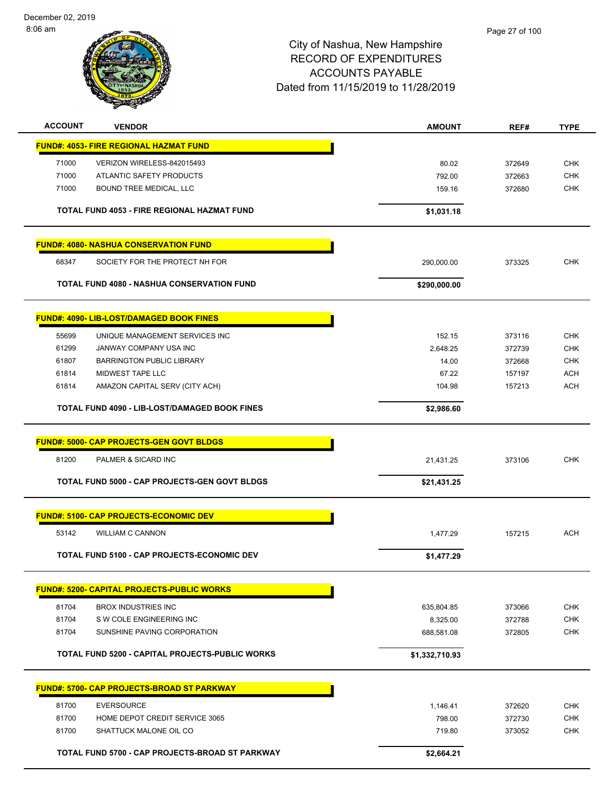December 02, 2019 8:06 am



| <b>ACCOUNT</b> | <b>VENDOR</b>                                          | <b>AMOUNT</b>  | REF#   | <b>TYPE</b> |
|----------------|--------------------------------------------------------|----------------|--------|-------------|
|                | <b>FUND#: 4053- FIRE REGIONAL HAZMAT FUND</b>          |                |        |             |
| 71000          | VERIZON WIRELESS-842015493                             | 80.02          | 372649 | <b>CHK</b>  |
| 71000          | ATLANTIC SAFETY PRODUCTS                               | 792.00         | 372663 | <b>CHK</b>  |
| 71000          | BOUND TREE MEDICAL, LLC                                | 159.16         | 372680 | <b>CHK</b>  |
|                | <b>TOTAL FUND 4053 - FIRE REGIONAL HAZMAT FUND</b>     | \$1,031.18     |        |             |
|                | <b>FUND#: 4080- NASHUA CONSERVATION FUND</b>           |                |        |             |
| 68347          | SOCIETY FOR THE PROTECT NH FOR                         | 290,000.00     | 373325 | <b>CHK</b>  |
|                | <b>TOTAL FUND 4080 - NASHUA CONSERVATION FUND</b>      | \$290,000.00   |        |             |
|                | <b>FUND#: 4090- LIB-LOST/DAMAGED BOOK FINES</b>        |                |        |             |
| 55699          | UNIQUE MANAGEMENT SERVICES INC                         | 152.15         | 373116 | <b>CHK</b>  |
| 61299          | JANWAY COMPANY USA INC                                 | 2.648.25       | 372739 | <b>CHK</b>  |
| 61807          | <b>BARRINGTON PUBLIC LIBRARY</b>                       | 14.00          | 372668 | <b>CHK</b>  |
| 61814          | MIDWEST TAPE LLC                                       | 67.22          | 157197 | <b>ACH</b>  |
| 61814          | AMAZON CAPITAL SERV (CITY ACH)                         | 104.98         | 157213 | <b>ACH</b>  |
|                | <b>TOTAL FUND 4090 - LIB-LOST/DAMAGED BOOK FINES</b>   | \$2,986.60     |        |             |
|                | <b>FUND#: 5000- CAP PROJECTS-GEN GOVT BLDGS</b>        |                |        |             |
| 81200          | PALMER & SICARD INC                                    | 21,431.25      | 373106 | <b>CHK</b>  |
|                | <b>TOTAL FUND 5000 - CAP PROJECTS-GEN GOVT BLDGS</b>   | \$21,431.25    |        |             |
|                | <b>FUND#: 5100- CAP PROJECTS-ECONOMIC DEV</b>          |                |        |             |
| 53142          | <b>WILLIAM C CANNON</b>                                | 1,477.29       | 157215 | <b>ACH</b>  |
|                | <b>TOTAL FUND 5100 - CAP PROJECTS-ECONOMIC DEV</b>     | \$1,477.29     |        |             |
|                | <b>FUND#: 5200- CAPITAL PROJECTS-PUBLIC WORKS</b>      |                |        |             |
| 81704          | <b>BROX INDUSTRIES INC</b>                             | 635,804.85     | 373066 | <b>CHK</b>  |
| 81704          | S W COLE ENGINEERING INC                               | 8,325.00       | 372788 | CHK         |
| 81704          | SUNSHINE PAVING CORPORATION                            | 688,581.08     | 372805 | <b>CHK</b>  |
|                | <b>TOTAL FUND 5200 - CAPITAL PROJECTS-PUBLIC WORKS</b> | \$1,332,710.93 |        |             |
|                | <b>FUND#: 5700- CAP PROJECTS-BROAD ST PARKWAY</b>      |                |        |             |
| 81700          | <b>EVERSOURCE</b>                                      | 1,146.41       | 372620 | <b>CHK</b>  |
| 81700          | HOME DEPOT CREDIT SERVICE 3065                         | 798.00         | 372730 | <b>CHK</b>  |
| 81700          | SHATTUCK MALONE OIL CO                                 | 719.80         | 373052 | <b>CHK</b>  |
|                | <b>TOTAL FUND 5700 - CAP PROJECTS-BROAD ST PARKWAY</b> | \$2,664.21     |        |             |
|                |                                                        |                |        |             |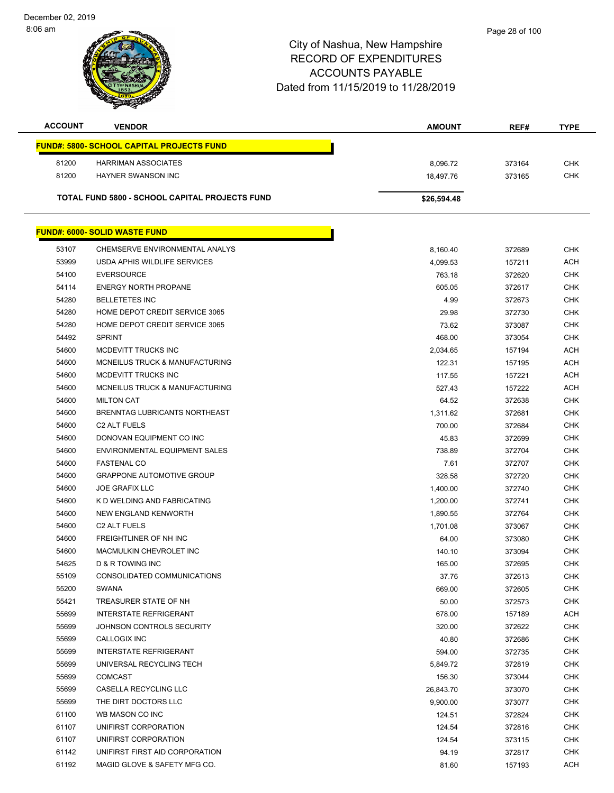December 02, 2019 8:06 am



| <b>ACCOUNT</b> | <b>VENDOR</b>                                     | <b>AMOUNT</b> | REF#   | <b>TYPE</b> |
|----------------|---------------------------------------------------|---------------|--------|-------------|
|                | <u> FUND#: 5800- SCHOOL CAPITAL PROJECTS FUND</u> |               |        |             |
| 81200          | <b>HARRIMAN ASSOCIATES</b>                        | 8,096.72      | 373164 | <b>CHK</b>  |
| 81200          | <b>HAYNER SWANSON INC</b>                         | 18,497.76     | 373165 | <b>CHK</b>  |
|                |                                                   |               |        |             |
|                | TOTAL FUND 5800 - SCHOOL CAPITAL PROJECTS FUND    | \$26,594.48   |        |             |
|                |                                                   |               |        |             |
|                | <u> FUND#: 6000- SOLID WASTE FUND</u>             |               |        |             |
| 53107          | CHEMSERVE ENVIRONMENTAL ANALYS                    | 8,160.40      | 372689 | <b>CHK</b>  |
| 53999          | USDA APHIS WILDLIFE SERVICES                      | 4,099.53      | 157211 | <b>ACH</b>  |
| 54100          | <b>EVERSOURCE</b>                                 | 763.18        | 372620 | <b>CHK</b>  |
| 54114          | <b>ENERGY NORTH PROPANE</b>                       | 605.05        | 372617 | <b>CHK</b>  |
| 54280          | <b>BELLETETES INC</b>                             | 4.99          | 372673 | <b>CHK</b>  |
| 54280          | HOME DEPOT CREDIT SERVICE 3065                    | 29.98         | 372730 | <b>CHK</b>  |
| 54280          | HOME DEPOT CREDIT SERVICE 3065                    | 73.62         | 373087 | <b>CHK</b>  |
| 54492          | <b>SPRINT</b>                                     | 468.00        | 373054 | <b>CHK</b>  |
| 54600          | MCDEVITT TRUCKS INC                               | 2,034.65      | 157194 | <b>ACH</b>  |
| 54600          | MCNEILUS TRUCK & MANUFACTURING                    | 122.31        | 157195 | <b>ACH</b>  |
| 54600          | MCDEVITT TRUCKS INC                               | 117.55        | 157221 | <b>ACH</b>  |
| 54600          | MCNEILUS TRUCK & MANUFACTURING                    | 527.43        | 157222 | <b>ACH</b>  |
| 54600          | <b>MILTON CAT</b>                                 | 64.52         | 372638 | <b>CHK</b>  |
| 54600          | BRENNTAG LUBRICANTS NORTHEAST                     | 1,311.62      | 372681 | <b>CHK</b>  |
| 54600          | <b>C2 ALT FUELS</b>                               | 700.00        | 372684 | <b>CHK</b>  |
| 54600          | DONOVAN EQUIPMENT CO INC                          | 45.83         | 372699 | <b>CHK</b>  |
| 54600          | ENVIRONMENTAL EQUIPMENT SALES                     | 738.89        | 372704 | <b>CHK</b>  |
| 54600          | <b>FASTENAL CO</b>                                | 7.61          | 372707 | <b>CHK</b>  |
| 54600          | <b>GRAPPONE AUTOMOTIVE GROUP</b>                  | 328.58        | 372720 | <b>CHK</b>  |
| 54600          | <b>JOE GRAFIX LLC</b>                             | 1,400.00      | 372740 | <b>CHK</b>  |
| 54600          | K D WELDING AND FABRICATING                       | 1,200.00      | 372741 | <b>CHK</b>  |
| 54600          | NEW ENGLAND KENWORTH                              | 1,890.55      | 372764 | <b>CHK</b>  |
| 54600          | <b>C2 ALT FUELS</b>                               | 1,701.08      | 373067 | <b>CHK</b>  |
| 54600          | FREIGHTLINER OF NH INC                            | 64.00         | 373080 | <b>CHK</b>  |
| 54600          | MACMULKIN CHEVROLET INC                           | 140.10        | 373094 | <b>CHK</b>  |
| 54625          | <b>D &amp; R TOWING INC</b>                       | 165.00        | 372695 | <b>CHK</b>  |
| 55109          | CONSOLIDATED COMMUNICATIONS                       | 37.76         | 372613 | <b>CHK</b>  |
| 55200          | SWANA                                             | 669.00        | 372605 | <b>CHK</b>  |
| 55421          | TREASURER STATE OF NH                             | 50.00         | 372573 | <b>CHK</b>  |
| 55699          | <b>INTERSTATE REFRIGERANT</b>                     | 678.00        | 157189 | ACH         |
| 55699          | JOHNSON CONTROLS SECURITY                         | 320.00        | 372622 | <b>CHK</b>  |
| 55699          | CALLOGIX INC                                      | 40.80         | 372686 | <b>CHK</b>  |
| 55699          | <b>INTERSTATE REFRIGERANT</b>                     | 594.00        | 372735 | <b>CHK</b>  |
| 55699          | UNIVERSAL RECYCLING TECH                          | 5,849.72      | 372819 | <b>CHK</b>  |
| 55699          | <b>COMCAST</b>                                    | 156.30        | 373044 | CHK         |
| 55699          | CASELLA RECYCLING LLC                             | 26,843.70     | 373070 | <b>CHK</b>  |
| 55699          | THE DIRT DOCTORS LLC                              | 9,900.00      | 373077 | <b>CHK</b>  |
| 61100          | WB MASON CO INC                                   | 124.51        | 372824 | CHK         |
| 61107          | UNIFIRST CORPORATION                              | 124.54        | 372816 | <b>CHK</b>  |
| 61107          | UNIFIRST CORPORATION                              | 124.54        | 373115 | <b>CHK</b>  |
| 61142          | UNIFIRST FIRST AID CORPORATION                    | 94.19         | 372817 | CHK         |
| 61192          | MAGID GLOVE & SAFETY MFG CO.                      | 81.60         | 157193 | <b>ACH</b>  |
|                |                                                   |               |        |             |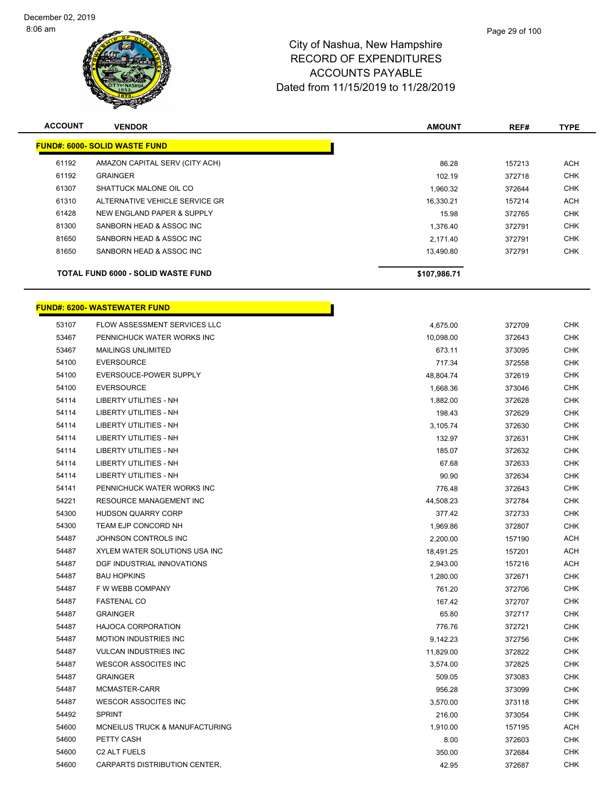

| <b>ACCOUNT</b> | <b>VENDOR</b>                        | <b>AMOUNT</b> | REF#   | <b>TYPE</b> |
|----------------|--------------------------------------|---------------|--------|-------------|
|                | <b>FUND#: 6000- SOLID WASTE FUND</b> |               |        |             |
| 61192          | AMAZON CAPITAL SERV (CITY ACH)       | 86.28         | 157213 | ACH         |
| 61192          | <b>GRAINGER</b>                      | 102.19        | 372718 | <b>CHK</b>  |
| 61307          | SHATTUCK MALONE OIL CO               | 1,960.32      | 372644 | <b>CHK</b>  |
| 61310          | ALTERNATIVE VEHICLE SERVICE GR       | 16,330.21     | 157214 | ACH         |
| 61428          | NEW ENGLAND PAPER & SUPPLY           | 15.98         | 372765 | <b>CHK</b>  |
| 81300          | SANBORN HEAD & ASSOC INC             | 1,376.40      | 372791 | <b>CHK</b>  |
| 81650          | SANBORN HEAD & ASSOC INC             | 2.171.40      | 372791 | <b>CHK</b>  |
| 81650          | SANBORN HEAD & ASSOC INC             | 13,490.80     | 372791 | <b>CHK</b>  |
|                | TOTAL FUND 6000 - SOLID WASTE FUND   | \$107,986.71  |        |             |

H.

|  | <b>FUND#: 6200- WASTEWATER FUND</b> |  |
|--|-------------------------------------|--|
|  |                                     |  |

| 53107 | <b>FLOW ASSESSMENT SERVICES LLC</b> | 4,675.00  | 372709 | <b>CHK</b> |
|-------|-------------------------------------|-----------|--------|------------|
| 53467 | PENNICHUCK WATER WORKS INC          | 10,098.00 | 372643 | <b>CHK</b> |
| 53467 | MAILINGS UNLIMITED                  | 673.11    | 373095 | <b>CHK</b> |
| 54100 | <b>EVERSOURCE</b>                   | 717.34    | 372558 | <b>CHK</b> |
| 54100 | EVERSOUCE-POWER SUPPLY              | 48,804.74 | 372619 | <b>CHK</b> |
| 54100 | <b>EVERSOURCE</b>                   | 1,668.36  | 373046 | <b>CHK</b> |
| 54114 | <b>LIBERTY UTILITIES - NH</b>       | 1,882.00  | 372628 | <b>CHK</b> |
| 54114 | <b>LIBERTY UTILITIES - NH</b>       | 198.43    | 372629 | <b>CHK</b> |
| 54114 | <b>LIBERTY UTILITIES - NH</b>       | 3,105.74  | 372630 | <b>CHK</b> |
| 54114 | <b>LIBERTY UTILITIES - NH</b>       | 132.97    | 372631 | <b>CHK</b> |
| 54114 | <b>LIBERTY UTILITIES - NH</b>       | 185.07    | 372632 | <b>CHK</b> |
| 54114 | <b>LIBERTY UTILITIES - NH</b>       | 67.68     | 372633 | <b>CHK</b> |
| 54114 | <b>LIBERTY UTILITIES - NH</b>       | 90.90     | 372634 | <b>CHK</b> |
| 54141 | PENNICHUCK WATER WORKS INC          | 776.48    | 372643 | <b>CHK</b> |
| 54221 | <b>RESOURCE MANAGEMENT INC</b>      | 44,508.23 | 372784 | <b>CHK</b> |
| 54300 | <b>HUDSON QUARRY CORP</b>           | 377.42    | 372733 | <b>CHK</b> |
| 54300 | TEAM EJP CONCORD NH                 | 1,969.86  | 372807 | <b>CHK</b> |
| 54487 | JOHNSON CONTROLS INC                | 2,200.00  | 157190 | <b>ACH</b> |
| 54487 | XYLEM WATER SOLUTIONS USA INC       | 18,491.25 | 157201 | <b>ACH</b> |
| 54487 | DGF INDUSTRIAL INNOVATIONS          | 2,943.00  | 157216 | <b>ACH</b> |
| 54487 | <b>BAU HOPKINS</b>                  | 1,280.00  | 372671 | <b>CHK</b> |
| 54487 | F W WEBB COMPANY                    | 761.20    | 372706 | <b>CHK</b> |
| 54487 | <b>FASTENAL CO</b>                  | 167.42    | 372707 | <b>CHK</b> |
| 54487 | <b>GRAINGER</b>                     | 65.80     | 372717 | <b>CHK</b> |
| 54487 | HAJOCA CORPORATION                  | 776.76    | 372721 | <b>CHK</b> |
| 54487 | <b>MOTION INDUSTRIES INC</b>        | 9,142.23  | 372756 | <b>CHK</b> |
| 54487 | <b>VULCAN INDUSTRIES INC</b>        | 11,829.00 | 372822 | <b>CHK</b> |
| 54487 | <b>WESCOR ASSOCITES INC</b>         | 3,574.00  | 372825 | <b>CHK</b> |
| 54487 | <b>GRAINGER</b>                     | 509.05    | 373083 | <b>CHK</b> |
| 54487 | MCMASTER-CARR                       | 956.28    | 373099 | <b>CHK</b> |
| 54487 | <b>WESCOR ASSOCITES INC</b>         | 3,570.00  | 373118 | <b>CHK</b> |
| 54492 | <b>SPRINT</b>                       | 216.00    | 373054 | <b>CHK</b> |
| 54600 | MCNEILUS TRUCK & MANUFACTURING      | 1,910.00  | 157195 | <b>ACH</b> |
| 54600 | PETTY CASH                          | 8.00      | 372603 | <b>CHK</b> |
| 54600 | C <sub>2</sub> ALT FUELS            | 350.00    | 372684 | <b>CHK</b> |
| 54600 | CARPARTS DISTRIBUTION CENTER,       | 42.95     | 372687 | <b>CHK</b> |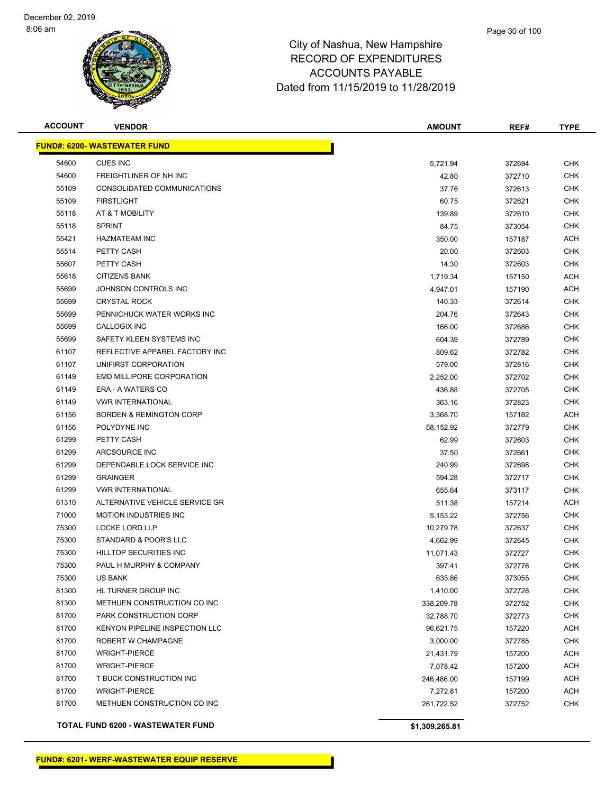

| <b>ACCOUNT</b> | <b>VENDOR</b>                         | <b>AMOUNT</b> | REF#   | <b>TYPE</b> |
|----------------|---------------------------------------|---------------|--------|-------------|
|                | <b>FUND#: 6200- WASTEWATER FUND</b>   |               |        |             |
| 54600          | <b>CUES INC</b>                       | 5,721.94      | 372694 | <b>CHK</b>  |
| 54600          | FREIGHTLINER OF NH INC                | 42.80         | 372710 | <b>CHK</b>  |
| 55109          | CONSOLIDATED COMMUNICATIONS           | 37.76         | 372613 | <b>CHK</b>  |
| 55109          | <b>FIRSTLIGHT</b>                     | 60.75         | 372621 | <b>CHK</b>  |
| 55118          | AT & T MOBILITY                       | 139.89        | 372610 | <b>CHK</b>  |
| 55118          | <b>SPRINT</b>                         | 84.75         | 373054 | <b>CHK</b>  |
| 55421          | <b>HAZMATEAM INC</b>                  | 350.00        | 157187 | <b>ACH</b>  |
| 55514          | PETTY CASH                            | 20.00         | 372603 | <b>CHK</b>  |
| 55607          | PETTY CASH                            | 14.30         | 372603 | CHK         |
| 55618          | <b>CITIZENS BANK</b>                  | 1,719.34      | 157150 | ACH         |
| 55699          | JOHNSON CONTROLS INC                  | 4,947.01      | 157190 | ACH         |
| 55699          | <b>CRYSTAL ROCK</b>                   | 140.33        | 372614 | CHK         |
| 55699          | PENNICHUCK WATER WORKS INC            | 204.76        | 372643 | <b>CHK</b>  |
| 55699          | CALLOGIX INC                          | 166.00        | 372686 | <b>CHK</b>  |
| 55699          | SAFETY KLEEN SYSTEMS INC              | 604.39        | 372789 | <b>CHK</b>  |
| 61107          | REFLECTIVE APPAREL FACTORY INC        | 809.62        | 372782 | <b>CHK</b>  |
| 61107          | UNIFIRST CORPORATION                  | 579.00        | 372816 | <b>CHK</b>  |
| 61149          | <b>EMD MILLIPORE CORPORATION</b>      | 2,252.00      | 372702 | <b>CHK</b>  |
| 61149          | <b>ERA - A WATERS CO</b>              | 436.88        | 372705 | <b>CHK</b>  |
| 61149          | <b>VWR INTERNATIONAL</b>              | 363.16        | 372823 | <b>CHK</b>  |
| 61156          | <b>BORDEN &amp; REMINGTON CORP</b>    | 3,368.70      | 157182 | ACH         |
| 61156          | POLYDYNE INC                          | 58,152.92     | 372779 | <b>CHK</b>  |
| 61299          | PETTY CASH                            | 62.99         | 372603 | <b>CHK</b>  |
| 61299          | ARCSOURCE INC                         | 37.50         | 372661 | <b>CHK</b>  |
| 61299          | DEPENDABLE LOCK SERVICE INC           | 240.99        | 372698 | <b>CHK</b>  |
| 61299          | <b>GRAINGER</b>                       | 594.28        | 372717 | <b>CHK</b>  |
| 61299          | <b>VWR INTERNATIONAL</b>              | 655.64        | 373117 | <b>CHK</b>  |
| 61310          | ALTERNATIVE VEHICLE SERVICE GR        | 511.38        | 157214 | <b>ACH</b>  |
| 71000          | <b>MOTION INDUSTRIES INC</b>          | 5,153.22      | 372756 | <b>CHK</b>  |
| 75300          | LOCKE LORD LLP                        | 10,279.78     | 372637 | <b>CHK</b>  |
| 75300          | STANDARD & POOR'S LLC                 | 4,662.99      | 372645 | CHK         |
| 75300          | HILLTOP SECURITIES INC                | 11,071.43     | 372727 | <b>CHK</b>  |
| 75300          | PAUL H MURPHY & COMPANY               | 397.41        | 372776 | <b>CHK</b>  |
| 75300          | US BANK                               | 635.86        | 373055 | <b>CHK</b>  |
| 81300          | HL TURNER GROUP INC                   | 1,410.00      | 372728 | <b>CHK</b>  |
| 81300          | METHUEN CONSTRUCTION CO INC           | 338,209.78    | 372752 | <b>CHK</b>  |
| 81700          | PARK CONSTRUCTION CORP                | 32,788.70     | 372773 | <b>CHK</b>  |
| 81700          | <b>KENYON PIPELINE INSPECTION LLC</b> | 96,621.75     | 157220 | <b>ACH</b>  |
| 81700          | ROBERT W CHAMPAGNE                    | 3,000.00      | 372785 | <b>CHK</b>  |
| 81700          | <b>WRIGHT-PIERCE</b>                  | 21,431.79     | 157200 | ACH         |
| 81700          | <b>WRIGHT-PIERCE</b>                  | 7,078.42      | 157200 | <b>ACH</b>  |
| 81700          | T BUCK CONSTRUCTION INC               | 246,486.00    | 157199 | <b>ACH</b>  |
| 81700          | <b>WRIGHT-PIERCE</b>                  | 7,272.81      | 157200 | <b>ACH</b>  |
| 81700          | METHUEN CONSTRUCTION CO INC           | 261,722.52    | 372752 | <b>CHK</b>  |
|                |                                       |               |        |             |

**TOTAL FUND 6200 - WASTEWATER FUND \$1,309,265.81**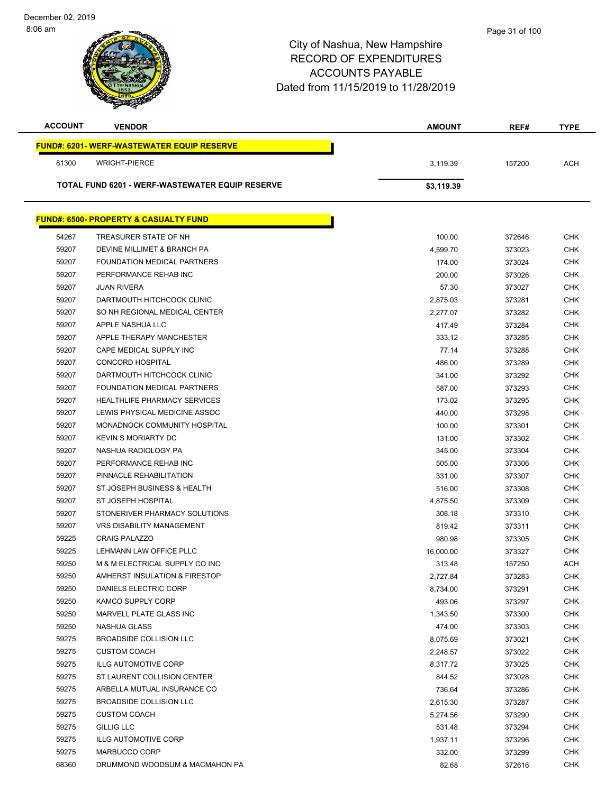| <b>ACCOUNT</b> | <b>VENDOR</b>                                    | <b>AMOUNT</b> | REF#   | <b>TYPE</b> |
|----------------|--------------------------------------------------|---------------|--------|-------------|
|                | <b>FUND#: 6201-WERF-WASTEWATER EQUIP RESERVE</b> |               |        |             |
|                | <b>WRIGHT-PIERCE</b>                             |               |        | <b>ACH</b>  |
| 81300          |                                                  | 3,119.39      | 157200 |             |
|                | TOTAL FUND 6201 - WERF-WASTEWATER EQUIP RESERVE  | \$3,119.39    |        |             |
|                | <b>FUND#: 6500- PROPERTY &amp; CASUALTY FUND</b> |               |        |             |
| 54267          | TREASURER STATE OF NH                            | 100.00        | 372646 | <b>CHK</b>  |
| 59207          | DEVINE MILLIMET & BRANCH PA                      | 4,599.70      | 373023 | <b>CHK</b>  |
| 59207          | FOUNDATION MEDICAL PARTNERS                      | 174.00        | 373024 | <b>CHK</b>  |
| 59207          | PERFORMANCE REHAB INC                            | 200.00        | 373026 | <b>CHK</b>  |
| 59207          | <b>JUAN RIVERA</b>                               | 57.30         | 373027 | <b>CHK</b>  |
| 59207          | DARTMOUTH HITCHCOCK CLINIC                       | 2,875.03      | 373281 | <b>CHK</b>  |
| 59207          | SO NH REGIONAL MEDICAL CENTER                    | 2,277.07      | 373282 | <b>CHK</b>  |
| 59207          | APPLE NASHUA LLC                                 | 417.49        | 373284 | <b>CHK</b>  |
| 59207          | APPLE THERAPY MANCHESTER                         | 333.12        | 373285 | <b>CHK</b>  |
| 59207          | CAPE MEDICAL SUPPLY INC                          | 77.14         | 373288 | <b>CHK</b>  |
| 59207          | <b>CONCORD HOSPITAL</b>                          | 486.00        | 373289 | <b>CHK</b>  |
| 59207          | DARTMOUTH HITCHCOCK CLINIC                       | 341.00        | 373292 | <b>CHK</b>  |
| 59207          | <b>FOUNDATION MEDICAL PARTNERS</b>               | 587.00        | 373293 | <b>CHK</b>  |
| 59207          | <b>HEALTHLIFE PHARMACY SERVICES</b>              | 173.02        | 373295 | <b>CHK</b>  |
| 59207          | LEWIS PHYSICAL MEDICINE ASSOC                    | 440.00        | 373298 | <b>CHK</b>  |
| 59207          | MONADNOCK COMMUNITY HOSPITAL                     | 100.00        | 373301 | <b>CHK</b>  |
| 59207          | <b>KEVIN S MORIARTY DC</b>                       | 131.00        | 373302 | <b>CHK</b>  |
| 59207          | NASHUA RADIOLOGY PA                              | 345.00        | 373304 | <b>CHK</b>  |
| 59207          | PERFORMANCE REHAB INC                            | 505.00        | 373306 | <b>CHK</b>  |
| 59207          | PINNACLE REHABILITATION                          | 331.00        | 373307 | <b>CHK</b>  |
| 59207          | ST JOSEPH BUSINESS & HEALTH                      | 516.00        | 373308 | <b>CHK</b>  |
| 59207          | ST JOSEPH HOSPITAL                               | 4,875.50      | 373309 | <b>CHK</b>  |
| 59207          | STONERIVER PHARMACY SOLUTIONS                    | 308.18        | 373310 | <b>CHK</b>  |
| 59207          | <b>VRS DISABILITY MANAGEMENT</b>                 | 819.42        |        | <b>CHK</b>  |
| 59225          | <b>CRAIG PALAZZO</b>                             | 980.98        | 373311 | <b>CHK</b>  |
| 59225          | LEHMANN LAW OFFICE PLLC                          |               | 373305 | <b>CHK</b>  |
| 59250          |                                                  | 16,000.00     | 373327 |             |
|                | M & M ELECTRICAL SUPPLY CO INC                   | 313.48        | 157250 | <b>ACH</b>  |
| 59250          | AMHERST INSULATION & FIRESTOP                    | 2,727.84      | 373283 | <b>CHK</b>  |
| 59250          | DANIELS ELECTRIC CORP                            | 8,734.00      | 373291 | <b>CHK</b>  |
| 59250          | <b>KAMCO SUPPLY CORP</b>                         | 493.06        | 373297 | <b>CHK</b>  |
| 59250          | MARVELL PLATE GLASS INC                          | 1,343.50      | 373300 | <b>CHK</b>  |
| 59250          | NASHUA GLASS                                     | 474.00        | 373303 | <b>CHK</b>  |
| 59275          | BROADSIDE COLLISION LLC                          | 8,075.69      | 373021 | <b>CHK</b>  |
| 59275          | <b>CUSTOM COACH</b>                              | 2,248.57      | 373022 | <b>CHK</b>  |
| 59275          | <b>ILLG AUTOMOTIVE CORP</b>                      | 8,317.72      | 373025 | CHK         |
| 59275          | ST LAURENT COLLISION CENTER                      | 844.52        | 373028 | <b>CHK</b>  |
| 59275          | ARBELLA MUTUAL INSURANCE CO                      | 736.64        | 373286 | <b>CHK</b>  |
| 59275          | BROADSIDE COLLISION LLC                          | 2,615.30      | 373287 | <b>CHK</b>  |
| 59275          | <b>CUSTOM COACH</b>                              | 5,274.56      | 373290 | <b>CHK</b>  |
| 59275          | <b>GILLIG LLC</b>                                | 531.48        | 373294 | CHK         |
| 59275          | <b>ILLG AUTOMOTIVE CORP</b>                      | 1,937.11      | 373296 | <b>CHK</b>  |
| 59275          | MARBUCCO CORP                                    | 332.00        | 373299 | <b>CHK</b>  |
| 68360          | DRUMMOND WOODSUM & MACMAHON PA                   | 82.68         | 372616 | <b>CHK</b>  |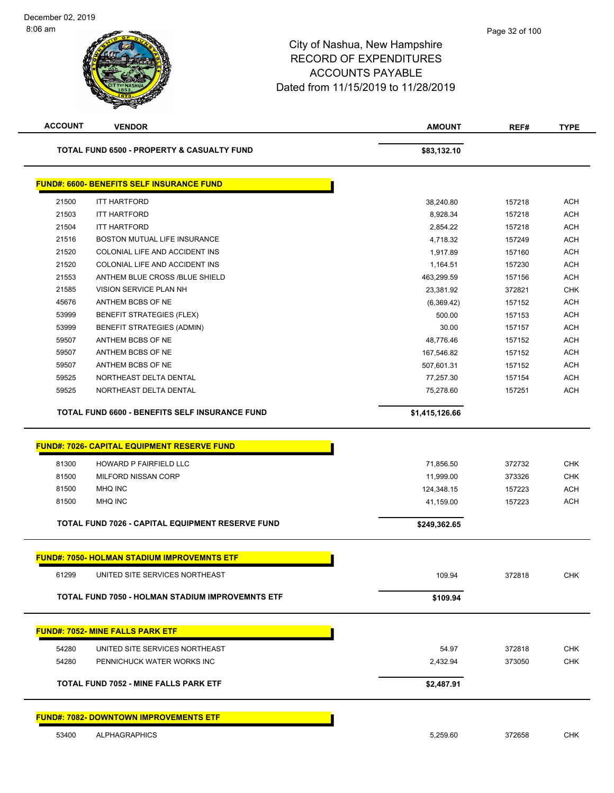| <b>ACCOUNT</b> | <b>VENDOR</b>                                           | <b>AMOUNT</b>  | REF#   | <b>TYPE</b> |
|----------------|---------------------------------------------------------|----------------|--------|-------------|
|                | <b>TOTAL FUND 6500 - PROPERTY &amp; CASUALTY FUND</b>   | \$83,132.10    |        |             |
|                | <b>FUND#: 6600- BENEFITS SELF INSURANCE FUND</b>        |                |        |             |
| 21500          | <b>ITT HARTFORD</b>                                     | 38,240.80      | 157218 | <b>ACH</b>  |
| 21503          | <b>ITT HARTFORD</b>                                     | 8,928.34       | 157218 | <b>ACH</b>  |
| 21504          | <b>ITT HARTFORD</b>                                     | 2,854.22       | 157218 | <b>ACH</b>  |
| 21516          | BOSTON MUTUAL LIFE INSURANCE                            | 4,718.32       | 157249 | <b>ACH</b>  |
| 21520          | COLONIAL LIFE AND ACCIDENT INS                          | 1,917.89       | 157160 | <b>ACH</b>  |
| 21520          | COLONIAL LIFE AND ACCIDENT INS                          | 1,164.51       | 157230 | <b>ACH</b>  |
| 21553          | ANTHEM BLUE CROSS /BLUE SHIELD                          | 463,299.59     | 157156 | <b>ACH</b>  |
| 21585          | VISION SERVICE PLAN NH                                  | 23,381.92      | 372821 | <b>CHK</b>  |
| 45676          | ANTHEM BCBS OF NE                                       | (6,369.42)     | 157152 | <b>ACH</b>  |
| 53999          | <b>BENEFIT STRATEGIES (FLEX)</b>                        | 500.00         | 157153 | <b>ACH</b>  |
| 53999          | <b>BENEFIT STRATEGIES (ADMIN)</b>                       | 30.00          | 157157 | <b>ACH</b>  |
| 59507          | ANTHEM BCBS OF NE                                       | 48,776.46      | 157152 | <b>ACH</b>  |
| 59507          | ANTHEM BCBS OF NE                                       | 167,546.82     | 157152 | <b>ACH</b>  |
| 59507          | ANTHEM BCBS OF NE                                       | 507,601.31     | 157152 | <b>ACH</b>  |
| 59525          | NORTHEAST DELTA DENTAL                                  | 77,257.30      | 157154 | <b>ACH</b>  |
| 59525          | NORTHEAST DELTA DENTAL                                  | 75,278.60      | 157251 | ACH         |
|                | <b>TOTAL FUND 6600 - BENEFITS SELF INSURANCE FUND</b>   | \$1,415,126.66 |        |             |
|                | <b>FUND#: 7026- CAPITAL EQUIPMENT RESERVE FUND</b>      |                |        |             |
| 81300          | HOWARD P FAIRFIELD LLC                                  | 71,856.50      | 372732 | <b>CHK</b>  |
| 81500          | MILFORD NISSAN CORP                                     | 11,999.00      | 373326 | <b>CHK</b>  |
| 81500          | <b>MHQ INC</b>                                          | 124,348.15     | 157223 | <b>ACH</b>  |
| 81500          | <b>MHQ INC</b>                                          | 41,159.00      | 157223 | ACH         |
|                | TOTAL FUND 7026 - CAPITAL EQUIPMENT RESERVE FUND        | \$249,362.65   |        |             |
|                |                                                         |                |        |             |
|                | <b>FUND#: 7050- HOLMAN STADIUM IMPROVEMNTS ETF</b>      |                |        |             |
| 61299          | UNITED SITE SERVICES NORTHEAST                          | 109.94         | 372818 | <b>CHK</b>  |
|                | <b>TOTAL FUND 7050 - HOLMAN STADIUM IMPROVEMNTS ETF</b> | \$109.94       |        |             |
|                | <b>FUND#: 7052- MINE FALLS PARK ETF</b>                 |                |        |             |
|                |                                                         |                |        |             |
| 54280          | UNITED SITE SERVICES NORTHEAST                          | 54.97          | 372818 | <b>CHK</b>  |
| 54280          | PENNICHUCK WATER WORKS INC                              | 2,432.94       | 373050 | <b>CHK</b>  |
|                | <b>TOTAL FUND 7052 - MINE FALLS PARK ETF</b>            | \$2,487.91     |        |             |
|                | <b>FUND#: 7082- DOWNTOWN IMPROVEMENTS ETF</b>           |                |        |             |
| 53400          | <b>ALPHAGRAPHICS</b>                                    | 5,259.60       | 372658 | <b>CHK</b>  |
|                |                                                         |                |        |             |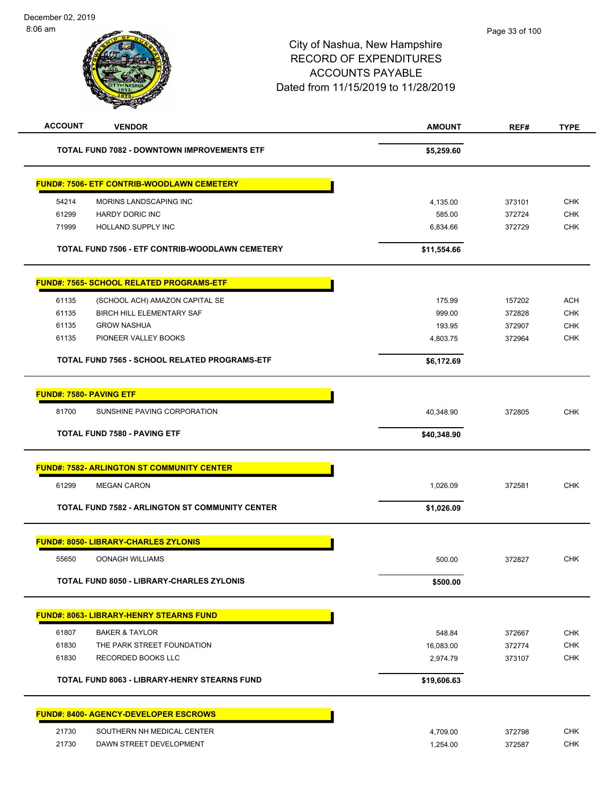| <b>ACCOUNT</b>                 | <b>VENDOR</b>                                          | <b>AMOUNT</b> | REF#   | <b>TYPE</b> |
|--------------------------------|--------------------------------------------------------|---------------|--------|-------------|
|                                | <b>TOTAL FUND 7082 - DOWNTOWN IMPROVEMENTS ETF</b>     | \$5,259.60    |        |             |
|                                | <b>FUND#: 7506- ETF CONTRIB-WOODLAWN CEMETERY</b>      |               |        |             |
| 54214                          | MORINS LANDSCAPING INC                                 | 4,135.00      | 373101 | <b>CHK</b>  |
| 61299                          | HARDY DORIC INC                                        | 585.00        | 372724 | <b>CHK</b>  |
| 71999                          | HOLLAND SUPPLY INC                                     | 6,834.66      | 372729 | <b>CHK</b>  |
|                                | TOTAL FUND 7506 - ETF CONTRIB-WOODLAWN CEMETERY        | \$11,554.66   |        |             |
|                                | <b>FUND#: 7565- SCHOOL RELATED PROGRAMS-ETF</b>        |               |        |             |
| 61135                          | (SCHOOL ACH) AMAZON CAPITAL SE                         | 175.99        | 157202 | <b>ACH</b>  |
| 61135                          | BIRCH HILL ELEMENTARY SAF                              | 999.00        | 372828 | <b>CHK</b>  |
| 61135                          | <b>GROW NASHUA</b>                                     | 193.95        | 372907 | <b>CHK</b>  |
| 61135                          | PIONEER VALLEY BOOKS                                   | 4,803.75      | 372964 | <b>CHK</b>  |
|                                | TOTAL FUND 7565 - SCHOOL RELATED PROGRAMS-ETF          | \$6,172.69    |        |             |
| <b>FUND#: 7580- PAVING ETF</b> |                                                        |               |        |             |
| 81700                          | SUNSHINE PAVING CORPORATION                            | 40,348.90     | 372805 | <b>CHK</b>  |
|                                | <b>TOTAL FUND 7580 - PAVING ETF</b>                    | \$40,348.90   |        |             |
|                                | <b>FUND#: 7582- ARLINGTON ST COMMUNITY CENTER</b>      |               |        |             |
| 61299                          | <b>MEGAN CARON</b>                                     | 1,026.09      | 372581 | <b>CHK</b>  |
|                                | <b>TOTAL FUND 7582 - ARLINGTON ST COMMUNITY CENTER</b> | \$1,026.09    |        |             |
|                                | <b>FUND#: 8050- LIBRARY-CHARLES ZYLONIS</b>            |               |        |             |
| 55650                          | <b>OONAGH WILLIAMS</b>                                 | 500.00        | 372827 | <b>CHK</b>  |
|                                | <b>TOTAL FUND 8050 - LIBRARY-CHARLES ZYLONIS</b>       | \$500.00      |        |             |
|                                |                                                        |               |        |             |
|                                | <b>FUND#: 8063- LIBRARY-HENRY STEARNS FUND</b>         |               |        |             |
| 61807                          | <b>BAKER &amp; TAYLOR</b>                              | 548.84        | 372667 | <b>CHK</b>  |
| 61830                          | THE PARK STREET FOUNDATION                             | 16,083.00     | 372774 | CHK         |
| 61830                          | <b>RECORDED BOOKS LLC</b>                              | 2,974.79      | 373107 | <b>CHK</b>  |
|                                | TOTAL FUND 8063 - LIBRARY-HENRY STEARNS FUND           | \$19,606.63   |        |             |
|                                | <b>FUND#: 8400- AGENCY-DEVELOPER ESCROWS</b>           |               |        |             |
| 21730                          | SOUTHERN NH MEDICAL CENTER                             | 4,709.00      | 372798 | <b>CHK</b>  |
| 21730                          | DAWN STREET DEVELOPMENT                                | 1,254.00      | 372587 | <b>CHK</b>  |
|                                |                                                        |               |        |             |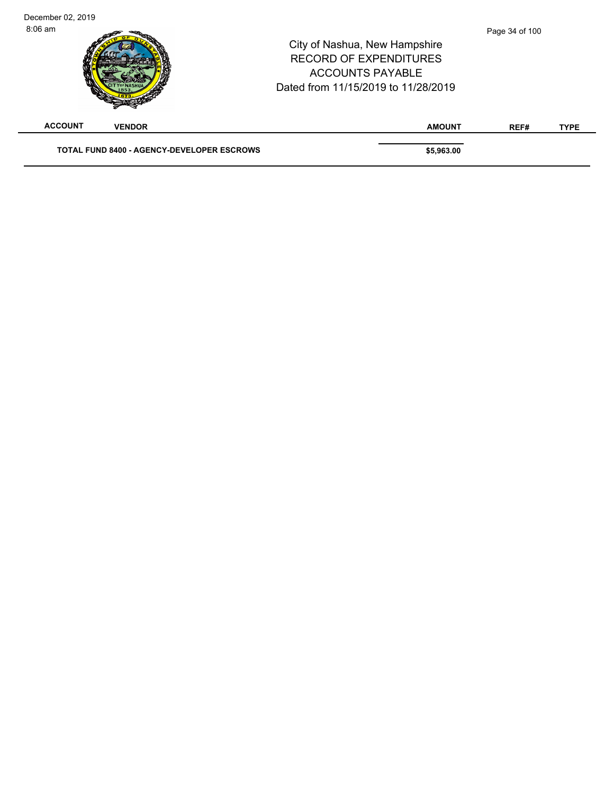| December 02, 2019 |                                                   |                                                                                                                                  |                |             |
|-------------------|---------------------------------------------------|----------------------------------------------------------------------------------------------------------------------------------|----------------|-------------|
| $8:06$ am         |                                                   | City of Nashua, New Hampshire<br><b>RECORD OF EXPENDITURES</b><br><b>ACCOUNTS PAYABLE</b><br>Dated from 11/15/2019 to 11/28/2019 | Page 34 of 100 |             |
| <b>ACCOUNT</b>    | <b>VENDOR</b>                                     | <b>AMOUNT</b>                                                                                                                    | REF#           | <b>TYPE</b> |
|                   | <b>TOTAL FUND 8400 - AGENCY-DEVELOPER ESCROWS</b> | \$5,963.00                                                                                                                       |                |             |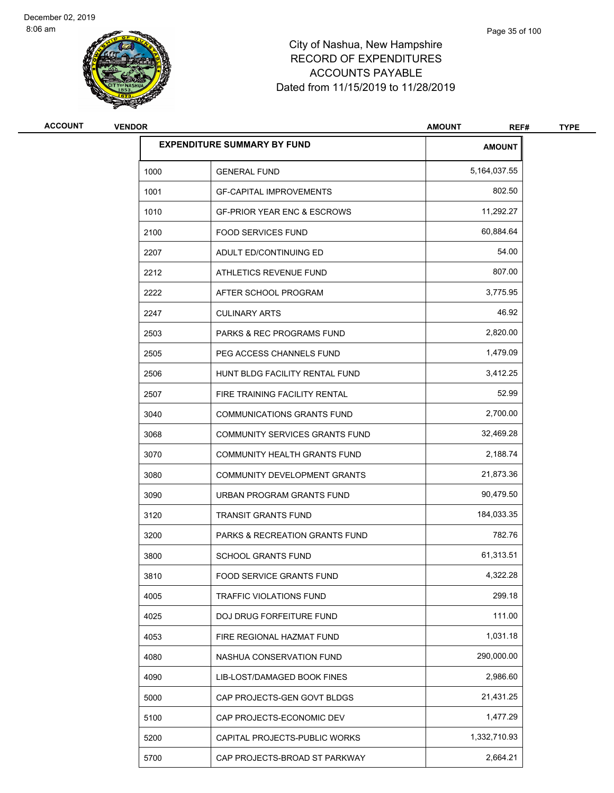

| <b>ACCOUNT</b> | <b>VENDOR</b> |                                           | <b>AMOUNT</b><br>REF# | <b>TYPE</b> |  |
|----------------|---------------|-------------------------------------------|-----------------------|-------------|--|
|                |               | <b>EXPENDITURE SUMMARY BY FUND</b>        | <b>AMOUNT</b>         |             |  |
|                | 1000          | <b>GENERAL FUND</b>                       | 5, 164, 037.55        |             |  |
|                | 1001          | <b>GF-CAPITAL IMPROVEMENTS</b>            | 802.50                |             |  |
|                | 1010          | <b>GF-PRIOR YEAR ENC &amp; ESCROWS</b>    | 11,292.27             |             |  |
|                | 2100          | <b>FOOD SERVICES FUND</b>                 | 60,884.64             |             |  |
|                | 2207          | ADULT ED/CONTINUING ED                    | 54.00                 |             |  |
|                | 2212          | ATHLETICS REVENUE FUND                    | 807.00                |             |  |
|                | 2222          | AFTER SCHOOL PROGRAM                      | 3,775.95              |             |  |
|                | 2247          | <b>CULINARY ARTS</b>                      | 46.92                 |             |  |
|                | 2503          | <b>PARKS &amp; REC PROGRAMS FUND</b>      | 2,820.00              |             |  |
|                | 2505          | PEG ACCESS CHANNELS FUND                  | 1,479.09              |             |  |
|                | 2506          | HUNT BLDG FACILITY RENTAL FUND            | 3,412.25              |             |  |
|                | 2507          | FIRE TRAINING FACILITY RENTAL             | 52.99                 |             |  |
|                | 3040          | COMMUNICATIONS GRANTS FUND                | 2,700.00              |             |  |
|                | 3068          | COMMUNITY SERVICES GRANTS FUND            | 32,469.28             |             |  |
|                | 3070          | COMMUNITY HEALTH GRANTS FUND              | 2,188.74              |             |  |
|                | 3080          | COMMUNITY DEVELOPMENT GRANTS              | 21,873.36             |             |  |
|                | 3090          | URBAN PROGRAM GRANTS FUND                 | 90,479.50             |             |  |
|                | 3120          | <b>TRANSIT GRANTS FUND</b>                | 184,033.35            |             |  |
|                | 3200          | <b>PARKS &amp; RECREATION GRANTS FUND</b> | 782.76                |             |  |
|                | 3800          | <b>SCHOOL GRANTS FUND</b>                 | 61,313.51             |             |  |
|                | 3810          | FOOD SERVICE GRANTS FUND                  | 4,322.28              |             |  |
|                | 4005          | <b>TRAFFIC VIOLATIONS FUND</b>            | 299.18                |             |  |
|                | 4025          | DOJ DRUG FORFEITURE FUND                  | 111.00                |             |  |
|                | 4053          | FIRE REGIONAL HAZMAT FUND                 | 1,031.18              |             |  |
|                | 4080          | NASHUA CONSERVATION FUND                  | 290,000.00            |             |  |
|                | 4090          | <b>LIB-LOST/DAMAGED BOOK FINES</b>        | 2,986.60              |             |  |
|                | 5000          | CAP PROJECTS-GEN GOVT BLDGS               | 21,431.25             |             |  |
|                | 5100          | CAP PROJECTS-ECONOMIC DEV                 | 1,477.29              |             |  |
|                | 5200          | CAPITAL PROJECTS-PUBLIC WORKS             | 1,332,710.93          |             |  |
|                | 5700          | CAP PROJECTS-BROAD ST PARKWAY             | 2,664.21              |             |  |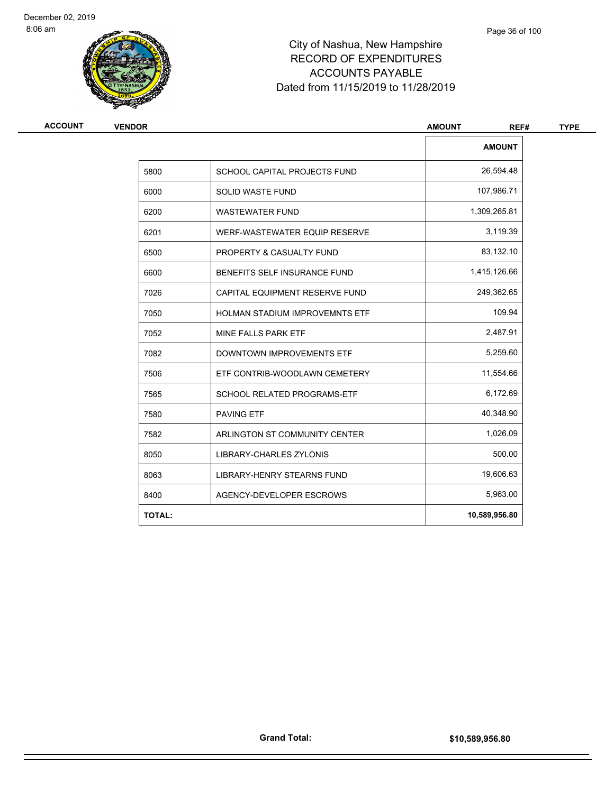

| <b>VENDOR</b> |                                       | <b>AMOUNT</b><br>REF# |
|---------------|---------------------------------------|-----------------------|
|               |                                       | <b>AMOUNT</b>         |
| 5800          | SCHOOL CAPITAL PROJECTS FUND          | 26,594.48             |
| 6000          | SOLID WASTE FUND                      | 107,986.71            |
| 6200          | <b>WASTEWATER FUND</b>                | 1,309,265.81          |
| 6201          | WERF-WASTEWATER EQUIP RESERVE         | 3,119.39              |
| 6500          | PROPERTY & CASUALTY FUND              | 83,132.10             |
| 6600          | BENEFITS SELF INSURANCE FUND          | 1,415,126.66          |
| 7026          | CAPITAL EQUIPMENT RESERVE FUND        | 249,362.65            |
| 7050          | <b>HOLMAN STADIUM IMPROVEMNTS ETF</b> | 109.94                |
| 7052          | MINE FALLS PARK ETF                   | 2,487.91              |
| 7082          | <b>DOWNTOWN IMPROVEMENTS ETF</b>      | 5,259.60              |
| 7506          | ETF CONTRIB-WOODLAWN CEMETERY         | 11,554.66             |
| 7565          | SCHOOL RELATED PROGRAMS-ETF           | 6,172.69              |
| 7580          | <b>PAVING ETF</b>                     | 40,348.90             |
| 7582          | ARLINGTON ST COMMUNITY CENTER         | 1,026.09              |
| 8050          | LIBRARY-CHARLES ZYLONIS               | 500.00                |
| 8063          | <b>LIBRARY-HENRY STEARNS FUND</b>     | 19,606.63             |
| 8400          | AGENCY-DEVELOPER ESCROWS              | 5,963.00              |
| <b>TOTAL:</b> |                                       | 10,589,956.80         |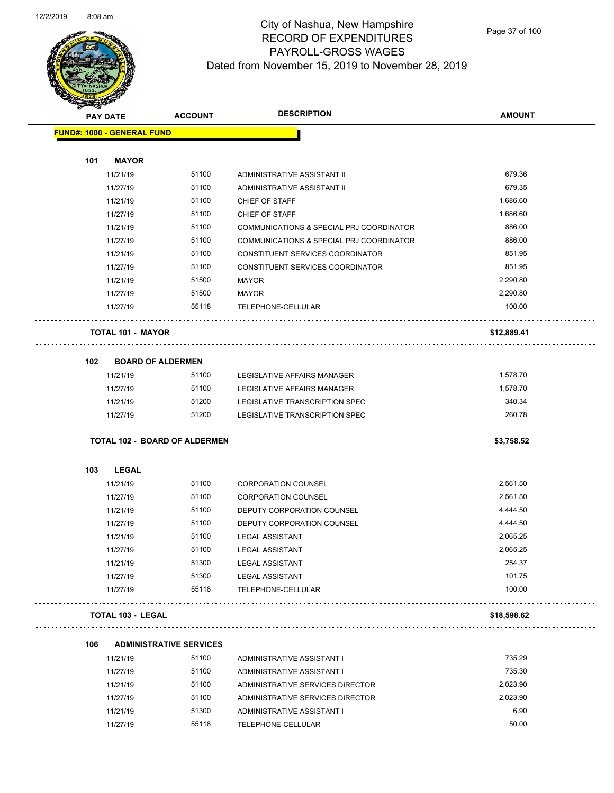

| <b>PAY DATE</b> |                                   | <b>ACCOUNT</b>                       | <b>DESCRIPTION</b>                       | <b>AMOUNT</b> |
|-----------------|-----------------------------------|--------------------------------------|------------------------------------------|---------------|
|                 | <b>FUND#: 1000 - GENERAL FUND</b> |                                      |                                          |               |
|                 |                                   |                                      |                                          |               |
| 101             | <b>MAYOR</b><br>11/21/19          | 51100                                | ADMINISTRATIVE ASSISTANT II              | 679.36        |
|                 | 11/27/19                          | 51100                                | ADMINISTRATIVE ASSISTANT II              | 679.35        |
|                 | 11/21/19                          | 51100                                | <b>CHIEF OF STAFF</b>                    | 1,686.60      |
|                 | 11/27/19                          | 51100                                | <b>CHIEF OF STAFF</b>                    | 1,686.60      |
|                 | 11/21/19                          | 51100                                | COMMUNICATIONS & SPECIAL PRJ COORDINATOR | 886.00        |
|                 | 11/27/19                          | 51100                                | COMMUNICATIONS & SPECIAL PRJ COORDINATOR | 886.00        |
|                 | 11/21/19                          | 51100                                | CONSTITUENT SERVICES COORDINATOR         | 851.95        |
|                 | 11/27/19                          | 51100                                | CONSTITUENT SERVICES COORDINATOR         | 851.95        |
|                 | 11/21/19                          | 51500                                | <b>MAYOR</b>                             | 2,290.80      |
|                 | 11/27/19                          | 51500                                | MAYOR                                    | 2,290.80      |
|                 | 11/27/19                          | 55118                                | TELEPHONE-CELLULAR                       | 100.00        |
|                 | TOTAL 101 - MAYOR                 |                                      |                                          | \$12,889.41   |
| 102             |                                   | <b>BOARD OF ALDERMEN</b>             |                                          |               |
|                 | 11/21/19                          | 51100                                | LEGISLATIVE AFFAIRS MANAGER              | 1,578.70      |
|                 | 11/27/19                          | 51100                                | LEGISLATIVE AFFAIRS MANAGER              | 1,578.70      |
|                 | 11/21/19                          | 51200                                | LEGISLATIVE TRANSCRIPTION SPEC           | 340.34        |
|                 | 11/27/19                          | 51200                                | LEGISLATIVE TRANSCRIPTION SPEC           | 260.78        |
|                 |                                   | <b>TOTAL 102 - BOARD OF ALDERMEN</b> |                                          | \$3,758.52    |
| 103             | <b>LEGAL</b>                      |                                      |                                          |               |
|                 | 11/21/19                          | 51100                                | <b>CORPORATION COUNSEL</b>               | 2,561.50      |
|                 | 11/27/19                          | 51100                                | <b>CORPORATION COUNSEL</b>               | 2,561.50      |
|                 | 11/21/19                          | 51100                                | DEPUTY CORPORATION COUNSEL               | 4,444.50      |
|                 | 11/27/19                          | 51100                                | DEPUTY CORPORATION COUNSEL               | 4,444.50      |
|                 | 11/21/19                          | 51100                                | <b>LEGAL ASSISTANT</b>                   | 2,065.25      |
|                 | 11/27/19                          | 51100                                | <b>LEGAL ASSISTANT</b>                   | 2,065.25      |
|                 | 11/21/19                          | 51300                                | <b>LEGAL ASSISTANT</b>                   | 254.37        |
|                 | 11/27/19                          | 51300                                | <b>LEGAL ASSISTANT</b>                   | 101.75        |
|                 | 11/27/19                          | 55118                                | TELEPHONE-CELLULAR                       | 100.00        |
|                 | <b>TOTAL 103 - LEGAL</b>          |                                      |                                          | \$18,598.62   |
| 106             |                                   | <b>ADMINISTRATIVE SERVICES</b>       |                                          |               |
|                 | 11/21/19                          | 51100                                | ADMINISTRATIVE ASSISTANT I               | 735.29        |
|                 | 11/27/19                          | 51100                                | ADMINISTRATIVE ASSISTANT I               | 735.30        |
|                 | 11/21/19                          | 51100                                | ADMINISTRATIVE SERVICES DIRECTOR         | 2,023.90      |
|                 | 11/27/19                          | 51100                                | ADMINISTRATIVE SERVICES DIRECTOR         | 2,023.90      |
|                 | 11/21/19                          | 51300                                | ADMINISTRATIVE ASSISTANT I               | 6.90          |
|                 | 11/27/19                          | 55118                                | TELEPHONE-CELLULAR                       | 50.00         |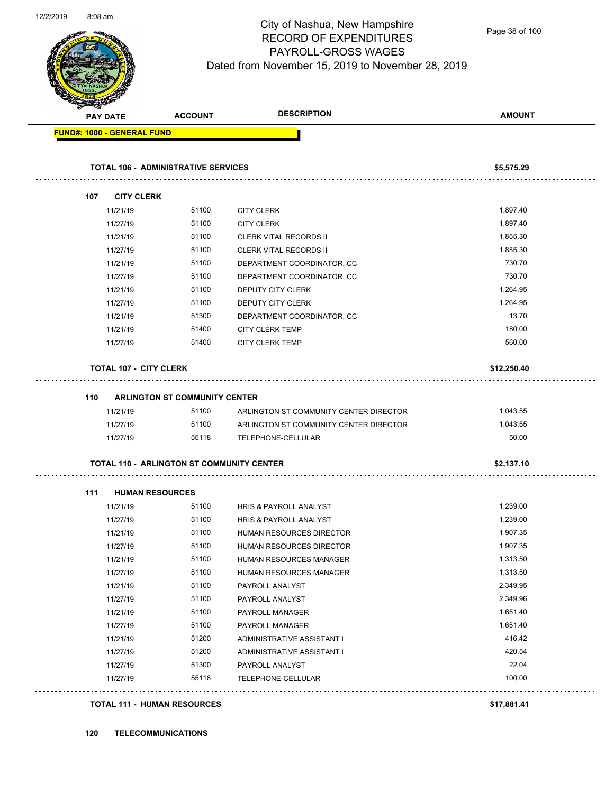

Page 38 of 100

| <b>PAY DATE</b>                   | <b>ACCOUNT</b>                                   | <b>DESCRIPTION</b>                     | <b>AMOUNT</b> |
|-----------------------------------|--------------------------------------------------|----------------------------------------|---------------|
| <b>FUND#: 1000 - GENERAL FUND</b> |                                                  |                                        |               |
|                                   | <b>TOTAL 106 - ADMINISTRATIVE SERVICES</b>       |                                        | \$5,575.29    |
|                                   |                                                  |                                        |               |
| 107<br><b>CITY CLERK</b>          |                                                  |                                        |               |
| 11/21/19                          | 51100                                            | <b>CITY CLERK</b>                      | 1,897.40      |
| 11/27/19                          | 51100                                            | <b>CITY CLERK</b>                      | 1,897.40      |
| 11/21/19                          | 51100                                            | <b>CLERK VITAL RECORDS II</b>          | 1,855.30      |
| 11/27/19                          | 51100                                            | <b>CLERK VITAL RECORDS II</b>          | 1,855.30      |
| 11/21/19                          | 51100                                            | DEPARTMENT COORDINATOR, CC             | 730.70        |
| 11/27/19                          | 51100                                            | DEPARTMENT COORDINATOR, CC             | 730.70        |
| 11/21/19                          | 51100                                            | DEPUTY CITY CLERK                      | 1,264.95      |
| 11/27/19                          | 51100                                            | <b>DEPUTY CITY CLERK</b>               | 1,264.95      |
| 11/21/19                          | 51300                                            | DEPARTMENT COORDINATOR, CC             | 13.70         |
| 11/21/19                          | 51400                                            | <b>CITY CLERK TEMP</b>                 | 180.00        |
| 11/27/19                          | 51400                                            | <b>CITY CLERK TEMP</b>                 | 560.00        |
| <b>TOTAL 107 - CITY CLERK</b>     |                                                  |                                        | \$12,250.40   |
| 110                               | <b>ARLINGTON ST COMMUNITY CENTER</b>             |                                        |               |
| 11/21/19                          | 51100                                            | ARLINGTON ST COMMUNITY CENTER DIRECTOR | 1,043.55      |
| 11/27/19                          | 51100                                            | ARLINGTON ST COMMUNITY CENTER DIRECTOR | 1,043.55      |
| 11/27/19                          | 55118                                            | TELEPHONE-CELLULAR                     | 50.00         |
|                                   | <b>TOTAL 110 - ARLINGTON ST COMMUNITY CENTER</b> |                                        | \$2,137.10    |
| 111                               | <b>HUMAN RESOURCES</b>                           |                                        |               |
| 11/21/19                          | 51100                                            | <b>HRIS &amp; PAYROLL ANALYST</b>      | 1,239.00      |
| 11/27/19                          | 51100                                            | HRIS & PAYROLL ANALYST                 | 1,239.00      |
| 11/21/19                          | 51100                                            | HUMAN RESOURCES DIRECTOR               | 1,907.35      |
| 11/27/19                          | 51100                                            | HUMAN RESOURCES DIRECTOR               | 1,907.35      |
| 11/21/19                          | 51100                                            | HUMAN RESOURCES MANAGER                | 1,313.50      |
| 11/27/19                          | 51100                                            | HUMAN RESOURCES MANAGER                | 1,313.50      |
| 11/21/19                          | 51100                                            |                                        | 2,349.95      |
| 11/27/19                          | 51100                                            | PAYROLL ANALYST                        | 2,349.96      |
|                                   | 51100                                            | PAYROLL ANALYST<br>PAYROLL MANAGER     | 1,651.40      |
| 11/21/19                          |                                                  |                                        |               |
| 11/27/19                          | 51100                                            | PAYROLL MANAGER                        | 1,651.40      |
| 11/21/19                          | 51200                                            | ADMINISTRATIVE ASSISTANT I             | 416.42        |
| 11/27/19                          | 51200                                            | ADMINISTRATIVE ASSISTANT I             | 420.54        |
| 11/27/19                          | 51300                                            | PAYROLL ANALYST                        | 22.04         |
| 11/27/19                          | 55118                                            | TELEPHONE-CELLULAR                     | 100.00        |
|                                   | <b>TOTAL 111 - HUMAN RESOURCES</b>               |                                        | \$17,881.41   |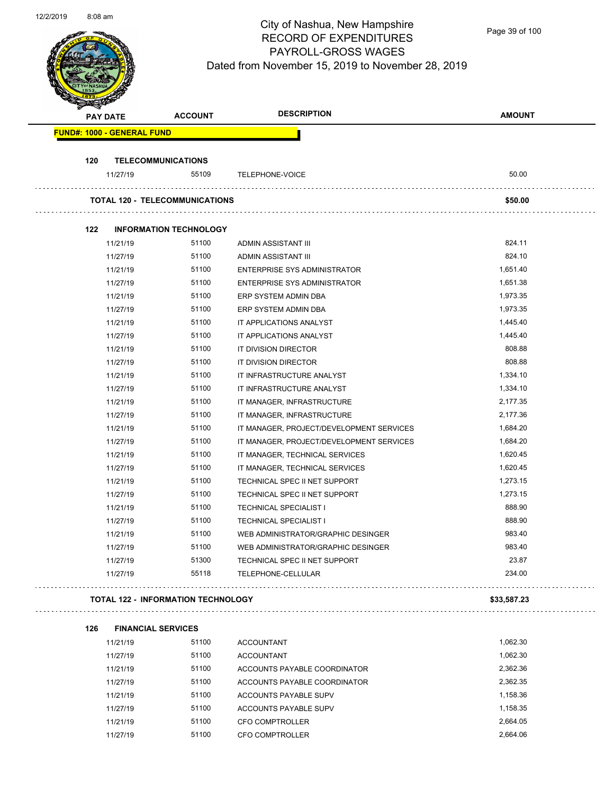| <b>PAY DATE</b>                   | <b>ACCOUNT</b>                            | <b>DESCRIPTION</b>                       | <b>AMOUNT</b> |
|-----------------------------------|-------------------------------------------|------------------------------------------|---------------|
| <b>FUND#: 1000 - GENERAL FUND</b> |                                           |                                          |               |
|                                   |                                           |                                          |               |
| 120                               | <b>TELECOMMUNICATIONS</b>                 |                                          |               |
| 11/27/19                          | 55109                                     | TELEPHONE-VOICE                          | 50.00         |
|                                   | <b>TOTAL 120 - TELECOMMUNICATIONS</b>     |                                          | \$50.00       |
| 122                               | <b>INFORMATION TECHNOLOGY</b>             |                                          |               |
| 11/21/19                          | 51100                                     | ADMIN ASSISTANT III                      | 824.11        |
| 11/27/19                          | 51100                                     | ADMIN ASSISTANT III                      | 824.10        |
| 11/21/19                          | 51100                                     | <b>ENTERPRISE SYS ADMINISTRATOR</b>      | 1,651.40      |
| 11/27/19                          | 51100                                     | ENTERPRISE SYS ADMINISTRATOR             | 1,651.38      |
| 11/21/19                          | 51100                                     | ERP SYSTEM ADMIN DBA                     | 1,973.35      |
| 11/27/19                          | 51100                                     | ERP SYSTEM ADMIN DBA                     | 1,973.35      |
| 11/21/19                          | 51100                                     | IT APPLICATIONS ANALYST                  | 1,445.40      |
| 11/27/19                          | 51100                                     | IT APPLICATIONS ANALYST                  | 1,445.40      |
| 11/21/19                          | 51100                                     | IT DIVISION DIRECTOR                     | 808.88        |
| 11/27/19                          | 51100                                     | IT DIVISION DIRECTOR                     | 808.88        |
| 11/21/19                          | 51100                                     | IT INFRASTRUCTURE ANALYST                | 1,334.10      |
| 11/27/19                          | 51100                                     | IT INFRASTRUCTURE ANALYST                | 1,334.10      |
| 11/21/19                          | 51100                                     | IT MANAGER, INFRASTRUCTURE               | 2,177.35      |
| 11/27/19                          | 51100                                     | IT MANAGER, INFRASTRUCTURE               | 2,177.36      |
| 11/21/19                          | 51100                                     | IT MANAGER, PROJECT/DEVELOPMENT SERVICES | 1,684.20      |
| 11/27/19                          | 51100                                     | IT MANAGER, PROJECT/DEVELOPMENT SERVICES | 1,684.20      |
| 11/21/19                          | 51100                                     | IT MANAGER, TECHNICAL SERVICES           | 1,620.45      |
| 11/27/19                          | 51100                                     | IT MANAGER, TECHNICAL SERVICES           | 1,620.45      |
| 11/21/19                          | 51100                                     | TECHNICAL SPEC II NET SUPPORT            | 1,273.15      |
| 11/27/19                          | 51100                                     | TECHNICAL SPEC II NET SUPPORT            | 1,273.15      |
| 11/21/19                          | 51100                                     | <b>TECHNICAL SPECIALIST I</b>            | 888.90        |
| 11/27/19                          | 51100                                     | <b>TECHNICAL SPECIALIST I</b>            | 888.90        |
| 11/21/19                          | 51100                                     | WEB ADMINISTRATOR/GRAPHIC DESINGER       | 983.40        |
| 11/27/19                          | 51100                                     | WEB ADMINISTRATOR/GRAPHIC DESINGER       | 983.40        |
| 11/27/19                          | 51300                                     | TECHNICAL SPEC II NET SUPPORT            | 23.87         |
| 11/27/19                          | 55118                                     | TELEPHONE-CELLULAR                       | 234.00        |
|                                   | <b>TOTAL 122 - INFORMATION TECHNOLOGY</b> |                                          | \$33,587.23   |
| 126                               | <b>FINANCIAL SERVICES</b>                 |                                          |               |
| 11/21/19                          | 51100                                     | <b>ACCOUNTANT</b>                        | 1,062.30      |
| 11/27/19                          | 51100                                     | <b>ACCOUNTANT</b>                        | 1,062.30      |
| 11/21/19                          | 51100                                     | ACCOUNTS PAYABLE COORDINATOR             | 2,362.36      |
| 11/27/19                          | 51100                                     | ACCOUNTS PAYABLE COORDINATOR             | 2,362.35      |
| 11/21/19                          | 51100                                     | ACCOUNTS PAYABLE SUPV                    | 1,158.36      |
| 11/27/19                          | 51100                                     | ACCOUNTS PAYABLE SUPV                    | 1,158.35      |
| 11/21/19                          | 51100                                     | <b>CFO COMPTROLLER</b>                   | 2,664.05      |
|                                   |                                           |                                          |               |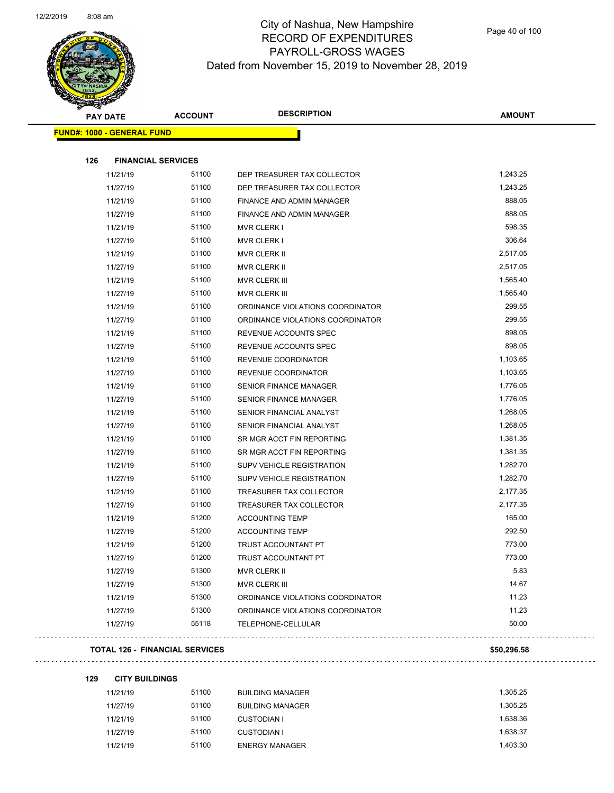

| <b>PAY DATE</b>                   | <b>ACCOUNT</b> | <b>DESCRIPTION</b>               | <b>AMOUNT</b> |
|-----------------------------------|----------------|----------------------------------|---------------|
| <b>FUND#: 1000 - GENERAL FUND</b> |                |                                  |               |
|                                   |                |                                  |               |
| 126<br><b>FINANCIAL SERVICES</b>  |                |                                  |               |
| 11/21/19                          | 51100          | DEP TREASURER TAX COLLECTOR      | 1,243.25      |
| 11/27/19                          | 51100          | DEP TREASURER TAX COLLECTOR      | 1,243.25      |
| 11/21/19                          | 51100          | FINANCE AND ADMIN MANAGER        | 888.05        |
| 11/27/19                          | 51100          | FINANCE AND ADMIN MANAGER        | 888.05        |
| 11/21/19                          | 51100          | <b>MVR CLERK I</b>               | 598.35        |
| 11/27/19                          | 51100          | <b>MVR CLERK I</b>               | 306.64        |
| 11/21/19                          | 51100          | MVR CLERK II                     | 2,517.05      |
| 11/27/19                          | 51100          | <b>MVR CLERK II</b>              | 2,517.05      |
| 11/21/19                          | 51100          | MVR CLERK III                    | 1,565.40      |
| 11/27/19                          | 51100          | MVR CLERK III                    | 1,565.40      |
| 11/21/19                          | 51100          | ORDINANCE VIOLATIONS COORDINATOR | 299.55        |
| 11/27/19                          | 51100          | ORDINANCE VIOLATIONS COORDINATOR | 299.55        |
| 11/21/19                          | 51100          | REVENUE ACCOUNTS SPEC            | 898.05        |
| 11/27/19                          | 51100          | REVENUE ACCOUNTS SPEC            | 898.05        |
| 11/21/19                          | 51100          | REVENUE COORDINATOR              | 1,103.65      |
| 11/27/19                          | 51100          | REVENUE COORDINATOR              | 1,103.65      |
| 11/21/19                          | 51100          | <b>SENIOR FINANCE MANAGER</b>    | 1,776.05      |
| 11/27/19                          | 51100          | <b>SENIOR FINANCE MANAGER</b>    | 1,776.05      |
| 11/21/19                          | 51100          | SENIOR FINANCIAL ANALYST         | 1,268.05      |
| 11/27/19                          | 51100          | SENIOR FINANCIAL ANALYST         | 1,268.05      |
| 11/21/19                          | 51100          | SR MGR ACCT FIN REPORTING        | 1,381.35      |
| 11/27/19                          | 51100          | SR MGR ACCT FIN REPORTING        | 1,381.35      |
| 11/21/19                          | 51100          | <b>SUPV VEHICLE REGISTRATION</b> | 1,282.70      |
| 11/27/19                          | 51100          | <b>SUPV VEHICLE REGISTRATION</b> | 1,282.70      |
| 11/21/19                          | 51100          | TREASURER TAX COLLECTOR          | 2,177.35      |
| 11/27/19                          | 51100          | TREASURER TAX COLLECTOR          | 2,177.35      |
| 11/21/19                          | 51200          | <b>ACCOUNTING TEMP</b>           | 165.00        |
| 11/27/19                          | 51200          | <b>ACCOUNTING TEMP</b>           | 292.50        |
| 11/21/19                          | 51200          | TRUST ACCOUNTANT PT              | 773.00        |
| 11/27/19                          | 51200          | <b>TRUST ACCOUNTANT PT</b>       | 773.00        |
| 11/27/19                          | 51300          | MVR CLERK II                     | 5.83          |
| 11/27/19                          | 51300          | <b>MVR CLERK III</b>             | 14.67         |
| 11/21/19                          | 51300          | ORDINANCE VIOLATIONS COORDINATOR | 11.23         |
| 11/27/19                          | 51300          | ORDINANCE VIOLATIONS COORDINATOR | 11.23         |
| 11/27/19                          | 55118          | TELEPHONE-CELLULAR               | 50.00         |
|                                   |                |                                  |               |

### **TOTAL 126 - FINANCIAL SERVICES \$50,296.58**

**129 CITY BUILDINGS**

| 11/21/19 | 51100 | <b>BUILDING MANAGER</b> | 1,305.25 |
|----------|-------|-------------------------|----------|
| 11/27/19 | 51100 | <b>BUILDING MANAGER</b> | 1.305.25 |
| 11/21/19 | 51100 | CUSTODIAN I             | 1.638.36 |
| 11/27/19 | 51100 | CUSTODIAN I             | 1.638.37 |
| 11/21/19 | 51100 | <b>ENERGY MANAGER</b>   | 1.403.30 |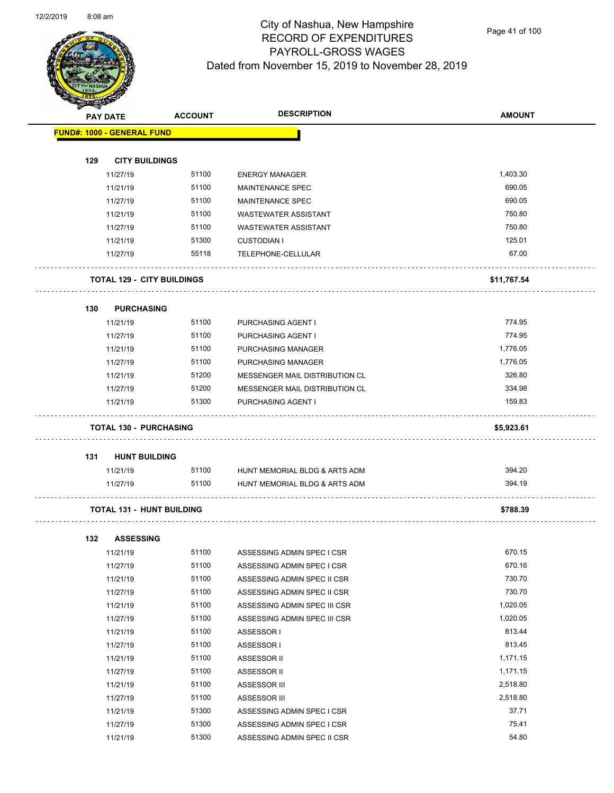

Page 41 of 100

| $\tilde{\phantom{a}}$ | <b>PAY DATE</b>                   | <b>ACCOUNT</b> | <b>DESCRIPTION</b>             | <b>AMOUNT</b> |
|-----------------------|-----------------------------------|----------------|--------------------------------|---------------|
|                       | <b>FUND#: 1000 - GENERAL FUND</b> |                |                                |               |
| 129                   | <b>CITY BUILDINGS</b>             |                |                                |               |
|                       | 11/27/19                          | 51100          | <b>ENERGY MANAGER</b>          | 1,403.30      |
|                       | 11/21/19                          | 51100          | MAINTENANCE SPEC               | 690.05        |
|                       | 11/27/19                          | 51100          | <b>MAINTENANCE SPEC</b>        | 690.05        |
|                       | 11/21/19                          | 51100          | <b>WASTEWATER ASSISTANT</b>    | 750.80        |
|                       | 11/27/19                          | 51100          | <b>WASTEWATER ASSISTANT</b>    | 750.80        |
|                       | 11/21/19                          | 51300          | <b>CUSTODIAN I</b>             | 125.01        |
|                       | 11/27/19                          | 55118          | TELEPHONE-CELLULAR             | 67.00         |
|                       | <b>TOTAL 129 - CITY BUILDINGS</b> |                |                                | \$11,767.54   |
| 130                   | <b>PURCHASING</b>                 |                |                                |               |
|                       | 11/21/19                          | 51100          | PURCHASING AGENT I             | 774.95        |
|                       | 11/27/19                          | 51100          | PURCHASING AGENT I             | 774.95        |
|                       | 11/21/19                          | 51100          | PURCHASING MANAGER             | 1,776.05      |
|                       | 11/27/19                          | 51100          | PURCHASING MANAGER             | 1,776.05      |
|                       | 11/21/19                          | 51200          | MESSENGER MAIL DISTRIBUTION CL | 326.80        |
|                       | 11/27/19                          | 51200          | MESSENGER MAIL DISTRIBUTION CL | 334.98        |
|                       | 11/21/19                          | 51300          | PURCHASING AGENT I             | 159.83        |
|                       | <b>TOTAL 130 - PURCHASING</b>     |                |                                | \$5,923.61    |
| 131                   | <b>HUNT BUILDING</b>              |                |                                |               |
|                       | 11/21/19                          | 51100          | HUNT MEMORIAL BLDG & ARTS ADM  | 394.20        |
|                       | 11/27/19                          | 51100          | HUNT MEMORIAL BLDG & ARTS ADM  | 394.19        |
|                       | <b>TOTAL 131 - HUNT BUILDING</b>  |                |                                | \$788.39      |
| 132                   | <b>ASSESSING</b>                  |                |                                |               |
|                       | 11/21/19                          | 51100          | ASSESSING ADMIN SPEC I CSR     | 670.15        |
|                       | 11/27/19                          | 51100          | ASSESSING ADMIN SPEC I CSR     | 670.16        |
|                       | 11/21/19                          | 51100          | ASSESSING ADMIN SPEC II CSR    | 730.70        |
|                       | 11/27/19                          | 51100          | ASSESSING ADMIN SPEC II CSR    | 730.70        |
|                       | 11/21/19                          | 51100          | ASSESSING ADMIN SPEC III CSR   | 1,020.05      |
|                       | 11/27/19                          | 51100          | ASSESSING ADMIN SPEC III CSR   | 1,020.05      |
|                       | 11/21/19                          | 51100          | ASSESSOR I                     | 813.44        |
|                       | 11/27/19                          | 51100          | ASSESSOR I                     | 813.45        |
|                       | 11/21/19                          | 51100          | ASSESSOR II                    | 1,171.15      |
|                       | 11/27/19                          | 51100          | ASSESSOR II                    | 1,171.15      |
|                       | 11/21/19                          | 51100          | ASSESSOR III                   | 2,518.80      |
|                       | 11/27/19                          | 51100          | ASSESSOR III                   | 2,518.80      |
|                       | 11/21/19                          | 51300          | ASSESSING ADMIN SPEC I CSR     | 37.71         |

11/27/19 51300 ASSESSING ADMIN SPEC I CSR 75.41 11/21/19 51300 ASSESSING ADMIN SPEC II CSR 54.80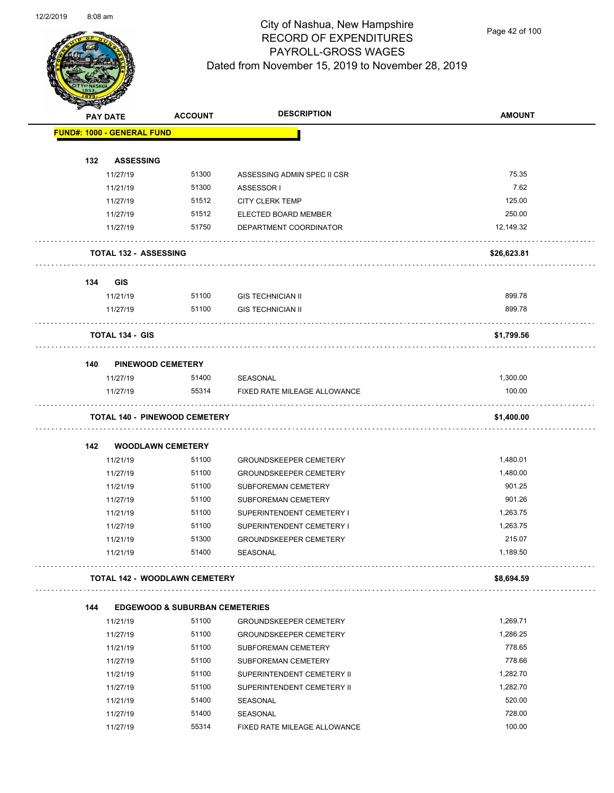

|     | <b>PAY DATE</b>                   | <b>ACCOUNT</b>                            | <b>DESCRIPTION</b>            | <b>AMOUNT</b> |
|-----|-----------------------------------|-------------------------------------------|-------------------------------|---------------|
|     | <b>FUND#: 1000 - GENERAL FUND</b> |                                           |                               |               |
| 132 | <b>ASSESSING</b>                  |                                           |                               |               |
|     | 11/27/19                          | 51300                                     | ASSESSING ADMIN SPEC II CSR   | 75.35         |
|     | 11/21/19                          | 51300                                     | ASSESSOR I                    | 7.62          |
|     | 11/27/19                          | 51512                                     | <b>CITY CLERK TEMP</b>        | 125.00        |
|     | 11/27/19                          | 51512                                     | ELECTED BOARD MEMBER          | 250.00        |
|     | 11/27/19                          | 51750                                     | DEPARTMENT COORDINATOR        | 12,149.32     |
|     | <b>TOTAL 132 - ASSESSING</b>      |                                           |                               | \$26,623.81   |
| 134 | <b>GIS</b>                        |                                           |                               |               |
|     | 11/21/19                          | 51100                                     | <b>GIS TECHNICIAN II</b>      | 899.78        |
|     | 11/27/19                          | 51100                                     | <b>GIS TECHNICIAN II</b>      | 899.78        |
|     | <b>TOTAL 134 - GIS</b>            |                                           |                               | \$1,799.56    |
| 140 |                                   | <b>PINEWOOD CEMETERY</b>                  |                               |               |
|     | 11/27/19                          | 51400                                     | SEASONAL                      | 1,300.00      |
|     | 11/27/19                          | 55314                                     | FIXED RATE MILEAGE ALLOWANCE  | 100.00        |
|     |                                   | <b>TOTAL 140 - PINEWOOD CEMETERY</b>      |                               | \$1,400.00    |
| 142 |                                   | <b>WOODLAWN CEMETERY</b>                  |                               |               |
|     | 11/21/19                          | 51100                                     | <b>GROUNDSKEEPER CEMETERY</b> | 1,480.01      |
|     | 11/27/19                          | 51100                                     | <b>GROUNDSKEEPER CEMETERY</b> | 1,480.00      |
|     | 11/21/19                          | 51100                                     | <b>SUBFOREMAN CEMETERY</b>    | 901.25        |
|     | 11/27/19                          | 51100                                     | SUBFOREMAN CEMETERY           | 901.26        |
|     | 11/21/19                          | 51100                                     | SUPERINTENDENT CEMETERY I     | 1,263.75      |
|     | 11/27/19                          | 51100                                     | SUPERINTENDENT CEMETERY I     | 1,263.75      |
|     | 11/21/19                          | 51300                                     | <b>GROUNDSKEEPER CEMETERY</b> | 215.07        |
|     | 11/21/19                          | 51400                                     | <b>SEASONAL</b>               | 1,189.50      |
|     |                                   | <b>TOTAL 142 - WOODLAWN CEMETERY</b>      |                               | \$8,694.59    |
| 144 |                                   | <b>EDGEWOOD &amp; SUBURBAN CEMETERIES</b> |                               |               |
|     | 11/21/19                          | 51100                                     | <b>GROUNDSKEEPER CEMETERY</b> | 1,269.71      |
|     | 11/27/19                          | 51100                                     | <b>GROUNDSKEEPER CEMETERY</b> | 1,286.25      |
|     | 11/21/19                          | 51100                                     | <b>SUBFOREMAN CEMETERY</b>    | 778.65        |
|     | 11/27/19                          | 51100                                     | <b>SUBFOREMAN CEMETERY</b>    | 778.66        |
|     | 11/21/19                          | 51100                                     | SUPERINTENDENT CEMETERY II    | 1,282.70      |
|     | 11/27/19                          | 51100                                     | SUPERINTENDENT CEMETERY II    | 1,282.70      |
|     | 11/21/19                          | 51400                                     | SEASONAL                      | 520.00        |
|     |                                   |                                           |                               |               |
|     | 11/27/19                          | 51400                                     | SEASONAL                      | 728.00        |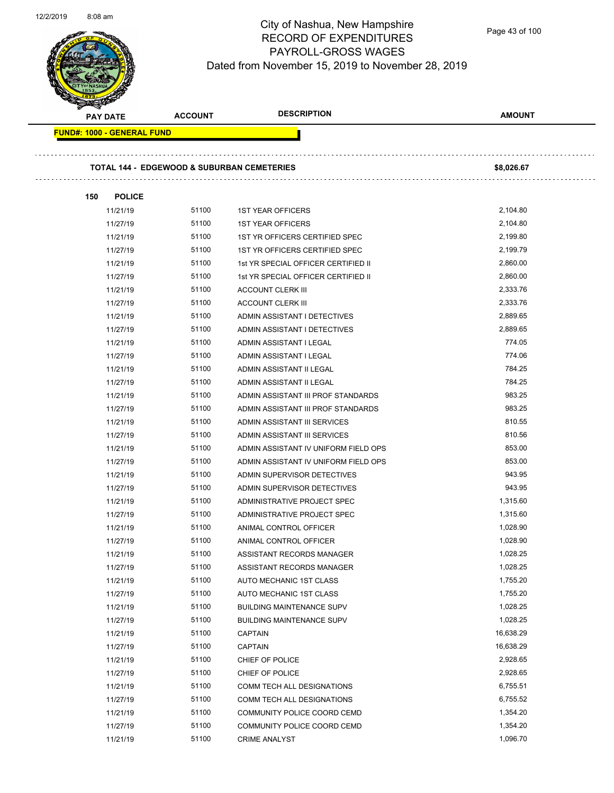$\bar{\omega}$  .

 $\sim$   $\sim$ 

## City of Nashua, New Hampshire RECORD OF EXPENDITURES PAYROLL-GROSS WAGES Dated from November 15, 2019 to November 28, 2019

Page 43 of 100

|     | <b>PAY DATE</b>                   | <b>ACCOUNT</b> | <b>DESCRIPTION</b>                                    | <b>AMOUNT</b> |
|-----|-----------------------------------|----------------|-------------------------------------------------------|---------------|
|     | <b>FUND#: 1000 - GENERAL FUND</b> |                |                                                       |               |
|     |                                   |                |                                                       |               |
|     |                                   |                | <b>TOTAL 144 - EDGEWOOD &amp; SUBURBAN CEMETERIES</b> | \$8,026.67    |
| 150 | <b>POLICE</b>                     |                |                                                       |               |
|     | 11/21/19                          | 51100          | <b>1ST YEAR OFFICERS</b>                              | 2,104.80      |
|     | 11/27/19                          | 51100          | <b>1ST YEAR OFFICERS</b>                              | 2,104.80      |
|     | 11/21/19                          | 51100          | 1ST YR OFFICERS CERTIFIED SPEC                        | 2,199.80      |
|     | 11/27/19                          | 51100          | 1ST YR OFFICERS CERTIFIED SPEC                        | 2,199.79      |
|     | 11/21/19                          | 51100          | 1st YR SPECIAL OFFICER CERTIFIED II                   | 2,860.00      |
|     | 11/27/19                          | 51100          | 1st YR SPECIAL OFFICER CERTIFIED II                   | 2,860.00      |
|     | 11/21/19                          | 51100          | <b>ACCOUNT CLERK III</b>                              | 2,333.76      |
|     | 11/27/19                          | 51100          | <b>ACCOUNT CLERK III</b>                              | 2,333.76      |
|     | 11/21/19                          | 51100          | ADMIN ASSISTANT I DETECTIVES                          | 2,889.65      |
|     | 11/27/19                          | 51100          | ADMIN ASSISTANT I DETECTIVES                          | 2,889.65      |
|     | 11/21/19                          | 51100          | ADMIN ASSISTANT I LEGAL                               | 774.05        |
|     | 11/27/19                          | 51100          | ADMIN ASSISTANT I LEGAL                               | 774.06        |
|     | 11/21/19                          | 51100          | ADMIN ASSISTANT II LEGAL                              | 784.25        |
|     | 11/27/19                          | 51100          | ADMIN ASSISTANT II LEGAL                              | 784.25        |
|     | 11/21/19                          | 51100          | ADMIN ASSISTANT III PROF STANDARDS                    | 983.25        |
|     | 11/27/19                          | 51100          | ADMIN ASSISTANT III PROF STANDARDS                    | 983.25        |
|     | 11/21/19                          | 51100          | ADMIN ASSISTANT III SERVICES                          | 810.55        |
|     | 11/27/19                          | 51100          | ADMIN ASSISTANT III SERVICES                          | 810.56        |
|     | 11/21/19                          | 51100          | ADMIN ASSISTANT IV UNIFORM FIELD OPS                  | 853.00        |
|     | 11/27/19                          | 51100          | ADMIN ASSISTANT IV UNIFORM FIELD OPS                  | 853.00        |
|     | 11/21/19                          | 51100          | ADMIN SUPERVISOR DETECTIVES                           | 943.95        |
|     | 11/27/19                          | 51100          | ADMIN SUPERVISOR DETECTIVES                           | 943.95        |
|     | 11/21/19                          | 51100          | ADMINISTRATIVE PROJECT SPEC                           | 1,315.60      |
|     | 11/27/19                          | 51100          | ADMINISTRATIVE PROJECT SPEC                           | 1,315.60      |
|     | 11/21/19                          | 51100          | ANIMAL CONTROL OFFICER                                | 1.028.90      |
|     | 11/27/19                          | 51100          | ANIMAL CONTROL OFFICER                                | 1,028.90      |
|     | 11/21/19                          | 51100          | ASSISTANT RECORDS MANAGER                             | 1,028.25      |
|     | 11/27/19                          | 51100          | ASSISTANT RECORDS MANAGER                             | 1,028.25      |
|     | 11/21/19                          | 51100          | AUTO MECHANIC 1ST CLASS                               | 1,755.20      |
|     | 11/27/19                          | 51100          | AUTO MECHANIC 1ST CLASS                               | 1,755.20      |
|     | 11/21/19                          | 51100          | <b>BUILDING MAINTENANCE SUPV</b>                      | 1,028.25      |
|     | 11/27/19                          | 51100          | <b>BUILDING MAINTENANCE SUPV</b>                      | 1,028.25      |
|     | 11/21/19                          | 51100          | CAPTAIN                                               | 16,638.29     |
|     | 11/27/19                          | 51100          | CAPTAIN                                               | 16,638.29     |
|     | 11/21/19                          | 51100          | CHIEF OF POLICE                                       | 2,928.65      |
|     | 11/27/19                          | 51100          | CHIEF OF POLICE                                       | 2,928.65      |
|     | 11/21/19                          | 51100          | COMM TECH ALL DESIGNATIONS                            | 6,755.51      |
|     | 11/27/19                          | 51100          | COMM TECH ALL DESIGNATIONS                            | 6,755.52      |
|     | 11/21/19                          | 51100          | COMMUNITY POLICE COORD CEMD                           | 1,354.20      |
|     | 11/27/19                          | 51100          | COMMUNITY POLICE COORD CEMD                           | 1,354.20      |
|     | 11/21/19                          | 51100          |                                                       |               |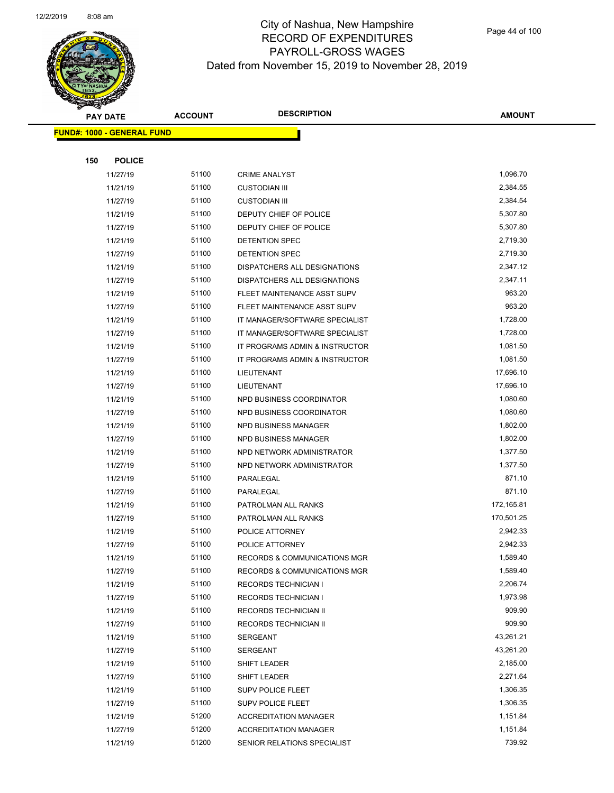

Page 44 of 100

| <b>PAY DATE</b> |                                   | <b>DESCRIPTION</b><br><b>ACCOUNT</b> |                                         | <b>AMOUNT</b> |
|-----------------|-----------------------------------|--------------------------------------|-----------------------------------------|---------------|
|                 | <b>FUND#: 1000 - GENERAL FUND</b> |                                      |                                         |               |
|                 |                                   |                                      |                                         |               |
| 150             | <b>POLICE</b>                     |                                      |                                         |               |
|                 | 11/27/19                          | 51100                                | <b>CRIME ANALYST</b>                    | 1,096.70      |
|                 | 11/21/19                          | 51100                                | <b>CUSTODIAN III</b>                    | 2,384.55      |
|                 | 11/27/19                          | 51100                                | <b>CUSTODIAN III</b>                    | 2,384.54      |
|                 | 11/21/19                          | 51100                                | DEPUTY CHIEF OF POLICE                  | 5,307.80      |
|                 | 11/27/19                          | 51100                                | DEPUTY CHIEF OF POLICE                  | 5,307.80      |
|                 | 11/21/19                          | 51100                                | <b>DETENTION SPEC</b>                   | 2,719.30      |
|                 | 11/27/19                          | 51100                                | DETENTION SPEC                          | 2,719.30      |
|                 | 11/21/19                          | 51100                                | DISPATCHERS ALL DESIGNATIONS            | 2,347.12      |
|                 | 11/27/19                          | 51100                                | DISPATCHERS ALL DESIGNATIONS            | 2,347.11      |
|                 | 11/21/19                          | 51100                                | FLEET MAINTENANCE ASST SUPV             | 963.20        |
|                 | 11/27/19                          | 51100                                | FLEET MAINTENANCE ASST SUPV             | 963.20        |
|                 | 11/21/19                          | 51100                                | IT MANAGER/SOFTWARE SPECIALIST          | 1,728.00      |
|                 | 11/27/19                          | 51100                                | IT MANAGER/SOFTWARE SPECIALIST          | 1,728.00      |
|                 | 11/21/19                          | 51100                                | IT PROGRAMS ADMIN & INSTRUCTOR          | 1,081.50      |
|                 | 11/27/19                          | 51100                                | IT PROGRAMS ADMIN & INSTRUCTOR          | 1,081.50      |
|                 | 11/21/19                          | 51100                                | <b>LIEUTENANT</b>                       | 17,696.10     |
|                 | 11/27/19                          | 51100                                | <b>LIEUTENANT</b>                       | 17,696.10     |
|                 | 11/21/19                          | 51100                                | NPD BUSINESS COORDINATOR                | 1,080.60      |
|                 | 11/27/19                          | 51100                                | NPD BUSINESS COORDINATOR                | 1,080.60      |
|                 | 11/21/19                          | 51100                                | <b>NPD BUSINESS MANAGER</b>             | 1,802.00      |
|                 | 11/27/19                          | 51100                                | <b>NPD BUSINESS MANAGER</b>             | 1,802.00      |
|                 | 11/21/19                          | 51100                                | NPD NETWORK ADMINISTRATOR               | 1,377.50      |
|                 | 11/27/19                          | 51100                                | NPD NETWORK ADMINISTRATOR               | 1,377.50      |
|                 | 11/21/19                          | 51100                                | PARALEGAL                               | 871.10        |
|                 | 11/27/19                          | 51100                                | PARALEGAL                               | 871.10        |
|                 | 11/21/19                          | 51100                                | PATROLMAN ALL RANKS                     | 172,165.81    |
|                 | 11/27/19                          | 51100                                | PATROLMAN ALL RANKS                     | 170,501.25    |
|                 | 11/21/19                          | 51100                                | POLICE ATTORNEY                         | 2,942.33      |
|                 | 11/27/19                          | 51100                                | POLICE ATTORNEY                         | 2,942.33      |
|                 | 11/21/19                          | 51100                                | <b>RECORDS &amp; COMMUNICATIONS MGR</b> | 1,589.40      |
|                 | 11/27/19                          | 51100                                | <b>RECORDS &amp; COMMUNICATIONS MGR</b> | 1,589.40      |
|                 | 11/21/19                          | 51100                                | <b>RECORDS TECHNICIAN I</b>             | 2,206.74      |
|                 | 11/27/19                          | 51100                                | RECORDS TECHNICIAN I                    | 1,973.98      |
|                 | 11/21/19                          | 51100                                | RECORDS TECHNICIAN II                   | 909.90        |
|                 | 11/27/19                          | 51100                                | RECORDS TECHNICIAN II                   | 909.90        |
|                 | 11/21/19                          | 51100                                | SERGEANT                                | 43,261.21     |
|                 | 11/27/19                          | 51100                                | SERGEANT                                | 43,261.20     |
|                 | 11/21/19                          | 51100                                | SHIFT LEADER                            | 2,185.00      |
|                 | 11/27/19                          | 51100                                | SHIFT LEADER                            | 2,271.64      |
|                 | 11/21/19                          | 51100                                | <b>SUPV POLICE FLEET</b>                | 1,306.35      |
|                 | 11/27/19                          | 51100                                | SUPV POLICE FLEET                       | 1,306.35      |
|                 | 11/21/19                          | 51200                                | <b>ACCREDITATION MANAGER</b>            | 1,151.84      |
|                 | 11/27/19                          | 51200                                | <b>ACCREDITATION MANAGER</b>            | 1,151.84      |
|                 | 11/21/19                          | 51200                                | SENIOR RELATIONS SPECIALIST             | 739.92        |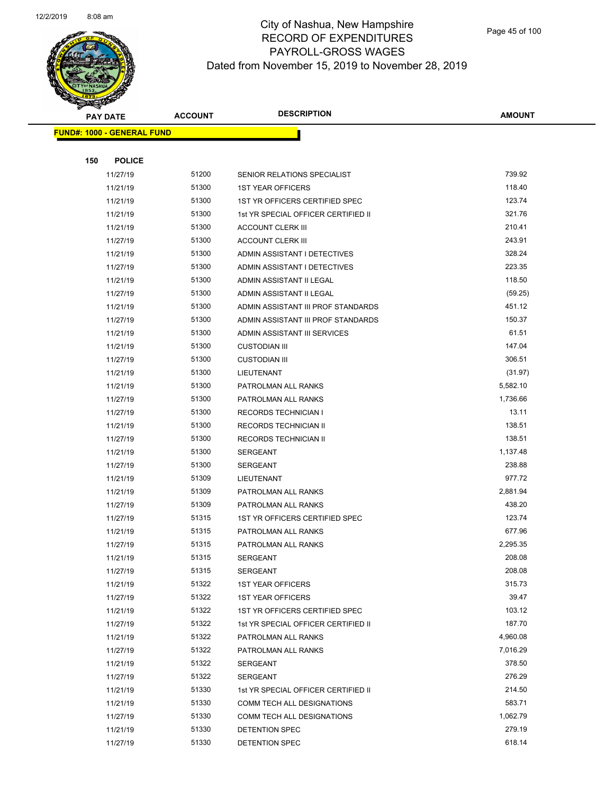

|     | <b>PAY DATE</b>                   | <b>ACCOUNT</b> | <b>DESCRIPTION</b>                  | <b>AMOUNT</b> |
|-----|-----------------------------------|----------------|-------------------------------------|---------------|
|     | <b>FUND#: 1000 - GENERAL FUND</b> |                |                                     |               |
|     |                                   |                |                                     |               |
| 150 | <b>POLICE</b>                     |                |                                     |               |
|     | 11/27/19                          | 51200          | SENIOR RELATIONS SPECIALIST         | 739.92        |
|     | 11/21/19                          | 51300          | <b>1ST YEAR OFFICERS</b>            | 118.40        |
|     | 11/21/19                          | 51300          | 1ST YR OFFICERS CERTIFIED SPEC      | 123.74        |
|     | 11/21/19                          | 51300          | 1st YR SPECIAL OFFICER CERTIFIED II | 321.76        |
|     | 11/21/19                          | 51300          | <b>ACCOUNT CLERK III</b>            | 210.41        |
|     | 11/27/19                          | 51300          | <b>ACCOUNT CLERK III</b>            | 243.91        |
|     | 11/21/19                          | 51300          | ADMIN ASSISTANT I DETECTIVES        | 328.24        |
|     | 11/27/19                          | 51300          | ADMIN ASSISTANT I DETECTIVES        | 223.35        |
|     | 11/21/19                          | 51300          | ADMIN ASSISTANT II LEGAL            | 118.50        |
|     | 11/27/19                          | 51300          | ADMIN ASSISTANT II LEGAL            | (59.25)       |
|     | 11/21/19                          | 51300          | ADMIN ASSISTANT III PROF STANDARDS  | 451.12        |
|     | 11/27/19                          | 51300          | ADMIN ASSISTANT III PROF STANDARDS  | 150.37        |
|     | 11/21/19                          | 51300          | ADMIN ASSISTANT III SERVICES        | 61.51         |
|     | 11/21/19                          | 51300          | <b>CUSTODIAN III</b>                | 147.04        |
|     | 11/27/19                          | 51300          | <b>CUSTODIAN III</b>                | 306.51        |
|     | 11/21/19                          | 51300          | LIEUTENANT                          | (31.97)       |
|     | 11/21/19                          | 51300          | PATROLMAN ALL RANKS                 | 5,582.10      |
|     | 11/27/19                          | 51300          | PATROLMAN ALL RANKS                 | 1,736.66      |
|     | 11/27/19                          | 51300          | <b>RECORDS TECHNICIAN I</b>         | 13.11         |
|     | 11/21/19                          | 51300          | <b>RECORDS TECHNICIAN II</b>        | 138.51        |
|     | 11/27/19                          | 51300          | RECORDS TECHNICIAN II               | 138.51        |
|     | 11/21/19                          | 51300          | <b>SERGEANT</b>                     | 1,137.48      |
|     | 11/27/19                          | 51300          | <b>SERGEANT</b>                     | 238.88        |
|     | 11/21/19                          | 51309          | LIEUTENANT                          | 977.72        |
|     | 11/21/19                          | 51309          | PATROLMAN ALL RANKS                 | 2,881.94      |
|     | 11/27/19                          | 51309          | PATROLMAN ALL RANKS                 | 438.20        |
|     | 11/27/19                          | 51315          | 1ST YR OFFICERS CERTIFIED SPEC      | 123.74        |
|     | 11/21/19                          | 51315          | PATROLMAN ALL RANKS                 | 677.96        |
|     | 11/27/19                          | 51315          | PATROLMAN ALL RANKS                 | 2,295.35      |
|     | 11/21/19                          | 51315          | SERGEANT                            | 208.08        |
|     | 11/27/19                          | 51315          | <b>SERGEANT</b>                     | 208.08        |
|     | 11/21/19                          | 51322          | <b>1ST YEAR OFFICERS</b>            | 315.73        |
|     | 11/27/19                          | 51322          | <b>1ST YEAR OFFICERS</b>            | 39.47         |
|     | 11/21/19                          | 51322          | 1ST YR OFFICERS CERTIFIED SPEC      | 103.12        |
|     | 11/27/19                          | 51322          | 1st YR SPECIAL OFFICER CERTIFIED II | 187.70        |
|     | 11/21/19                          | 51322          | PATROLMAN ALL RANKS                 | 4,960.08      |
|     | 11/27/19                          | 51322          | PATROLMAN ALL RANKS                 | 7,016.29      |
|     | 11/21/19                          | 51322          | <b>SERGEANT</b>                     | 378.50        |
|     | 11/27/19                          | 51322          | <b>SERGEANT</b>                     | 276.29        |
|     | 11/21/19                          | 51330          | 1st YR SPECIAL OFFICER CERTIFIED II | 214.50        |
|     | 11/21/19                          | 51330          | COMM TECH ALL DESIGNATIONS          | 583.71        |
|     | 11/27/19                          | 51330          | COMM TECH ALL DESIGNATIONS          | 1,062.79      |
|     | 11/21/19                          | 51330          | DETENTION SPEC                      | 279.19        |
|     | 11/27/19                          | 51330          | DETENTION SPEC                      | 618.14        |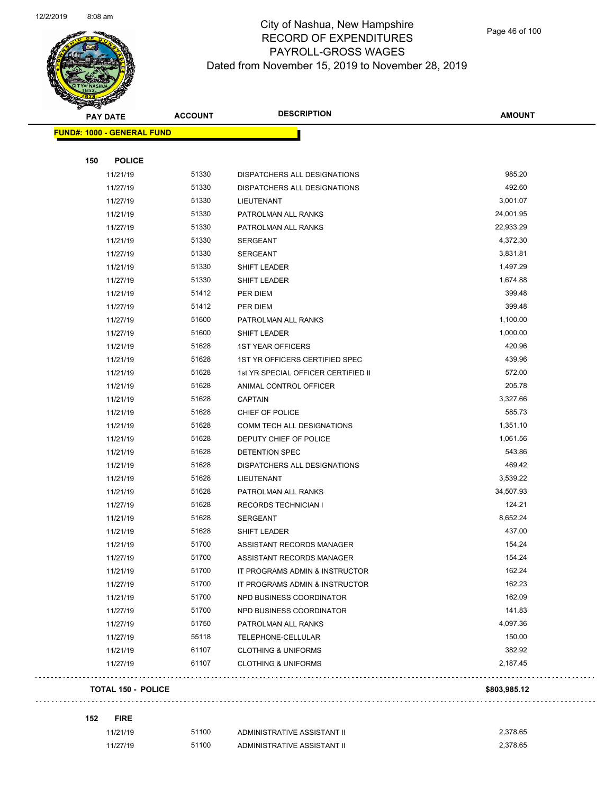

| <b>PAY DATE</b>                   | <b>ACCOUNT</b> | <b>DESCRIPTION</b>                  | <b>AMOUNT</b> |
|-----------------------------------|----------------|-------------------------------------|---------------|
| <b>FUND#: 1000 - GENERAL FUND</b> |                |                                     |               |
|                                   |                |                                     |               |
| 150<br><b>POLICE</b>              |                |                                     |               |
| 11/21/19                          | 51330          | DISPATCHERS ALL DESIGNATIONS        | 985.20        |
| 11/27/19                          | 51330          | DISPATCHERS ALL DESIGNATIONS        | 492.60        |
| 11/27/19                          | 51330          | LIEUTENANT                          | 3,001.07      |
| 11/21/19                          | 51330          | PATROLMAN ALL RANKS                 | 24,001.95     |
| 11/27/19                          | 51330          | PATROLMAN ALL RANKS                 | 22,933.29     |
| 11/21/19                          | 51330          | <b>SERGEANT</b>                     | 4,372.30      |
| 11/27/19                          | 51330          | SERGEANT                            | 3,831.81      |
| 11/21/19                          | 51330          | SHIFT LEADER                        | 1,497.29      |
| 11/27/19                          | 51330          | <b>SHIFT LEADER</b>                 | 1,674.88      |
| 11/21/19                          | 51412          | PER DIEM                            | 399.48        |
| 11/27/19                          | 51412          | PER DIEM                            | 399.48        |
| 11/27/19                          | 51600          | PATROLMAN ALL RANKS                 | 1,100.00      |
| 11/27/19                          | 51600          | SHIFT LEADER                        | 1,000.00      |
| 11/21/19                          | 51628          | <b>1ST YEAR OFFICERS</b>            | 420.96        |
| 11/21/19                          | 51628          | 1ST YR OFFICERS CERTIFIED SPEC      | 439.96        |
| 11/21/19                          | 51628          | 1st YR SPECIAL OFFICER CERTIFIED II | 572.00        |
| 11/21/19                          | 51628          | ANIMAL CONTROL OFFICER              | 205.78        |
| 11/21/19                          | 51628          | <b>CAPTAIN</b>                      | 3,327.66      |
| 11/21/19                          | 51628          | CHIEF OF POLICE                     | 585.73        |
| 11/21/19                          | 51628          | COMM TECH ALL DESIGNATIONS          | 1,351.10      |
| 11/21/19                          | 51628          | DEPUTY CHIEF OF POLICE              | 1,061.56      |
| 11/21/19                          | 51628          | DETENTION SPEC                      | 543.86        |
| 11/21/19                          | 51628          | DISPATCHERS ALL DESIGNATIONS        | 469.42        |
| 11/21/19                          | 51628          | LIEUTENANT                          | 3,539.22      |
| 11/21/19                          | 51628          | PATROLMAN ALL RANKS                 | 34,507.93     |
| 11/27/19                          | 51628          | <b>RECORDS TECHNICIAN I</b>         | 124.21        |
| 11/21/19                          | 51628          | SERGEANT                            | 8,652.24      |
| 11/21/19                          | 51628          | SHIFT LEADER                        | 437.00        |
| 11/21/19                          | 51700          | ASSISTANT RECORDS MANAGER           | 154.24        |
| 11/27/19                          | 51700          | ASSISTANT RECORDS MANAGER           | 154.24        |
| 11/21/19                          | 51700          | IT PROGRAMS ADMIN & INSTRUCTOR      | 162.24        |
| 11/27/19                          | 51700          | IT PROGRAMS ADMIN & INSTRUCTOR      | 162.23        |
| 11/21/19                          | 51700          | NPD BUSINESS COORDINATOR            | 162.09        |
| 11/27/19                          | 51700          | NPD BUSINESS COORDINATOR            | 141.83        |
| 11/27/19                          | 51750          | PATROLMAN ALL RANKS                 | 4,097.36      |
| 11/27/19                          | 55118          | TELEPHONE-CELLULAR                  | 150.00        |
| 11/21/19                          | 61107          | <b>CLOTHING &amp; UNIFORMS</b>      | 382.92        |
| 11/27/19                          | 61107          | <b>CLOTHING &amp; UNIFORMS</b>      | 2,187.45      |
| <b>TOTAL 150 - POLICE</b>         |                |                                     | \$803,985.12  |

| 11/21/19 | 51100 | ADMINISTRATIVE ASSISTANT II | 2.378.65 |
|----------|-------|-----------------------------|----------|
| 11/27/19 | 51100 | ADMINISTRATIVE ASSISTANT II | 2.378.65 |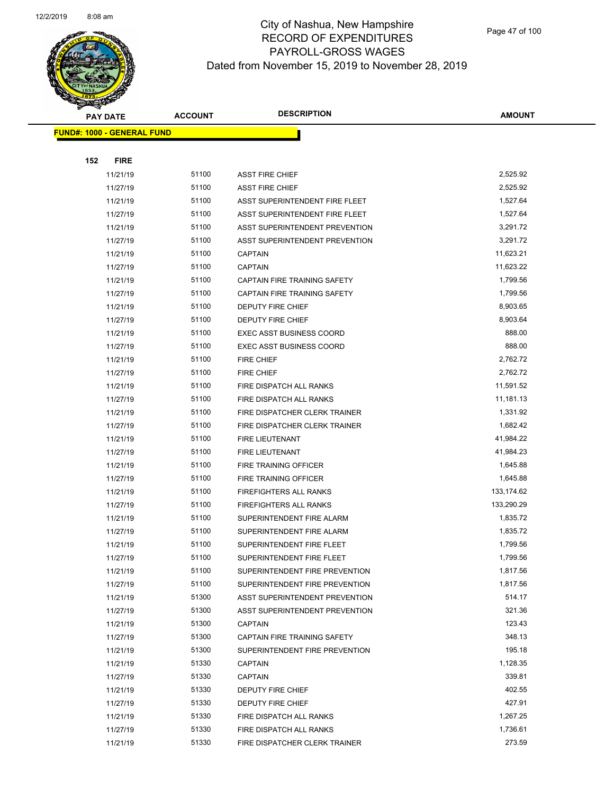

| <b>PAY DATE</b> |                                   | <b>ACCOUNT</b> | <b>DESCRIPTION</b>              | <b>AMOUNT</b> |  |
|-----------------|-----------------------------------|----------------|---------------------------------|---------------|--|
|                 | <b>FUND#: 1000 - GENERAL FUND</b> |                |                                 |               |  |
|                 |                                   |                |                                 |               |  |
| 152             | <b>FIRE</b>                       |                |                                 |               |  |
|                 | 11/21/19                          | 51100          | <b>ASST FIRE CHIEF</b>          | 2,525.92      |  |
|                 | 11/27/19                          | 51100          | <b>ASST FIRE CHIEF</b>          | 2,525.92      |  |
|                 | 11/21/19                          | 51100          | ASST SUPERINTENDENT FIRE FLEET  | 1,527.64      |  |
|                 | 11/27/19                          | 51100          | ASST SUPERINTENDENT FIRE FLEET  | 1,527.64      |  |
|                 | 11/21/19                          | 51100          | ASST SUPERINTENDENT PREVENTION  | 3,291.72      |  |
|                 | 11/27/19                          | 51100          | ASST SUPERINTENDENT PREVENTION  | 3,291.72      |  |
|                 | 11/21/19                          | 51100          | <b>CAPTAIN</b>                  | 11,623.21     |  |
|                 | 11/27/19                          | 51100          | <b>CAPTAIN</b>                  | 11,623.22     |  |
|                 | 11/21/19                          | 51100          | CAPTAIN FIRE TRAINING SAFETY    | 1,799.56      |  |
|                 | 11/27/19                          | 51100          | CAPTAIN FIRE TRAINING SAFETY    | 1,799.56      |  |
|                 | 11/21/19                          | 51100          | <b>DEPUTY FIRE CHIEF</b>        | 8,903.65      |  |
|                 | 11/27/19                          | 51100          | <b>DEPUTY FIRE CHIEF</b>        | 8,903.64      |  |
|                 | 11/21/19                          | 51100          | <b>EXEC ASST BUSINESS COORD</b> | 888.00        |  |
|                 | 11/27/19                          | 51100          | <b>EXEC ASST BUSINESS COORD</b> | 888.00        |  |
|                 | 11/21/19                          | 51100          | <b>FIRE CHIEF</b>               | 2,762.72      |  |
|                 | 11/27/19                          | 51100          | <b>FIRE CHIEF</b>               | 2,762.72      |  |
|                 | 11/21/19                          | 51100          | FIRE DISPATCH ALL RANKS         | 11,591.52     |  |
|                 | 11/27/19                          | 51100          | FIRE DISPATCH ALL RANKS         | 11,181.13     |  |
|                 | 11/21/19                          | 51100          | FIRE DISPATCHER CLERK TRAINER   | 1,331.92      |  |
|                 | 11/27/19                          | 51100          | FIRE DISPATCHER CLERK TRAINER   | 1,682.42      |  |
|                 | 11/21/19                          | 51100          | FIRE LIEUTENANT                 | 41,984.22     |  |
|                 | 11/27/19                          | 51100          | FIRE LIEUTENANT                 | 41,984.23     |  |
|                 | 11/21/19                          | 51100          | FIRE TRAINING OFFICER           | 1,645.88      |  |
|                 | 11/27/19                          | 51100          | FIRE TRAINING OFFICER           | 1,645.88      |  |
|                 | 11/21/19                          | 51100          | <b>FIREFIGHTERS ALL RANKS</b>   | 133,174.62    |  |
|                 | 11/27/19                          | 51100          | <b>FIREFIGHTERS ALL RANKS</b>   | 133,290.29    |  |
|                 | 11/21/19                          | 51100          | SUPERINTENDENT FIRE ALARM       | 1,835.72      |  |
|                 | 11/27/19                          | 51100          | SUPERINTENDENT FIRE ALARM       | 1,835.72      |  |
|                 | 11/21/19                          | 51100          | SUPERINTENDENT FIRE FLEET       | 1,799.56      |  |
|                 | 11/27/19                          | 51100          | SUPERINTENDENT FIRE FLEET       | 1,799.56      |  |
|                 | 11/21/19                          | 51100          | SUPERINTENDENT FIRE PREVENTION  | 1,817.56      |  |
|                 | 11/27/19                          | 51100          | SUPERINTENDENT FIRE PREVENTION  | 1,817.56      |  |
|                 | 11/21/19                          | 51300          | ASST SUPERINTENDENT PREVENTION  | 514.17        |  |
|                 | 11/27/19                          | 51300          | ASST SUPERINTENDENT PREVENTION  | 321.36        |  |
|                 | 11/21/19                          | 51300          | <b>CAPTAIN</b>                  | 123.43        |  |
|                 | 11/27/19                          | 51300          | CAPTAIN FIRE TRAINING SAFETY    | 348.13        |  |
|                 | 11/21/19                          | 51300          | SUPERINTENDENT FIRE PREVENTION  | 195.18        |  |
|                 | 11/21/19                          | 51330          | <b>CAPTAIN</b>                  | 1,128.35      |  |
|                 | 11/27/19                          | 51330          | <b>CAPTAIN</b>                  | 339.81        |  |
|                 | 11/21/19                          | 51330          | DEPUTY FIRE CHIEF               | 402.55        |  |
|                 | 11/27/19                          | 51330          | DEPUTY FIRE CHIEF               | 427.91        |  |
|                 | 11/21/19                          | 51330          | FIRE DISPATCH ALL RANKS         | 1,267.25      |  |
|                 | 11/27/19                          | 51330          | FIRE DISPATCH ALL RANKS         | 1,736.61      |  |
|                 | 11/21/19                          | 51330          | FIRE DISPATCHER CLERK TRAINER   | 273.59        |  |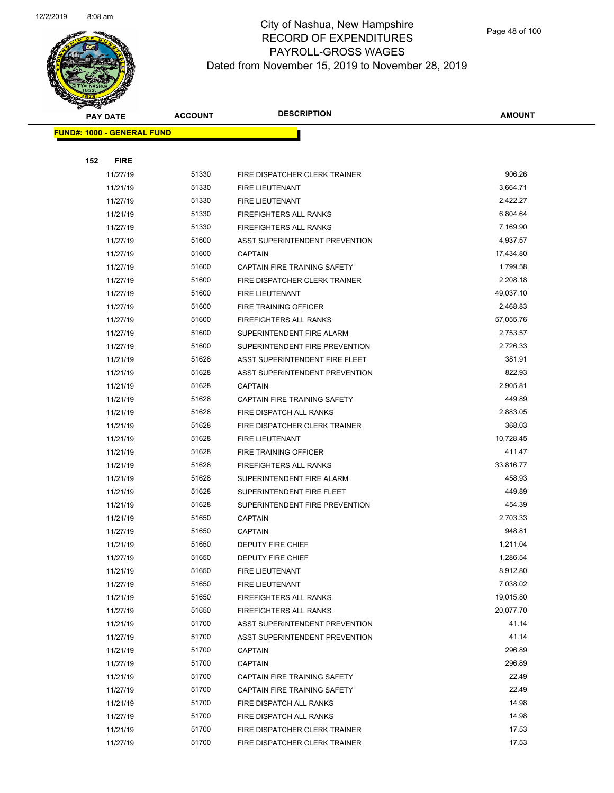

| <b>PAY DATE</b>                   |             | <b>ACCOUNT</b> | <b>DESCRIPTION</b>             | <b>AMOUNT</b> |
|-----------------------------------|-------------|----------------|--------------------------------|---------------|
| <b>FUND#: 1000 - GENERAL FUND</b> |             |                |                                |               |
|                                   |             |                |                                |               |
| 152                               | <b>FIRE</b> |                |                                |               |
|                                   | 11/27/19    | 51330          | FIRE DISPATCHER CLERK TRAINER  | 906.26        |
|                                   | 11/21/19    | 51330          | FIRE LIEUTENANT                | 3,664.71      |
|                                   | 11/27/19    | 51330          | <b>FIRE LIEUTENANT</b>         | 2,422.27      |
|                                   | 11/21/19    | 51330          | FIREFIGHTERS ALL RANKS         | 6,804.64      |
|                                   | 11/27/19    | 51330          | <b>FIREFIGHTERS ALL RANKS</b>  | 7,169.90      |
|                                   | 11/27/19    | 51600          | ASST SUPERINTENDENT PREVENTION | 4,937.57      |
|                                   | 11/27/19    | 51600          | <b>CAPTAIN</b>                 | 17,434.80     |
|                                   | 11/27/19    | 51600          | CAPTAIN FIRE TRAINING SAFETY   | 1,799.58      |
|                                   | 11/27/19    | 51600          | FIRE DISPATCHER CLERK TRAINER  | 2,208.18      |
|                                   | 11/27/19    | 51600          | FIRE LIEUTENANT                | 49,037.10     |
|                                   | 11/27/19    | 51600          | FIRE TRAINING OFFICER          | 2,468.83      |
|                                   | 11/27/19    | 51600          | <b>FIREFIGHTERS ALL RANKS</b>  | 57,055.76     |
|                                   | 11/27/19    | 51600          | SUPERINTENDENT FIRE ALARM      | 2,753.57      |
|                                   | 11/27/19    | 51600          | SUPERINTENDENT FIRE PREVENTION | 2,726.33      |
|                                   | 11/21/19    | 51628          | ASST SUPERINTENDENT FIRE FLEET | 381.91        |
|                                   | 11/21/19    | 51628          | ASST SUPERINTENDENT PREVENTION | 822.93        |
|                                   | 11/21/19    | 51628          | <b>CAPTAIN</b>                 | 2,905.81      |
|                                   | 11/21/19    | 51628          | CAPTAIN FIRE TRAINING SAFETY   | 449.89        |
|                                   | 11/21/19    | 51628          | FIRE DISPATCH ALL RANKS        | 2,883.05      |
|                                   | 11/21/19    | 51628          | FIRE DISPATCHER CLERK TRAINER  | 368.03        |
|                                   | 11/21/19    | 51628          | FIRE LIEUTENANT                | 10,728.45     |
|                                   | 11/21/19    | 51628          | FIRE TRAINING OFFICER          | 411.47        |
|                                   | 11/21/19    | 51628          | <b>FIREFIGHTERS ALL RANKS</b>  | 33,816.77     |
|                                   | 11/21/19    | 51628          | SUPERINTENDENT FIRE ALARM      | 458.93        |
|                                   | 11/21/19    | 51628          | SUPERINTENDENT FIRE FLEET      | 449.89        |
|                                   | 11/21/19    | 51628          | SUPERINTENDENT FIRE PREVENTION | 454.39        |
|                                   | 11/21/19    | 51650          | <b>CAPTAIN</b>                 | 2,703.33      |
|                                   | 11/27/19    | 51650          | <b>CAPTAIN</b>                 | 948.81        |
|                                   | 11/21/19    | 51650          | DEPUTY FIRE CHIEF              | 1,211.04      |
|                                   | 11/27/19    | 51650          | <b>DEPUTY FIRE CHIEF</b>       | 1,286.54      |
|                                   | 11/21/19    | 51650          | FIRE LIEUTENANT                | 8,912.80      |
|                                   | 11/27/19    | 51650          | FIRE LIEUTENANT                | 7,038.02      |
|                                   | 11/21/19    | 51650          | <b>FIREFIGHTERS ALL RANKS</b>  | 19,015.80     |
|                                   | 11/27/19    | 51650          | FIREFIGHTERS ALL RANKS         | 20,077.70     |
|                                   | 11/21/19    | 51700          | ASST SUPERINTENDENT PREVENTION | 41.14         |
|                                   | 11/27/19    | 51700          | ASST SUPERINTENDENT PREVENTION | 41.14         |
|                                   | 11/21/19    | 51700          | <b>CAPTAIN</b>                 | 296.89        |
|                                   | 11/27/19    | 51700          | <b>CAPTAIN</b>                 | 296.89        |
|                                   | 11/21/19    | 51700          | CAPTAIN FIRE TRAINING SAFETY   | 22.49         |
|                                   | 11/27/19    | 51700          | CAPTAIN FIRE TRAINING SAFETY   | 22.49         |
|                                   | 11/21/19    | 51700          | FIRE DISPATCH ALL RANKS        | 14.98         |
|                                   | 11/27/19    | 51700          | FIRE DISPATCH ALL RANKS        | 14.98         |
|                                   | 11/21/19    | 51700          | FIRE DISPATCHER CLERK TRAINER  | 17.53         |
|                                   | 11/27/19    | 51700          | FIRE DISPATCHER CLERK TRAINER  | 17.53         |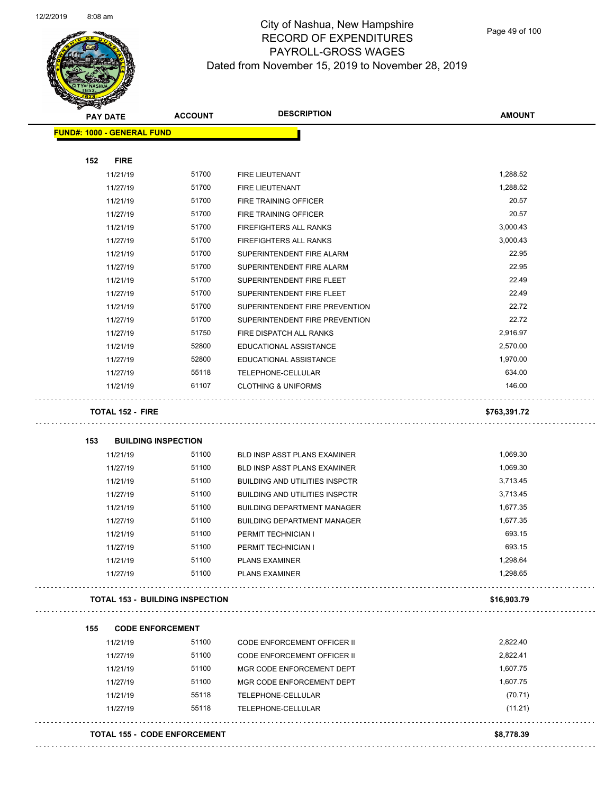

Page 49 of 100

| <b>PAY DATE</b>                        | <b>ACCOUNT</b> | <b>DESCRIPTION</b>                    | <b>AMOUNT</b> |
|----------------------------------------|----------------|---------------------------------------|---------------|
| <b>FUND#: 1000 - GENERAL FUND</b>      |                |                                       |               |
|                                        |                |                                       |               |
| 152<br><b>FIRE</b>                     |                |                                       |               |
| 11/21/19                               | 51700          | <b>FIRE LIEUTENANT</b>                | 1,288.52      |
| 11/27/19                               | 51700          | FIRE LIEUTENANT                       | 1,288.52      |
| 11/21/19                               | 51700          | FIRE TRAINING OFFICER                 | 20.57         |
| 11/27/19                               | 51700          | FIRE TRAINING OFFICER                 | 20.57         |
| 11/21/19                               | 51700          | <b>FIREFIGHTERS ALL RANKS</b>         | 3,000.43      |
| 11/27/19                               | 51700          | <b>FIREFIGHTERS ALL RANKS</b>         | 3,000.43      |
| 11/21/19                               | 51700          | SUPERINTENDENT FIRE ALARM             | 22.95         |
| 11/27/19                               | 51700          | SUPERINTENDENT FIRE ALARM             | 22.95         |
| 11/21/19                               | 51700          | SUPERINTENDENT FIRE FLEET             | 22.49         |
| 11/27/19                               | 51700          | SUPERINTENDENT FIRE FLEET             | 22.49         |
| 11/21/19                               | 51700          | SUPERINTENDENT FIRE PREVENTION        | 22.72         |
| 11/27/19                               | 51700          | SUPERINTENDENT FIRE PREVENTION        | 22.72         |
| 11/27/19                               | 51750          | FIRE DISPATCH ALL RANKS               | 2,916.97      |
| 11/21/19                               | 52800          | EDUCATIONAL ASSISTANCE                | 2,570.00      |
| 11/27/19                               | 52800          | EDUCATIONAL ASSISTANCE                | 1,970.00      |
| 11/27/19                               | 55118          | TELEPHONE-CELLULAR                    | 634.00        |
| 11/21/19                               | 61107          | <b>CLOTHING &amp; UNIFORMS</b>        | 146.00        |
| <b>TOTAL 152 - FIRE</b>                |                |                                       | \$763,391.72  |
| <b>BUILDING INSPECTION</b><br>153      |                |                                       |               |
| 11/21/19                               | 51100          | BLD INSP ASST PLANS EXAMINER          | 1,069.30      |
| 11/27/19                               | 51100          | <b>BLD INSP ASST PLANS EXAMINER</b>   | 1,069.30      |
| 11/21/19                               | 51100          | <b>BUILDING AND UTILITIES INSPCTR</b> | 3,713.45      |
| 11/27/19                               | 51100          | <b>BUILDING AND UTILITIES INSPCTR</b> | 3,713.45      |
| 11/21/19                               | 51100          | <b>BUILDING DEPARTMENT MANAGER</b>    | 1,677.35      |
| 11/27/19                               | 51100          | <b>BUILDING DEPARTMENT MANAGER</b>    | 1,677.35      |
| 11/21/19                               | 51100          | PERMIT TECHNICIAN I                   | 693.15        |
| 11/27/19                               | 51100          | PERMIT TECHNICIAN I                   | 693.15        |
| 11/21/19                               | 51100          | <b>PLANS EXAMINER</b>                 | 1,298.64      |
| 11/27/19                               | 51100          | <b>PLANS EXAMINER</b>                 | 1,298.65      |
| <b>TOTAL 153 - BUILDING INSPECTION</b> |                |                                       | \$16,903.79   |
| 155<br><b>CODE ENFORCEMENT</b>         |                |                                       |               |
| 11/21/19                               | 51100          | CODE ENFORCEMENT OFFICER II           | 2,822.40      |
| 11/27/19                               | 51100          | <b>CODE ENFORCEMENT OFFICER II</b>    | 2,822.41      |
| 11/21/19                               | 51100          | MGR CODE ENFORCEMENT DEPT             | 1,607.75      |
| 11/27/19                               | 51100          | MGR CODE ENFORCEMENT DEPT             | 1,607.75      |
| 11/21/19                               | 55118          | TELEPHONE-CELLULAR                    | (70.71)       |
| 11/27/19                               | 55118          | TELEPHONE-CELLULAR                    | (11.21)       |
|                                        |                |                                       |               |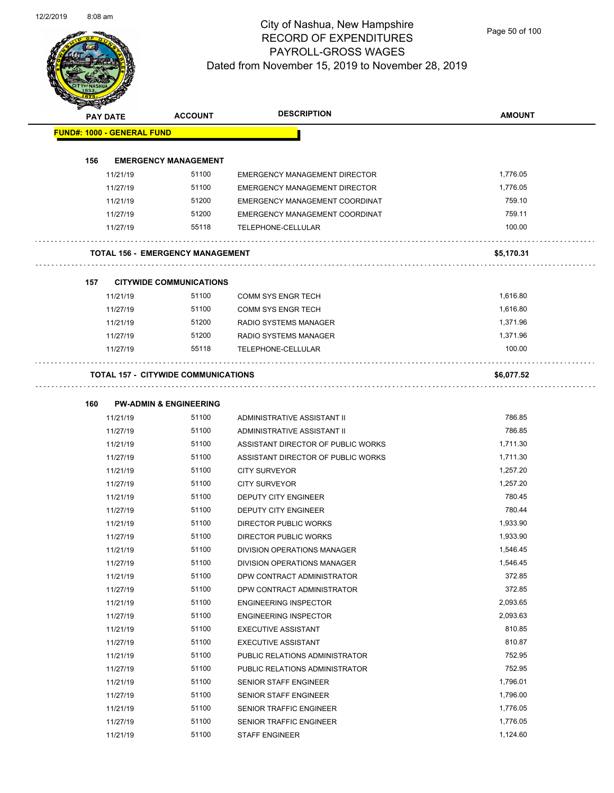$\overline{\phantom{0}}$ 



## City of Nashua, New Hampshire RECORD OF EXPENDITURES PAYROLL-GROSS WAGES Dated from November 15, 2019 to November 28, 2019

|                                   | <b>PAY DATE</b> | <b>ACCOUNT</b>                             | <b>DESCRIPTION</b>                   | <b>AMOUNT</b> |
|-----------------------------------|-----------------|--------------------------------------------|--------------------------------------|---------------|
| <b>FUND#: 1000 - GENERAL FUND</b> |                 |                                            |                                      |               |
|                                   |                 |                                            |                                      |               |
| 156                               |                 | <b>EMERGENCY MANAGEMENT</b>                |                                      |               |
|                                   | 11/21/19        | 51100                                      | <b>EMERGENCY MANAGEMENT DIRECTOR</b> | 1,776.05      |
|                                   | 11/27/19        | 51100                                      | <b>EMERGENCY MANAGEMENT DIRECTOR</b> | 1,776.05      |
|                                   | 11/21/19        | 51200                                      | EMERGENCY MANAGEMENT COORDINAT       | 759.10        |
|                                   | 11/27/19        | 51200                                      | EMERGENCY MANAGEMENT COORDINAT       | 759.11        |
|                                   | 11/27/19        | 55118                                      | TELEPHONE-CELLULAR                   | 100.00        |
|                                   |                 | <b>TOTAL 156 - EMERGENCY MANAGEMENT</b>    |                                      | \$5,170.31    |
| 157                               |                 | <b>CITYWIDE COMMUNICATIONS</b>             |                                      |               |
|                                   | 11/21/19        | 51100                                      | <b>COMM SYS ENGR TECH</b>            | 1,616.80      |
|                                   | 11/27/19        | 51100                                      | <b>COMM SYS ENGR TECH</b>            | 1,616.80      |
|                                   | 11/21/19        | 51200                                      | RADIO SYSTEMS MANAGER                | 1,371.96      |
|                                   | 11/27/19        | 51200                                      | RADIO SYSTEMS MANAGER                | 1,371.96      |
|                                   | 11/27/19        | 55118                                      | TELEPHONE-CELLULAR                   | 100.00        |
|                                   |                 | <b>TOTAL 157 - CITYWIDE COMMUNICATIONS</b> |                                      | \$6,077.52    |
| 160                               |                 | <b>PW-ADMIN &amp; ENGINEERING</b>          |                                      |               |
|                                   | 11/21/19        | 51100                                      | ADMINISTRATIVE ASSISTANT II          | 786.85        |
|                                   | 11/27/19        | 51100                                      | ADMINISTRATIVE ASSISTANT II          | 786.85        |
|                                   | 11/21/19        | 51100                                      | ASSISTANT DIRECTOR OF PUBLIC WORKS   | 1,711.30      |
|                                   | 11/27/19        | 51100                                      | ASSISTANT DIRECTOR OF PUBLIC WORKS   | 1,711.30      |
|                                   | 11/21/19        | 51100                                      | <b>CITY SURVEYOR</b>                 | 1,257.20      |
|                                   | 11/27/19        | 51100                                      | <b>CITY SURVEYOR</b>                 | 1,257.20      |
|                                   | 11/21/19        | 51100                                      | <b>DEPUTY CITY ENGINEER</b>          | 780.45        |
|                                   | 11/27/19        | 51100                                      | DEPUTY CITY ENGINEER                 | 780.44        |
|                                   | 11/21/19        | 51100                                      | <b>DIRECTOR PUBLIC WORKS</b>         | 1,933.90      |
|                                   | 11/27/19        | 51100                                      | <b>DIRECTOR PUBLIC WORKS</b>         | 1,933.90      |
|                                   | 11/21/19        | 51100                                      | DIVISION OPERATIONS MANAGER          | 1,546.45      |
|                                   | 11/27/19        | 51100                                      | DIVISION OPERATIONS MANAGER          | 1,546.45      |
|                                   | 11/21/19        | 51100                                      | DPW CONTRACT ADMINISTRATOR           | 372.85        |
|                                   | 11/27/19        | 51100                                      | DPW CONTRACT ADMINISTRATOR           | 372.85        |
|                                   | 11/21/19        | 51100                                      | <b>ENGINEERING INSPECTOR</b>         | 2,093.65      |
|                                   | 11/27/19        | 51100                                      | <b>ENGINEERING INSPECTOR</b>         | 2,093.63      |
|                                   | 11/21/19        | 51100                                      | <b>EXECUTIVE ASSISTANT</b>           | 810.85        |
|                                   | 11/27/19        | 51100                                      | <b>EXECUTIVE ASSISTANT</b>           | 810.87        |
|                                   | 11/21/19        | 51100                                      | PUBLIC RELATIONS ADMINISTRATOR       | 752.95        |
|                                   | 11/27/19        | 51100                                      | PUBLIC RELATIONS ADMINISTRATOR       | 752.95        |
|                                   | 11/21/19        | 51100                                      | SENIOR STAFF ENGINEER                | 1,796.01      |
|                                   | 11/27/19        | 51100                                      | SENIOR STAFF ENGINEER                | 1,796.00      |

11/21/19 51100 SENIOR TRAFFIC ENGINEER 1,776.05 11/27/19 51100 SENIOR TRAFFIC ENGINEER 1,776.05 11/21/19 51100 STAFF ENGINEER 1,124.60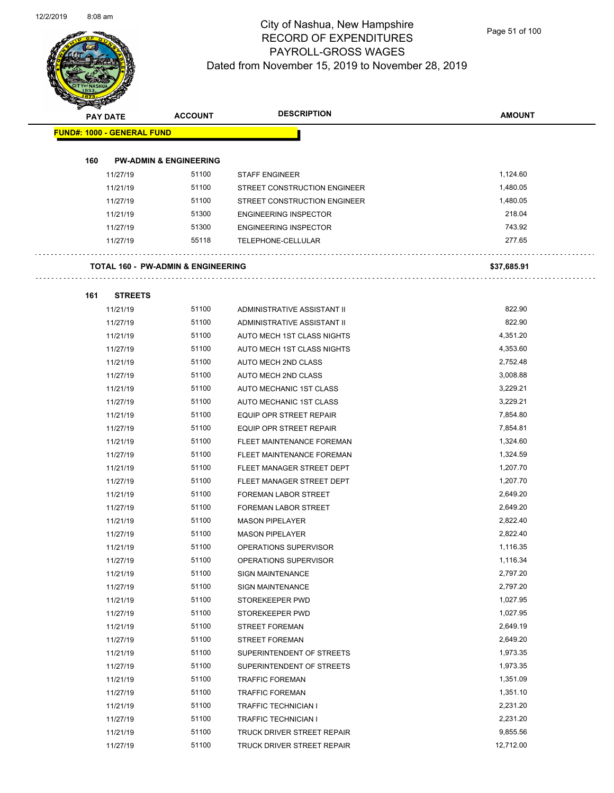

## City of Nashua, New Hampshire RECORD OF EXPENDITURES PAYROLL-GROSS WAGES Dated from November 15, 2019 to November 28, 2019

|     | <b>PAY DATE</b>                   | <b>ACCOUNT</b>                                | <b>DESCRIPTION</b>           | <b>AMOUNT</b> |
|-----|-----------------------------------|-----------------------------------------------|------------------------------|---------------|
|     | <b>FUND#: 1000 - GENERAL FUND</b> |                                               |                              |               |
|     |                                   |                                               |                              |               |
| 160 |                                   | <b>PW-ADMIN &amp; ENGINEERING</b>             |                              |               |
|     | 11/27/19                          | 51100                                         | <b>STAFF ENGINEER</b>        | 1,124.60      |
|     | 11/21/19                          | 51100                                         | STREET CONSTRUCTION ENGINEER | 1,480.05      |
|     | 11/27/19                          | 51100                                         | STREET CONSTRUCTION ENGINEER | 1,480.05      |
|     | 11/21/19                          | 51300                                         | <b>ENGINEERING INSPECTOR</b> | 218.04        |
|     | 11/27/19                          | 51300                                         | <b>ENGINEERING INSPECTOR</b> | 743.92        |
|     | 11/27/19                          | 55118                                         | TELEPHONE-CELLULAR           | 277.65        |
|     |                                   |                                               |                              |               |
|     |                                   | <b>TOTAL 160 - PW-ADMIN &amp; ENGINEERING</b> |                              | \$37,685.91   |
| 161 | <b>STREETS</b>                    |                                               |                              |               |
|     | 11/21/19                          | 51100                                         | ADMINISTRATIVE ASSISTANT II  | 822.90        |
|     | 11/27/19                          | 51100                                         | ADMINISTRATIVE ASSISTANT II  | 822.90        |
|     | 11/21/19                          | 51100                                         | AUTO MECH 1ST CLASS NIGHTS   | 4,351.20      |
|     | 11/27/19                          | 51100                                         | AUTO MECH 1ST CLASS NIGHTS   | 4,353.60      |
|     | 11/21/19                          | 51100                                         | AUTO MECH 2ND CLASS          | 2,752.48      |
|     | 11/27/19                          | 51100                                         | AUTO MECH 2ND CLASS          | 3,008.88      |
|     | 11/21/19                          | 51100                                         | AUTO MECHANIC 1ST CLASS      | 3,229.21      |
|     | 11/27/19                          | 51100                                         | AUTO MECHANIC 1ST CLASS      | 3,229.21      |
|     | 11/21/19                          | 51100                                         | EQUIP OPR STREET REPAIR      | 7,854.80      |
|     |                                   | 51100                                         |                              | 7,854.81      |
|     | 11/27/19                          | 51100                                         | EQUIP OPR STREET REPAIR      | 1,324.60      |
|     | 11/21/19                          | 51100                                         | FLEET MAINTENANCE FOREMAN    |               |
|     | 11/27/19                          | 51100                                         | FLEET MAINTENANCE FOREMAN    | 1,324.59      |
|     | 11/21/19                          |                                               | FLEET MANAGER STREET DEPT    | 1,207.70      |
|     | 11/27/19                          | 51100                                         | FLEET MANAGER STREET DEPT    | 1,207.70      |
|     | 11/21/19                          | 51100                                         | <b>FOREMAN LABOR STREET</b>  | 2,649.20      |
|     | 11/27/19                          | 51100                                         | <b>FOREMAN LABOR STREET</b>  | 2,649.20      |
|     | 11/21/19                          | 51100                                         | <b>MASON PIPELAYER</b>       | 2,822.40      |
|     | 11/27/19                          | 51100                                         | <b>MASON PIPELAYER</b>       | 2,822.40      |
|     | 11/21/19                          | 51100                                         | OPERATIONS SUPERVISOR        | 1,116.35      |
|     | 11/27/19                          | 51100                                         | OPERATIONS SUPERVISOR        | 1,116.34      |
|     | 11/21/19                          | 51100                                         | <b>SIGN MAINTENANCE</b>      | 2,797.20      |
|     | 11/27/19                          | 51100                                         | <b>SIGN MAINTENANCE</b>      | 2,797.20      |
|     | 11/21/19                          | 51100                                         | STOREKEEPER PWD              | 1,027.95      |
|     | 11/27/19                          | 51100                                         | STOREKEEPER PWD              | 1,027.95      |
|     | 11/21/19                          | 51100                                         | <b>STREET FOREMAN</b>        | 2,649.19      |
|     | 11/27/19                          | 51100                                         | <b>STREET FOREMAN</b>        | 2,649.20      |
|     | 11/21/19                          | 51100                                         | SUPERINTENDENT OF STREETS    | 1,973.35      |
|     | 11/27/19                          | 51100                                         | SUPERINTENDENT OF STREETS    | 1,973.35      |
|     | 11/21/19                          | 51100                                         | <b>TRAFFIC FOREMAN</b>       | 1,351.09      |
|     | 11/27/19                          | 51100                                         | <b>TRAFFIC FOREMAN</b>       | 1,351.10      |
|     | 11/21/19                          | 51100                                         | <b>TRAFFIC TECHNICIAN I</b>  | 2,231.20      |
|     | 11/27/19                          | 51100                                         | <b>TRAFFIC TECHNICIAN I</b>  | 2,231.20      |
|     | 11/21/19                          | 51100                                         | TRUCK DRIVER STREET REPAIR   | 9,855.56      |

11/27/19 51100 TRUCK DRIVER STREET REPAIR 12,712.00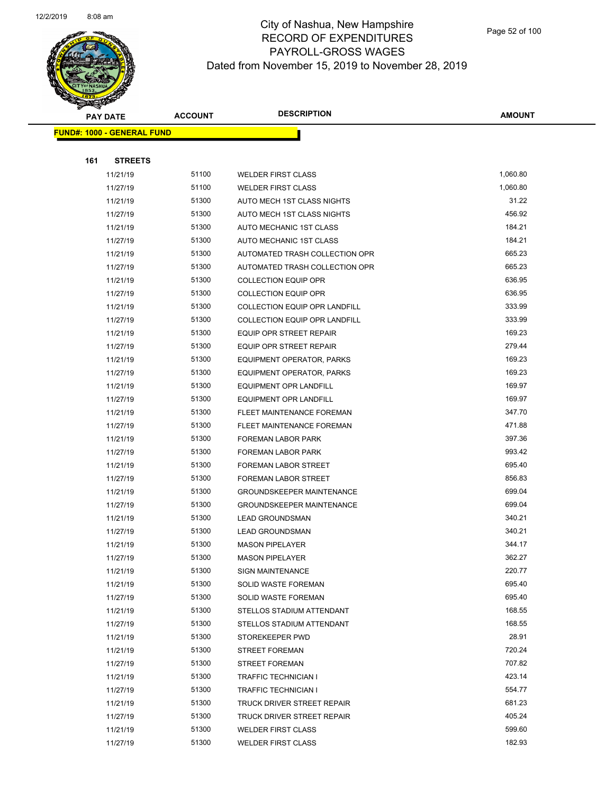

|     | <b>PAY DATE</b>                   | <b>ACCOUNT</b> | <b>DESCRIPTION</b>                   | <b>AMOUNT</b> |
|-----|-----------------------------------|----------------|--------------------------------------|---------------|
|     | <b>FUND#: 1000 - GENERAL FUND</b> |                |                                      |               |
|     |                                   |                |                                      |               |
| 161 | <b>STREETS</b>                    |                |                                      |               |
|     | 11/21/19                          | 51100          | <b>WELDER FIRST CLASS</b>            | 1,060.80      |
|     | 11/27/19                          | 51100          | <b>WELDER FIRST CLASS</b>            | 1,060.80      |
|     | 11/21/19                          | 51300          | AUTO MECH 1ST CLASS NIGHTS           | 31.22         |
|     | 11/27/19                          | 51300          | AUTO MECH 1ST CLASS NIGHTS           | 456.92        |
|     | 11/21/19                          | 51300          | <b>AUTO MECHANIC 1ST CLASS</b>       | 184.21        |
|     | 11/27/19                          | 51300          | AUTO MECHANIC 1ST CLASS              | 184.21        |
|     | 11/21/19                          | 51300          | AUTOMATED TRASH COLLECTION OPR       | 665.23        |
|     | 11/27/19                          | 51300          | AUTOMATED TRASH COLLECTION OPR       | 665.23        |
|     | 11/21/19                          | 51300          | <b>COLLECTION EQUIP OPR</b>          | 636.95        |
|     | 11/27/19                          | 51300          | <b>COLLECTION EQUIP OPR</b>          | 636.95        |
|     | 11/21/19                          | 51300          | <b>COLLECTION EQUIP OPR LANDFILL</b> | 333.99        |
|     | 11/27/19                          | 51300          | <b>COLLECTION EQUIP OPR LANDFILL</b> | 333.99        |
|     | 11/21/19                          | 51300          | EQUIP OPR STREET REPAIR              | 169.23        |
|     | 11/27/19                          | 51300          | EQUIP OPR STREET REPAIR              | 279.44        |
|     | 11/21/19                          | 51300          | <b>EQUIPMENT OPERATOR, PARKS</b>     | 169.23        |
|     | 11/27/19                          | 51300          | <b>EQUIPMENT OPERATOR, PARKS</b>     | 169.23        |
|     | 11/21/19                          | 51300          | EQUIPMENT OPR LANDFILL               | 169.97        |
|     | 11/27/19                          | 51300          | EQUIPMENT OPR LANDFILL               | 169.97        |
|     | 11/21/19                          | 51300          | FLEET MAINTENANCE FOREMAN            | 347.70        |
|     | 11/27/19                          | 51300          | FLEET MAINTENANCE FOREMAN            | 471.88        |
|     | 11/21/19                          | 51300          | FOREMAN LABOR PARK                   | 397.36        |
|     | 11/27/19                          | 51300          | FOREMAN LABOR PARK                   | 993.42        |
|     | 11/21/19                          | 51300          | FOREMAN LABOR STREET                 | 695.40        |
|     | 11/27/19                          | 51300          | FOREMAN LABOR STREET                 | 856.83        |
|     | 11/21/19                          | 51300          | <b>GROUNDSKEEPER MAINTENANCE</b>     | 699.04        |
|     | 11/27/19                          | 51300          | <b>GROUNDSKEEPER MAINTENANCE</b>     | 699.04        |
|     | 11/21/19                          | 51300          | <b>LEAD GROUNDSMAN</b>               | 340.21        |
|     | 11/27/19                          | 51300          | <b>LEAD GROUNDSMAN</b>               | 340.21        |
|     | 11/21/19                          | 51300          | <b>MASON PIPELAYER</b>               | 344.17        |
|     | 11/27/19                          | 51300          | <b>MASON PIPELAYER</b>               | 362.27        |
|     | 11/21/19                          | 51300          | <b>SIGN MAINTENANCE</b>              | 220.77        |
|     | 11/21/19                          | 51300          | <b>SOLID WASTE FOREMAN</b>           | 695.40        |
|     | 11/27/19                          | 51300          | SOLID WASTE FOREMAN                  | 695.40        |
|     | 11/21/19                          | 51300          | STELLOS STADIUM ATTENDANT            | 168.55        |
|     | 11/27/19                          | 51300          | STELLOS STADIUM ATTENDANT            | 168.55        |
|     | 11/21/19                          | 51300          | STOREKEEPER PWD                      | 28.91         |
|     | 11/21/19                          | 51300          | <b>STREET FOREMAN</b>                | 720.24        |
|     | 11/27/19                          | 51300          | <b>STREET FOREMAN</b>                | 707.82        |
|     | 11/21/19                          | 51300          | <b>TRAFFIC TECHNICIAN I</b>          | 423.14        |
|     | 11/27/19                          | 51300          | <b>TRAFFIC TECHNICIAN I</b>          | 554.77        |
|     | 11/21/19                          | 51300          | TRUCK DRIVER STREET REPAIR           | 681.23        |
|     | 11/27/19                          | 51300          | TRUCK DRIVER STREET REPAIR           | 405.24        |
|     | 11/21/19                          | 51300          | <b>WELDER FIRST CLASS</b>            | 599.60        |
|     | 11/27/19                          | 51300          | <b>WELDER FIRST CLASS</b>            | 182.93        |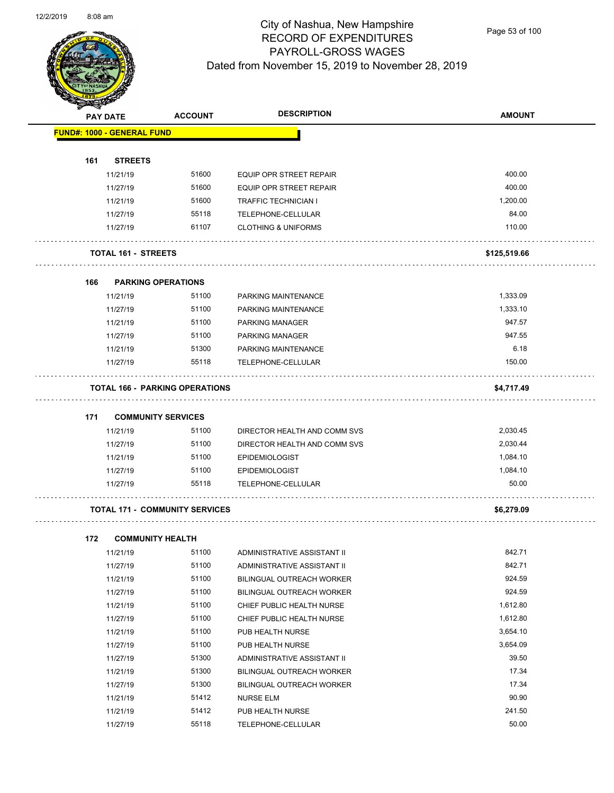

Page 53 of 100

| <b>PAY DATE</b>                       | <b>ACCOUNT</b> | <b>DESCRIPTION</b>             | <b>AMOUNT</b> |
|---------------------------------------|----------------|--------------------------------|---------------|
| <b>FUND#: 1000 - GENERAL FUND</b>     |                |                                |               |
|                                       |                |                                |               |
| 161<br><b>STREETS</b>                 |                |                                |               |
| 11/21/19                              | 51600          | EQUIP OPR STREET REPAIR        | 400.00        |
| 11/27/19                              | 51600          | EQUIP OPR STREET REPAIR        | 400.00        |
| 11/21/19                              | 51600          | <b>TRAFFIC TECHNICIAN I</b>    | 1,200.00      |
| 11/27/19                              | 55118          | TELEPHONE-CELLULAR             | 84.00         |
| 11/27/19                              | 61107          | <b>CLOTHING &amp; UNIFORMS</b> | 110.00        |
| <b>TOTAL 161 - STREETS</b>            |                |                                | \$125,519.66  |
| <b>PARKING OPERATIONS</b><br>166      |                |                                |               |
| 11/21/19                              | 51100          | PARKING MAINTENANCE            | 1,333.09      |
| 11/27/19                              | 51100          | PARKING MAINTENANCE            | 1,333.10      |
| 11/21/19                              | 51100          | <b>PARKING MANAGER</b>         | 947.57        |
| 11/27/19                              | 51100          | <b>PARKING MANAGER</b>         | 947.55        |
| 11/21/19                              | 51300          | PARKING MAINTENANCE            | 6.18          |
| 11/27/19                              | 55118          | TELEPHONE-CELLULAR             | 150.00        |
| <b>TOTAL 166 - PARKING OPERATIONS</b> |                |                                | \$4,717.49    |
| <b>COMMUNITY SERVICES</b><br>171      |                |                                |               |
| 11/21/19                              | 51100          | DIRECTOR HEALTH AND COMM SVS   | 2,030.45      |
| 11/27/19                              | 51100          | DIRECTOR HEALTH AND COMM SVS   | 2,030.44      |
| 11/21/19                              | 51100          | <b>EPIDEMIOLOGIST</b>          | 1,084.10      |
| 11/27/19                              | 51100          | <b>EPIDEMIOLOGIST</b>          | 1,084.10      |
| 11/27/19                              | 55118          | TELEPHONE-CELLULAR             | 50.00         |
| <b>TOTAL 171 - COMMUNITY SERVICES</b> |                |                                | \$6,279.09    |
|                                       |                |                                |               |
| 172<br><b>COMMUNITY HEALTH</b>        |                |                                |               |
| 11/21/19                              | 51100          | ADMINISTRATIVE ASSISTANT II    | 842.71        |
| 11/27/19                              | 51100          | ADMINISTRATIVE ASSISTANT II    | 842.71        |
| 11/21/19                              | 51100          | BILINGUAL OUTREACH WORKER      | 924.59        |
| 11/27/19                              | 51100          | BILINGUAL OUTREACH WORKER      | 924.59        |
| 11/21/19                              | 51100          | CHIEF PUBLIC HEALTH NURSE      | 1,612.80      |
| 11/27/19                              | 51100          | CHIEF PUBLIC HEALTH NURSE      | 1,612.80      |
| 11/21/19                              | 51100          | PUB HEALTH NURSE               | 3,654.10      |
| 11/27/19                              | 51100          | PUB HEALTH NURSE               | 3,654.09      |
| 11/27/19                              | 51300          | ADMINISTRATIVE ASSISTANT II    | 39.50         |
| 11/21/19                              | 51300          | BILINGUAL OUTREACH WORKER      | 17.34         |
| 11/27/19                              | 51300          | BILINGUAL OUTREACH WORKER      | 17.34         |

11/21/19 51412 NURSE ELM 90.90 11/21/19 51412 PUB HEALTH NURSE 241.50 11/27/19 55118 TELEPHONE-CELLULAR 50.00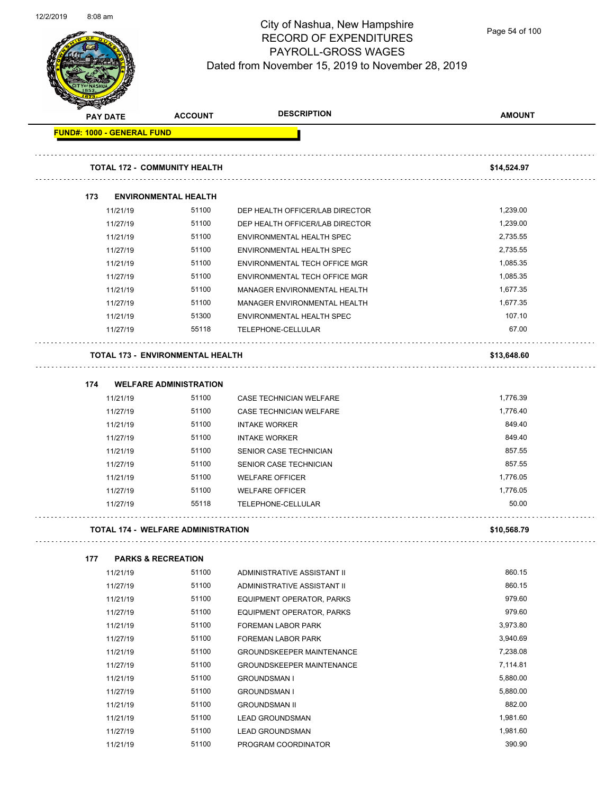

Page 54 of 100

| <b>PAY DATE</b>                   |          | <b>ACCOUNT</b>                            | <b>DESCRIPTION</b>               | <b>AMOUNT</b> |
|-----------------------------------|----------|-------------------------------------------|----------------------------------|---------------|
| <b>FUND#: 1000 - GENERAL FUND</b> |          |                                           |                                  |               |
|                                   |          | TOTAL 172 - COMMUNITY HEALTH              |                                  | \$14,524.97   |
|                                   |          |                                           |                                  |               |
| 173                               |          | <b>ENVIRONMENTAL HEALTH</b>               |                                  |               |
|                                   | 11/21/19 | 51100                                     | DEP HEALTH OFFICER/LAB DIRECTOR  | 1,239.00      |
|                                   | 11/27/19 | 51100                                     | DEP HEALTH OFFICER/LAB DIRECTOR  | 1,239.00      |
|                                   | 11/21/19 | 51100                                     | ENVIRONMENTAL HEALTH SPEC        | 2,735.55      |
|                                   | 11/27/19 | 51100                                     | ENVIRONMENTAL HEALTH SPEC        | 2,735.55      |
|                                   | 11/21/19 | 51100                                     | ENVIRONMENTAL TECH OFFICE MGR    | 1,085.35      |
|                                   | 11/27/19 | 51100                                     | ENVIRONMENTAL TECH OFFICE MGR    | 1,085.35      |
|                                   | 11/21/19 | 51100                                     | MANAGER ENVIRONMENTAL HEALTH     | 1,677.35      |
|                                   | 11/27/19 | 51100                                     | MANAGER ENVIRONMENTAL HEALTH     | 1,677.35      |
|                                   | 11/21/19 | 51300                                     | ENVIRONMENTAL HEALTH SPEC        | 107.10        |
|                                   | 11/27/19 | 55118                                     | TELEPHONE-CELLULAR               | 67.00         |
|                                   |          | <b>TOTAL 173 - ENVIRONMENTAL HEALTH</b>   |                                  | \$13,648.60   |
| 174                               |          | <b>WELFARE ADMINISTRATION</b>             |                                  |               |
|                                   | 11/21/19 | 51100                                     | CASE TECHNICIAN WELFARE          | 1,776.39      |
|                                   | 11/27/19 | 51100                                     | CASE TECHNICIAN WELFARE          | 1,776.40      |
|                                   | 11/21/19 | 51100                                     | <b>INTAKE WORKER</b>             | 849.40        |
|                                   | 11/27/19 | 51100                                     | <b>INTAKE WORKER</b>             | 849.40        |
|                                   | 11/21/19 | 51100                                     | SENIOR CASE TECHNICIAN           | 857.55        |
|                                   | 11/27/19 | 51100                                     | SENIOR CASE TECHNICIAN           | 857.55        |
|                                   | 11/21/19 | 51100                                     | <b>WELFARE OFFICER</b>           | 1,776.05      |
|                                   | 11/27/19 | 51100                                     | <b>WELFARE OFFICER</b>           | 1,776.05      |
|                                   | 11/27/19 | 55118                                     | TELEPHONE-CELLULAR               | 50.00         |
|                                   |          | <b>TOTAL 174 - WELFARE ADMINISTRATION</b> |                                  | \$10,568.79   |
| 177                               |          | <b>PARKS &amp; RECREATION</b>             |                                  |               |
|                                   | 11/21/19 | 51100                                     | ADMINISTRATIVE ASSISTANT II      | 860.15        |
|                                   | 11/27/19 | 51100                                     | ADMINISTRATIVE ASSISTANT II      | 860.15        |
|                                   | 11/21/19 | 51100                                     | EQUIPMENT OPERATOR, PARKS        | 979.60        |
|                                   | 11/27/19 | 51100                                     | EQUIPMENT OPERATOR, PARKS        | 979.60        |
|                                   | 11/21/19 | 51100                                     | FOREMAN LABOR PARK               | 3,973.80      |
|                                   | 11/27/19 | 51100                                     | FOREMAN LABOR PARK               | 3,940.69      |
|                                   | 11/21/19 | 51100                                     | GROUNDSKEEPER MAINTENANCE        | 7,238.08      |
|                                   | 11/27/19 | 51100                                     | <b>GROUNDSKEEPER MAINTENANCE</b> | 7,114.81      |
|                                   | 11/21/19 | 51100                                     | <b>GROUNDSMAN I</b>              | 5,880.00      |
|                                   | 11/27/19 | 51100                                     | <b>GROUNDSMAN I</b>              | 5,880.00      |
|                                   | 11/21/19 | 51100                                     | <b>GROUNDSMAN II</b>             | 882.00        |
|                                   | 11/21/19 | 51100                                     | <b>LEAD GROUNDSMAN</b>           | 1,981.60      |
|                                   | 11/27/19 | 51100                                     | <b>LEAD GROUNDSMAN</b>           | 1,981.60      |

11/21/19 51100 PROGRAM COORDINATOR 51100 551100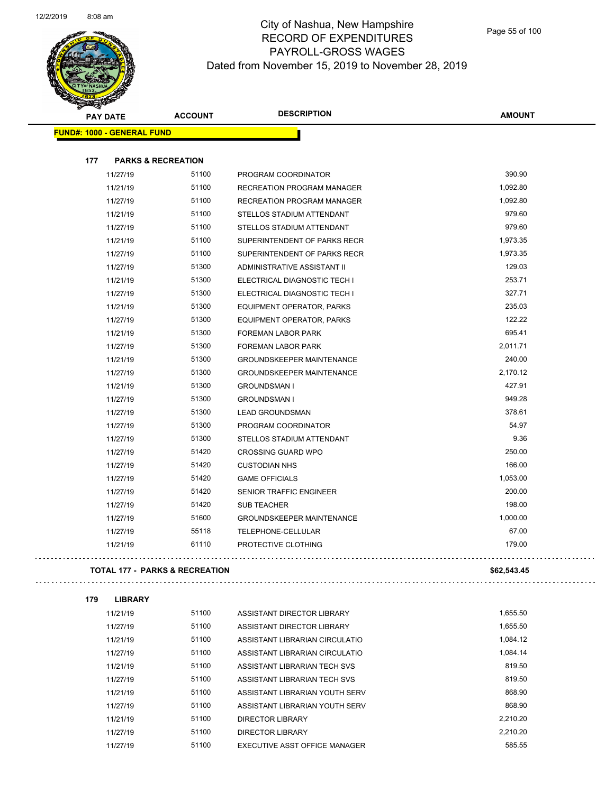

|     | <b>PAY DATE</b>                   | <b>ACCOUNT</b>                | <b>DESCRIPTION</b>                | <b>AMOUNT</b> |
|-----|-----------------------------------|-------------------------------|-----------------------------------|---------------|
|     | <b>FUND#: 1000 - GENERAL FUND</b> |                               |                                   |               |
|     |                                   |                               |                                   |               |
| 177 |                                   | <b>PARKS &amp; RECREATION</b> |                                   |               |
|     | 11/27/19                          | 51100                         | PROGRAM COORDINATOR               | 390.90        |
|     | 11/21/19                          | 51100                         | <b>RECREATION PROGRAM MANAGER</b> | 1,092.80      |
|     | 11/27/19                          | 51100                         | RECREATION PROGRAM MANAGER        | 1,092.80      |
|     | 11/21/19                          | 51100                         | STELLOS STADIUM ATTENDANT         | 979.60        |
|     | 11/27/19                          | 51100                         | STELLOS STADIUM ATTENDANT         | 979.60        |
|     | 11/21/19                          | 51100                         | SUPERINTENDENT OF PARKS RECR      | 1,973.35      |
|     | 11/27/19                          | 51100                         | SUPERINTENDENT OF PARKS RECR      | 1,973.35      |
|     | 11/27/19                          | 51300                         | ADMINISTRATIVE ASSISTANT II       | 129.03        |
|     | 11/21/19                          | 51300                         | ELECTRICAL DIAGNOSTIC TECH I      | 253.71        |
|     | 11/27/19                          | 51300                         | ELECTRICAL DIAGNOSTIC TECH I      | 327.71        |
|     | 11/21/19                          | 51300                         | EQUIPMENT OPERATOR, PARKS         | 235.03        |
|     | 11/27/19                          | 51300                         | EQUIPMENT OPERATOR, PARKS         | 122.22        |
|     | 11/21/19                          | 51300                         | FOREMAN LABOR PARK                | 695.41        |
|     | 11/27/19                          | 51300                         | <b>FOREMAN LABOR PARK</b>         | 2,011.71      |
|     | 11/21/19                          | 51300                         | <b>GROUNDSKEEPER MAINTENANCE</b>  | 240.00        |
|     | 11/27/19                          | 51300                         | <b>GROUNDSKEEPER MAINTENANCE</b>  | 2,170.12      |
|     | 11/21/19                          | 51300                         | <b>GROUNDSMAN I</b>               | 427.91        |
|     | 11/27/19                          | 51300                         | <b>GROUNDSMAN I</b>               | 949.28        |
|     | 11/27/19                          | 51300                         | <b>LEAD GROUNDSMAN</b>            | 378.61        |
|     | 11/27/19                          | 51300                         | PROGRAM COORDINATOR               | 54.97         |
|     | 11/27/19                          | 51300                         | STELLOS STADIUM ATTENDANT         | 9.36          |
|     | 11/27/19                          | 51420                         | <b>CROSSING GUARD WPO</b>         | 250.00        |
|     | 11/27/19                          | 51420                         | <b>CUSTODIAN NHS</b>              | 166.00        |
|     | 11/27/19                          | 51420                         | <b>GAME OFFICIALS</b>             | 1,053.00      |
|     | 11/27/19                          | 51420                         | SENIOR TRAFFIC ENGINEER           | 200.00        |
|     | 11/27/19                          | 51420                         | <b>SUB TEACHER</b>                | 198.00        |
|     | 11/27/19                          | 51600                         | <b>GROUNDSKEEPER MAINTENANCE</b>  | 1,000.00      |
|     | 11/27/19                          | 55118                         | TELEPHONE-CELLULAR                | 67.00         |
|     | 11/21/19                          | 61110                         | PROTECTIVE CLOTHING               | 179.00        |
|     |                                   |                               |                                   |               |

### **TOTAL 177 - PARKS & RECREATION \$6**

## **179 LIBRARY**

|    | 543.4 |  |
|----|-------|--|
| υZ |       |  |

| 11/21/19 | 51100 | ASSISTANT DIRECTOR LIBRARY     | 1.655.50 |
|----------|-------|--------------------------------|----------|
| 11/27/19 | 51100 | ASSISTANT DIRECTOR LIBRARY     | 1.655.50 |
| 11/21/19 | 51100 | ASSISTANT LIBRARIAN CIRCULATIO | 1.084.12 |
| 11/27/19 | 51100 | ASSISTANT LIBRARIAN CIRCULATIO | 1.084.14 |
| 11/21/19 | 51100 | ASSISTANT LIBRARIAN TECH SVS   | 819.50   |
| 11/27/19 | 51100 | ASSISTANT LIBRARIAN TECH SVS   | 819.50   |
| 11/21/19 | 51100 | ASSISTANT LIBRARIAN YOUTH SERV | 868.90   |
| 11/27/19 | 51100 | ASSISTANT LIBRARIAN YOUTH SERV | 868.90   |
| 11/21/19 | 51100 | DIRECTOR LIBRARY               | 2.210.20 |
| 11/27/19 | 51100 | DIRECTOR LIBRARY               | 2.210.20 |
| 11/27/19 | 51100 | EXECUTIVE ASST OFFICE MANAGER  | 585.55   |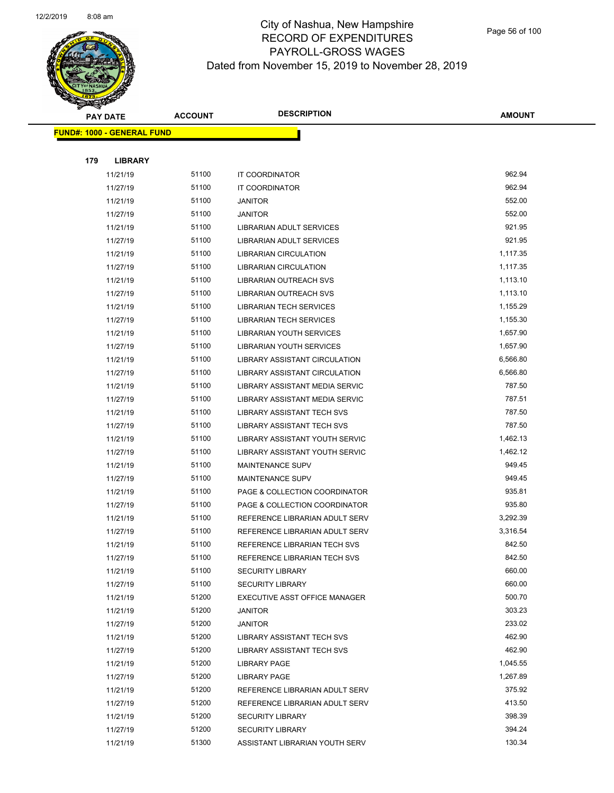

Page 56 of 100

|     | <b>PAY DATE</b>                    | <b>ACCOUNT</b> | <b>DESCRIPTION</b>                    | <b>AMOUNT</b> |
|-----|------------------------------------|----------------|---------------------------------------|---------------|
|     | <u> FUND#: 1000 - GENERAL FUND</u> |                |                                       |               |
|     |                                    |                |                                       |               |
| 179 | <b>LIBRARY</b>                     |                |                                       |               |
|     | 11/21/19                           | 51100          | IT COORDINATOR                        | 962.94        |
|     | 11/27/19                           | 51100          | IT COORDINATOR                        | 962.94        |
|     | 11/21/19                           | 51100          | <b>JANITOR</b>                        | 552.00        |
|     | 11/27/19                           | 51100          | <b>JANITOR</b>                        | 552.00        |
|     | 11/21/19                           | 51100          | LIBRARIAN ADULT SERVICES              | 921.95        |
|     | 11/27/19                           | 51100          | LIBRARIAN ADULT SERVICES              | 921.95        |
|     | 11/21/19                           | 51100          | <b>LIBRARIAN CIRCULATION</b>          | 1,117.35      |
|     | 11/27/19                           | 51100          | <b>LIBRARIAN CIRCULATION</b>          | 1,117.35      |
|     | 11/21/19                           | 51100          | LIBRARIAN OUTREACH SVS                | 1,113.10      |
|     | 11/27/19                           | 51100          | <b>LIBRARIAN OUTREACH SVS</b>         | 1,113.10      |
|     | 11/21/19                           | 51100          | <b>LIBRARIAN TECH SERVICES</b>        | 1,155.29      |
|     | 11/27/19                           | 51100          | <b>LIBRARIAN TECH SERVICES</b>        | 1,155.30      |
|     | 11/21/19                           | 51100          | LIBRARIAN YOUTH SERVICES              | 1,657.90      |
|     | 11/27/19                           | 51100          | <b>LIBRARIAN YOUTH SERVICES</b>       | 1,657.90      |
|     | 11/21/19                           | 51100          | <b>LIBRARY ASSISTANT CIRCULATION</b>  | 6,566.80      |
|     | 11/27/19                           | 51100          | <b>LIBRARY ASSISTANT CIRCULATION</b>  | 6,566.80      |
|     | 11/21/19                           | 51100          | <b>LIBRARY ASSISTANT MEDIA SERVIC</b> | 787.50        |
|     | 11/27/19                           | 51100          | LIBRARY ASSISTANT MEDIA SERVIC        | 787.51        |
|     | 11/21/19                           | 51100          | <b>LIBRARY ASSISTANT TECH SVS</b>     | 787.50        |
|     | 11/27/19                           | 51100          | <b>LIBRARY ASSISTANT TECH SVS</b>     | 787.50        |
|     | 11/21/19                           | 51100          | LIBRARY ASSISTANT YOUTH SERVIC        | 1,462.13      |
|     | 11/27/19                           | 51100          | LIBRARY ASSISTANT YOUTH SERVIC        | 1,462.12      |
|     | 11/21/19                           | 51100          | <b>MAINTENANCE SUPV</b>               | 949.45        |
|     | 11/27/19                           | 51100          | <b>MAINTENANCE SUPV</b>               | 949.45        |
|     | 11/21/19                           | 51100          | PAGE & COLLECTION COORDINATOR         | 935.81        |
|     | 11/27/19                           | 51100          | PAGE & COLLECTION COORDINATOR         | 935.80        |
|     | 11/21/19                           | 51100          | REFERENCE LIBRARIAN ADULT SERV        | 3,292.39      |
|     | 11/27/19                           | 51100          | REFERENCE LIBRARIAN ADULT SERV        | 3,316.54      |
|     | 11/21/19                           | 51100          | REFERENCE LIBRARIAN TECH SVS          | 842.50        |
|     | 11/27/19                           | 51100          | REFERENCE LIBRARIAN TECH SVS          | 842.50        |
|     | 11/21/19                           | 51100          | <b>SECURITY LIBRARY</b>               | 660.00        |
|     | 11/27/19                           | 51100          | <b>SECURITY LIBRARY</b>               | 660.00        |
|     | 11/21/19                           | 51200          | EXECUTIVE ASST OFFICE MANAGER         | 500.70        |
|     | 11/21/19                           | 51200          | <b>JANITOR</b>                        | 303.23        |
|     | 11/27/19                           | 51200          | <b>JANITOR</b>                        | 233.02        |
|     | 11/21/19                           | 51200          | LIBRARY ASSISTANT TECH SVS            | 462.90        |
|     | 11/27/19                           | 51200          | LIBRARY ASSISTANT TECH SVS            | 462.90        |
|     | 11/21/19                           | 51200          | <b>LIBRARY PAGE</b>                   | 1,045.55      |
|     | 11/27/19                           | 51200          | <b>LIBRARY PAGE</b>                   | 1,267.89      |
|     | 11/21/19                           | 51200          | REFERENCE LIBRARIAN ADULT SERV        | 375.92        |
|     | 11/27/19                           | 51200          | REFERENCE LIBRARIAN ADULT SERV        | 413.50        |
|     | 11/21/19                           | 51200          | <b>SECURITY LIBRARY</b>               | 398.39        |
|     | 11/27/19                           | 51200          | <b>SECURITY LIBRARY</b>               | 394.24        |
|     | 11/21/19                           | 51300          | ASSISTANT LIBRARIAN YOUTH SERV        | 130.34        |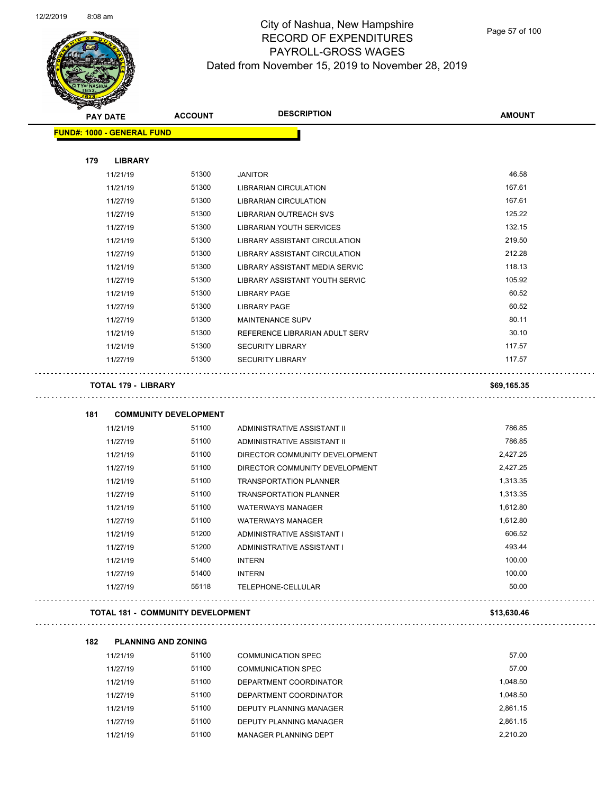$\overline{\phantom{0}}$ 



## City of Nashua, New Hampshire RECORD OF EXPENDITURES PAYROLL-GROSS WAGES Dated from November 15, 2019 to November 28, 2019

| $\sum_{i=1}^n a_i$<br><b>PAY DATE</b>    | <b>ACCOUNT</b> | <b>DESCRIPTION</b>                   | <b>AMOUNT</b> |
|------------------------------------------|----------------|--------------------------------------|---------------|
| <b>FUND#: 1000 - GENERAL FUND</b>        |                |                                      |               |
|                                          |                |                                      |               |
| 179<br><b>LIBRARY</b>                    |                |                                      |               |
| 11/21/19                                 | 51300          | <b>JANITOR</b>                       | 46.58         |
| 11/21/19                                 | 51300          | <b>LIBRARIAN CIRCULATION</b>         | 167.61        |
| 11/27/19                                 | 51300          | <b>LIBRARIAN CIRCULATION</b>         | 167.61        |
| 11/27/19                                 | 51300          | LIBRARIAN OUTREACH SVS               | 125.22        |
| 11/27/19                                 | 51300          | LIBRARIAN YOUTH SERVICES             | 132.15        |
| 11/21/19                                 | 51300          | <b>LIBRARY ASSISTANT CIRCULATION</b> | 219.50        |
| 11/27/19                                 | 51300          | LIBRARY ASSISTANT CIRCULATION        | 212.28        |
| 11/21/19                                 | 51300          | LIBRARY ASSISTANT MEDIA SERVIC       | 118.13        |
| 11/27/19                                 | 51300          | LIBRARY ASSISTANT YOUTH SERVIC       | 105.92        |
| 11/21/19                                 | 51300          | <b>LIBRARY PAGE</b>                  | 60.52         |
| 11/27/19                                 | 51300          | <b>LIBRARY PAGE</b>                  | 60.52         |
| 11/27/19                                 | 51300          | <b>MAINTENANCE SUPV</b>              | 80.11         |
| 11/21/19                                 | 51300          | REFERENCE LIBRARIAN ADULT SERV       | 30.10         |
| 11/21/19                                 | 51300          | <b>SECURITY LIBRARY</b>              | 117.57        |
| 11/27/19                                 | 51300          | <b>SECURITY LIBRARY</b>              | 117.57        |
| <b>TOTAL 179 - LIBRARY</b>               |                |                                      | \$69,165.35   |
| 181<br><b>COMMUNITY DEVELOPMENT</b>      |                |                                      |               |
| 11/21/19                                 | 51100          | ADMINISTRATIVE ASSISTANT II          | 786.85        |
| 11/27/19                                 | 51100          | ADMINISTRATIVE ASSISTANT II          | 786.85        |
| 11/21/19                                 | 51100          | DIRECTOR COMMUNITY DEVELOPMENT       | 2,427.25      |
| 11/27/19                                 | 51100          | DIRECTOR COMMUNITY DEVELOPMENT       | 2,427.25      |
| 11/21/19                                 | 51100          | <b>TRANSPORTATION PLANNER</b>        | 1,313.35      |
| 11/27/19                                 | 51100          | <b>TRANSPORTATION PLANNER</b>        | 1,313.35      |
| 11/21/19                                 | 51100          | <b>WATERWAYS MANAGER</b>             | 1,612.80      |
| 11/27/19                                 | 51100          | <b>WATERWAYS MANAGER</b>             | 1,612.80      |
| 11/21/19                                 | 51200          | ADMINISTRATIVE ASSISTANT I           | 606.52        |
| 11/27/19                                 | 51200          | <b>ADMINISTRATIVE ASSISTANT I</b>    | 493.44        |
| 11/21/19                                 | 51400          | <b>INTERN</b>                        | 100.00        |
| 11/27/19                                 | 51400          | <b>INTERN</b>                        | 100.00        |
| 11/27/19                                 | 55118          | TELEPHONE-CELLULAR                   | 50.00         |
| <b>TOTAL 181 - COMMUNITY DEVELOPMENT</b> |                |                                      | \$13,630.46   |
|                                          |                |                                      |               |
| 182<br><b>PLANNING AND ZONING</b>        |                |                                      |               |
| 11/21/19                                 | 51100          | <b>COMMUNICATION SPEC</b>            | 57.00         |
| 11/27/19                                 | 51100          | <b>COMMUNICATION SPEC</b>            | 57.00         |
| 11/21/19                                 | 51100          | DEPARTMENT COORDINATOR               | 1,048.50      |
| 11/27/19                                 | 51100          | DEPARTMENT COORDINATOR               | 1,048.50      |

11/21/19 51100 DEPUTY PLANNING MANAGER 2,861.15 11/27/19 51100 DEPUTY PLANNING MANAGER 2,861.15 11/21/19 51100 MANAGER PLANNING DEPT 2,210.20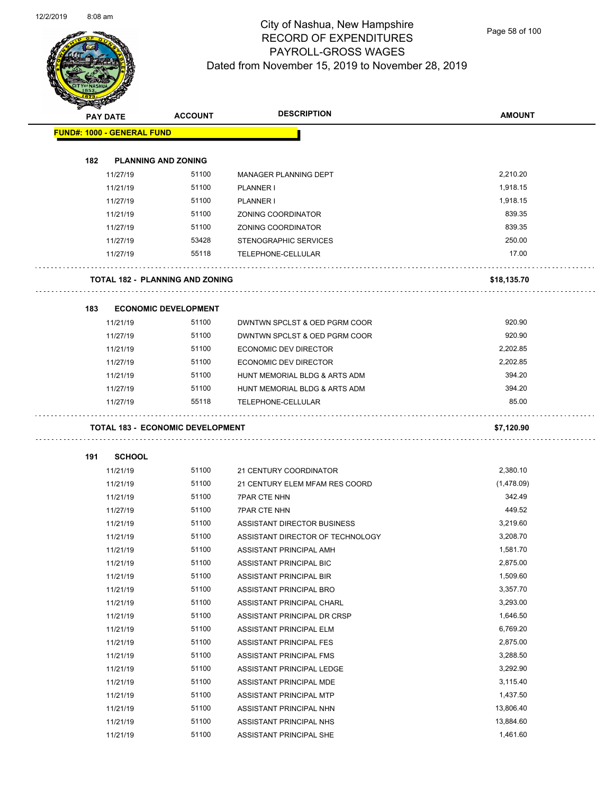

Page 58 of 100

|                                   | <b>PAY DATE</b>      | <b>ACCOUNT</b>                          | <b>DESCRIPTION</b>               | <b>AMOUNT</b> |
|-----------------------------------|----------------------|-----------------------------------------|----------------------------------|---------------|
| <b>FUND#: 1000 - GENERAL FUND</b> |                      |                                         |                                  |               |
|                                   |                      | <b>PLANNING AND ZONING</b>              |                                  |               |
| 182                               |                      | 51100                                   |                                  | 2,210.20      |
|                                   | 11/27/19             | 51100                                   | MANAGER PLANNING DEPT            | 1,918.15      |
|                                   | 11/21/19<br>11/27/19 | 51100                                   | PLANNER I<br>PLANNER I           | 1,918.15      |
|                                   | 11/21/19             | 51100                                   | <b>ZONING COORDINATOR</b>        | 839.35        |
|                                   | 11/27/19             | 51100                                   | ZONING COORDINATOR               | 839.35        |
|                                   | 11/27/19             | 53428                                   | <b>STENOGRAPHIC SERVICES</b>     | 250.00        |
|                                   | 11/27/19             | 55118                                   | TELEPHONE-CELLULAR               | 17.00         |
|                                   |                      |                                         |                                  |               |
|                                   |                      | <b>TOTAL 182 - PLANNING AND ZONING</b>  |                                  | \$18,135.70   |
| 183                               |                      | <b>ECONOMIC DEVELOPMENT</b>             |                                  |               |
|                                   | 11/21/19             | 51100                                   | DWNTWN SPCLST & OED PGRM COOR    | 920.90        |
|                                   | 11/27/19             | 51100                                   | DWNTWN SPCLST & OED PGRM COOR    | 920.90        |
|                                   | 11/21/19             | 51100                                   | ECONOMIC DEV DIRECTOR            | 2,202.85      |
|                                   | 11/27/19             | 51100                                   | ECONOMIC DEV DIRECTOR            | 2,202.85      |
|                                   | 11/21/19             | 51100                                   | HUNT MEMORIAL BLDG & ARTS ADM    | 394.20        |
|                                   | 11/27/19             | 51100                                   | HUNT MEMORIAL BLDG & ARTS ADM    | 394.20        |
|                                   | 11/27/19             | 55118                                   | TELEPHONE-CELLULAR               | 85.00         |
|                                   |                      | <b>TOTAL 183 - ECONOMIC DEVELOPMENT</b> |                                  | \$7,120.90    |
| 191                               | <b>SCHOOL</b>        |                                         |                                  |               |
|                                   | 11/21/19             | 51100                                   | 21 CENTURY COORDINATOR           | 2,380.10      |
|                                   | 11/21/19             | 51100                                   | 21 CENTURY ELEM MFAM RES COORD   | (1,478.09)    |
|                                   | 11/21/19             | 51100                                   | <b>7PAR CTE NHN</b>              | 342.49        |
|                                   | 11/27/19             | 51100                                   | <b>7PAR CTE NHN</b>              | 449.52        |
|                                   | 11/21/19             | 51100                                   | ASSISTANT DIRECTOR BUSINESS      | 3,219.60      |
|                                   | 11/21/19             | 51100                                   | ASSISTANT DIRECTOR OF TECHNOLOGY | 3,208.70      |
|                                   | 11/21/19             | 51100                                   | ASSISTANT PRINCIPAL AMH          | 1,581.70      |
|                                   | 11/21/19             | 51100                                   | ASSISTANT PRINCIPAL BIC          | 2,875.00      |
|                                   | 11/21/19             | 51100                                   | ASSISTANT PRINCIPAL BIR          | 1,509.60      |
|                                   | 11/21/19             | 51100                                   | ASSISTANT PRINCIPAL BRO          | 3,357.70      |
|                                   | 11/21/19             | 51100                                   | ASSISTANT PRINCIPAL CHARL        | 3,293.00      |
|                                   | 11/21/19             | 51100                                   | ASSISTANT PRINCIPAL DR CRSP      | 1,646.50      |
|                                   | 11/21/19             | 51100                                   | ASSISTANT PRINCIPAL ELM          | 6,769.20      |
|                                   | 11/21/19             | 51100                                   | ASSISTANT PRINCIPAL FES          | 2,875.00      |
|                                   | 11/21/19             | 51100                                   | ASSISTANT PRINCIPAL FMS          | 3,288.50      |
|                                   | 11/21/19             | 51100                                   | ASSISTANT PRINCIPAL LEDGE        | 3,292.90      |
|                                   | 11/21/19             | 51100                                   | ASSISTANT PRINCIPAL MDE          | 3,115.40      |
|                                   | 11/21/19             | 51100                                   | ASSISTANT PRINCIPAL MTP          | 1,437.50      |
|                                   | 11/21/19             | 51100                                   | ASSISTANT PRINCIPAL NHN          | 13,806.40     |
|                                   | 11/21/19             | 51100                                   | ASSISTANT PRINCIPAL NHS          | 13,884.60     |
|                                   | 11/21/19             | 51100                                   | ASSISTANT PRINCIPAL SHE          | 1,461.60      |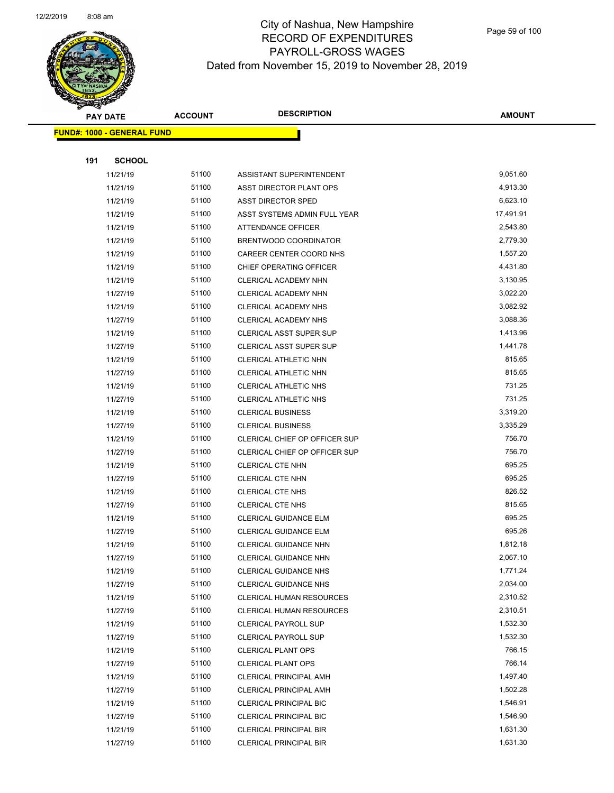

|     | <b>PAY DATE</b>                   | <b>ACCOUNT</b> | <b>DESCRIPTION</b>              | <b>AMOUNT</b> |
|-----|-----------------------------------|----------------|---------------------------------|---------------|
|     | <b>FUND#: 1000 - GENERAL FUND</b> |                |                                 |               |
|     |                                   |                |                                 |               |
| 191 | <b>SCHOOL</b>                     |                |                                 |               |
|     | 11/21/19                          | 51100          | ASSISTANT SUPERINTENDENT        | 9,051.60      |
|     | 11/21/19                          | 51100          | ASST DIRECTOR PLANT OPS         | 4,913.30      |
|     | 11/21/19                          | 51100          | <b>ASST DIRECTOR SPED</b>       | 6,623.10      |
|     | 11/21/19                          | 51100          | ASST SYSTEMS ADMIN FULL YEAR    | 17,491.91     |
|     | 11/21/19                          | 51100          | ATTENDANCE OFFICER              | 2,543.80      |
|     | 11/21/19                          | 51100          | BRENTWOOD COORDINATOR           | 2,779.30      |
|     | 11/21/19                          | 51100          | CAREER CENTER COORD NHS         | 1,557.20      |
|     | 11/21/19                          | 51100          | CHIEF OPERATING OFFICER         | 4,431.80      |
|     | 11/21/19                          | 51100          | CLERICAL ACADEMY NHN            | 3,130.95      |
|     | 11/27/19                          | 51100          | CLERICAL ACADEMY NHN            | 3,022.20      |
|     | 11/21/19                          | 51100          | CLERICAL ACADEMY NHS            | 3,082.92      |
|     | 11/27/19                          | 51100          | CLERICAL ACADEMY NHS            | 3,088.36      |
|     | 11/21/19                          | 51100          | <b>CLERICAL ASST SUPER SUP</b>  | 1,413.96      |
|     | 11/27/19                          | 51100          | <b>CLERICAL ASST SUPER SUP</b>  | 1,441.78      |
|     | 11/21/19                          | 51100          | CLERICAL ATHLETIC NHN           | 815.65        |
|     | 11/27/19                          | 51100          | CLERICAL ATHLETIC NHN           | 815.65        |
|     | 11/21/19                          | 51100          | CLERICAL ATHLETIC NHS           | 731.25        |
|     | 11/27/19                          | 51100          | <b>CLERICAL ATHLETIC NHS</b>    | 731.25        |
|     | 11/21/19                          | 51100          | <b>CLERICAL BUSINESS</b>        | 3,319.20      |
|     | 11/27/19                          | 51100          | <b>CLERICAL BUSINESS</b>        | 3,335.29      |
|     | 11/21/19                          | 51100          | CLERICAL CHIEF OP OFFICER SUP   | 756.70        |
|     | 11/27/19                          | 51100          | CLERICAL CHIEF OP OFFICER SUP   | 756.70        |
|     | 11/21/19                          | 51100          | <b>CLERICAL CTE NHN</b>         | 695.25        |
|     | 11/27/19                          | 51100          | <b>CLERICAL CTE NHN</b>         | 695.25        |
|     | 11/21/19                          | 51100          | <b>CLERICAL CTE NHS</b>         | 826.52        |
|     | 11/27/19                          | 51100          | <b>CLERICAL CTE NHS</b>         | 815.65        |
|     | 11/21/19                          | 51100          | CLERICAL GUIDANCE ELM           | 695.25        |
|     | 11/27/19                          | 51100          | CLERICAL GUIDANCE ELM           | 695.26        |
|     | 11/21/19                          | 51100          | CLERICAL GUIDANCE NHN           | 1,812.18      |
|     | 11/27/19                          | 51100          | <b>CLERICAL GUIDANCE NHN</b>    | 2,067.10      |
|     | 11/21/19                          | 51100          | CLERICAL GUIDANCE NHS           | 1,771.24      |
|     | 11/27/19                          | 51100          | <b>CLERICAL GUIDANCE NHS</b>    | 2,034.00      |
|     | 11/21/19                          | 51100          | <b>CLERICAL HUMAN RESOURCES</b> | 2,310.52      |
|     | 11/27/19                          | 51100          | CLERICAL HUMAN RESOURCES        | 2,310.51      |
|     | 11/21/19                          | 51100          | <b>CLERICAL PAYROLL SUP</b>     | 1,532.30      |
|     | 11/27/19                          | 51100          | <b>CLERICAL PAYROLL SUP</b>     | 1,532.30      |
|     | 11/21/19                          | 51100          | <b>CLERICAL PLANT OPS</b>       | 766.15        |
|     | 11/27/19                          | 51100          | <b>CLERICAL PLANT OPS</b>       | 766.14        |
|     | 11/21/19                          | 51100          | CLERICAL PRINCIPAL AMH          | 1,497.40      |
|     | 11/27/19                          | 51100          | <b>CLERICAL PRINCIPAL AMH</b>   | 1,502.28      |
|     | 11/21/19                          | 51100          | <b>CLERICAL PRINCIPAL BIC</b>   | 1,546.91      |
|     | 11/27/19                          | 51100          | <b>CLERICAL PRINCIPAL BIC</b>   | 1,546.90      |
|     | 11/21/19                          | 51100          | <b>CLERICAL PRINCIPAL BIR</b>   | 1,631.30      |
|     | 11/27/19                          | 51100          | CLERICAL PRINCIPAL BIR          | 1,631.30      |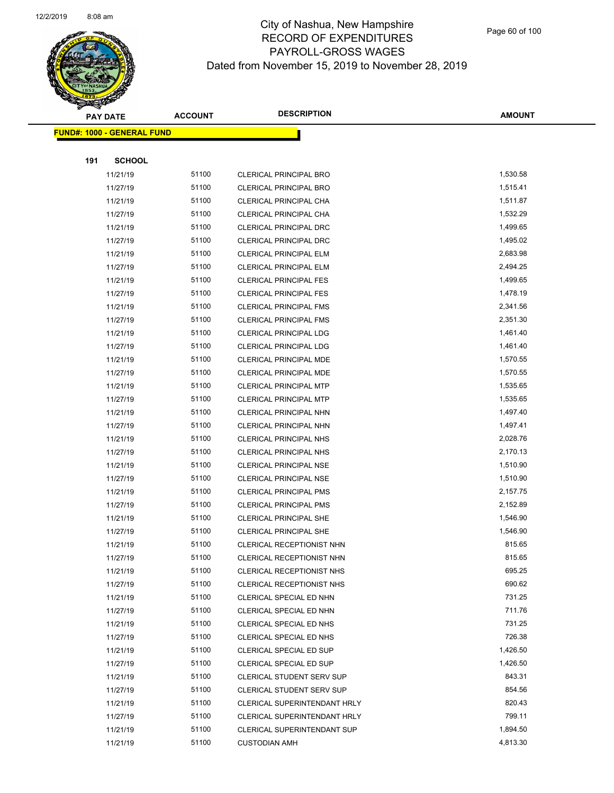

|     | <b>PAY DATE</b>                    | <b>ACCOUNT</b> | <b>DESCRIPTION</b>                                          | <b>AMOUNT</b>    |
|-----|------------------------------------|----------------|-------------------------------------------------------------|------------------|
|     | <u> FUND#: 1000 - GENERAL FUND</u> |                |                                                             |                  |
|     |                                    |                |                                                             |                  |
| 191 | <b>SCHOOL</b>                      |                |                                                             |                  |
|     | 11/21/19                           | 51100          | <b>CLERICAL PRINCIPAL BRO</b>                               | 1,530.58         |
|     | 11/27/19                           | 51100          | <b>CLERICAL PRINCIPAL BRO</b>                               | 1,515.41         |
|     | 11/21/19                           | 51100          | CLERICAL PRINCIPAL CHA                                      | 1,511.87         |
|     | 11/27/19                           | 51100          | CLERICAL PRINCIPAL CHA                                      | 1,532.29         |
|     | 11/21/19                           | 51100          | <b>CLERICAL PRINCIPAL DRC</b>                               | 1,499.65         |
|     | 11/27/19                           | 51100          | CLERICAL PRINCIPAL DRC                                      | 1,495.02         |
|     | 11/21/19                           | 51100          | <b>CLERICAL PRINCIPAL ELM</b>                               | 2,683.98         |
|     | 11/27/19                           | 51100          | <b>CLERICAL PRINCIPAL ELM</b>                               | 2,494.25         |
|     | 11/21/19                           | 51100          | <b>CLERICAL PRINCIPAL FES</b>                               | 1,499.65         |
|     | 11/27/19                           | 51100          | <b>CLERICAL PRINCIPAL FES</b>                               | 1,478.19         |
|     | 11/21/19                           | 51100          | <b>CLERICAL PRINCIPAL FMS</b>                               | 2,341.56         |
|     | 11/27/19                           | 51100          | <b>CLERICAL PRINCIPAL FMS</b>                               | 2,351.30         |
|     | 11/21/19                           | 51100          | <b>CLERICAL PRINCIPAL LDG</b>                               | 1,461.40         |
|     | 11/27/19                           | 51100          | <b>CLERICAL PRINCIPAL LDG</b>                               | 1,461.40         |
|     | 11/21/19                           | 51100          | CLERICAL PRINCIPAL MDE                                      | 1,570.55         |
|     | 11/27/19                           | 51100          | CLERICAL PRINCIPAL MDE                                      | 1,570.55         |
|     | 11/21/19                           | 51100          | <b>CLERICAL PRINCIPAL MTP</b>                               | 1,535.65         |
|     | 11/27/19                           | 51100          | <b>CLERICAL PRINCIPAL MTP</b>                               | 1,535.65         |
|     | 11/21/19                           | 51100          | CLERICAL PRINCIPAL NHN                                      | 1,497.40         |
|     | 11/27/19                           | 51100          | CLERICAL PRINCIPAL NHN                                      | 1,497.41         |
|     | 11/21/19                           | 51100          | <b>CLERICAL PRINCIPAL NHS</b>                               | 2,028.76         |
|     | 11/27/19                           | 51100          | <b>CLERICAL PRINCIPAL NHS</b>                               | 2,170.13         |
|     | 11/21/19                           | 51100          | <b>CLERICAL PRINCIPAL NSE</b>                               | 1,510.90         |
|     | 11/27/19                           | 51100          | <b>CLERICAL PRINCIPAL NSE</b>                               | 1,510.90         |
|     | 11/21/19                           | 51100          | CLERICAL PRINCIPAL PMS                                      | 2,157.75         |
|     | 11/27/19                           | 51100          | <b>CLERICAL PRINCIPAL PMS</b>                               | 2,152.89         |
|     | 11/21/19                           | 51100          | <b>CLERICAL PRINCIPAL SHE</b>                               | 1,546.90         |
|     | 11/27/19                           | 51100          | <b>CLERICAL PRINCIPAL SHE</b>                               | 1,546.90         |
|     | 11/21/19                           | 51100          | CLERICAL RECEPTIONIST NHN                                   | 815.65           |
|     | 11/27/19                           | 51100          | CLERICAL RECEPTIONIST NHN                                   | 815.65           |
|     | 11/21/19                           | 51100          | CLERICAL RECEPTIONIST NHS                                   | 695.25           |
|     | 11/27/19                           | 51100          | CLERICAL RECEPTIONIST NHS                                   | 690.62           |
|     | 11/21/19                           | 51100          | CLERICAL SPECIAL ED NHN                                     | 731.25           |
|     | 11/27/19                           | 51100          | CLERICAL SPECIAL ED NHN                                     | 711.76           |
|     | 11/21/19                           | 51100          | CLERICAL SPECIAL ED NHS                                     | 731.25           |
|     | 11/27/19                           | 51100          | CLERICAL SPECIAL ED NHS                                     | 726.38           |
|     | 11/21/19                           | 51100          | CLERICAL SPECIAL ED SUP                                     | 1,426.50         |
|     | 11/27/19                           | 51100          | CLERICAL SPECIAL ED SUP                                     | 1,426.50         |
|     | 11/21/19                           | 51100          | <b>CLERICAL STUDENT SERV SUP</b>                            | 843.31           |
|     | 11/27/19                           | 51100          | <b>CLERICAL STUDENT SERV SUP</b>                            | 854.56           |
|     | 11/21/19                           | 51100<br>51100 | CLERICAL SUPERINTENDANT HRLY                                | 820.43<br>799.11 |
|     | 11/27/19                           |                | CLERICAL SUPERINTENDANT HRLY<br>CLERICAL SUPERINTENDANT SUP | 1,894.50         |
|     | 11/21/19                           | 51100          |                                                             | 4,813.30         |
|     | 11/21/19                           | 51100          | <b>CUSTODIAN AMH</b>                                        |                  |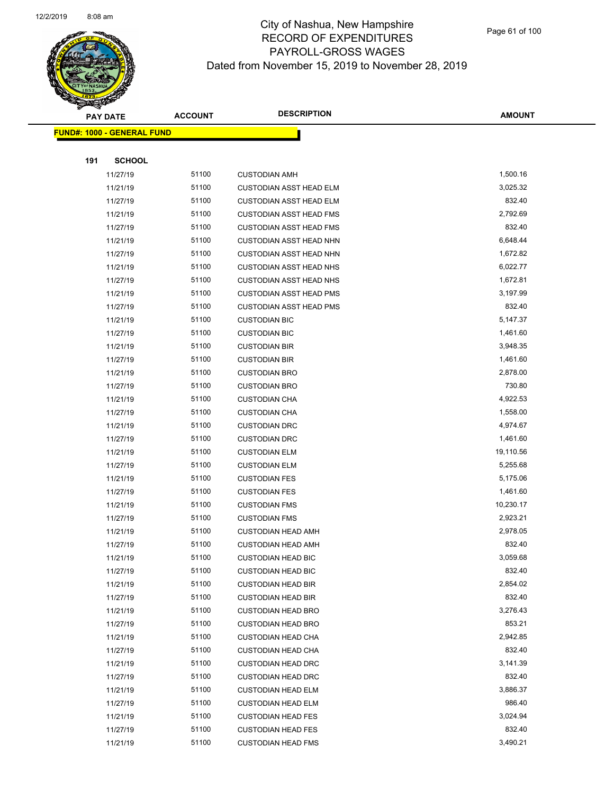

Page 61 of 100

| <b>PAY DATE</b> |                                   | <b>ACCOUNT</b> | <b>DESCRIPTION</b>             | <b>AMOUNT</b> |
|-----------------|-----------------------------------|----------------|--------------------------------|---------------|
|                 | <b>FUND#: 1000 - GENERAL FUND</b> |                |                                |               |
|                 |                                   |                |                                |               |
| 191             | <b>SCHOOL</b>                     |                |                                |               |
|                 | 11/27/19                          | 51100          | <b>CUSTODIAN AMH</b>           | 1,500.16      |
|                 | 11/21/19                          | 51100          | <b>CUSTODIAN ASST HEAD ELM</b> | 3,025.32      |
|                 | 11/27/19                          | 51100          | <b>CUSTODIAN ASST HEAD ELM</b> | 832.40        |
|                 | 11/21/19                          | 51100          | <b>CUSTODIAN ASST HEAD FMS</b> | 2,792.69      |
|                 | 11/27/19                          | 51100          | <b>CUSTODIAN ASST HEAD FMS</b> | 832.40        |
|                 | 11/21/19                          | 51100          | <b>CUSTODIAN ASST HEAD NHN</b> | 6,648.44      |
|                 | 11/27/19                          | 51100          | <b>CUSTODIAN ASST HEAD NHN</b> | 1,672.82      |
|                 | 11/21/19                          | 51100          | <b>CUSTODIAN ASST HEAD NHS</b> | 6,022.77      |
|                 | 11/27/19                          | 51100          | <b>CUSTODIAN ASST HEAD NHS</b> | 1,672.81      |
|                 | 11/21/19                          | 51100          | <b>CUSTODIAN ASST HEAD PMS</b> | 3,197.99      |
|                 | 11/27/19                          | 51100          | <b>CUSTODIAN ASST HEAD PMS</b> | 832.40        |
|                 | 11/21/19                          | 51100          | <b>CUSTODIAN BIC</b>           | 5,147.37      |
|                 | 11/27/19                          | 51100          | <b>CUSTODIAN BIC</b>           | 1,461.60      |
|                 | 11/21/19                          | 51100          | <b>CUSTODIAN BIR</b>           | 3,948.35      |
|                 | 11/27/19                          | 51100          | <b>CUSTODIAN BIR</b>           | 1,461.60      |
|                 | 11/21/19                          | 51100          | <b>CUSTODIAN BRO</b>           | 2,878.00      |
|                 | 11/27/19                          | 51100          | <b>CUSTODIAN BRO</b>           | 730.80        |
|                 | 11/21/19                          | 51100          | <b>CUSTODIAN CHA</b>           | 4,922.53      |
|                 | 11/27/19                          | 51100          | <b>CUSTODIAN CHA</b>           | 1,558.00      |
|                 | 11/21/19                          | 51100          | <b>CUSTODIAN DRC</b>           | 4,974.67      |
|                 | 11/27/19                          | 51100          | <b>CUSTODIAN DRC</b>           | 1,461.60      |
|                 | 11/21/19                          | 51100          | <b>CUSTODIAN ELM</b>           | 19,110.56     |
|                 | 11/27/19                          | 51100          | <b>CUSTODIAN ELM</b>           | 5,255.68      |
|                 | 11/21/19                          | 51100          | <b>CUSTODIAN FES</b>           | 5,175.06      |
|                 | 11/27/19                          | 51100          | <b>CUSTODIAN FES</b>           | 1,461.60      |
|                 | 11/21/19                          | 51100          | <b>CUSTODIAN FMS</b>           | 10,230.17     |
|                 | 11/27/19                          | 51100          | <b>CUSTODIAN FMS</b>           | 2,923.21      |
|                 | 11/21/19                          | 51100          | <b>CUSTODIAN HEAD AMH</b>      | 2,978.05      |
|                 | 11/27/19                          | 51100          | <b>CUSTODIAN HEAD AMH</b>      | 832.40        |
|                 | 11/21/19                          | 51100          | <b>CUSTODIAN HEAD BIC</b>      | 3,059.68      |
|                 | 11/27/19                          | 51100          | <b>CUSTODIAN HEAD BIC</b>      | 832.40        |
|                 | 11/21/19                          | 51100          | <b>CUSTODIAN HEAD BIR</b>      | 2,854.02      |
|                 | 11/27/19                          | 51100          | <b>CUSTODIAN HEAD BIR</b>      | 832.40        |
|                 | 11/21/19                          | 51100          | <b>CUSTODIAN HEAD BRO</b>      | 3,276.43      |
|                 | 11/27/19                          | 51100          | <b>CUSTODIAN HEAD BRO</b>      | 853.21        |
|                 | 11/21/19                          | 51100          | <b>CUSTODIAN HEAD CHA</b>      | 2,942.85      |
|                 | 11/27/19                          | 51100          | <b>CUSTODIAN HEAD CHA</b>      | 832.40        |
|                 | 11/21/19                          | 51100          | <b>CUSTODIAN HEAD DRC</b>      | 3,141.39      |
|                 | 11/27/19                          | 51100          | <b>CUSTODIAN HEAD DRC</b>      | 832.40        |
|                 | 11/21/19                          | 51100          | <b>CUSTODIAN HEAD ELM</b>      | 3,886.37      |
|                 | 11/27/19                          | 51100          | <b>CUSTODIAN HEAD ELM</b>      | 986.40        |
|                 | 11/21/19                          | 51100          | <b>CUSTODIAN HEAD FES</b>      | 3,024.94      |
|                 | 11/27/19                          | 51100          | <b>CUSTODIAN HEAD FES</b>      | 832.40        |
|                 | 11/21/19                          | 51100          | <b>CUSTODIAN HEAD FMS</b>      | 3,490.21      |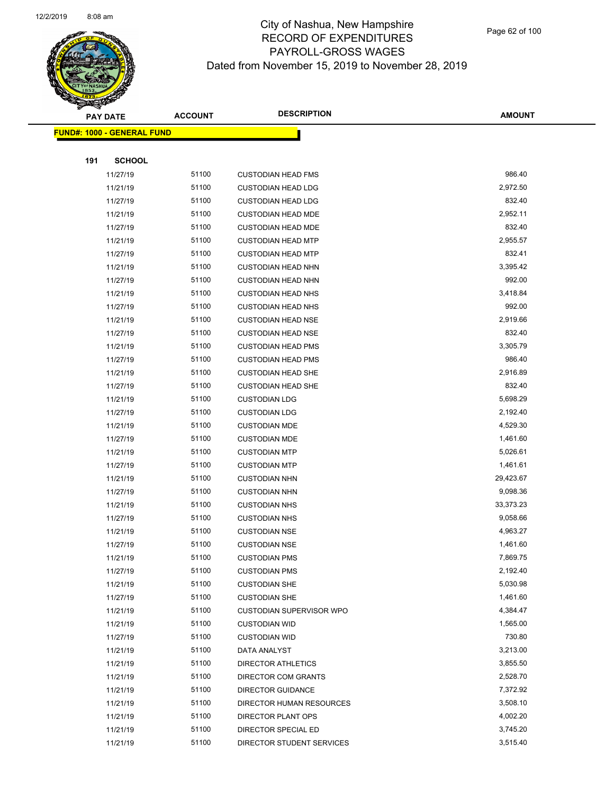

Page 62 of 100

|     | <b>PAY DATE</b>                   | <b>ACCOUNT</b> | <b>DESCRIPTION</b>              | <b>AMOUNT</b> |
|-----|-----------------------------------|----------------|---------------------------------|---------------|
|     | <b>FUND#: 1000 - GENERAL FUND</b> |                |                                 |               |
|     |                                   |                |                                 |               |
| 191 | <b>SCHOOL</b>                     |                |                                 |               |
|     | 11/27/19                          | 51100          | <b>CUSTODIAN HEAD FMS</b>       | 986.40        |
|     | 11/21/19                          | 51100          | <b>CUSTODIAN HEAD LDG</b>       | 2,972.50      |
|     | 11/27/19                          | 51100          | <b>CUSTODIAN HEAD LDG</b>       | 832.40        |
|     | 11/21/19                          | 51100          | <b>CUSTODIAN HEAD MDE</b>       | 2,952.11      |
|     | 11/27/19                          | 51100          | <b>CUSTODIAN HEAD MDE</b>       | 832.40        |
|     | 11/21/19                          | 51100          | <b>CUSTODIAN HEAD MTP</b>       | 2,955.57      |
|     | 11/27/19                          | 51100          | <b>CUSTODIAN HEAD MTP</b>       | 832.41        |
|     | 11/21/19                          | 51100          | <b>CUSTODIAN HEAD NHN</b>       | 3,395.42      |
|     | 11/27/19                          | 51100          | <b>CUSTODIAN HEAD NHN</b>       | 992.00        |
|     | 11/21/19                          | 51100          | <b>CUSTODIAN HEAD NHS</b>       | 3,418.84      |
|     | 11/27/19                          | 51100          | <b>CUSTODIAN HEAD NHS</b>       | 992.00        |
|     | 11/21/19                          | 51100          | <b>CUSTODIAN HEAD NSE</b>       | 2,919.66      |
|     | 11/27/19                          | 51100          | <b>CUSTODIAN HEAD NSE</b>       | 832.40        |
|     | 11/21/19                          | 51100          | <b>CUSTODIAN HEAD PMS</b>       | 3,305.79      |
|     | 11/27/19                          | 51100          | <b>CUSTODIAN HEAD PMS</b>       | 986.40        |
|     | 11/21/19                          | 51100          | <b>CUSTODIAN HEAD SHE</b>       | 2,916.89      |
|     | 11/27/19                          | 51100          | <b>CUSTODIAN HEAD SHE</b>       | 832.40        |
|     | 11/21/19                          | 51100          | <b>CUSTODIAN LDG</b>            | 5,698.29      |
|     | 11/27/19                          | 51100          | <b>CUSTODIAN LDG</b>            | 2,192.40      |
|     | 11/21/19                          | 51100          | <b>CUSTODIAN MDE</b>            | 4,529.30      |
|     | 11/27/19                          | 51100          | <b>CUSTODIAN MDE</b>            | 1,461.60      |
|     | 11/21/19                          | 51100          | <b>CUSTODIAN MTP</b>            | 5,026.61      |
|     | 11/27/19                          | 51100          | <b>CUSTODIAN MTP</b>            | 1,461.61      |
|     | 11/21/19                          | 51100          | <b>CUSTODIAN NHN</b>            | 29,423.67     |
|     | 11/27/19                          | 51100          | <b>CUSTODIAN NHN</b>            | 9,098.36      |
|     | 11/21/19                          | 51100          | <b>CUSTODIAN NHS</b>            | 33,373.23     |
|     | 11/27/19                          | 51100          | <b>CUSTODIAN NHS</b>            | 9,058.66      |
|     | 11/21/19                          | 51100          | <b>CUSTODIAN NSE</b>            | 4,963.27      |
|     | 11/27/19                          | 51100          | <b>CUSTODIAN NSE</b>            | 1,461.60      |
|     | 11/21/19                          | 51100          | <b>CUSTODIAN PMS</b>            | 7,869.75      |
|     | 11/27/19                          | 51100          | <b>CUSTODIAN PMS</b>            | 2,192.40      |
|     | 11/21/19                          | 51100          | <b>CUSTODIAN SHE</b>            | 5,030.98      |
|     | 11/27/19                          | 51100          | <b>CUSTODIAN SHE</b>            | 1,461.60      |
|     | 11/21/19                          | 51100          | <b>CUSTODIAN SUPERVISOR WPO</b> | 4,384.47      |
|     | 11/21/19                          | 51100          | <b>CUSTODIAN WID</b>            | 1,565.00      |
|     | 11/27/19                          | 51100          | <b>CUSTODIAN WID</b>            | 730.80        |
|     | 11/21/19                          | 51100          | DATA ANALYST                    | 3,213.00      |
|     | 11/21/19                          | 51100          | <b>DIRECTOR ATHLETICS</b>       | 3,855.50      |
|     | 11/21/19                          | 51100          | DIRECTOR COM GRANTS             | 2,528.70      |
|     | 11/21/19                          | 51100          | <b>DIRECTOR GUIDANCE</b>        | 7,372.92      |
|     | 11/21/19                          | 51100          | DIRECTOR HUMAN RESOURCES        | 3,508.10      |
|     | 11/21/19                          | 51100          | DIRECTOR PLANT OPS              | 4,002.20      |
|     | 11/21/19                          | 51100          | DIRECTOR SPECIAL ED             | 3,745.20      |
|     | 11/21/19                          | 51100          | DIRECTOR STUDENT SERVICES       | 3,515.40      |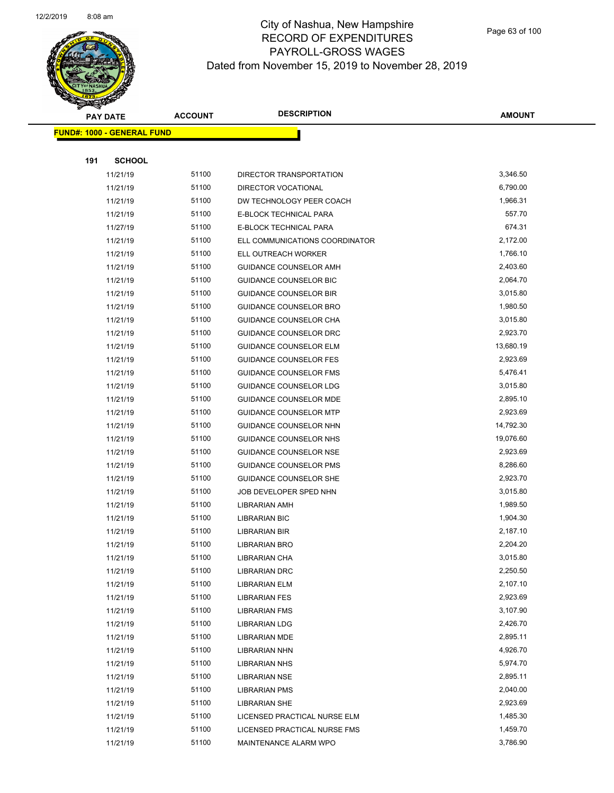

|     | <b>PAY DATE</b>                    | <b>ACCOUNT</b> | <b>DESCRIPTION</b>             | <b>AMOUNT</b> |
|-----|------------------------------------|----------------|--------------------------------|---------------|
|     | <u> FUND#: 1000 - GENERAL FUND</u> |                |                                |               |
|     |                                    |                |                                |               |
| 191 | <b>SCHOOL</b>                      |                |                                |               |
|     | 11/21/19                           | 51100          | DIRECTOR TRANSPORTATION        | 3,346.50      |
|     | 11/21/19                           | 51100          | DIRECTOR VOCATIONAL            | 6,790.00      |
|     | 11/21/19                           | 51100          | DW TECHNOLOGY PEER COACH       | 1,966.31      |
|     | 11/21/19                           | 51100          | <b>E-BLOCK TECHNICAL PARA</b>  | 557.70        |
|     | 11/27/19                           | 51100          | E-BLOCK TECHNICAL PARA         | 674.31        |
|     | 11/21/19                           | 51100          | ELL COMMUNICATIONS COORDINATOR | 2,172.00      |
|     | 11/21/19                           | 51100          | ELL OUTREACH WORKER            | 1,766.10      |
|     | 11/21/19                           | 51100          | GUIDANCE COUNSELOR AMH         | 2,403.60      |
|     | 11/21/19                           | 51100          | <b>GUIDANCE COUNSELOR BIC</b>  | 2,064.70      |
|     | 11/21/19                           | 51100          | <b>GUIDANCE COUNSELOR BIR</b>  | 3,015.80      |
|     | 11/21/19                           | 51100          | GUIDANCE COUNSELOR BRO         | 1,980.50      |
|     | 11/21/19                           | 51100          | GUIDANCE COUNSELOR CHA         | 3,015.80      |
|     | 11/21/19                           | 51100          | <b>GUIDANCE COUNSELOR DRC</b>  | 2,923.70      |
|     | 11/21/19                           | 51100          | <b>GUIDANCE COUNSELOR ELM</b>  | 13,680.19     |
|     | 11/21/19                           | 51100          | <b>GUIDANCE COUNSELOR FES</b>  | 2,923.69      |
|     | 11/21/19                           | 51100          | <b>GUIDANCE COUNSELOR FMS</b>  | 5,476.41      |
|     | 11/21/19                           | 51100          | <b>GUIDANCE COUNSELOR LDG</b>  | 3,015.80      |
|     | 11/21/19                           | 51100          | GUIDANCE COUNSELOR MDE         | 2,895.10      |
|     | 11/21/19                           | 51100          | <b>GUIDANCE COUNSELOR MTP</b>  | 2,923.69      |
|     | 11/21/19                           | 51100          | GUIDANCE COUNSELOR NHN         | 14,792.30     |
|     | 11/21/19                           | 51100          | GUIDANCE COUNSELOR NHS         | 19,076.60     |
|     | 11/21/19                           | 51100          | <b>GUIDANCE COUNSELOR NSE</b>  | 2,923.69      |
|     | 11/21/19                           | 51100          | <b>GUIDANCE COUNSELOR PMS</b>  | 8,286.60      |
|     | 11/21/19                           | 51100          | <b>GUIDANCE COUNSELOR SHE</b>  | 2,923.70      |
|     | 11/21/19                           | 51100          | JOB DEVELOPER SPED NHN         | 3,015.80      |
|     | 11/21/19                           | 51100          | LIBRARIAN AMH                  | 1,989.50      |
|     | 11/21/19                           | 51100          | <b>LIBRARIAN BIC</b>           | 1,904.30      |
|     | 11/21/19                           | 51100          | <b>LIBRARIAN BIR</b>           | 2,187.10      |
|     | 11/21/19                           | 51100          | <b>LIBRARIAN BRO</b>           | 2,204.20      |
|     | 11/21/19                           | 51100          | <b>LIBRARIAN CHA</b>           | 3,015.80      |
|     | 11/21/19                           | 51100          | <b>LIBRARIAN DRC</b>           | 2,250.50      |
|     | 11/21/19                           | 51100          | LIBRARIAN ELM                  | 2,107.10      |
|     | 11/21/19                           | 51100          | <b>LIBRARIAN FES</b>           | 2,923.69      |
|     | 11/21/19                           | 51100          | <b>LIBRARIAN FMS</b>           | 3,107.90      |
|     | 11/21/19                           | 51100          | <b>LIBRARIAN LDG</b>           | 2,426.70      |
|     | 11/21/19                           | 51100          | <b>LIBRARIAN MDE</b>           | 2,895.11      |
|     | 11/21/19                           | 51100          | <b>LIBRARIAN NHN</b>           | 4,926.70      |
|     | 11/21/19                           | 51100          | <b>LIBRARIAN NHS</b>           | 5,974.70      |
|     | 11/21/19                           | 51100          | <b>LIBRARIAN NSE</b>           | 2,895.11      |
|     | 11/21/19                           | 51100          | <b>LIBRARIAN PMS</b>           | 2,040.00      |
|     | 11/21/19                           | 51100          | <b>LIBRARIAN SHE</b>           | 2,923.69      |
|     | 11/21/19                           | 51100          | LICENSED PRACTICAL NURSE ELM   | 1,485.30      |
|     | 11/21/19                           | 51100          | LICENSED PRACTICAL NURSE FMS   | 1,459.70      |
|     | 11/21/19                           | 51100          | MAINTENANCE ALARM WPO          | 3,786.90      |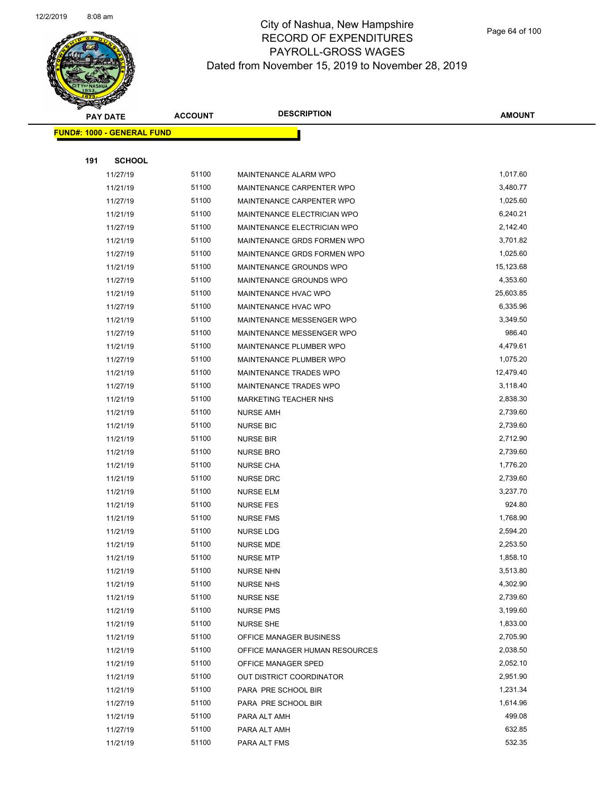

|     | <b>PAY DATE</b>                    | <b>ACCOUNT</b> | <b>DESCRIPTION</b>             | AMOUNT    |
|-----|------------------------------------|----------------|--------------------------------|-----------|
|     | <u> FUND#: 1000 - GENERAL FUND</u> |                |                                |           |
|     |                                    |                |                                |           |
| 191 | <b>SCHOOL</b>                      |                |                                |           |
|     | 11/27/19                           | 51100          | MAINTENANCE ALARM WPO          | 1,017.60  |
|     | 11/21/19                           | 51100          | MAINTENANCE CARPENTER WPO      | 3,480.77  |
|     | 11/27/19                           | 51100          | MAINTENANCE CARPENTER WPO      | 1,025.60  |
|     | 11/21/19                           | 51100          | MAINTENANCE ELECTRICIAN WPO    | 6,240.21  |
|     | 11/27/19                           | 51100          | MAINTENANCE ELECTRICIAN WPO    | 2,142.40  |
|     | 11/21/19                           | 51100          | MAINTENANCE GRDS FORMEN WPO    | 3,701.82  |
|     | 11/27/19                           | 51100          | MAINTENANCE GRDS FORMEN WPO    | 1,025.60  |
|     | 11/21/19                           | 51100          | MAINTENANCE GROUNDS WPO        | 15,123.68 |
|     | 11/27/19                           | 51100          | MAINTENANCE GROUNDS WPO        | 4,353.60  |
|     | 11/21/19                           | 51100          | MAINTENANCE HVAC WPO           | 25,603.85 |
|     | 11/27/19                           | 51100          | MAINTENANCE HVAC WPO           | 6,335.96  |
|     | 11/21/19                           | 51100          | MAINTENANCE MESSENGER WPO      | 3,349.50  |
|     | 11/27/19                           | 51100          | MAINTENANCE MESSENGER WPO      | 986.40    |
|     | 11/21/19                           | 51100          | MAINTENANCE PLUMBER WPO        | 4,479.61  |
|     | 11/27/19                           | 51100          | MAINTENANCE PLUMBER WPO        | 1,075.20  |
|     | 11/21/19                           | 51100          | MAINTENANCE TRADES WPO         | 12,479.40 |
|     | 11/27/19                           | 51100          | <b>MAINTENANCE TRADES WPO</b>  | 3,118.40  |
|     | 11/21/19                           | 51100          | <b>MARKETING TEACHER NHS</b>   | 2,838.30  |
|     | 11/21/19                           | 51100          | <b>NURSE AMH</b>               | 2,739.60  |
|     | 11/21/19                           | 51100          | <b>NURSE BIC</b>               | 2,739.60  |
|     | 11/21/19                           | 51100          | <b>NURSE BIR</b>               | 2,712.90  |
|     | 11/21/19                           | 51100          | <b>NURSE BRO</b>               | 2,739.60  |
|     | 11/21/19                           | 51100          | <b>NURSE CHA</b>               | 1,776.20  |
|     | 11/21/19                           | 51100          | <b>NURSE DRC</b>               | 2,739.60  |
|     | 11/21/19                           | 51100          | <b>NURSE ELM</b>               | 3,237.70  |
|     | 11/21/19                           | 51100          | <b>NURSE FES</b>               | 924.80    |
|     | 11/21/19                           | 51100          | <b>NURSE FMS</b>               | 1,768.90  |
|     | 11/21/19                           | 51100          | <b>NURSE LDG</b>               | 2,594.20  |
|     | 11/21/19                           | 51100          | <b>NURSE MDE</b>               | 2,253.50  |
|     | 11/21/19                           | 51100          | <b>NURSE MTP</b>               | 1,858.10  |
|     | 11/21/19                           | 51100          | <b>NURSE NHN</b>               | 3,513.80  |
|     | 11/21/19                           | 51100          | NURSE NHS                      | 4,302.90  |
|     | 11/21/19                           | 51100          | <b>NURSE NSE</b>               | 2,739.60  |
|     | 11/21/19                           | 51100          | <b>NURSE PMS</b>               | 3,199.60  |
|     | 11/21/19                           | 51100          | <b>NURSE SHE</b>               | 1,833.00  |
|     | 11/21/19                           | 51100          | OFFICE MANAGER BUSINESS        | 2,705.90  |
|     | 11/21/19                           | 51100          | OFFICE MANAGER HUMAN RESOURCES | 2,038.50  |
|     | 11/21/19                           | 51100          | OFFICE MANAGER SPED            | 2,052.10  |
|     | 11/21/19                           | 51100          | OUT DISTRICT COORDINATOR       | 2,951.90  |
|     | 11/21/19                           | 51100          | PARA PRE SCHOOL BIR            | 1,231.34  |
|     | 11/27/19                           | 51100          | PARA PRE SCHOOL BIR            | 1,614.96  |
|     | 11/21/19                           | 51100          | PARA ALT AMH                   | 499.08    |
|     | 11/27/19                           | 51100          | PARA ALT AMH                   | 632.85    |
|     | 11/21/19                           | 51100          | PARA ALT FMS                   | 532.35    |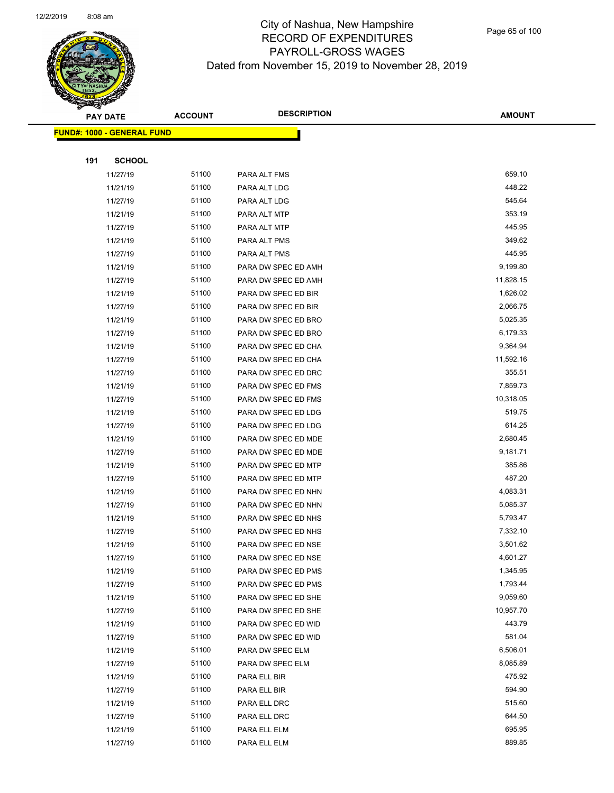

|     | <b>PAY DATE</b>                   | <b>ACCOUNT</b> | <b>DESCRIPTION</b>  | <b>AMOUNT</b>      |
|-----|-----------------------------------|----------------|---------------------|--------------------|
|     | <b>FUND#: 1000 - GENERAL FUND</b> |                |                     |                    |
|     |                                   |                |                     |                    |
| 191 | <b>SCHOOL</b>                     |                |                     |                    |
|     | 11/27/19                          | 51100          | PARA ALT FMS        | 659.10             |
|     | 11/21/19                          | 51100          | PARA ALT LDG        | 448.22             |
|     | 11/27/19                          | 51100          | PARA ALT LDG        | 545.64             |
|     | 11/21/19                          | 51100          | PARA ALT MTP        | 353.19             |
|     | 11/27/19                          | 51100          | PARA ALT MTP        | 445.95             |
|     | 11/21/19                          | 51100          | PARA ALT PMS        | 349.62             |
|     | 11/27/19                          | 51100          | PARA ALT PMS        | 445.95             |
|     | 11/21/19                          | 51100          | PARA DW SPEC ED AMH | 9,199.80           |
|     | 11/27/19                          | 51100          | PARA DW SPEC ED AMH | 11,828.15          |
|     | 11/21/19                          | 51100          | PARA DW SPEC ED BIR | 1,626.02           |
|     | 11/27/19                          | 51100          | PARA DW SPEC ED BIR | 2,066.75           |
|     | 11/21/19                          | 51100          | PARA DW SPEC ED BRO | 5,025.35           |
|     | 11/27/19                          | 51100          | PARA DW SPEC ED BRO | 6,179.33           |
|     | 11/21/19                          | 51100          | PARA DW SPEC ED CHA | 9,364.94           |
|     | 11/27/19                          | 51100          | PARA DW SPEC ED CHA | 11,592.16          |
|     | 11/27/19                          | 51100          | PARA DW SPEC ED DRC | 355.51             |
|     | 11/21/19                          | 51100          | PARA DW SPEC ED FMS | 7,859.73           |
|     | 11/27/19                          | 51100          | PARA DW SPEC ED FMS | 10,318.05          |
|     | 11/21/19                          | 51100          | PARA DW SPEC ED LDG | 519.75             |
|     | 11/27/19                          | 51100          | PARA DW SPEC ED LDG | 614.25             |
|     | 11/21/19                          | 51100          | PARA DW SPEC ED MDE | 2,680.45           |
|     | 11/27/19                          | 51100          | PARA DW SPEC ED MDE | 9,181.71           |
|     | 11/21/19                          | 51100          | PARA DW SPEC ED MTP | 385.86             |
|     | 11/27/19                          | 51100          | PARA DW SPEC ED MTP | 487.20             |
|     | 11/21/19                          | 51100          | PARA DW SPEC ED NHN | 4,083.31           |
|     | 11/27/19                          | 51100          | PARA DW SPEC ED NHN | 5,085.37           |
|     | 11/21/19                          | 51100          | PARA DW SPEC ED NHS | 5,793.47           |
|     | 11/27/19                          | 51100          | PARA DW SPEC ED NHS | 7,332.10           |
|     | 11/21/19                          | 51100          | PARA DW SPEC ED NSE | 3,501.62           |
|     | 11/27/19                          | 51100          | PARA DW SPEC ED NSE | 4,601.27           |
|     | 11/21/19                          | 51100          | PARA DW SPEC ED PMS | 1,345.95           |
|     | 11/27/19                          | 51100          | PARA DW SPEC ED PMS | 1,793.44           |
|     | 11/21/19                          | 51100          | PARA DW SPEC ED SHE | 9,059.60           |
|     | 11/27/19                          | 51100          | PARA DW SPEC ED SHE | 10,957.70          |
|     | 11/21/19                          | 51100          | PARA DW SPEC ED WID | 443.79             |
|     | 11/27/19                          | 51100<br>51100 | PARA DW SPEC ED WID | 581.04<br>6,506.01 |
|     | 11/21/19                          |                | PARA DW SPEC ELM    |                    |
|     | 11/27/19                          | 51100          | PARA DW SPEC ELM    | 8,085.89           |
|     | 11/21/19                          | 51100          | PARA ELL BIR        | 475.92             |
|     | 11/27/19                          | 51100          | PARA ELL BIR        | 594.90             |
|     | 11/21/19                          | 51100          | PARA ELL DRC        | 515.60             |
|     | 11/27/19                          | 51100          | PARA ELL DRC        | 644.50             |
|     | 11/21/19                          | 51100          | PARA ELL ELM        | 695.95             |
|     | 11/27/19                          | 51100          | PARA ELL ELM        | 889.85             |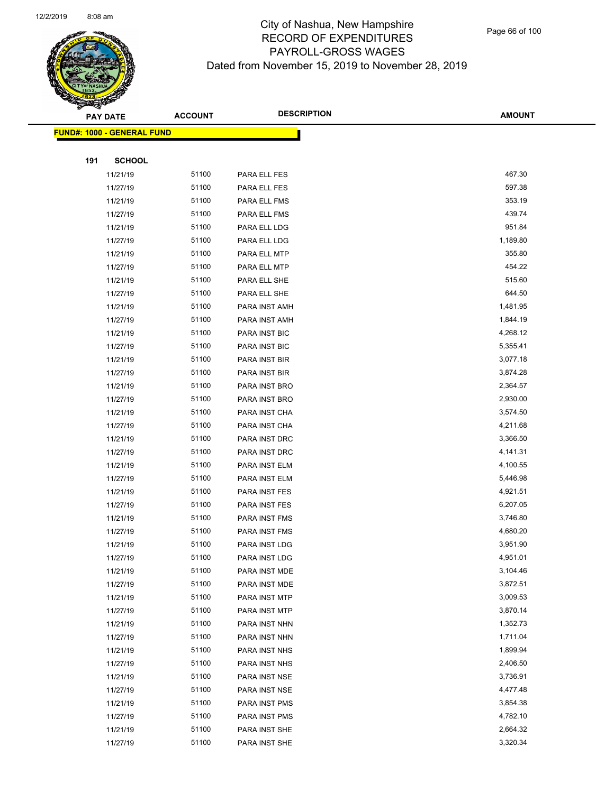

|     | <b>PAY DATE</b>                   | <b>ACCOUNT</b> | <b>DESCRIPTION</b> | <b>AMOUNT</b> |
|-----|-----------------------------------|----------------|--------------------|---------------|
|     | <b>FUND#: 1000 - GENERAL FUND</b> |                |                    |               |
|     |                                   |                |                    |               |
| 191 | <b>SCHOOL</b>                     |                |                    |               |
|     | 11/21/19                          | 51100          | PARA ELL FES       | 467.30        |
|     | 11/27/19                          | 51100          | PARA ELL FES       | 597.38        |
|     | 11/21/19                          | 51100          | PARA ELL FMS       | 353.19        |
|     | 11/27/19                          | 51100          | PARA ELL FMS       | 439.74        |
|     | 11/21/19                          | 51100          | PARA ELL LDG       | 951.84        |
|     | 11/27/19                          | 51100          | PARA ELL LDG       | 1,189.80      |
|     | 11/21/19                          | 51100          | PARA ELL MTP       | 355.80        |
|     | 11/27/19                          | 51100          | PARA ELL MTP       | 454.22        |
|     | 11/21/19                          | 51100          | PARA ELL SHE       | 515.60        |
|     | 11/27/19                          | 51100          | PARA ELL SHE       | 644.50        |
|     | 11/21/19                          | 51100          | PARA INST AMH      | 1,481.95      |
|     | 11/27/19                          | 51100          | PARA INST AMH      | 1,844.19      |
|     | 11/21/19                          | 51100          | PARA INST BIC      | 4,268.12      |
|     | 11/27/19                          | 51100          | PARA INST BIC      | 5,355.41      |
|     | 11/21/19                          | 51100          | PARA INST BIR      | 3,077.18      |
|     | 11/27/19                          | 51100          | PARA INST BIR      | 3,874.28      |
|     | 11/21/19                          | 51100          | PARA INST BRO      | 2,364.57      |
|     | 11/27/19                          | 51100          | PARA INST BRO      | 2,930.00      |
|     | 11/21/19                          | 51100          | PARA INST CHA      | 3,574.50      |
|     | 11/27/19                          | 51100          | PARA INST CHA      | 4,211.68      |
|     | 11/21/19                          | 51100          | PARA INST DRC      | 3,366.50      |
|     | 11/27/19                          | 51100          | PARA INST DRC      | 4,141.31      |
|     | 11/21/19                          | 51100          | PARA INST ELM      | 4,100.55      |
|     | 11/27/19                          | 51100          | PARA INST ELM      | 5,446.98      |
|     | 11/21/19                          | 51100          | PARA INST FES      | 4,921.51      |
|     | 11/27/19                          | 51100          | PARA INST FES      | 6,207.05      |
|     | 11/21/19                          | 51100          | PARA INST FMS      | 3,746.80      |
|     | 11/27/19                          | 51100          | PARA INST FMS      | 4,680.20      |
|     | 11/21/19                          | 51100          | PARA INST LDG      | 3,951.90      |
|     | 11/27/19                          | 51100          | PARA INST LDG      | 4,951.01      |
|     | 11/21/19                          | 51100          | PARA INST MDE      | 3,104.46      |
|     | 11/27/19                          | 51100          | PARA INST MDE      | 3,872.51      |
|     | 11/21/19                          | 51100          | PARA INST MTP      | 3,009.53      |
|     | 11/27/19                          | 51100          | PARA INST MTP      | 3,870.14      |
|     | 11/21/19                          | 51100          | PARA INST NHN      | 1,352.73      |
|     | 11/27/19                          | 51100          | PARA INST NHN      | 1,711.04      |
|     | 11/21/19                          | 51100          | PARA INST NHS      | 1,899.94      |
|     | 11/27/19                          | 51100          | PARA INST NHS      | 2,406.50      |
|     | 11/21/19                          | 51100          | PARA INST NSE      | 3,736.91      |
|     | 11/27/19                          | 51100          | PARA INST NSE      | 4,477.48      |
|     | 11/21/19                          | 51100          | PARA INST PMS      | 3,854.38      |
|     | 11/27/19                          | 51100          | PARA INST PMS      | 4,782.10      |
|     | 11/21/19                          | 51100          | PARA INST SHE      | 2,664.32      |
|     | 11/27/19                          | 51100          | PARA INST SHE      | 3,320.34      |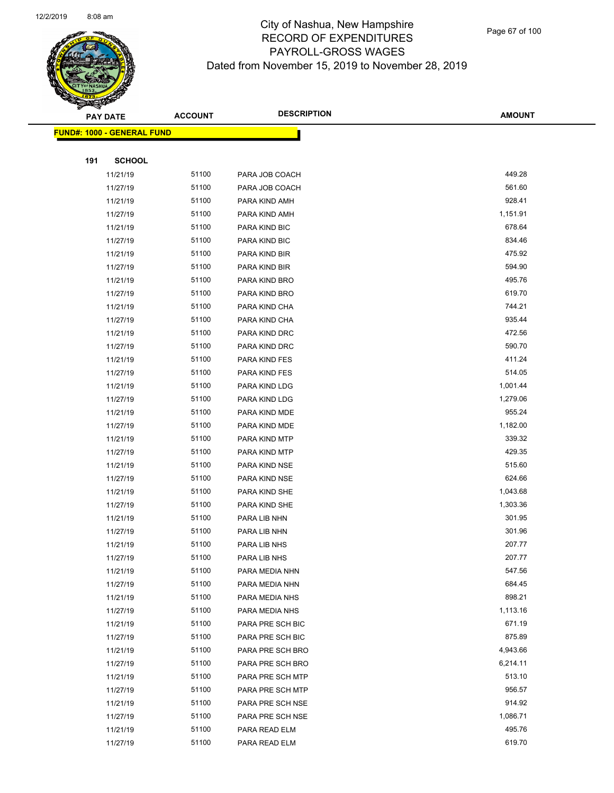

| <b>PAY DATE</b>                    | <b>ACCOUNT</b> | <b>DESCRIPTION</b> | <b>AMOUNT</b> |
|------------------------------------|----------------|--------------------|---------------|
| <u> FUND#: 1000 - GENERAL FUND</u> |                |                    |               |
|                                    |                |                    |               |
| <b>SCHOOL</b><br>191               |                |                    |               |
| 11/21/19                           | 51100          | PARA JOB COACH     | 449.28        |
| 11/27/19                           | 51100          | PARA JOB COACH     | 561.60        |
| 11/21/19                           | 51100          | PARA KIND AMH      | 928.41        |
| 11/27/19                           | 51100          | PARA KIND AMH      | 1,151.91      |
| 11/21/19                           | 51100          | PARA KIND BIC      | 678.64        |
| 11/27/19                           | 51100          | PARA KIND BIC      | 834.46        |
| 11/21/19                           | 51100          | PARA KIND BIR      | 475.92        |
| 11/27/19                           | 51100          | PARA KIND BIR      | 594.90        |
| 11/21/19                           | 51100          | PARA KIND BRO      | 495.76        |
| 11/27/19                           | 51100          | PARA KIND BRO      | 619.70        |
| 11/21/19                           | 51100          | PARA KIND CHA      | 744.21        |
| 11/27/19                           | 51100          | PARA KIND CHA      | 935.44        |
| 11/21/19                           | 51100          | PARA KIND DRC      | 472.56        |
| 11/27/19                           | 51100          | PARA KIND DRC      | 590.70        |
| 11/21/19                           | 51100          | PARA KIND FES      | 411.24        |
| 11/27/19                           | 51100          | PARA KIND FES      | 514.05        |
| 11/21/19                           | 51100          | PARA KIND LDG      | 1,001.44      |
| 11/27/19                           | 51100          | PARA KIND LDG      | 1,279.06      |
| 11/21/19                           | 51100          | PARA KIND MDE      | 955.24        |
| 11/27/19                           | 51100          | PARA KIND MDE      | 1,182.00      |
| 11/21/19                           | 51100          | PARA KIND MTP      | 339.32        |
| 11/27/19                           | 51100          | PARA KIND MTP      | 429.35        |
| 11/21/19                           | 51100          | PARA KIND NSE      | 515.60        |
| 11/27/19                           | 51100          | PARA KIND NSE      | 624.66        |
| 11/21/19                           | 51100          | PARA KIND SHE      | 1,043.68      |
| 11/27/19                           | 51100          | PARA KIND SHE      | 1,303.36      |
| 11/21/19                           | 51100          | PARA LIB NHN       | 301.95        |
| 11/27/19                           | 51100          | PARA LIB NHN       | 301.96        |
| 11/21/19                           | 51100          | PARA LIB NHS       | 207.77        |
| 11/27/19                           | 51100          | PARA LIB NHS       | 207.77        |
| 11/21/19                           | 51100          | PARA MEDIA NHN     | 547.56        |
| 11/27/19                           | 51100          | PARA MEDIA NHN     | 684.45        |
| 11/21/19                           | 51100          | PARA MEDIA NHS     | 898.21        |
| 11/27/19                           | 51100          | PARA MEDIA NHS     | 1,113.16      |
| 11/21/19                           | 51100          | PARA PRE SCH BIC   | 671.19        |
| 11/27/19                           | 51100          | PARA PRE SCH BIC   | 875.89        |
| 11/21/19                           | 51100          | PARA PRE SCH BRO   | 4,943.66      |
| 11/27/19                           | 51100          | PARA PRE SCH BRO   | 6,214.11      |
| 11/21/19                           | 51100          | PARA PRE SCH MTP   | 513.10        |
| 11/27/19                           | 51100          | PARA PRE SCH MTP   | 956.57        |
| 11/21/19                           | 51100          | PARA PRE SCH NSE   | 914.92        |
| 11/27/19                           | 51100          | PARA PRE SCH NSE   | 1,086.71      |
| 11/21/19                           | 51100          | PARA READ ELM      | 495.76        |
| 11/27/19                           | 51100          | PARA READ ELM      | 619.70        |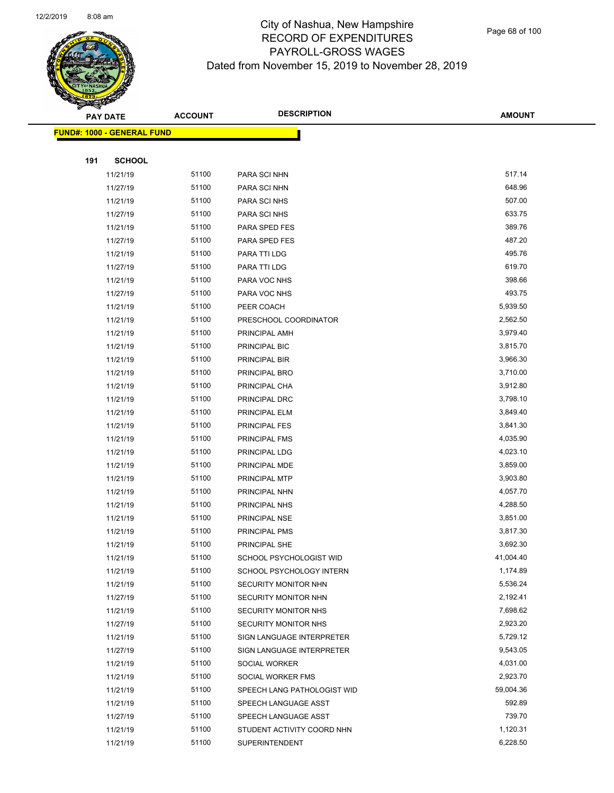

Page 68 of 100

|     | <b>PAY DATE</b>                   | <b>ACCOUNT</b> | <b>DESCRIPTION</b>          | <b>AMOUNT</b> |
|-----|-----------------------------------|----------------|-----------------------------|---------------|
|     | <b>FUND#: 1000 - GENERAL FUND</b> |                |                             |               |
|     |                                   |                |                             |               |
| 191 | <b>SCHOOL</b>                     |                |                             |               |
|     | 11/21/19                          | 51100          | PARA SCI NHN                | 517.14        |
|     | 11/27/19                          | 51100          | PARA SCI NHN                | 648.96        |
|     | 11/21/19                          | 51100          | PARA SCI NHS                | 507.00        |
|     | 11/27/19                          | 51100          | PARA SCI NHS                | 633.75        |
|     | 11/21/19                          | 51100          | PARA SPED FES               | 389.76        |
|     | 11/27/19                          | 51100          | PARA SPED FES               | 487.20        |
|     | 11/21/19                          | 51100          | PARA TTI LDG                | 495.76        |
|     | 11/27/19                          | 51100          | PARA TTI LDG                | 619.70        |
|     | 11/21/19                          | 51100          | PARA VOC NHS                | 398.66        |
|     | 11/27/19                          | 51100          | PARA VOC NHS                | 493.75        |
|     | 11/21/19                          | 51100          | PEER COACH                  | 5,939.50      |
|     | 11/21/19                          | 51100          | PRESCHOOL COORDINATOR       | 2,562.50      |
|     | 11/21/19                          | 51100          | PRINCIPAL AMH               | 3,979.40      |
|     | 11/21/19                          | 51100          | PRINCIPAL BIC               | 3,815.70      |
|     | 11/21/19                          | 51100          | PRINCIPAL BIR               | 3,966.30      |
|     | 11/21/19                          | 51100          | PRINCIPAL BRO               | 3,710.00      |
|     | 11/21/19                          | 51100          | PRINCIPAL CHA               | 3,912.80      |
|     | 11/21/19                          | 51100          | PRINCIPAL DRC               | 3,798.10      |
|     | 11/21/19                          | 51100          | PRINCIPAL ELM               | 3,849.40      |
|     | 11/21/19                          | 51100          | PRINCIPAL FES               | 3,841.30      |
|     | 11/21/19                          | 51100          | PRINCIPAL FMS               | 4,035.90      |
|     | 11/21/19                          | 51100          | PRINCIPAL LDG               | 4,023.10      |
|     | 11/21/19                          | 51100          | PRINCIPAL MDE               | 3,859.00      |
|     | 11/21/19                          | 51100          | PRINCIPAL MTP               | 3,903.80      |
|     | 11/21/19                          | 51100          | PRINCIPAL NHN               | 4,057.70      |
|     | 11/21/19                          | 51100          | PRINCIPAL NHS               | 4,288.50      |
|     | 11/21/19                          | 51100          | PRINCIPAL NSE               | 3,851.00      |
|     | 11/21/19                          | 51100          | PRINCIPAL PMS               | 3,817.30      |
|     | 11/21/19                          | 51100          | PRINCIPAL SHE               | 3,692.30      |
|     | 11/21/19                          | 51100          | SCHOOL PSYCHOLOGIST WID     | 41,004.40     |
|     | 11/21/19                          | 51100          | SCHOOL PSYCHOLOGY INTERN    | 1,174.89      |
|     | 11/21/19                          | 51100          | SECURITY MONITOR NHN        | 5,536.24      |
|     | 11/27/19                          | 51100          | SECURITY MONITOR NHN        | 2,192.41      |
|     | 11/21/19                          | 51100          | SECURITY MONITOR NHS        | 7,698.62      |
|     | 11/27/19                          | 51100          | SECURITY MONITOR NHS        | 2,923.20      |
|     | 11/21/19                          | 51100          | SIGN LANGUAGE INTERPRETER   | 5,729.12      |
|     | 11/27/19                          | 51100          | SIGN LANGUAGE INTERPRETER   | 9,543.05      |
|     | 11/21/19                          | 51100          | SOCIAL WORKER               | 4,031.00      |
|     | 11/21/19                          | 51100          | SOCIAL WORKER FMS           | 2,923.70      |
|     | 11/21/19                          | 51100          | SPEECH LANG PATHOLOGIST WID | 59,004.36     |
|     | 11/21/19                          | 51100          | SPEECH LANGUAGE ASST        | 592.89        |
|     | 11/27/19                          | 51100          | SPEECH LANGUAGE ASST        | 739.70        |
|     | 11/21/19                          | 51100          | STUDENT ACTIVITY COORD NHN  | 1,120.31      |
|     | 11/21/19                          | 51100          | <b>SUPERINTENDENT</b>       | 6,228.50      |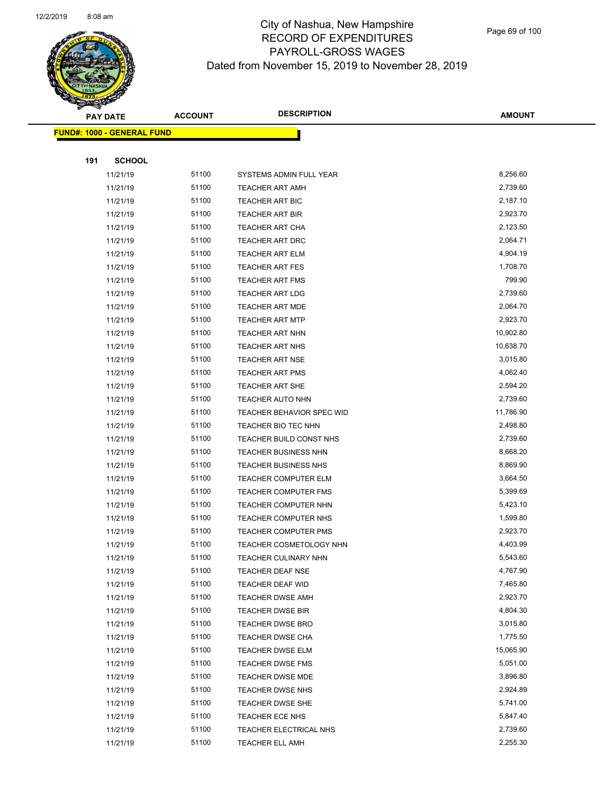

**AMOUNT**

| <u> FUND#: 1000 - GENERAL FUND</u> |       |                             |           |  |
|------------------------------------|-------|-----------------------------|-----------|--|
|                                    |       |                             |           |  |
| 191<br><b>SCHOOL</b>               |       |                             |           |  |
| 11/21/19                           | 51100 | SYSTEMS ADMIN FULL YEAR     | 8,256.60  |  |
| 11/21/19                           | 51100 | <b>TEACHER ART AMH</b>      | 2,739.60  |  |
| 11/21/19                           | 51100 | TEACHER ART BIC             | 2,187.10  |  |
| 11/21/19                           | 51100 | <b>TEACHER ART BIR</b>      | 2,923.70  |  |
| 11/21/19                           | 51100 | <b>TEACHER ART CHA</b>      | 2,123.50  |  |
| 11/21/19                           | 51100 | <b>TEACHER ART DRC</b>      | 2,064.71  |  |
| 11/21/19                           | 51100 | <b>TEACHER ART ELM</b>      | 4,904.19  |  |
| 11/21/19                           | 51100 | <b>TEACHER ART FES</b>      | 1,708.70  |  |
| 11/21/19                           | 51100 | <b>TEACHER ART FMS</b>      | 799.90    |  |
| 11/21/19                           | 51100 | <b>TEACHER ART LDG</b>      | 2,739.60  |  |
| 11/21/19                           | 51100 | <b>TEACHER ART MDE</b>      | 2,064.70  |  |
| 11/21/19                           | 51100 | <b>TEACHER ART MTP</b>      | 2,923.70  |  |
| 11/21/19                           | 51100 | <b>TEACHER ART NHN</b>      | 10,902.80 |  |
| 11/21/19                           | 51100 | <b>TEACHER ART NHS</b>      | 10,638.70 |  |
| 11/21/19                           | 51100 | <b>TEACHER ART NSE</b>      | 3,015.80  |  |
| 11/21/19                           | 51100 | <b>TEACHER ART PMS</b>      | 4,062.40  |  |
| 11/21/19                           | 51100 | <b>TEACHER ART SHE</b>      | 2,594.20  |  |
| 11/21/19                           | 51100 | TEACHER AUTO NHN            | 2,739.60  |  |
| 11/21/19                           | 51100 | TEACHER BEHAVIOR SPEC WID   | 11,786.90 |  |
| 11/21/19                           | 51100 | TEACHER BIO TEC NHN         | 2,498.80  |  |
| 11/21/19                           | 51100 | TEACHER BUILD CONST NHS     | 2,739.60  |  |
| 11/21/19                           | 51100 | <b>TEACHER BUSINESS NHN</b> | 8,668.20  |  |
| 11/21/19                           | 51100 | <b>TEACHER BUSINESS NHS</b> | 8,869.90  |  |
| 11/21/19                           | 51100 | <b>TEACHER COMPUTER ELM</b> | 3,664.50  |  |
| 11/21/19                           | 51100 | <b>TEACHER COMPUTER FMS</b> | 5,399.69  |  |
| 11/21/19                           | 51100 | TEACHER COMPUTER NHN        | 5,423.10  |  |
| 11/21/19                           | 51100 | TEACHER COMPUTER NHS        | 1,599.80  |  |
| 11/21/19                           | 51100 | <b>TEACHER COMPUTER PMS</b> | 2,923.70  |  |
| 11/21/19                           | 51100 | TEACHER COSMETOLOGY NHN     | 4,403.99  |  |
| 11/21/19                           | 51100 | TEACHER CULINARY NHN        | 5,543.60  |  |
| 11/21/19                           | 51100 | TEACHER DEAF NSE            | 4,767.90  |  |
| 11/21/19                           | 51100 | TEACHER DEAF WID            | 7,465.80  |  |
| 11/21/19                           | 51100 | TEACHER DWSE AMH            | 2,923.70  |  |
| 11/21/19                           | 51100 | <b>TEACHER DWSE BIR</b>     | 4,804.30  |  |
| 11/21/19                           | 51100 | <b>TEACHER DWSE BRO</b>     | 3,015.80  |  |
| 11/21/19                           | 51100 | <b>TEACHER DWSE CHA</b>     | 1,775.50  |  |
| 11/21/19                           | 51100 | TEACHER DWSE ELM            | 15,065.90 |  |
| 11/21/19                           | 51100 | TEACHER DWSE FMS            | 5,051.00  |  |
| 11/21/19                           | 51100 | <b>TEACHER DWSE MDE</b>     | 3,896.80  |  |
| 11/21/19                           | 51100 | TEACHER DWSE NHS            | 2,924.89  |  |
| 11/21/19                           | 51100 | <b>TEACHER DWSE SHE</b>     | 5,741.00  |  |
| 11/21/19                           | 51100 | TEACHER ECE NHS             | 5,847.40  |  |
| 11/21/19                           | 51100 | TEACHER ELECTRICAL NHS      | 2,739.60  |  |
| 11/21/19                           | 51100 | <b>TEACHER ELL AMH</b>      | 2,255.30  |  |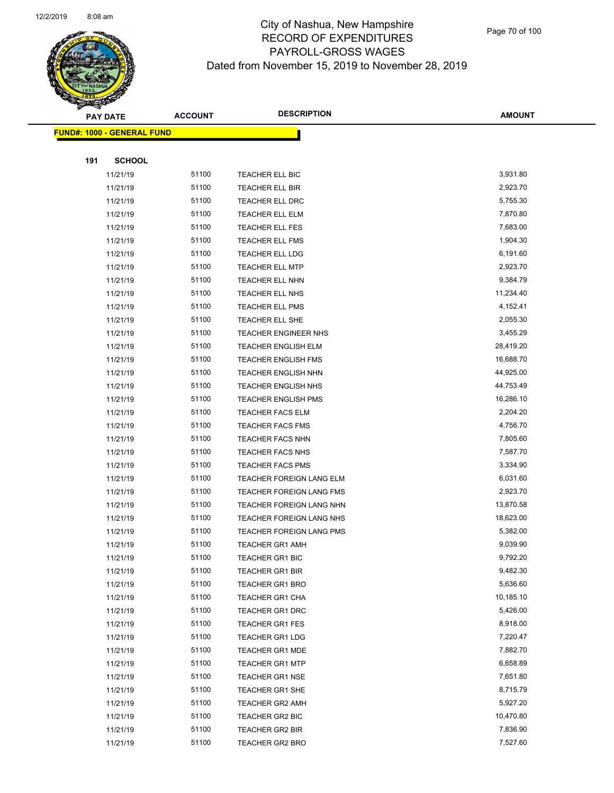

|     | <b>PAY DATE</b>                   | <b>ACCOUNT</b> | <b>DESCRIPTION</b>         | <b>AMOUNT</b> |
|-----|-----------------------------------|----------------|----------------------------|---------------|
|     | <b>FUND#: 1000 - GENERAL FUND</b> |                |                            |               |
|     |                                   |                |                            |               |
| 191 | <b>SCHOOL</b>                     |                |                            |               |
|     | 11/21/19                          | 51100          | TEACHER ELL BIC            | 3,931.80      |
|     | 11/21/19                          | 51100          | TEACHER ELL BIR            | 2,923.70      |
|     | 11/21/19                          | 51100          | <b>TEACHER ELL DRC</b>     | 5,755.30      |
|     | 11/21/19                          | 51100          | TEACHER ELL ELM            | 7,870.80      |
|     | 11/21/19                          | 51100          | TEACHER ELL FES            | 7,683.00      |
|     | 11/21/19                          | 51100          | <b>TEACHER ELL FMS</b>     | 1,904.30      |
|     | 11/21/19                          | 51100          | TEACHER ELL LDG            | 6,191.60      |
|     | 11/21/19                          | 51100          | <b>TEACHER ELL MTP</b>     | 2,923.70      |
|     | 11/21/19                          | 51100          | TEACHER ELL NHN            | 9,384.79      |
|     | 11/21/19                          | 51100          | <b>TEACHER ELL NHS</b>     | 11,234.40     |
|     | 11/21/19                          | 51100          | TEACHER ELL PMS            | 4,152.41      |
|     | 11/21/19                          | 51100          | TEACHER ELL SHE            | 2,055.30      |
|     | 11/21/19                          | 51100          | TEACHER ENGINEER NHS       | 3,455.29      |
|     | 11/21/19                          | 51100          | <b>TEACHER ENGLISH ELM</b> | 28,419.20     |
|     | 11/21/19                          | 51100          | <b>TEACHER ENGLISH FMS</b> | 16,688.70     |
|     | 11/21/19                          | 51100          | TEACHER ENGLISH NHN        | 44,925.00     |
|     | 11/21/19                          | 51100          | <b>TEACHER ENGLISH NHS</b> | 44,753.49     |
|     | 11/21/19                          | 51100          | <b>TEACHER ENGLISH PMS</b> | 16,286.10     |
|     | 11/21/19                          | 51100          | TEACHER FACS ELM           | 2,204.20      |
|     | 11/21/19                          | 51100          | <b>TEACHER FACS FMS</b>    | 4,756.70      |
|     | 11/21/19                          | 51100          | <b>TEACHER FACS NHN</b>    | 7,805.60      |
|     | 11/21/19                          | 51100          | <b>TEACHER FACS NHS</b>    | 7,587.70      |
|     | 11/21/19                          | 51100          | <b>TEACHER FACS PMS</b>    | 3,334.90      |
|     | 11/21/19                          | 51100          | TEACHER FOREIGN LANG ELM   | 6,031.60      |
|     | 11/21/19                          | 51100          | TEACHER FOREIGN LANG FMS   | 2,923.70      |
|     | 11/21/19                          | 51100          | TEACHER FOREIGN LANG NHN   | 13,870.58     |
|     | 11/21/19                          | 51100          | TEACHER FOREIGN LANG NHS   | 18,623.00     |
|     | 11/21/19                          | 51100          | TEACHER FOREIGN LANG PMS   | 5,382.00      |
|     | 11/21/19                          | 51100          | TEACHER GR1 AMH            | 9,039.90      |
|     | 11/21/19                          | 51100          | TEACHER GR1 BIC            | 9,792.20      |
|     | 11/21/19                          | 51100          | <b>TEACHER GR1 BIR</b>     | 9,482.30      |
|     | 11/21/19                          | 51100          | TEACHER GR1 BRO            | 5,636.60      |
|     | 11/21/19                          | 51100          | TEACHER GR1 CHA            | 10,185.10     |
|     | 11/21/19                          | 51100          | TEACHER GR1 DRC            | 5,426.00      |
|     | 11/21/19                          | 51100          | <b>TEACHER GR1 FES</b>     | 8,918.00      |
|     | 11/21/19                          | 51100          | <b>TEACHER GR1 LDG</b>     | 7,220.47      |
|     | 11/21/19                          | 51100          | <b>TEACHER GR1 MDE</b>     | 7,882.70      |
|     | 11/21/19                          | 51100          | <b>TEACHER GR1 MTP</b>     | 6,658.89      |
|     | 11/21/19                          | 51100          | <b>TEACHER GR1 NSE</b>     | 7,651.80      |
|     | 11/21/19                          | 51100          | <b>TEACHER GR1 SHE</b>     | 8,715.79      |
|     | 11/21/19                          | 51100          | <b>TEACHER GR2 AMH</b>     | 5,927.20      |
|     | 11/21/19                          | 51100          | TEACHER GR2 BIC            | 10,470.80     |
|     | 11/21/19                          | 51100          | <b>TEACHER GR2 BIR</b>     | 7,836.90      |
|     | 11/21/19                          | 51100          | <b>TEACHER GR2 BRO</b>     | 7,527.60      |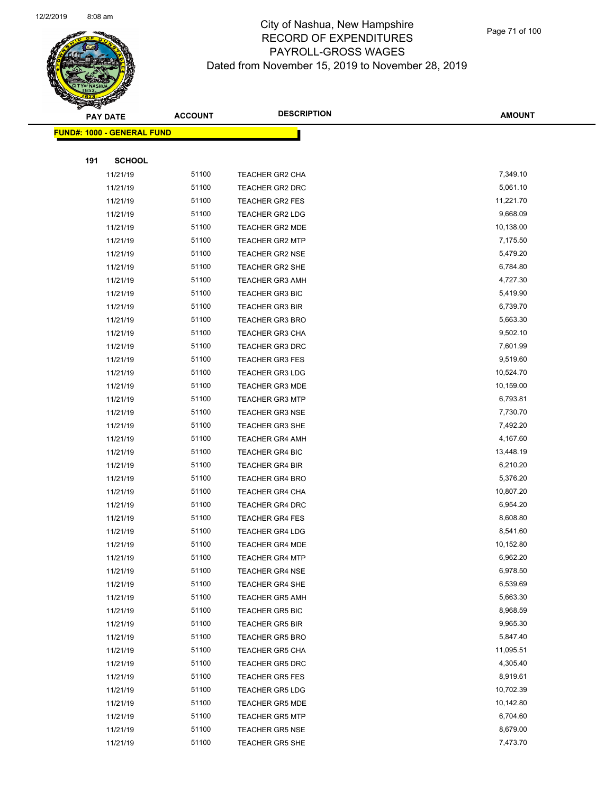

|     | <b>PAY DATE</b>                    | <b>ACCOUNT</b> | <b>DESCRIPTION</b>     | <b>AMOUNT</b> |
|-----|------------------------------------|----------------|------------------------|---------------|
|     | <u> FUND#: 1000 - GENERAL FUND</u> |                |                        |               |
|     |                                    |                |                        |               |
| 191 | <b>SCHOOL</b>                      |                |                        |               |
|     | 11/21/19                           | 51100          | <b>TEACHER GR2 CHA</b> | 7,349.10      |
|     | 11/21/19                           | 51100          | TEACHER GR2 DRC        | 5,061.10      |
|     | 11/21/19                           | 51100          | <b>TEACHER GR2 FES</b> | 11,221.70     |
|     | 11/21/19                           | 51100          | <b>TEACHER GR2 LDG</b> | 9,668.09      |
|     | 11/21/19                           | 51100          | <b>TEACHER GR2 MDE</b> | 10,138.00     |
|     | 11/21/19                           | 51100          | <b>TEACHER GR2 MTP</b> | 7,175.50      |
|     | 11/21/19                           | 51100          | <b>TEACHER GR2 NSE</b> | 5,479.20      |
|     | 11/21/19                           | 51100          | <b>TEACHER GR2 SHE</b> | 6,784.80      |
|     | 11/21/19                           | 51100          | <b>TEACHER GR3 AMH</b> | 4,727.30      |
|     | 11/21/19                           | 51100          | <b>TEACHER GR3 BIC</b> | 5,419.90      |
|     | 11/21/19                           | 51100          | <b>TEACHER GR3 BIR</b> | 6,739.70      |
|     | 11/21/19                           | 51100          | <b>TEACHER GR3 BRO</b> | 5,663.30      |
|     | 11/21/19                           | 51100          | <b>TEACHER GR3 CHA</b> | 9,502.10      |
|     | 11/21/19                           | 51100          | TEACHER GR3 DRC        | 7,601.99      |
|     | 11/21/19                           | 51100          | <b>TEACHER GR3 FES</b> | 9,519.60      |
|     | 11/21/19                           | 51100          | <b>TEACHER GR3 LDG</b> | 10,524.70     |
|     | 11/21/19                           | 51100          | <b>TEACHER GR3 MDE</b> | 10,159.00     |
|     | 11/21/19                           | 51100          | <b>TEACHER GR3 MTP</b> | 6,793.81      |
|     | 11/21/19                           | 51100          | <b>TEACHER GR3 NSE</b> | 7,730.70      |
|     | 11/21/19                           | 51100          | <b>TEACHER GR3 SHE</b> | 7,492.20      |
|     | 11/21/19                           | 51100          | <b>TEACHER GR4 AMH</b> | 4,167.60      |
|     | 11/21/19                           | 51100          | <b>TEACHER GR4 BIC</b> | 13,448.19     |
|     | 11/21/19                           | 51100          | <b>TEACHER GR4 BIR</b> | 6,210.20      |
|     | 11/21/19                           | 51100          | <b>TEACHER GR4 BRO</b> | 5,376.20      |
|     | 11/21/19                           | 51100          | <b>TEACHER GR4 CHA</b> | 10,807.20     |
|     | 11/21/19                           | 51100          | <b>TEACHER GR4 DRC</b> | 6,954.20      |
|     | 11/21/19                           | 51100          | <b>TEACHER GR4 FES</b> | 8,608.80      |
|     | 11/21/19                           | 51100          | <b>TEACHER GR4 LDG</b> | 8,541.60      |
|     | 11/21/19                           | 51100          | <b>TEACHER GR4 MDE</b> | 10,152.80     |
|     | 11/21/19                           | 51100          | <b>TEACHER GR4 MTP</b> | 6,962.20      |
|     | 11/21/19                           | 51100          | <b>TEACHER GR4 NSE</b> | 6,978.50      |
|     | 11/21/19                           | 51100          | <b>TEACHER GR4 SHE</b> | 6,539.69      |
|     | 11/21/19                           | 51100          | <b>TEACHER GR5 AMH</b> | 5,663.30      |
|     | 11/21/19                           | 51100          | TEACHER GR5 BIC        | 8,968.59      |
|     | 11/21/19                           | 51100          | <b>TEACHER GR5 BIR</b> | 9,965.30      |
|     | 11/21/19                           | 51100          | <b>TEACHER GR5 BRO</b> | 5,847.40      |
|     | 11/21/19                           | 51100          | <b>TEACHER GR5 CHA</b> | 11,095.51     |
|     | 11/21/19                           | 51100          | <b>TEACHER GR5 DRC</b> | 4,305.40      |
|     | 11/21/19                           | 51100          | <b>TEACHER GR5 FES</b> | 8,919.61      |
|     | 11/21/19                           | 51100          | <b>TEACHER GR5 LDG</b> | 10,702.39     |
|     | 11/21/19                           | 51100          | <b>TEACHER GR5 MDE</b> | 10,142.80     |
|     | 11/21/19                           | 51100          | <b>TEACHER GR5 MTP</b> | 6,704.60      |
|     | 11/21/19                           | 51100          | <b>TEACHER GR5 NSE</b> | 8,679.00      |
|     | 11/21/19                           | 51100          | <b>TEACHER GR5 SHE</b> | 7,473.70      |
|     |                                    |                |                        |               |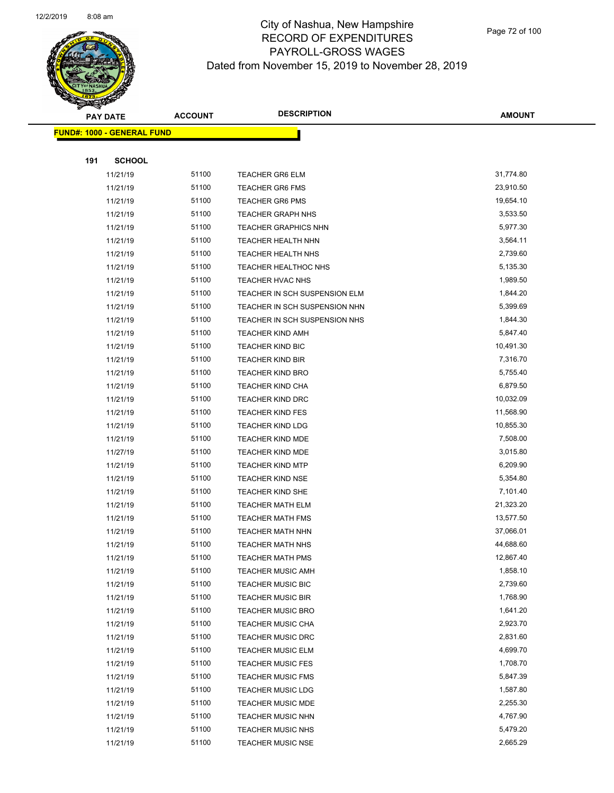

| <b>PAY DATE</b>                   | <b>ACCOUNT</b> | <b>DESCRIPTION</b>            | <b>AMOUNT</b> |
|-----------------------------------|----------------|-------------------------------|---------------|
| <b>FUND#: 1000 - GENERAL FUND</b> |                |                               |               |
|                                   |                |                               |               |
| 191<br><b>SCHOOL</b>              |                |                               |               |
| 11/21/19                          | 51100          | TEACHER GR6 ELM               | 31,774.80     |
| 11/21/19                          | 51100          | <b>TEACHER GR6 FMS</b>        | 23,910.50     |
| 11/21/19                          | 51100          | <b>TEACHER GR6 PMS</b>        | 19,654.10     |
| 11/21/19                          | 51100          | <b>TEACHER GRAPH NHS</b>      | 3,533.50      |
| 11/21/19                          | 51100          | <b>TEACHER GRAPHICS NHN</b>   | 5,977.30      |
| 11/21/19                          | 51100          | <b>TEACHER HEALTH NHN</b>     | 3,564.11      |
| 11/21/19                          | 51100          | <b>TEACHER HEALTH NHS</b>     | 2,739.60      |
| 11/21/19                          | 51100          | <b>TEACHER HEALTHOC NHS</b>   | 5,135.30      |
| 11/21/19                          | 51100          | <b>TEACHER HVAC NHS</b>       | 1,989.50      |
| 11/21/19                          | 51100          | TEACHER IN SCH SUSPENSION ELM | 1,844.20      |
| 11/21/19                          | 51100          | TEACHER IN SCH SUSPENSION NHN | 5,399.69      |
| 11/21/19                          | 51100          | TEACHER IN SCH SUSPENSION NHS | 1,844.30      |
| 11/21/19                          | 51100          | <b>TEACHER KIND AMH</b>       | 5,847.40      |
| 11/21/19                          | 51100          | <b>TEACHER KIND BIC</b>       | 10,491.30     |
| 11/21/19                          | 51100          | <b>TEACHER KIND BIR</b>       | 7,316.70      |
| 11/21/19                          | 51100          | <b>TEACHER KIND BRO</b>       | 5,755.40      |
| 11/21/19                          | 51100          | <b>TEACHER KIND CHA</b>       | 6,879.50      |
| 11/21/19                          | 51100          | <b>TEACHER KIND DRC</b>       | 10,032.09     |
| 11/21/19                          | 51100          | <b>TEACHER KIND FES</b>       | 11,568.90     |
| 11/21/19                          | 51100          | <b>TEACHER KIND LDG</b>       | 10,855.30     |
| 11/21/19                          | 51100          | TEACHER KIND MDE              | 7,508.00      |
| 11/27/19                          | 51100          | TEACHER KIND MDE              | 3,015.80      |
| 11/21/19                          | 51100          | <b>TEACHER KIND MTP</b>       | 6,209.90      |
| 11/21/19                          | 51100          | <b>TEACHER KIND NSE</b>       | 5,354.80      |
| 11/21/19                          | 51100          | <b>TEACHER KIND SHE</b>       | 7,101.40      |
| 11/21/19                          | 51100          | <b>TEACHER MATH ELM</b>       | 21,323.20     |
| 11/21/19                          | 51100          | <b>TEACHER MATH FMS</b>       | 13,577.50     |
| 11/21/19                          | 51100          | <b>TEACHER MATH NHN</b>       | 37,066.01     |
| 11/21/19                          | 51100          | <b>TEACHER MATH NHS</b>       | 44,688.60     |
| 11/21/19                          | 51100          | <b>TEACHER MATH PMS</b>       | 12,867.40     |
| 11/21/19                          | 51100          | <b>TEACHER MUSIC AMH</b>      | 1,858.10      |
| 11/21/19                          | 51100          | <b>TEACHER MUSIC BIC</b>      | 2,739.60      |
| 11/21/19                          | 51100          | <b>TEACHER MUSIC BIR</b>      | 1,768.90      |
| 11/21/19                          | 51100          | <b>TEACHER MUSIC BRO</b>      | 1,641.20      |
| 11/21/19                          | 51100          | <b>TEACHER MUSIC CHA</b>      | 2,923.70      |
| 11/21/19                          | 51100          | TEACHER MUSIC DRC             | 2,831.60      |
| 11/21/19                          | 51100          | <b>TEACHER MUSIC ELM</b>      | 4,699.70      |
| 11/21/19                          | 51100          | <b>TEACHER MUSIC FES</b>      | 1,708.70      |
| 11/21/19                          | 51100          | <b>TEACHER MUSIC FMS</b>      | 5,847.39      |
| 11/21/19                          | 51100          | <b>TEACHER MUSIC LDG</b>      | 1,587.80      |
| 11/21/19                          | 51100          | <b>TEACHER MUSIC MDE</b>      | 2,255.30      |
| 11/21/19                          | 51100          | <b>TEACHER MUSIC NHN</b>      | 4,767.90      |
| 11/21/19                          | 51100          | <b>TEACHER MUSIC NHS</b>      | 5,479.20      |
| 11/21/19                          | 51100          | <b>TEACHER MUSIC NSE</b>      | 2,665.29      |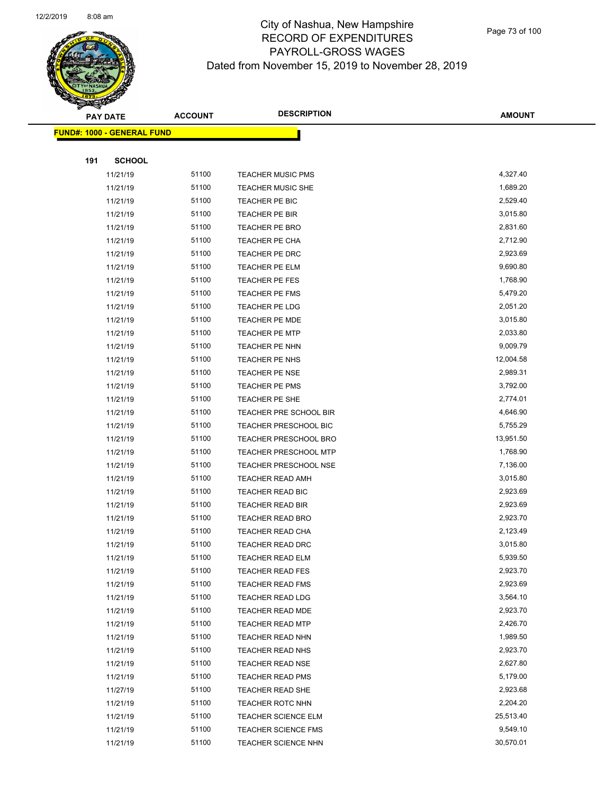

|     | <b>PAY DATE</b>                    | <b>ACCOUNT</b> | <b>DESCRIPTION</b>           | AMOUNT    |
|-----|------------------------------------|----------------|------------------------------|-----------|
|     | <u> FUND#: 1000 - GENERAL FUND</u> |                |                              |           |
|     |                                    |                |                              |           |
| 191 | <b>SCHOOL</b>                      |                |                              |           |
|     | 11/21/19                           | 51100          | <b>TEACHER MUSIC PMS</b>     | 4,327.40  |
|     | 11/21/19                           | 51100          | <b>TEACHER MUSIC SHE</b>     | 1,689.20  |
|     | 11/21/19                           | 51100          | TEACHER PE BIC               | 2,529.40  |
|     | 11/21/19                           | 51100          | TEACHER PE BIR               | 3,015.80  |
|     | 11/21/19                           | 51100          | TEACHER PE BRO               | 2,831.60  |
|     | 11/21/19                           | 51100          | <b>TEACHER PE CHA</b>        | 2,712.90  |
|     | 11/21/19                           | 51100          | TEACHER PE DRC               | 2,923.69  |
|     | 11/21/19                           | 51100          | TEACHER PE ELM               | 9,690.80  |
|     | 11/21/19                           | 51100          | <b>TEACHER PE FES</b>        | 1,768.90  |
|     | 11/21/19                           | 51100          | TEACHER PE FMS               | 5,479.20  |
|     | 11/21/19                           | 51100          | TEACHER PE LDG               | 2,051.20  |
|     | 11/21/19                           | 51100          | TEACHER PE MDE               | 3,015.80  |
|     | 11/21/19                           | 51100          | <b>TEACHER PE MTP</b>        | 2,033.80  |
|     | 11/21/19                           | 51100          | <b>TEACHER PE NHN</b>        | 9,009.79  |
|     | 11/21/19                           | 51100          | TEACHER PE NHS               | 12,004.58 |
|     | 11/21/19                           | 51100          | <b>TEACHER PE NSE</b>        | 2,989.31  |
|     | 11/21/19                           | 51100          | TEACHER PE PMS               | 3,792.00  |
|     | 11/21/19                           | 51100          | TEACHER PE SHE               | 2,774.01  |
|     | 11/21/19                           | 51100          | TEACHER PRE SCHOOL BIR       | 4,646.90  |
|     | 11/21/19                           | 51100          | <b>TEACHER PRESCHOOL BIC</b> | 5,755.29  |
|     | 11/21/19                           | 51100          | <b>TEACHER PRESCHOOL BRO</b> | 13,951.50 |
|     | 11/21/19                           | 51100          | <b>TEACHER PRESCHOOL MTP</b> | 1,768.90  |
|     | 11/21/19                           | 51100          | <b>TEACHER PRESCHOOL NSE</b> | 7,136.00  |
|     | 11/21/19                           | 51100          | TEACHER READ AMH             | 3,015.80  |
|     | 11/21/19                           | 51100          | TEACHER READ BIC             | 2,923.69  |
|     | 11/21/19                           | 51100          | <b>TEACHER READ BIR</b>      | 2,923.69  |
|     | 11/21/19                           | 51100          | <b>TEACHER READ BRO</b>      | 2,923.70  |
|     | 11/21/19                           | 51100          | TEACHER READ CHA             | 2,123.49  |
|     | 11/21/19                           | 51100          | <b>TEACHER READ DRC</b>      | 3,015.80  |
|     | 11/21/19                           | 51100          | TEACHER READ ELM             | 5,939.50  |
|     | 11/21/19                           | 51100          | <b>TEACHER READ FES</b>      | 2,923.70  |
|     | 11/21/19                           | 51100          | <b>TEACHER READ FMS</b>      | 2,923.69  |
|     | 11/21/19                           | 51100          | <b>TEACHER READ LDG</b>      | 3,564.10  |
|     | 11/21/19                           | 51100          | <b>TEACHER READ MDE</b>      | 2,923.70  |
|     | 11/21/19                           | 51100          | <b>TEACHER READ MTP</b>      | 2,426.70  |
|     | 11/21/19                           | 51100          | TEACHER READ NHN             | 1,989.50  |
|     | 11/21/19                           | 51100          | <b>TEACHER READ NHS</b>      | 2,923.70  |
|     | 11/21/19                           | 51100          | <b>TEACHER READ NSE</b>      | 2,627.80  |
|     | 11/21/19                           | 51100          | <b>TEACHER READ PMS</b>      | 5,179.00  |
|     | 11/27/19                           | 51100          | TEACHER READ SHE             | 2,923.68  |
|     | 11/21/19                           | 51100          | <b>TEACHER ROTC NHN</b>      | 2,204.20  |
|     | 11/21/19                           | 51100          | <b>TEACHER SCIENCE ELM</b>   | 25,513.40 |
|     | 11/21/19                           | 51100          | <b>TEACHER SCIENCE FMS</b>   | 9,549.10  |
|     | 11/21/19                           | 51100          | <b>TEACHER SCIENCE NHN</b>   | 30,570.01 |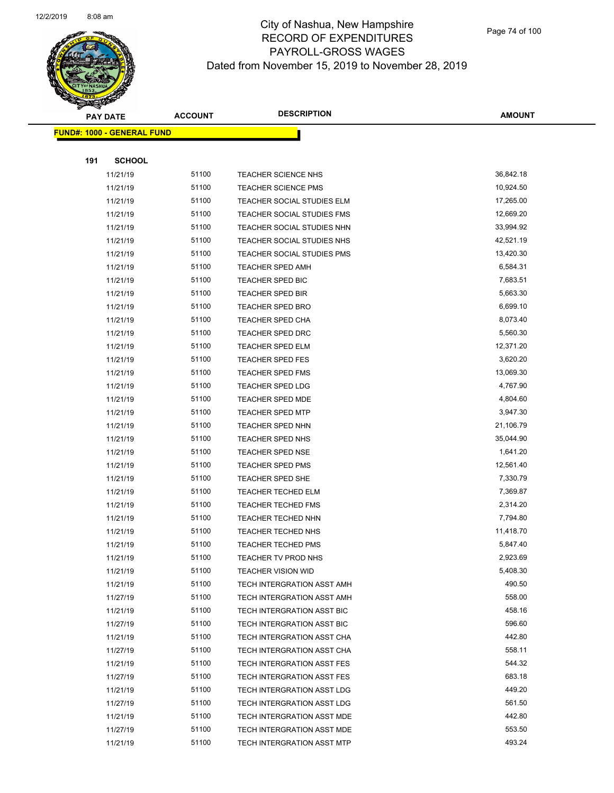

Page 74 of 100

|     | <b>PAY DATE</b>                   | <b>ACCOUNT</b> | <b>DESCRIPTION</b>                                       | <b>AMOUNT</b>    |
|-----|-----------------------------------|----------------|----------------------------------------------------------|------------------|
|     | <b>FUND#: 1000 - GENERAL FUND</b> |                |                                                          |                  |
|     |                                   |                |                                                          |                  |
| 191 | <b>SCHOOL</b>                     |                |                                                          |                  |
|     | 11/21/19                          | 51100          | TEACHER SCIENCE NHS                                      | 36,842.18        |
|     | 11/21/19                          | 51100          | <b>TEACHER SCIENCE PMS</b>                               | 10,924.50        |
|     | 11/21/19                          | 51100          | TEACHER SOCIAL STUDIES ELM                               | 17,265.00        |
|     | 11/21/19                          | 51100          | TEACHER SOCIAL STUDIES FMS                               | 12,669.20        |
|     | 11/21/19                          | 51100          | TEACHER SOCIAL STUDIES NHN                               | 33,994.92        |
|     | 11/21/19                          | 51100          | TEACHER SOCIAL STUDIES NHS                               | 42,521.19        |
|     | 11/21/19                          | 51100          | TEACHER SOCIAL STUDIES PMS                               | 13,420.30        |
|     | 11/21/19                          | 51100          | <b>TEACHER SPED AMH</b>                                  | 6,584.31         |
|     | 11/21/19                          | 51100          | TEACHER SPED BIC                                         | 7,683.51         |
|     | 11/21/19                          | 51100          | <b>TEACHER SPED BIR</b>                                  | 5,663.30         |
|     | 11/21/19                          | 51100          | <b>TEACHER SPED BRO</b>                                  | 6,699.10         |
|     | 11/21/19                          | 51100          | TEACHER SPED CHA                                         | 8,073.40         |
|     | 11/21/19                          | 51100          | <b>TEACHER SPED DRC</b>                                  | 5,560.30         |
|     | 11/21/19                          | 51100          | <b>TEACHER SPED ELM</b>                                  | 12,371.20        |
|     | 11/21/19                          | 51100          | <b>TEACHER SPED FES</b>                                  | 3,620.20         |
|     | 11/21/19                          | 51100          | <b>TEACHER SPED FMS</b>                                  | 13,069.30        |
|     | 11/21/19                          | 51100          | <b>TEACHER SPED LDG</b>                                  | 4,767.90         |
|     | 11/21/19                          | 51100          | <b>TEACHER SPED MDE</b>                                  | 4,804.60         |
|     | 11/21/19                          | 51100          | <b>TEACHER SPED MTP</b>                                  | 3,947.30         |
|     | 11/21/19                          | 51100          | <b>TEACHER SPED NHN</b>                                  | 21,106.79        |
|     | 11/21/19                          | 51100          | <b>TEACHER SPED NHS</b>                                  | 35,044.90        |
|     | 11/21/19                          | 51100          | <b>TEACHER SPED NSE</b>                                  | 1,641.20         |
|     | 11/21/19                          | 51100          | <b>TEACHER SPED PMS</b>                                  | 12,561.40        |
|     | 11/21/19                          | 51100          | TEACHER SPED SHE                                         | 7,330.79         |
|     | 11/21/19                          | 51100          | TEACHER TECHED ELM                                       | 7,369.87         |
|     | 11/21/19                          | 51100          | <b>TEACHER TECHED FMS</b>                                | 2,314.20         |
|     | 11/21/19                          | 51100          | <b>TEACHER TECHED NHN</b>                                | 7,794.80         |
|     | 11/21/19                          | 51100          | <b>TEACHER TECHED NHS</b>                                | 11,418.70        |
|     | 11/21/19                          | 51100          | <b>TEACHER TECHED PMS</b>                                | 5,847.40         |
|     | 11/21/19                          | 51100          | TEACHER TV PROD NHS                                      | 2,923.69         |
|     | 11/21/19                          | 51100          | <b>TEACHER VISION WID</b>                                | 5,408.30         |
|     | 11/21/19                          | 51100          | TECH INTERGRATION ASST AMH                               | 490.50           |
|     | 11/27/19                          | 51100          | TECH INTERGRATION ASST AMH                               | 558.00           |
|     | 11/21/19                          | 51100          | TECH INTERGRATION ASST BIC                               | 458.16<br>596.60 |
|     | 11/27/19                          | 51100          | TECH INTERGRATION ASST BIC                               |                  |
|     | 11/21/19                          | 51100          | TECH INTERGRATION ASST CHA                               | 442.80           |
|     | 11/27/19                          | 51100          | TECH INTERGRATION ASST CHA                               | 558.11           |
|     | 11/21/19                          | 51100<br>51100 | TECH INTERGRATION ASST FES                               | 544.32<br>683.18 |
|     | 11/27/19                          | 51100          | TECH INTERGRATION ASST FES                               | 449.20           |
|     | 11/21/19                          | 51100          | TECH INTERGRATION ASST LDG                               | 561.50           |
|     | 11/27/19                          | 51100          | TECH INTERGRATION ASST LDG                               | 442.80           |
|     | 11/21/19<br>11/27/19              | 51100          | TECH INTERGRATION ASST MDE<br>TECH INTERGRATION ASST MDE | 553.50           |
|     | 11/21/19                          | 51100          | TECH INTERGRATION ASST MTP                               | 493.24           |
|     |                                   |                |                                                          |                  |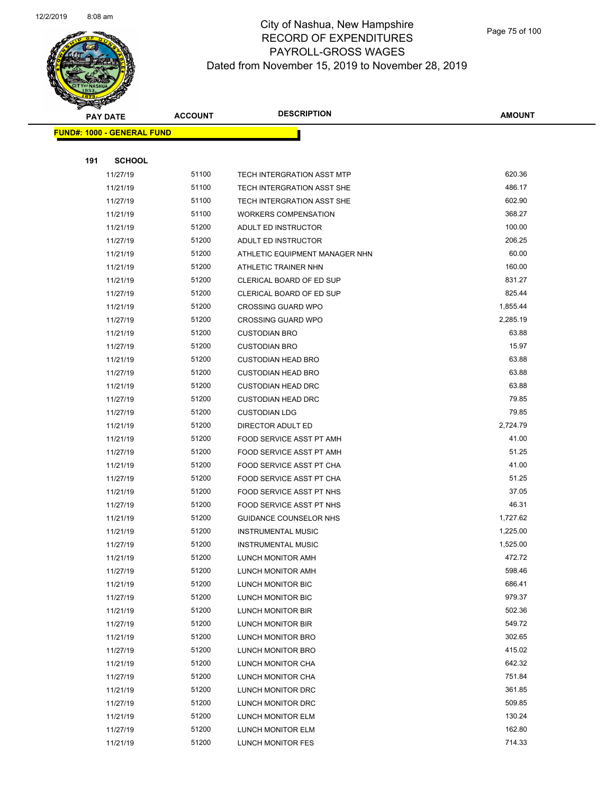

|     | <b>PAY DATE</b>                   | <b>ACCOUNT</b> | <b>DESCRIPTION</b>              | <b>AMOUNT</b> |
|-----|-----------------------------------|----------------|---------------------------------|---------------|
|     | <b>FUND#: 1000 - GENERAL FUND</b> |                |                                 |               |
|     |                                   |                |                                 |               |
| 191 | <b>SCHOOL</b>                     |                |                                 |               |
|     | 11/27/19                          | 51100          | TECH INTERGRATION ASST MTP      | 620.36        |
|     | 11/21/19                          | 51100          | TECH INTERGRATION ASST SHE      | 486.17        |
|     | 11/27/19                          | 51100          | TECH INTERGRATION ASST SHE      | 602.90        |
|     | 11/21/19                          | 51100          | <b>WORKERS COMPENSATION</b>     | 368.27        |
|     | 11/21/19                          | 51200          | ADULT ED INSTRUCTOR             | 100.00        |
|     | 11/27/19                          | 51200          | ADULT ED INSTRUCTOR             | 206.25        |
|     | 11/21/19                          | 51200          | ATHLETIC EQUIPMENT MANAGER NHN  | 60.00         |
|     | 11/21/19                          | 51200          | ATHLETIC TRAINER NHN            | 160.00        |
|     | 11/21/19                          | 51200          | CLERICAL BOARD OF ED SUP        | 831.27        |
|     | 11/27/19                          | 51200          | CLERICAL BOARD OF ED SUP        | 825.44        |
|     | 11/21/19                          | 51200          | <b>CROSSING GUARD WPO</b>       | 1,855.44      |
|     | 11/27/19                          | 51200          | <b>CROSSING GUARD WPO</b>       | 2,285.19      |
|     | 11/21/19                          | 51200          | <b>CUSTODIAN BRO</b>            | 63.88         |
|     | 11/27/19                          | 51200          | <b>CUSTODIAN BRO</b>            | 15.97         |
|     | 11/21/19                          | 51200          | <b>CUSTODIAN HEAD BRO</b>       | 63.88         |
|     | 11/27/19                          | 51200          | <b>CUSTODIAN HEAD BRO</b>       | 63.88         |
|     | 11/21/19                          | 51200          | <b>CUSTODIAN HEAD DRC</b>       | 63.88         |
|     | 11/27/19                          | 51200          | <b>CUSTODIAN HEAD DRC</b>       | 79.85         |
|     | 11/27/19                          | 51200          | <b>CUSTODIAN LDG</b>            | 79.85         |
|     | 11/21/19                          | 51200          | DIRECTOR ADULT ED               | 2,724.79      |
|     | 11/21/19                          | 51200          | FOOD SERVICE ASST PT AMH        | 41.00         |
|     | 11/27/19                          | 51200          | FOOD SERVICE ASST PT AMH        | 51.25         |
|     | 11/21/19                          | 51200          | FOOD SERVICE ASST PT CHA        | 41.00         |
|     | 11/27/19                          | 51200          | FOOD SERVICE ASST PT CHA        | 51.25         |
|     | 11/21/19                          | 51200          | FOOD SERVICE ASST PT NHS        | 37.05         |
|     | 11/27/19                          | 51200          | <b>FOOD SERVICE ASST PT NHS</b> | 46.31         |
|     | 11/21/19                          | 51200          | GUIDANCE COUNSELOR NHS          | 1,727.62      |
|     | 11/21/19                          | 51200          | <b>INSTRUMENTAL MUSIC</b>       | 1,225.00      |
|     | 11/27/19                          | 51200          | <b>INSTRUMENTAL MUSIC</b>       | 1,525.00      |
|     | 11/21/19                          | 51200          | LUNCH MONITOR AMH               | 472.72        |
|     | 11/27/19                          | 51200          | LUNCH MONITOR AMH               | 598.46        |
|     | 11/21/19                          | 51200          | LUNCH MONITOR BIC               | 686.41        |
|     | 11/27/19                          | 51200          | LUNCH MONITOR BIC               | 979.37        |
|     | 11/21/19                          | 51200          | LUNCH MONITOR BIR               | 502.36        |
|     | 11/27/19                          | 51200          | LUNCH MONITOR BIR               | 549.72        |
|     | 11/21/19                          | 51200          | LUNCH MONITOR BRO               | 302.65        |
|     | 11/27/19                          | 51200          | LUNCH MONITOR BRO               | 415.02        |
|     | 11/21/19                          | 51200          | LUNCH MONITOR CHA               | 642.32        |
|     | 11/27/19                          | 51200          | LUNCH MONITOR CHA               | 751.84        |
|     | 11/21/19                          | 51200          | LUNCH MONITOR DRC               | 361.85        |
|     | 11/27/19                          | 51200          | LUNCH MONITOR DRC               | 509.85        |
|     | 11/21/19                          | 51200          | LUNCH MONITOR ELM               | 130.24        |
|     | 11/27/19                          | 51200          | LUNCH MONITOR ELM               | 162.80        |
|     | 11/21/19                          | 51200          | LUNCH MONITOR FES               | 714.33        |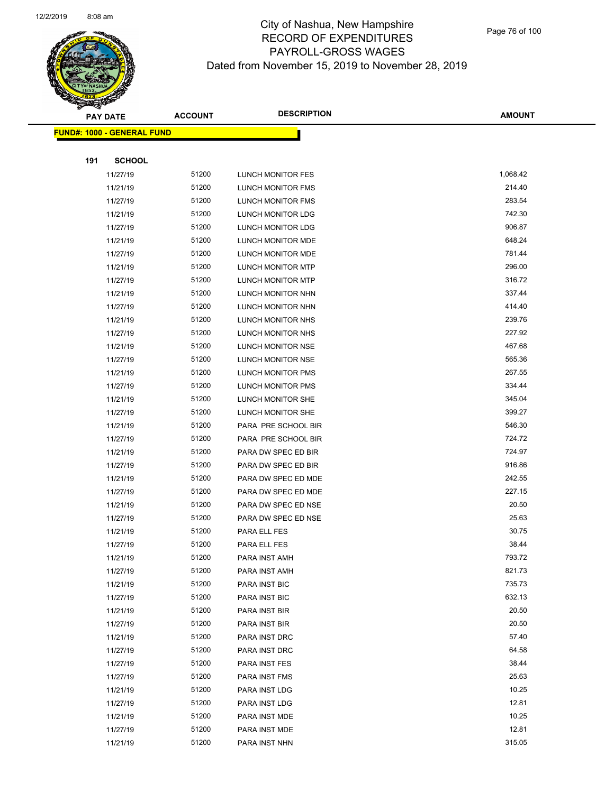

Page 76 of 100

|     | <b>PAY DATE</b>                    | <b>ACCOUNT</b> | <b>DESCRIPTION</b>  | <b>AMOUNT</b> |
|-----|------------------------------------|----------------|---------------------|---------------|
|     | <u> FUND#: 1000 - GENERAL FUND</u> |                |                     |               |
|     |                                    |                |                     |               |
| 191 | <b>SCHOOL</b>                      |                |                     |               |
|     | 11/27/19                           | 51200          | LUNCH MONITOR FES   | 1,068.42      |
|     | 11/21/19                           | 51200          | LUNCH MONITOR FMS   | 214.40        |
|     | 11/27/19                           | 51200          | LUNCH MONITOR FMS   | 283.54        |
|     | 11/21/19                           | 51200          | LUNCH MONITOR LDG   | 742.30        |
|     | 11/27/19                           | 51200          | LUNCH MONITOR LDG   | 906.87        |
|     | 11/21/19                           | 51200          | LUNCH MONITOR MDE   | 648.24        |
|     | 11/27/19                           | 51200          | LUNCH MONITOR MDE   | 781.44        |
|     | 11/21/19                           | 51200          | LUNCH MONITOR MTP   | 296.00        |
|     | 11/27/19                           | 51200          | LUNCH MONITOR MTP   | 316.72        |
|     | 11/21/19                           | 51200          | LUNCH MONITOR NHN   | 337.44        |
|     | 11/27/19                           | 51200          | LUNCH MONITOR NHN   | 414.40        |
|     | 11/21/19                           | 51200          | LUNCH MONITOR NHS   | 239.76        |
|     | 11/27/19                           | 51200          | LUNCH MONITOR NHS   | 227.92        |
|     | 11/21/19                           | 51200          | LUNCH MONITOR NSE   | 467.68        |
|     | 11/27/19                           | 51200          | LUNCH MONITOR NSE   | 565.36        |
|     | 11/21/19                           | 51200          | LUNCH MONITOR PMS   | 267.55        |
|     | 11/27/19                           | 51200          | LUNCH MONITOR PMS   | 334.44        |
|     | 11/21/19                           | 51200          | LUNCH MONITOR SHE   | 345.04        |
|     | 11/27/19                           | 51200          | LUNCH MONITOR SHE   | 399.27        |
|     | 11/21/19                           | 51200          | PARA PRE SCHOOL BIR | 546.30        |
|     | 11/27/19                           | 51200          | PARA PRE SCHOOL BIR | 724.72        |
|     | 11/21/19                           | 51200          | PARA DW SPEC ED BIR | 724.97        |
|     | 11/27/19                           | 51200          | PARA DW SPEC ED BIR | 916.86        |
|     | 11/21/19                           | 51200          | PARA DW SPEC ED MDE | 242.55        |
|     | 11/27/19                           | 51200          | PARA DW SPEC ED MDE | 227.15        |
|     | 11/21/19                           | 51200          | PARA DW SPEC ED NSE | 20.50         |
|     | 11/27/19                           | 51200          | PARA DW SPEC ED NSE | 25.63         |
|     | 11/21/19                           | 51200          | PARA ELL FES        | 30.75         |
|     | 11/27/19                           | 51200          | PARA ELL FES        | 38.44         |
|     | 11/21/19                           | 51200          | PARA INST AMH       | 793.72        |
|     | 11/27/19                           | 51200          | PARA INST AMH       | 821.73        |
|     | 11/21/19                           | 51200          | PARA INST BIC       | 735.73        |
|     | 11/27/19                           | 51200          | PARA INST BIC       | 632.13        |
|     | 11/21/19                           | 51200          | PARA INST BIR       | 20.50         |
|     | 11/27/19                           | 51200          | PARA INST BIR       | 20.50         |
|     | 11/21/19                           | 51200          | PARA INST DRC       | 57.40         |
|     | 11/27/19                           | 51200          | PARA INST DRC       | 64.58         |
|     | 11/27/19                           | 51200          | PARA INST FES       | 38.44         |
|     | 11/27/19                           | 51200          | PARA INST FMS       | 25.63         |
|     | 11/21/19                           | 51200          | PARA INST LDG       | 10.25         |
|     | 11/27/19                           | 51200          | PARA INST LDG       | 12.81         |
|     | 11/21/19                           | 51200          | PARA INST MDE       | 10.25         |
|     | 11/27/19                           | 51200          | PARA INST MDE       | 12.81         |
|     | 11/21/19                           | 51200          | PARA INST NHN       | 315.05        |
|     |                                    |                |                     |               |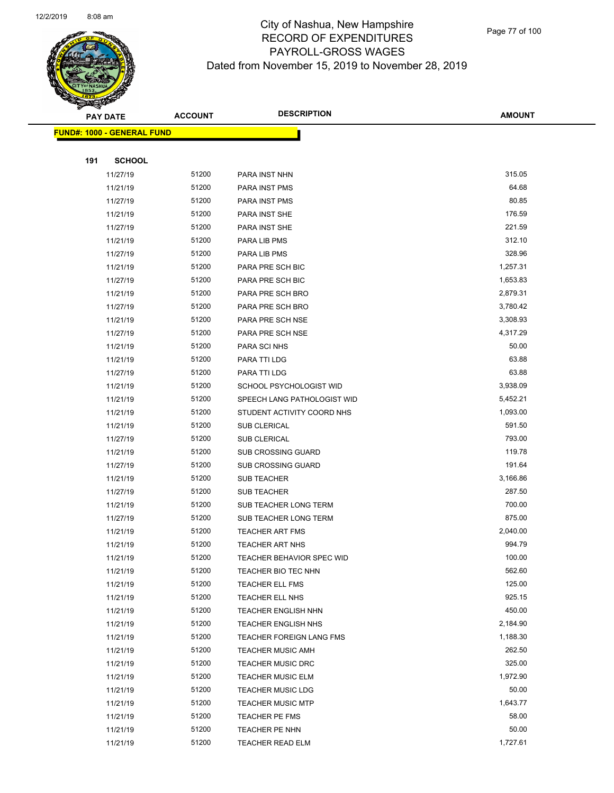

| <b>PAY DATE</b>                    | <b>ACCOUNT</b> | <b>DESCRIPTION</b>               | <b>AMOUNT</b> |
|------------------------------------|----------------|----------------------------------|---------------|
| <u> FUND#: 1000 - GENERAL FUND</u> |                |                                  |               |
|                                    |                |                                  |               |
| <b>SCHOOL</b><br>191               |                |                                  |               |
| 11/27/19                           | 51200          | PARA INST NHN                    | 315.05        |
| 11/21/19                           | 51200          | <b>PARA INST PMS</b>             | 64.68         |
| 11/27/19                           | 51200          | <b>PARA INST PMS</b>             | 80.85         |
| 11/21/19                           | 51200          | PARA INST SHE                    | 176.59        |
| 11/27/19                           | 51200          | PARA INST SHE                    | 221.59        |
| 11/21/19                           | 51200          | PARA LIB PMS                     | 312.10        |
| 11/27/19                           | 51200          | PARA LIB PMS                     | 328.96        |
| 11/21/19                           | 51200          | PARA PRE SCH BIC                 | 1,257.31      |
| 11/27/19                           | 51200          | PARA PRE SCH BIC                 | 1,653.83      |
| 11/21/19                           | 51200          | PARA PRE SCH BRO                 | 2,879.31      |
| 11/27/19                           | 51200          | PARA PRE SCH BRO                 | 3,780.42      |
| 11/21/19                           | 51200          | PARA PRE SCH NSE                 | 3,308.93      |
| 11/27/19                           | 51200          | PARA PRE SCH NSE                 | 4,317.29      |
| 11/21/19                           | 51200          | PARA SCI NHS                     | 50.00         |
| 11/21/19                           | 51200          | PARA TTI LDG                     | 63.88         |
| 11/27/19                           | 51200          | PARA TTI LDG                     | 63.88         |
| 11/21/19                           | 51200          | SCHOOL PSYCHOLOGIST WID          | 3,938.09      |
| 11/21/19                           | 51200          | SPEECH LANG PATHOLOGIST WID      | 5,452.21      |
| 11/21/19                           | 51200          | STUDENT ACTIVITY COORD NHS       | 1,093.00      |
| 11/21/19                           | 51200          | SUB CLERICAL                     | 591.50        |
| 11/27/19                           | 51200          | <b>SUB CLERICAL</b>              | 793.00        |
| 11/21/19                           | 51200          | <b>SUB CROSSING GUARD</b>        | 119.78        |
| 11/27/19                           | 51200          | <b>SUB CROSSING GUARD</b>        | 191.64        |
| 11/21/19                           | 51200          | SUB TEACHER                      | 3,166.86      |
| 11/27/19                           | 51200          | SUB TEACHER                      | 287.50        |
| 11/21/19                           | 51200          | SUB TEACHER LONG TERM            | 700.00        |
| 11/27/19                           | 51200          | SUB TEACHER LONG TERM            | 875.00        |
| 11/21/19                           | 51200          | <b>TEACHER ART FMS</b>           | 2,040.00      |
| 11/21/19                           | 51200          | <b>TEACHER ART NHS</b>           | 994.79        |
| 11/21/19                           | 51200          | <b>TEACHER BEHAVIOR SPEC WID</b> | 100.00        |
| 11/21/19                           | 51200          | TEACHER BIO TEC NHN              | 562.60        |
| 11/21/19                           | 51200          | <b>TEACHER ELL FMS</b>           | 125.00        |
| 11/21/19                           | 51200          | TEACHER ELL NHS                  | 925.15        |
| 11/21/19                           | 51200          | <b>TEACHER ENGLISH NHN</b>       | 450.00        |
| 11/21/19                           | 51200          | <b>TEACHER ENGLISH NHS</b>       | 2,184.90      |
| 11/21/19                           | 51200          | TEACHER FOREIGN LANG FMS         | 1,188.30      |
| 11/21/19                           | 51200          | <b>TEACHER MUSIC AMH</b>         | 262.50        |
| 11/21/19                           | 51200          | <b>TEACHER MUSIC DRC</b>         | 325.00        |
| 11/21/19                           | 51200          | <b>TEACHER MUSIC ELM</b>         | 1,972.90      |
| 11/21/19                           | 51200          | <b>TEACHER MUSIC LDG</b>         | 50.00         |
| 11/21/19                           | 51200          | <b>TEACHER MUSIC MTP</b>         | 1,643.77      |
| 11/21/19                           | 51200          | <b>TEACHER PE FMS</b>            | 58.00         |
| 11/21/19                           | 51200          | TEACHER PE NHN                   | 50.00         |
| 11/21/19                           | 51200          | <b>TEACHER READ ELM</b>          | 1,727.61      |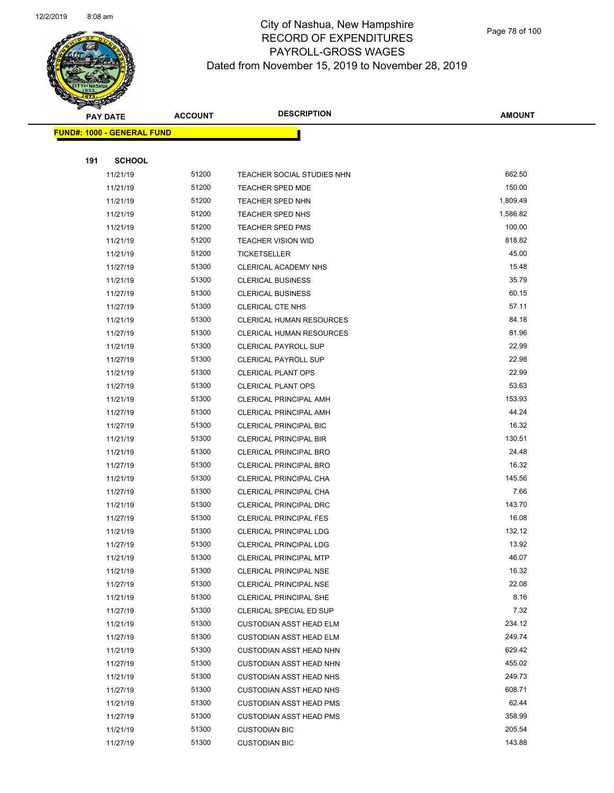

|     | <b>PAY DATE</b>                   | <b>ACCOUNT</b> | <b>DESCRIPTION</b>              | <b>AMOUNT</b> |
|-----|-----------------------------------|----------------|---------------------------------|---------------|
|     | <b>FUND#: 1000 - GENERAL FUND</b> |                |                                 |               |
|     |                                   |                |                                 |               |
| 191 | <b>SCHOOL</b>                     |                |                                 |               |
|     | 11/21/19                          | 51200          | TEACHER SOCIAL STUDIES NHN      | 662.50        |
|     | 11/21/19                          | 51200          | <b>TEACHER SPED MDE</b>         | 150.00        |
|     | 11/21/19                          | 51200          | <b>TEACHER SPED NHN</b>         | 1,809.49      |
|     | 11/21/19                          | 51200          | <b>TEACHER SPED NHS</b>         | 1,586.82      |
|     | 11/21/19                          | 51200          | <b>TEACHER SPED PMS</b>         | 100.00        |
|     | 11/21/19                          | 51200          | <b>TEACHER VISION WID</b>       | 818.82        |
|     | 11/21/19                          | 51200          | <b>TICKETSELLER</b>             | 45.00         |
|     | 11/27/19                          | 51300          | CLERICAL ACADEMY NHS            | 15.48         |
|     | 11/21/19                          | 51300          | <b>CLERICAL BUSINESS</b>        | 35.79         |
|     | 11/27/19                          | 51300          | <b>CLERICAL BUSINESS</b>        | 60.15         |
|     | 11/27/19                          | 51300          | <b>CLERICAL CTE NHS</b>         | 57.11         |
|     | 11/21/19                          | 51300          | <b>CLERICAL HUMAN RESOURCES</b> | 84.18         |
|     | 11/27/19                          | 51300          | <b>CLERICAL HUMAN RESOURCES</b> | 81.96         |
|     | 11/21/19                          | 51300          | <b>CLERICAL PAYROLL SUP</b>     | 22.99         |
|     | 11/27/19                          | 51300          | <b>CLERICAL PAYROLL SUP</b>     | 22.98         |
|     | 11/21/19                          | 51300          | <b>CLERICAL PLANT OPS</b>       | 22.99         |
|     | 11/27/19                          | 51300          | <b>CLERICAL PLANT OPS</b>       | 53.63         |
|     | 11/21/19                          | 51300          | CLERICAL PRINCIPAL AMH          | 153.93        |
|     | 11/27/19                          | 51300          | <b>CLERICAL PRINCIPAL AMH</b>   | 44.24         |
|     | 11/27/19                          | 51300          | <b>CLERICAL PRINCIPAL BIC</b>   | 16.32         |
|     | 11/21/19                          | 51300          | CLERICAL PRINCIPAL BIR          | 130.51        |
|     | 11/21/19                          | 51300          | <b>CLERICAL PRINCIPAL BRO</b>   | 24.48         |
|     | 11/27/19                          | 51300          | <b>CLERICAL PRINCIPAL BRO</b>   | 16.32         |
|     | 11/21/19                          | 51300          | CLERICAL PRINCIPAL CHA          | 145.56        |
|     | 11/27/19                          | 51300          | CLERICAL PRINCIPAL CHA          | 7.66          |
|     | 11/21/19                          | 51300          | CLERICAL PRINCIPAL DRC          | 143.70        |
|     | 11/27/19                          | 51300          | <b>CLERICAL PRINCIPAL FES</b>   | 16.08         |
|     | 11/21/19                          | 51300          | CLERICAL PRINCIPAL LDG          | 132.12        |
|     | 11/27/19                          | 51300          | <b>CLERICAL PRINCIPAL LDG</b>   | 13.92         |
|     | 11/21/19                          | 51300          | CLERICAL PRINCIPAL MTP          | 46.07         |
|     | 11/21/19                          | 51300          | CLERICAL PRINCIPAL NSE          | 16.32         |
|     | 11/27/19                          | 51300          | <b>CLERICAL PRINCIPAL NSE</b>   | 22.08         |
|     | 11/21/19                          | 51300          | CLERICAL PRINCIPAL SHE          | 8.16          |
|     | 11/27/19                          | 51300          | CLERICAL SPECIAL ED SUP         | 7.32          |
|     | 11/21/19                          | 51300          | <b>CUSTODIAN ASST HEAD ELM</b>  | 234.12        |
|     | 11/27/19                          | 51300          | <b>CUSTODIAN ASST HEAD ELM</b>  | 249.74        |
|     | 11/21/19                          | 51300          | <b>CUSTODIAN ASST HEAD NHN</b>  | 629.42        |
|     | 11/27/19                          | 51300          | <b>CUSTODIAN ASST HEAD NHN</b>  | 455.02        |
|     | 11/21/19                          | 51300          | <b>CUSTODIAN ASST HEAD NHS</b>  | 249.73        |
|     | 11/27/19                          | 51300          | <b>CUSTODIAN ASST HEAD NHS</b>  | 608.71        |
|     | 11/21/19                          | 51300          | <b>CUSTODIAN ASST HEAD PMS</b>  | 62.44         |
|     | 11/27/19                          | 51300          | <b>CUSTODIAN ASST HEAD PMS</b>  | 358.99        |
|     | 11/21/19                          | 51300          | <b>CUSTODIAN BIC</b>            | 205.54        |
|     | 11/27/19                          | 51300          | <b>CUSTODIAN BIC</b>            | 143.88        |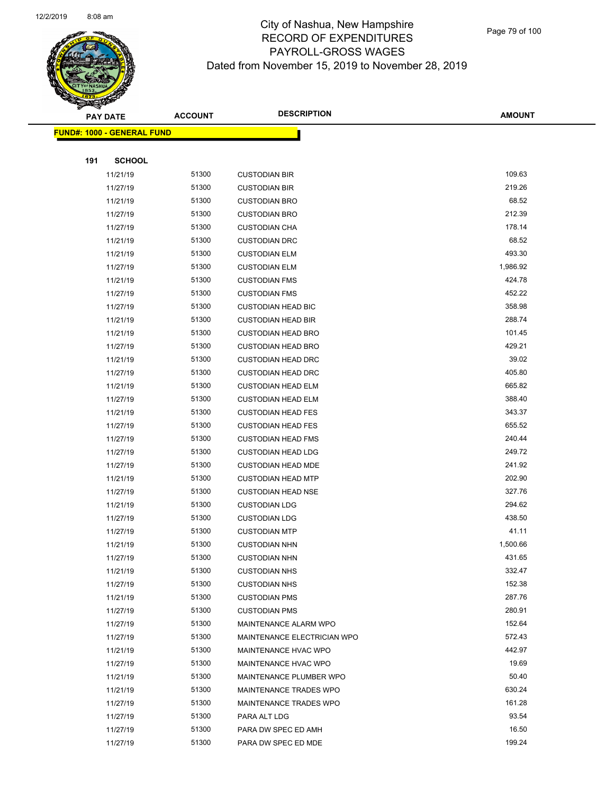

Page 79 of 100

|     | <b>PAY DATE</b>                    | <b>ACCOUNT</b> | <b>DESCRIPTION</b>          | <b>AMOUNT</b> |
|-----|------------------------------------|----------------|-----------------------------|---------------|
|     | <u> FUND#: 1000 - GENERAL FUND</u> |                |                             |               |
|     |                                    |                |                             |               |
| 191 | <b>SCHOOL</b>                      |                |                             |               |
|     | 11/21/19                           | 51300          | <b>CUSTODIAN BIR</b>        | 109.63        |
|     | 11/27/19                           | 51300          | <b>CUSTODIAN BIR</b>        | 219.26        |
|     | 11/21/19                           | 51300          | <b>CUSTODIAN BRO</b>        | 68.52         |
|     | 11/27/19                           | 51300          | <b>CUSTODIAN BRO</b>        | 212.39        |
|     | 11/27/19                           | 51300          | <b>CUSTODIAN CHA</b>        | 178.14        |
|     | 11/21/19                           | 51300          | <b>CUSTODIAN DRC</b>        | 68.52         |
|     | 11/21/19                           | 51300          | <b>CUSTODIAN ELM</b>        | 493.30        |
|     | 11/27/19                           | 51300          | <b>CUSTODIAN ELM</b>        | 1,986.92      |
|     | 11/21/19                           | 51300          | <b>CUSTODIAN FMS</b>        | 424.78        |
|     | 11/27/19                           | 51300          | <b>CUSTODIAN FMS</b>        | 452.22        |
|     | 11/27/19                           | 51300          | <b>CUSTODIAN HEAD BIC</b>   | 358.98        |
|     | 11/21/19                           | 51300          | <b>CUSTODIAN HEAD BIR</b>   | 288.74        |
|     | 11/21/19                           | 51300          | <b>CUSTODIAN HEAD BRO</b>   | 101.45        |
|     | 11/27/19                           | 51300          | <b>CUSTODIAN HEAD BRO</b>   | 429.21        |
|     | 11/21/19                           | 51300          | <b>CUSTODIAN HEAD DRC</b>   | 39.02         |
|     | 11/27/19                           | 51300          | <b>CUSTODIAN HEAD DRC</b>   | 405.80        |
|     | 11/21/19                           | 51300          | <b>CUSTODIAN HEAD ELM</b>   | 665.82        |
|     | 11/27/19                           | 51300          | <b>CUSTODIAN HEAD ELM</b>   | 388.40        |
|     | 11/21/19                           | 51300          | <b>CUSTODIAN HEAD FES</b>   | 343.37        |
|     | 11/27/19                           | 51300          | <b>CUSTODIAN HEAD FES</b>   | 655.52        |
|     | 11/27/19                           | 51300          | <b>CUSTODIAN HEAD FMS</b>   | 240.44        |
|     | 11/27/19                           | 51300          | <b>CUSTODIAN HEAD LDG</b>   | 249.72        |
|     | 11/27/19                           | 51300          | <b>CUSTODIAN HEAD MDE</b>   | 241.92        |
|     | 11/21/19                           | 51300          | <b>CUSTODIAN HEAD MTP</b>   | 202.90        |
|     | 11/27/19                           | 51300          | <b>CUSTODIAN HEAD NSE</b>   | 327.76        |
|     | 11/21/19                           | 51300          | <b>CUSTODIAN LDG</b>        | 294.62        |
|     | 11/27/19                           | 51300          | <b>CUSTODIAN LDG</b>        | 438.50        |
|     | 11/27/19                           | 51300          | <b>CUSTODIAN MTP</b>        | 41.11         |
|     | 11/21/19                           | 51300          | <b>CUSTODIAN NHN</b>        | 1,500.66      |
|     | 11/27/19                           | 51300          | <b>CUSTODIAN NHN</b>        | 431.65        |
|     | 11/21/19                           | 51300          | <b>CUSTODIAN NHS</b>        | 332.47        |
|     | 11/27/19                           | 51300          | <b>CUSTODIAN NHS</b>        | 152.38        |
|     | 11/21/19                           | 51300          | <b>CUSTODIAN PMS</b>        | 287.76        |
|     | 11/27/19                           | 51300          | <b>CUSTODIAN PMS</b>        | 280.91        |
|     | 11/27/19                           | 51300          | MAINTENANCE ALARM WPO       | 152.64        |
|     | 11/27/19                           | 51300          | MAINTENANCE ELECTRICIAN WPO | 572.43        |
|     | 11/21/19                           | 51300          | MAINTENANCE HVAC WPO        | 442.97        |
|     | 11/27/19                           | 51300          | MAINTENANCE HVAC WPO        | 19.69         |
|     | 11/21/19                           | 51300          | MAINTENANCE PLUMBER WPO     | 50.40         |
|     | 11/21/19                           | 51300          | MAINTENANCE TRADES WPO      | 630.24        |
|     | 11/27/19                           | 51300          | MAINTENANCE TRADES WPO      | 161.28        |
|     | 11/27/19                           | 51300          | PARA ALT LDG                | 93.54         |
|     | 11/27/19                           | 51300          | PARA DW SPEC ED AMH         | 16.50         |
|     | 11/27/19                           | 51300          | PARA DW SPEC ED MDE         | 199.24        |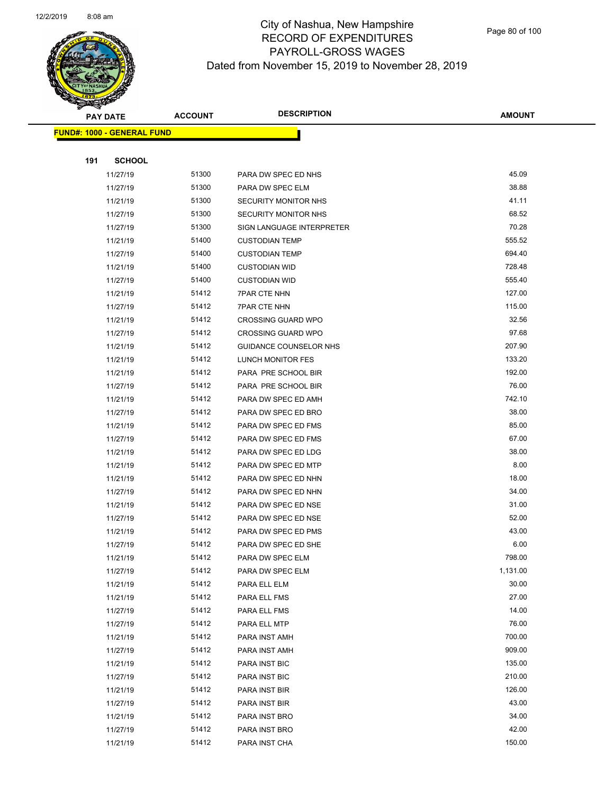

|     | <b>PAY DATE</b>                    | <b>ACCOUNT</b> | <b>DESCRIPTION</b>          | AMOUNT   |
|-----|------------------------------------|----------------|-----------------------------|----------|
|     | <u> FUND#: 1000 - GENERAL FUND</u> |                |                             |          |
|     |                                    |                |                             |          |
| 191 | <b>SCHOOL</b>                      |                |                             |          |
|     | 11/27/19                           | 51300          | PARA DW SPEC ED NHS         | 45.09    |
|     | 11/27/19                           | 51300          | PARA DW SPEC ELM            | 38.88    |
|     | 11/21/19                           | 51300          | <b>SECURITY MONITOR NHS</b> | 41.11    |
|     | 11/27/19                           | 51300          | <b>SECURITY MONITOR NHS</b> | 68.52    |
|     | 11/27/19                           | 51300          | SIGN LANGUAGE INTERPRETER   | 70.28    |
|     | 11/21/19                           | 51400          | <b>CUSTODIAN TEMP</b>       | 555.52   |
|     | 11/27/19                           | 51400          | <b>CUSTODIAN TEMP</b>       | 694.40   |
|     | 11/21/19                           | 51400          | <b>CUSTODIAN WID</b>        | 728.48   |
|     | 11/27/19                           | 51400          | <b>CUSTODIAN WID</b>        | 555.40   |
|     | 11/21/19                           | 51412          | <b>7PAR CTE NHN</b>         | 127.00   |
|     | 11/27/19                           | 51412          | <b>7PAR CTE NHN</b>         | 115.00   |
|     | 11/21/19                           | 51412          | <b>CROSSING GUARD WPO</b>   | 32.56    |
|     | 11/27/19                           | 51412          | <b>CROSSING GUARD WPO</b>   | 97.68    |
|     | 11/21/19                           | 51412          | GUIDANCE COUNSELOR NHS      | 207.90   |
|     | 11/21/19                           | 51412          | LUNCH MONITOR FES           | 133.20   |
|     | 11/21/19                           | 51412          | PARA PRE SCHOOL BIR         | 192.00   |
|     | 11/27/19                           | 51412          | PARA PRE SCHOOL BIR         | 76.00    |
|     | 11/21/19                           | 51412          | PARA DW SPEC ED AMH         | 742.10   |
|     | 11/27/19                           | 51412          | PARA DW SPEC ED BRO         | 38.00    |
|     | 11/21/19                           | 51412          | PARA DW SPEC ED FMS         | 85.00    |
|     | 11/27/19                           | 51412          | PARA DW SPEC ED FMS         | 67.00    |
|     | 11/21/19                           | 51412          | PARA DW SPEC ED LDG         | 38.00    |
|     | 11/21/19                           | 51412          | PARA DW SPEC ED MTP         | 8.00     |
|     | 11/21/19                           | 51412          | PARA DW SPEC ED NHN         | 18.00    |
|     | 11/27/19                           | 51412          | PARA DW SPEC ED NHN         | 34.00    |
|     | 11/21/19                           | 51412          | PARA DW SPEC ED NSE         | 31.00    |
|     | 11/27/19                           | 51412          | PARA DW SPEC ED NSE         | 52.00    |
|     | 11/21/19                           | 51412          | PARA DW SPEC ED PMS         | 43.00    |
|     | 11/27/19                           | 51412          | PARA DW SPEC ED SHE         | 6.00     |
|     | 11/21/19                           | 51412          | PARA DW SPEC ELM            | 798.00   |
|     | 11/27/19                           | 51412          | PARA DW SPEC ELM            | 1,131.00 |
|     | 11/21/19                           | 51412          | PARA ELL ELM                | 30.00    |
|     | 11/21/19                           | 51412          | PARA ELL FMS                | 27.00    |
|     | 11/27/19                           | 51412          | PARA ELL FMS                | 14.00    |
|     | 11/27/19                           | 51412          | PARA ELL MTP                | 76.00    |
|     | 11/21/19                           | 51412          | PARA INST AMH               | 700.00   |
|     | 11/27/19                           | 51412          | PARA INST AMH               | 909.00   |
|     | 11/21/19                           | 51412          | PARA INST BIC               | 135.00   |
|     | 11/27/19                           | 51412          | PARA INST BIC               | 210.00   |
|     | 11/21/19                           | 51412          | PARA INST BIR               | 126.00   |
|     | 11/27/19                           | 51412          | PARA INST BIR               | 43.00    |
|     | 11/21/19                           | 51412          | PARA INST BRO               | 34.00    |
|     | 11/27/19                           | 51412          | PARA INST BRO               | 42.00    |
|     | 11/21/19                           | 51412          | PARA INST CHA               | 150.00   |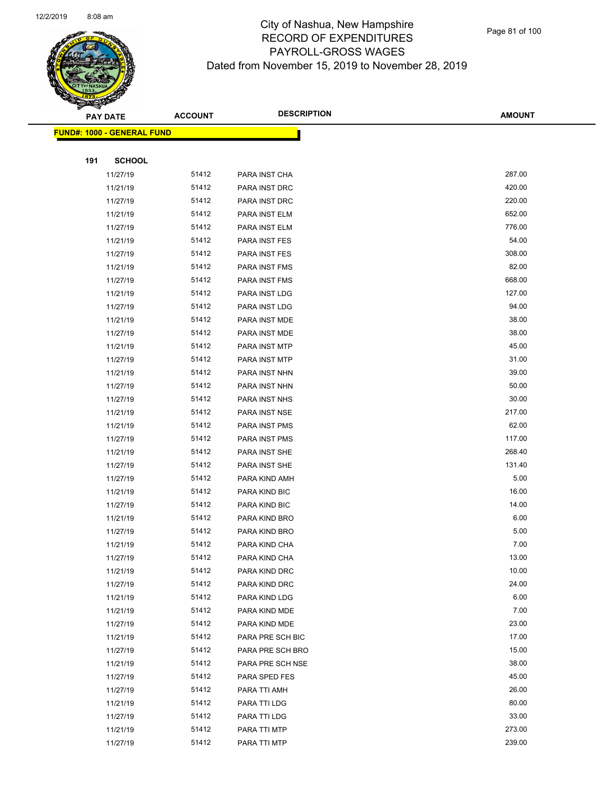

|     | <b>PAY DATE</b>                   | <b>ACCOUNT</b> | <b>DESCRIPTION</b> | <b>AMOUNT</b> |
|-----|-----------------------------------|----------------|--------------------|---------------|
|     | <b>FUND#: 1000 - GENERAL FUND</b> |                |                    |               |
|     |                                   |                |                    |               |
| 191 | <b>SCHOOL</b>                     |                |                    |               |
|     | 11/27/19                          | 51412          | PARA INST CHA      | 287.00        |
|     | 11/21/19                          | 51412          | PARA INST DRC      | 420.00        |
|     | 11/27/19                          | 51412          | PARA INST DRC      | 220.00        |
|     | 11/21/19                          | 51412          | PARA INST ELM      | 652.00        |
|     | 11/27/19                          | 51412          | PARA INST ELM      | 776.00        |
|     | 11/21/19                          | 51412          | PARA INST FES      | 54.00         |
|     | 11/27/19                          | 51412          | PARA INST FES      | 308.00        |
|     | 11/21/19                          | 51412          | PARA INST FMS      | 82.00         |
|     | 11/27/19                          | 51412          | PARA INST FMS      | 668.00        |
|     | 11/21/19                          | 51412          | PARA INST LDG      | 127.00        |
|     | 11/27/19                          | 51412          | PARA INST LDG      | 94.00         |
|     | 11/21/19                          | 51412          | PARA INST MDE      | 38.00         |
|     | 11/27/19                          | 51412          | PARA INST MDE      | 38.00         |
|     | 11/21/19                          | 51412          | PARA INST MTP      | 45.00         |
|     | 11/27/19                          | 51412          | PARA INST MTP      | 31.00         |
|     | 11/21/19                          | 51412          | PARA INST NHN      | 39.00         |
|     | 11/27/19                          | 51412          | PARA INST NHN      | 50.00         |
|     | 11/27/19                          | 51412          | PARA INST NHS      | 30.00         |
|     | 11/21/19                          | 51412          | PARA INST NSE      | 217.00        |
|     | 11/21/19                          | 51412          | PARA INST PMS      | 62.00         |
|     | 11/27/19                          | 51412          | PARA INST PMS      | 117.00        |
|     | 11/21/19                          | 51412          | PARA INST SHE      | 268.40        |
|     | 11/27/19                          | 51412          | PARA INST SHE      | 131.40        |
|     | 11/27/19                          | 51412          | PARA KIND AMH      | 5.00          |
|     | 11/21/19                          | 51412          | PARA KIND BIC      | 16.00         |
|     | 11/27/19                          | 51412          | PARA KIND BIC      | 14.00         |
|     | 11/21/19                          | 51412          | PARA KIND BRO      | 6.00          |
|     | 11/27/19                          | 51412          | PARA KIND BRO      | 5.00          |
|     | 11/21/19                          | 51412          | PARA KIND CHA      | 7.00          |
|     | 11/27/19                          | 51412          | PARA KIND CHA      | 13.00         |
|     | 11/21/19                          | 51412          | PARA KIND DRC      | 10.00         |
|     | 11/27/19                          | 51412          | PARA KIND DRC      | 24.00         |
|     | 11/21/19                          | 51412          | PARA KIND LDG      | 6.00          |
|     | 11/21/19                          | 51412          | PARA KIND MDE      | 7.00          |
|     | 11/27/19                          | 51412          | PARA KIND MDE      | 23.00         |
|     | 11/21/19                          | 51412          | PARA PRE SCH BIC   | 17.00         |
|     | 11/27/19                          | 51412          | PARA PRE SCH BRO   | 15.00         |
|     | 11/21/19                          | 51412          | PARA PRE SCH NSE   | 38.00         |
|     | 11/27/19                          | 51412          | PARA SPED FES      | 45.00         |
|     | 11/27/19                          | 51412          | PARA TTI AMH       | 26.00         |
|     | 11/21/19                          | 51412          | PARA TTI LDG       | 80.00         |
|     | 11/27/19                          | 51412          | PARA TTI LDG       | 33.00         |
|     | 11/21/19                          | 51412          | PARA TTI MTP       | 273.00        |
|     | 11/27/19                          | 51412          | PARA TTI MTP       | 239.00        |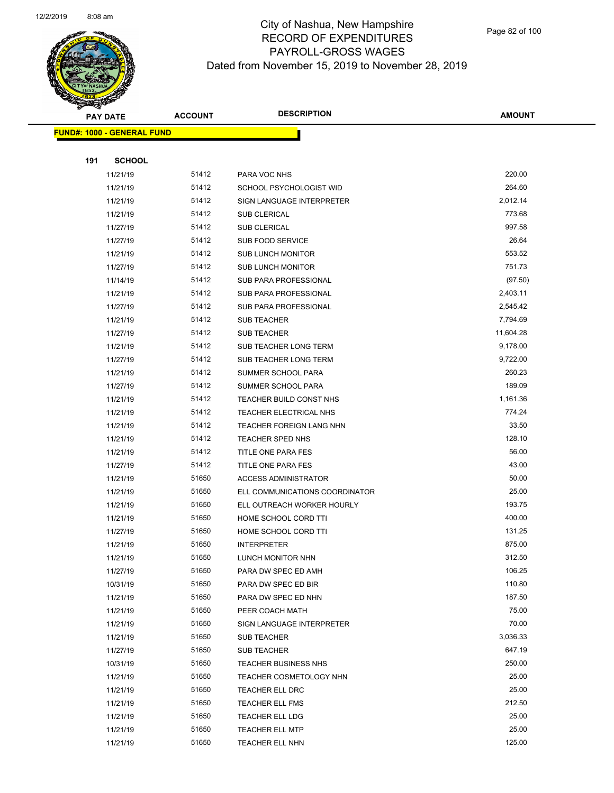

|     | <b>PAY DATE</b>                   | <b>ACCOUNT</b> | <b>DESCRIPTION</b>             | <b>AMOUNT</b> |
|-----|-----------------------------------|----------------|--------------------------------|---------------|
|     | <b>FUND#: 1000 - GENERAL FUND</b> |                |                                |               |
|     |                                   |                |                                |               |
| 191 | <b>SCHOOL</b>                     |                |                                |               |
|     | 11/21/19                          | 51412          | PARA VOC NHS                   | 220.00        |
|     | 11/21/19                          | 51412          | SCHOOL PSYCHOLOGIST WID        | 264.60        |
|     | 11/21/19                          | 51412          | SIGN LANGUAGE INTERPRETER      | 2,012.14      |
|     | 11/21/19                          | 51412          | <b>SUB CLERICAL</b>            | 773.68        |
|     | 11/27/19                          | 51412          | <b>SUB CLERICAL</b>            | 997.58        |
|     | 11/27/19                          | 51412          | SUB FOOD SERVICE               | 26.64         |
|     | 11/21/19                          | 51412          | <b>SUB LUNCH MONITOR</b>       | 553.52        |
|     | 11/27/19                          | 51412          | <b>SUB LUNCH MONITOR</b>       | 751.73        |
|     | 11/14/19                          | 51412          | SUB PARA PROFESSIONAL          | (97.50)       |
|     | 11/21/19                          | 51412          | SUB PARA PROFESSIONAL          | 2,403.11      |
|     | 11/27/19                          | 51412          | SUB PARA PROFESSIONAL          | 2,545.42      |
|     | 11/21/19                          | 51412          | <b>SUB TEACHER</b>             | 7,794.69      |
|     | 11/27/19                          | 51412          | <b>SUB TEACHER</b>             | 11,604.28     |
|     | 11/21/19                          | 51412          | SUB TEACHER LONG TERM          | 9,178.00      |
|     | 11/27/19                          | 51412          | SUB TEACHER LONG TERM          | 9,722.00      |
|     | 11/21/19                          | 51412          | SUMMER SCHOOL PARA             | 260.23        |
|     | 11/27/19                          | 51412          | SUMMER SCHOOL PARA             | 189.09        |
|     | 11/21/19                          | 51412          | TEACHER BUILD CONST NHS        | 1,161.36      |
|     | 11/21/19                          | 51412          | TEACHER ELECTRICAL NHS         | 774.24        |
|     | 11/21/19                          | 51412          | TEACHER FOREIGN LANG NHN       | 33.50         |
|     | 11/21/19                          | 51412          | <b>TEACHER SPED NHS</b>        | 128.10        |
|     | 11/21/19                          | 51412          | TITLE ONE PARA FES             | 56.00         |
|     | 11/27/19                          | 51412          | TITLE ONE PARA FES             | 43.00         |
|     | 11/21/19                          | 51650          | <b>ACCESS ADMINISTRATOR</b>    | 50.00         |
|     | 11/21/19                          | 51650          | ELL COMMUNICATIONS COORDINATOR | 25.00         |
|     | 11/21/19                          | 51650          | ELL OUTREACH WORKER HOURLY     | 193.75        |
|     | 11/21/19                          | 51650          | HOME SCHOOL CORD TTI           | 400.00        |
|     | 11/27/19                          | 51650          | HOME SCHOOL CORD TTI           | 131.25        |
|     | 11/21/19                          | 51650          | <b>INTERPRETER</b>             | 875.00        |
|     | 11/21/19                          | 51650          | LUNCH MONITOR NHN              | 312.50        |
|     | 11/27/19                          | 51650          | PARA DW SPEC ED AMH            | 106.25        |
|     | 10/31/19                          | 51650          | PARA DW SPEC ED BIR            | 110.80        |
|     | 11/21/19                          | 51650          | PARA DW SPEC ED NHN            | 187.50        |
|     | 11/21/19                          | 51650          | PEER COACH MATH                | 75.00         |
|     | 11/21/19                          | 51650          | SIGN LANGUAGE INTERPRETER      | 70.00         |
|     | 11/21/19                          | 51650          | <b>SUB TEACHER</b>             | 3,036.33      |
|     | 11/27/19                          | 51650          | <b>SUB TEACHER</b>             | 647.19        |
|     | 10/31/19                          | 51650          | <b>TEACHER BUSINESS NHS</b>    | 250.00        |
|     | 11/21/19                          | 51650          | TEACHER COSMETOLOGY NHN        | 25.00         |
|     | 11/21/19                          | 51650          | TEACHER ELL DRC                | 25.00         |
|     | 11/21/19                          | 51650          | <b>TEACHER ELL FMS</b>         | 212.50        |
|     | 11/21/19                          | 51650          | TEACHER ELL LDG                | 25.00         |
|     | 11/21/19                          | 51650          | <b>TEACHER ELL MTP</b>         | 25.00         |
|     | 11/21/19                          | 51650          | <b>TEACHER ELL NHN</b>         | 125.00        |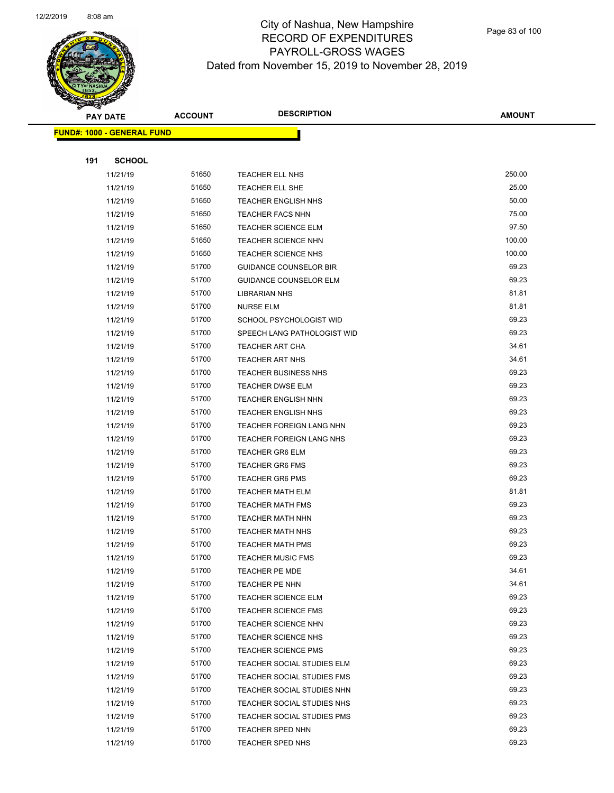

Page 83 of 100

|     | <b>PAY DATE</b>                    | <b>ACCOUNT</b> | <b>DESCRIPTION</b>              | <b>AMOUNT</b> |
|-----|------------------------------------|----------------|---------------------------------|---------------|
|     | <u> FUND#: 1000 - GENERAL FUND</u> |                |                                 |               |
|     |                                    |                |                                 |               |
| 191 | <b>SCHOOL</b>                      |                |                                 |               |
|     | 11/21/19                           | 51650          | TEACHER ELL NHS                 | 250.00        |
|     | 11/21/19                           | 51650          | TEACHER ELL SHE                 | 25.00         |
|     | 11/21/19                           | 51650          | <b>TEACHER ENGLISH NHS</b>      | 50.00         |
|     | 11/21/19                           | 51650          | <b>TEACHER FACS NHN</b>         | 75.00         |
|     | 11/21/19                           | 51650          | <b>TEACHER SCIENCE ELM</b>      | 97.50         |
|     | 11/21/19                           | 51650          | <b>TEACHER SCIENCE NHN</b>      | 100.00        |
|     | 11/21/19                           | 51650          | <b>TEACHER SCIENCE NHS</b>      | 100.00        |
|     | 11/21/19                           | 51700          | <b>GUIDANCE COUNSELOR BIR</b>   | 69.23         |
|     | 11/21/19                           | 51700          | <b>GUIDANCE COUNSELOR ELM</b>   | 69.23         |
|     | 11/21/19                           | 51700          | <b>LIBRARIAN NHS</b>            | 81.81         |
|     | 11/21/19                           | 51700          | <b>NURSE ELM</b>                | 81.81         |
|     | 11/21/19                           | 51700          | SCHOOL PSYCHOLOGIST WID         | 69.23         |
|     | 11/21/19                           | 51700          | SPEECH LANG PATHOLOGIST WID     | 69.23         |
|     | 11/21/19                           | 51700          | <b>TEACHER ART CHA</b>          | 34.61         |
|     | 11/21/19                           | 51700          | <b>TEACHER ART NHS</b>          | 34.61         |
|     | 11/21/19                           | 51700          | <b>TEACHER BUSINESS NHS</b>     | 69.23         |
|     | 11/21/19                           | 51700          | <b>TEACHER DWSE ELM</b>         | 69.23         |
|     | 11/21/19                           | 51700          | <b>TEACHER ENGLISH NHN</b>      | 69.23         |
|     | 11/21/19                           | 51700          | <b>TEACHER ENGLISH NHS</b>      | 69.23         |
|     | 11/21/19                           | 51700          | <b>TEACHER FOREIGN LANG NHN</b> | 69.23         |
|     | 11/21/19                           | 51700          | <b>TEACHER FOREIGN LANG NHS</b> | 69.23         |
|     | 11/21/19                           | 51700          | <b>TEACHER GR6 ELM</b>          | 69.23         |
|     | 11/21/19                           | 51700          | <b>TEACHER GR6 FMS</b>          | 69.23         |
|     | 11/21/19                           | 51700          | <b>TEACHER GR6 PMS</b>          | 69.23         |
|     | 11/21/19                           | 51700          | <b>TEACHER MATH ELM</b>         | 81.81         |
|     | 11/21/19                           | 51700          | <b>TEACHER MATH FMS</b>         | 69.23         |
|     | 11/21/19                           | 51700          | <b>TEACHER MATH NHN</b>         | 69.23         |
|     | 11/21/19                           | 51700          | <b>TEACHER MATH NHS</b>         | 69.23         |
|     | 11/21/19                           | 51700          | <b>TEACHER MATH PMS</b>         | 69.23         |
|     | 11/21/19                           | 51700          | TEACHER MUSIC FMS               | 69.23         |
|     | 11/21/19                           | 51700          | <b>TEACHER PE MDE</b>           | 34.61         |
|     | 11/21/19                           | 51700          | TEACHER PE NHN                  | 34.61         |
|     | 11/21/19                           | 51700          | <b>TEACHER SCIENCE ELM</b>      | 69.23         |
|     | 11/21/19                           | 51700          | <b>TEACHER SCIENCE FMS</b>      | 69.23         |
|     | 11/21/19                           | 51700          | TEACHER SCIENCE NHN             | 69.23         |
|     | 11/21/19                           | 51700          | <b>TEACHER SCIENCE NHS</b>      | 69.23         |
|     | 11/21/19                           | 51700          | <b>TEACHER SCIENCE PMS</b>      | 69.23         |
|     | 11/21/19                           | 51700          | TEACHER SOCIAL STUDIES ELM      | 69.23         |
|     | 11/21/19                           | 51700          | TEACHER SOCIAL STUDIES FMS      | 69.23         |
|     | 11/21/19                           | 51700          | TEACHER SOCIAL STUDIES NHN      | 69.23         |
|     | 11/21/19                           | 51700          | TEACHER SOCIAL STUDIES NHS      | 69.23         |
|     | 11/21/19                           | 51700          | TEACHER SOCIAL STUDIES PMS      | 69.23         |
|     | 11/21/19                           | 51700          | TEACHER SPED NHN                | 69.23         |
|     | 11/21/19                           | 51700          | TEACHER SPED NHS                | 69.23         |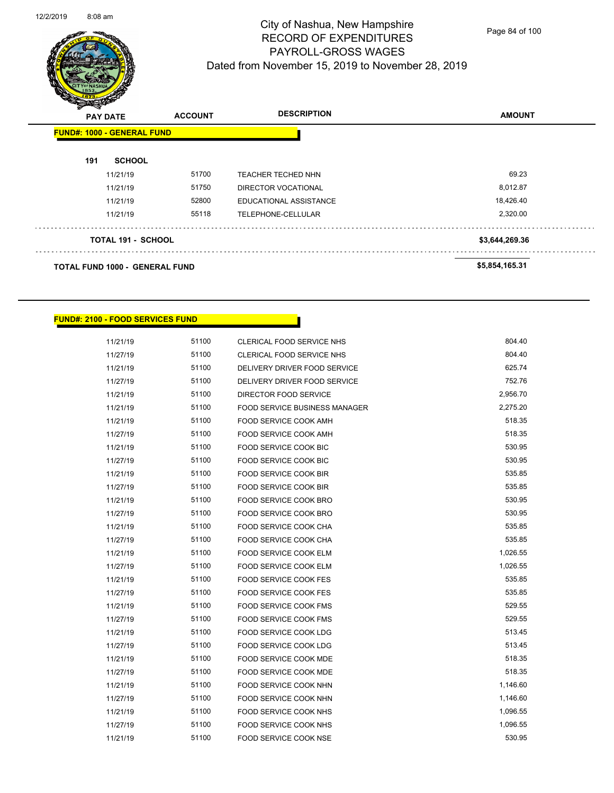J.



# City of Nashua, New Hampshire RECORD OF EXPENDITURES PAYROLL-GROSS WAGES Dated from November 15, 2019 to November 28, 2019

Page 84 of 100

| $\boldsymbol{z}$<br>⊸<br><b>PAY DATE</b> |                                       | <b>DESCRIPTION</b><br><b>ACCOUNT</b> |                            | <b>AMOUNT</b>  |  |  |  |  |
|------------------------------------------|---------------------------------------|--------------------------------------|----------------------------|----------------|--|--|--|--|
| <b>FUND#: 1000 - GENERAL FUND</b>        |                                       |                                      |                            |                |  |  |  |  |
| 191                                      | <b>SCHOOL</b>                         |                                      |                            |                |  |  |  |  |
|                                          | 11/21/19                              | 51700                                | <b>TEACHER TECHED NHN</b>  | 69.23          |  |  |  |  |
|                                          | 11/21/19                              | 51750                                | <b>DIRECTOR VOCATIONAL</b> | 8,012.87       |  |  |  |  |
|                                          | 11/21/19                              | 52800                                | EDUCATIONAL ASSISTANCE     | 18,426.40      |  |  |  |  |
|                                          | 11/21/19                              | 55118                                | TELEPHONE-CELLULAR         | 2,320.00       |  |  |  |  |
|                                          | <b>TOTAL 191 - SCHOOL</b>             |                                      |                            | \$3,644,269.36 |  |  |  |  |
|                                          | <b>TOTAL FUND 1000 - GENERAL FUND</b> |                                      |                            | \$5,854,165.31 |  |  |  |  |

#### **FUND#: 2100 - FOOD SERVICES FUND**

| 11/21/19 | 51100 | <b>CLERICAL FOOD SERVICE NHS</b>     | 804.40   |
|----------|-------|--------------------------------------|----------|
| 11/27/19 | 51100 | CLERICAL FOOD SERVICE NHS            | 804.40   |
| 11/21/19 | 51100 | DELIVERY DRIVER FOOD SERVICE         | 625.74   |
| 11/27/19 | 51100 | DELIVERY DRIVER FOOD SERVICE         | 752.76   |
| 11/21/19 | 51100 | DIRECTOR FOOD SERVICE                | 2,956.70 |
| 11/21/19 | 51100 | <b>FOOD SERVICE BUSINESS MANAGER</b> | 2,275.20 |
| 11/21/19 | 51100 | FOOD SERVICE COOK AMH                | 518.35   |
| 11/27/19 | 51100 | <b>FOOD SERVICE COOK AMH</b>         | 518.35   |
| 11/21/19 | 51100 | FOOD SERVICE COOK BIC                | 530.95   |
| 11/27/19 | 51100 | <b>FOOD SERVICE COOK BIC</b>         | 530.95   |
| 11/21/19 | 51100 | FOOD SERVICE COOK BIR                | 535.85   |
| 11/27/19 | 51100 | FOOD SERVICE COOK BIR                | 535.85   |
| 11/21/19 | 51100 | FOOD SERVICE COOK BRO                | 530.95   |
| 11/27/19 | 51100 | FOOD SERVICE COOK BRO                | 530.95   |
| 11/21/19 | 51100 | <b>FOOD SERVICE COOK CHA</b>         | 535.85   |
| 11/27/19 | 51100 | FOOD SERVICE COOK CHA                | 535.85   |
| 11/21/19 | 51100 | FOOD SERVICE COOK ELM                | 1,026.55 |
| 11/27/19 | 51100 | FOOD SERVICE COOK ELM                | 1,026.55 |
| 11/21/19 | 51100 | <b>FOOD SERVICE COOK FES</b>         | 535.85   |
| 11/27/19 | 51100 | <b>FOOD SERVICE COOK FES</b>         | 535.85   |
| 11/21/19 | 51100 | FOOD SERVICE COOK FMS                | 529.55   |
| 11/27/19 | 51100 | <b>FOOD SERVICE COOK FMS</b>         | 529.55   |
| 11/21/19 | 51100 | FOOD SERVICE COOK LDG                | 513.45   |
| 11/27/19 | 51100 | <b>FOOD SERVICE COOK LDG</b>         | 513.45   |
| 11/21/19 | 51100 | FOOD SERVICE COOK MDE                | 518.35   |
| 11/27/19 | 51100 | FOOD SERVICE COOK MDE                | 518.35   |
| 11/21/19 | 51100 | FOOD SERVICE COOK NHN                | 1,146.60 |
| 11/27/19 | 51100 | FOOD SERVICE COOK NHN                | 1,146.60 |
| 11/21/19 | 51100 | FOOD SERVICE COOK NHS                | 1,096.55 |
| 11/27/19 | 51100 | FOOD SERVICE COOK NHS                | 1,096.55 |
| 11/21/19 | 51100 | <b>FOOD SERVICE COOK NSE</b>         | 530.95   |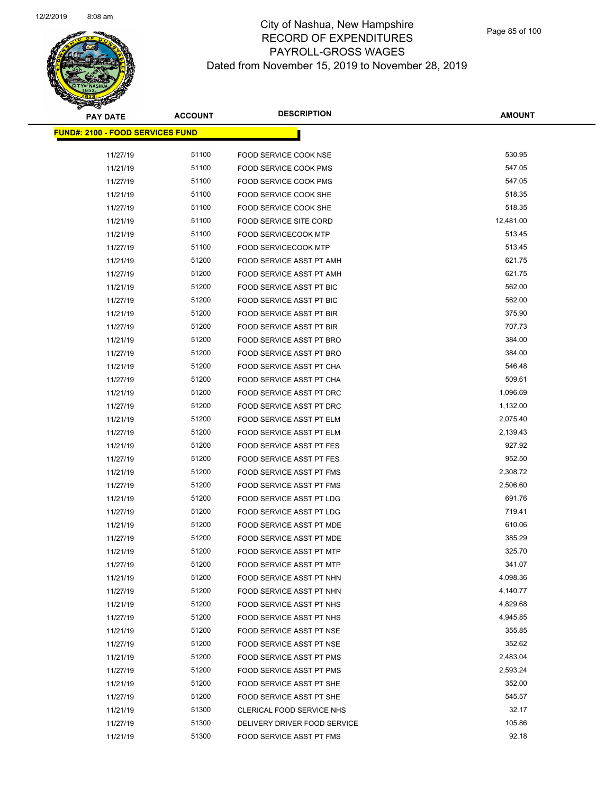| <b>PAY DATE</b>                          | <b>ACCOUNT</b> | <b>DESCRIPTION</b>              | <b>AMOUNT</b> |
|------------------------------------------|----------------|---------------------------------|---------------|
| <u> FUND#: 2100 - FOOD SERVICES FUND</u> |                |                                 |               |
| 11/27/19                                 | 51100          | FOOD SERVICE COOK NSE           | 530.95        |
| 11/21/19                                 | 51100          | <b>FOOD SERVICE COOK PMS</b>    | 547.05        |
| 11/27/19                                 | 51100          | <b>FOOD SERVICE COOK PMS</b>    | 547.05        |
| 11/21/19                                 | 51100          | FOOD SERVICE COOK SHE           | 518.35        |
| 11/27/19                                 | 51100          | FOOD SERVICE COOK SHE           | 518.35        |
| 11/21/19                                 | 51100          | <b>FOOD SERVICE SITE CORD</b>   | 12,481.00     |
| 11/21/19                                 | 51100          | <b>FOOD SERVICECOOK MTP</b>     | 513.45        |
| 11/27/19                                 | 51100          | <b>FOOD SERVICECOOK MTP</b>     | 513.45        |
| 11/21/19                                 | 51200          | FOOD SERVICE ASST PT AMH        | 621.75        |
| 11/27/19                                 | 51200          | FOOD SERVICE ASST PT AMH        | 621.75        |
| 11/21/19                                 | 51200          | FOOD SERVICE ASST PT BIC        | 562.00        |
| 11/27/19                                 | 51200          | FOOD SERVICE ASST PT BIC        | 562.00        |
| 11/21/19                                 | 51200          | FOOD SERVICE ASST PT BIR        | 375.90        |
| 11/27/19                                 | 51200          | <b>FOOD SERVICE ASST PT BIR</b> | 707.73        |
| 11/21/19                                 | 51200          | FOOD SERVICE ASST PT BRO        | 384.00        |
| 11/27/19                                 | 51200          | <b>FOOD SERVICE ASST PT BRO</b> | 384.00        |
| 11/21/19                                 | 51200          | FOOD SERVICE ASST PT CHA        | 546.48        |
| 11/27/19                                 | 51200          | FOOD SERVICE ASST PT CHA        | 509.61        |
| 11/21/19                                 | 51200          | FOOD SERVICE ASST PT DRC        | 1,096.69      |
| 11/27/19                                 | 51200          | FOOD SERVICE ASST PT DRC        | 1,132.00      |
| 11/21/19                                 | 51200          | FOOD SERVICE ASST PT ELM        | 2,075.40      |
| 11/27/19                                 | 51200          | FOOD SERVICE ASST PT ELM        | 2,139.43      |
| 11/21/19                                 | 51200          | <b>FOOD SERVICE ASST PT FES</b> | 927.92        |
| 11/27/19                                 | 51200          | <b>FOOD SERVICE ASST PT FES</b> | 952.50        |
| 11/21/19                                 | 51200          | <b>FOOD SERVICE ASST PT FMS</b> | 2,308.72      |
| 11/27/19                                 | 51200          | FOOD SERVICE ASST PT FMS        | 2,506.60      |
| 11/21/19                                 | 51200          | FOOD SERVICE ASST PT LDG        | 691.76        |
| 11/27/19                                 | 51200          | FOOD SERVICE ASST PT LDG        | 719.41        |
| 11/21/19                                 | 51200          | FOOD SERVICE ASST PT MDE        | 610.06        |
| 11/27/19                                 | 51200          | FOOD SERVICE ASST PT MDE        | 385.29        |
| 11/21/19                                 | 51200          | FOOD SERVICE ASST PT MTP        | 325.70        |
| 11/27/19                                 | 51200          | FOOD SERVICE ASST PT MTP        | 341.07        |
| 11/21/19                                 | 51200          | FOOD SERVICE ASST PT NHN        | 4,098.36      |
| 11/27/19                                 | 51200          | <b>FOOD SERVICE ASST PT NHN</b> | 4,140.77      |
| 11/21/19                                 | 51200          | FOOD SERVICE ASST PT NHS        | 4,829.68      |
| 11/27/19                                 | 51200          | FOOD SERVICE ASST PT NHS        | 4,945.85      |
| 11/21/19                                 | 51200          | FOOD SERVICE ASST PT NSE        | 355.85        |
| 11/27/19                                 | 51200          | FOOD SERVICE ASST PT NSE        | 352.62        |
| 11/21/19                                 | 51200          | <b>FOOD SERVICE ASST PT PMS</b> | 2,483.04      |
| 11/27/19                                 | 51200          | <b>FOOD SERVICE ASST PT PMS</b> | 2,593.24      |
| 11/21/19                                 | 51200          | <b>FOOD SERVICE ASST PT SHE</b> | 352.00        |
| 11/27/19                                 | 51200          | FOOD SERVICE ASST PT SHE        | 545.57        |
| 11/21/19                                 | 51300          | CLERICAL FOOD SERVICE NHS       | 32.17         |
| 11/27/19                                 | 51300          | DELIVERY DRIVER FOOD SERVICE    | 105.86        |
| 11/21/19                                 | 51300          | FOOD SERVICE ASST PT FMS        | 92.18         |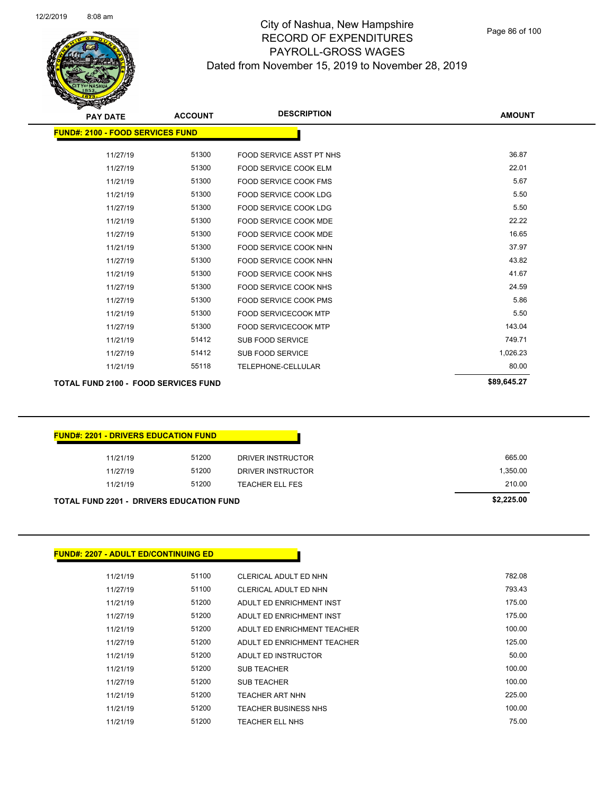| <b>PAY DATE</b>                             | <b>ACCOUNT</b> | <b>DESCRIPTION</b>              | <b>AMOUNT</b> |
|---------------------------------------------|----------------|---------------------------------|---------------|
| <b>FUND#: 2100 - FOOD SERVICES FUND</b>     |                |                                 |               |
|                                             |                |                                 |               |
| 11/27/19                                    | 51300          | <b>FOOD SERVICE ASST PT NHS</b> | 36.87         |
| 11/27/19                                    | 51300          | <b>FOOD SERVICE COOK ELM</b>    | 22.01         |
| 11/21/19                                    | 51300          | <b>FOOD SERVICE COOK FMS</b>    | 5.67          |
| 11/21/19                                    | 51300          | FOOD SERVICE COOK LDG           | 5.50          |
| 11/27/19                                    | 51300          | <b>FOOD SERVICE COOK LDG</b>    | 5.50          |
| 11/21/19                                    | 51300          | <b>FOOD SERVICE COOK MDE</b>    | 22.22         |
| 11/27/19                                    | 51300          | <b>FOOD SERVICE COOK MDE</b>    | 16.65         |
| 11/21/19                                    | 51300          | FOOD SERVICE COOK NHN           | 37.97         |
| 11/27/19                                    | 51300          | <b>FOOD SERVICE COOK NHN</b>    | 43.82         |
| 11/21/19                                    | 51300          | <b>FOOD SERVICE COOK NHS</b>    | 41.67         |
| 11/27/19                                    | 51300          | FOOD SERVICE COOK NHS           | 24.59         |
| 11/27/19                                    | 51300          | <b>FOOD SERVICE COOK PMS</b>    | 5.86          |
| 11/21/19                                    | 51300          | <b>FOOD SERVICECOOK MTP</b>     | 5.50          |
| 11/27/19                                    | 51300          | <b>FOOD SERVICECOOK MTP</b>     | 143.04        |
| 11/21/19                                    | 51412          | <b>SUB FOOD SERVICE</b>         | 749.71        |
| 11/27/19                                    | 51412          | <b>SUB FOOD SERVICE</b>         | 1,026.23      |
| 11/21/19                                    | 55118          | TELEPHONE-CELLULAR              | 80.00         |
| <b>TOTAL FUND 2100 - FOOD SERVICES FUND</b> |                |                                 | \$89,645.27   |

| 11/21/19 | 51200 | DRIVER INSTRUCTOR | 665.00   |
|----------|-------|-------------------|----------|
| 11/27/19 | 51200 | DRIVER INSTRUCTOR | 1,350.00 |
| 11/21/19 | 51200 | TEACHER ELL FES   | 210.00   |

| <b>FUND#: 2207 - ADULT ED/CONTINUING ED</b> |       |                             |        |
|---------------------------------------------|-------|-----------------------------|--------|
| 11/21/19                                    | 51100 | CLERICAL ADULT ED NHN       | 782.08 |
| 11/27/19                                    | 51100 | CLERICAL ADULT ED NHN       | 793.43 |
| 11/21/19                                    | 51200 | ADULT ED ENRICHMENT INST    | 175.00 |
| 11/27/19                                    | 51200 | ADULT ED ENRICHMENT INST    | 175.00 |
| 11/21/19                                    | 51200 | ADULT ED ENRICHMENT TEACHER | 100.00 |
| 11/27/19                                    | 51200 | ADULT ED ENRICHMENT TEACHER | 125.00 |
| 11/21/19                                    | 51200 | ADULT ED INSTRUCTOR         | 50.00  |
| 11/21/19                                    | 51200 | <b>SUB TEACHER</b>          | 100.00 |
| 11/27/19                                    | 51200 | <b>SUB TEACHER</b>          | 100.00 |
| 11/21/19                                    | 51200 | <b>TEACHER ART NHN</b>      | 225.00 |
| 11/21/19                                    | 51200 | <b>TEACHER BUSINESS NHS</b> | 100.00 |
| 11/21/19                                    | 51200 | TEACHER ELL NHS             | 75.00  |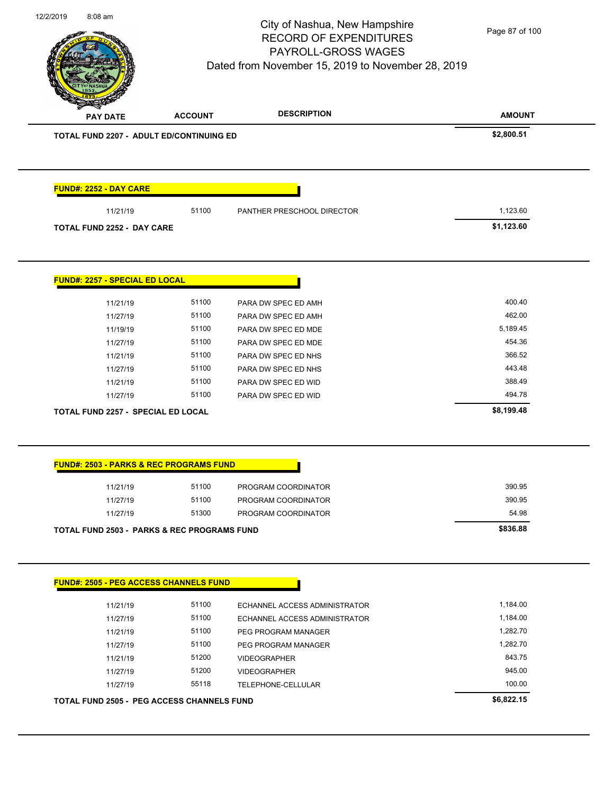

Page 87 of 100

| <b>PAY DATE</b>                                                                                         | <b>ACCOUNT</b> | <b>DESCRIPTION</b>                         | <b>AMOUNT</b>    |
|---------------------------------------------------------------------------------------------------------|----------------|--------------------------------------------|------------------|
| <b>TOTAL FUND 2207 - ADULT ED/CONTINUING ED</b>                                                         |                |                                            | \$2,800.51       |
| <b>FUND#: 2252 - DAY CARE</b>                                                                           |                |                                            |                  |
| 11/21/19                                                                                                | 51100          | PANTHER PRESCHOOL DIRECTOR                 | 1,123.60         |
| <b>TOTAL FUND 2252 - DAY CARE</b>                                                                       |                |                                            | \$1,123.60       |
| <b>FUND#: 2257 - SPECIAL ED LOCAL</b>                                                                   |                |                                            |                  |
| 11/21/19                                                                                                | 51100          | PARA DW SPEC ED AMH                        | 400.40           |
| 11/27/19                                                                                                | 51100          | PARA DW SPEC ED AMH                        | 462.00           |
| 11/19/19                                                                                                | 51100          | PARA DW SPEC ED MDE                        | 5,189.45         |
| 11/27/19                                                                                                | 51100          | PARA DW SPEC ED MDE                        | 454.36           |
| 11/21/19                                                                                                | 51100          | PARA DW SPEC ED NHS                        | 366.52           |
| 11/27/19                                                                                                | 51100          | PARA DW SPEC ED NHS                        | 443.48           |
| 11/21/19                                                                                                | 51100          | PARA DW SPEC ED WID                        | 388.49           |
| 11/27/19                                                                                                | 51100          | PARA DW SPEC ED WID                        | 494.78           |
| <b>TOTAL FUND 2257 - SPECIAL ED LOCAL</b>                                                               |                |                                            | \$8,199.48       |
| <b>FUND#: 2503 - PARKS &amp; REC PROGRAMS FUND</b><br>11/21/19<br>11/27/19                              | 51100<br>51100 | PROGRAM COORDINATOR<br>PROGRAM COORDINATOR | 390.95<br>390.95 |
| 11/27/19                                                                                                | 51300          | PROGRAM COORDINATOR                        | 54.98            |
| <b>TOTAL FUND 2503 - PARKS &amp; REC PROGRAMS FUND</b><br><b>FUND#: 2505 - PEG ACCESS CHANNELS FUND</b> |                |                                            | \$836.88         |
|                                                                                                         |                |                                            |                  |
| 11/21/19                                                                                                | 51100          | <b>ECHANNEL ACCESS ADMINISTRATOR</b>       | 1,184.00         |
| 11/27/19                                                                                                | 51100          | ECHANNEL ACCESS ADMINISTRATOR              | 1,184.00         |
| 11/21/19                                                                                                | 51100          | PEG PROGRAM MANAGER                        | 1,282.70         |
| 11/27/19                                                                                                | 51100          | PEG PROGRAM MANAGER                        | 1,282.70         |
| 11/21/19                                                                                                | 51200          | <b>VIDEOGRAPHER</b>                        | 843.75           |
| 11/27/19<br>11/27/19                                                                                    | 51200<br>55118 | <b>VIDEOGRAPHER</b><br>TELEPHONE-CELLULAR  | 945.00<br>100.00 |
|                                                                                                         |                |                                            |                  |

**TOTAL FUND 2505 - PEG ACCESS CHANNELS FUND \$6,822.15**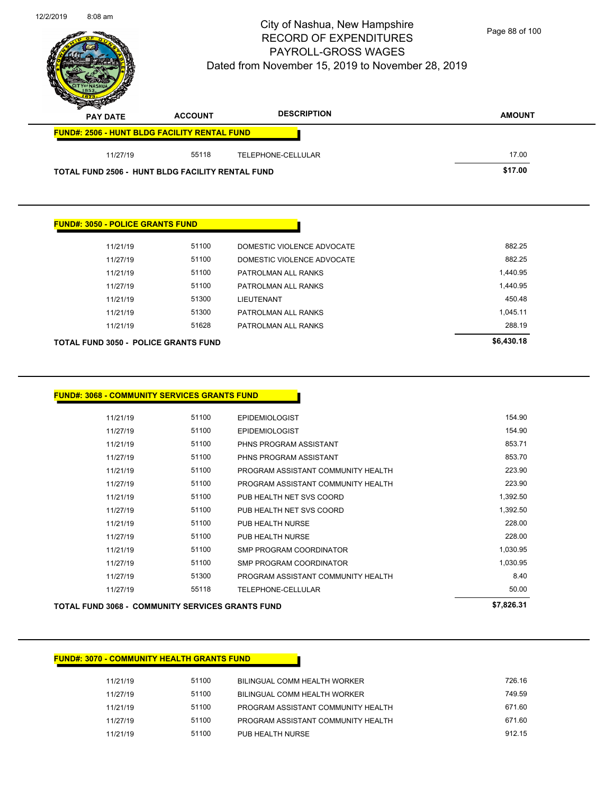

Page 88 of 100

| <b>PAY DATE</b>                                         | <b>ACCOUNT</b> | <b>DESCRIPTION</b> | <b>AMOUNT</b> |
|---------------------------------------------------------|----------------|--------------------|---------------|
| <b>FUND#: 2506 - HUNT BLDG FACILITY RENTAL FUND</b>     |                |                    |               |
| 11/27/19                                                | 55118          | TELEPHONE-CELLULAR | 17.00         |
| <b>TOTAL FUND 2506 - HUNT BLDG FACILITY RENTAL FUND</b> |                |                    | \$17.00       |

#### **FUND#: 3050 - POLICE GRANTS FUND**

| TOTAL FUND 3050 - POLICE GRANTS FUND |       |                            | \$6,430.18 |
|--------------------------------------|-------|----------------------------|------------|
| 11/21/19                             | 51628 | PATROLMAN ALL RANKS        | 288.19     |
| 11/21/19                             | 51300 | PATROLMAN ALL RANKS        | 1,045.11   |
| 11/21/19                             | 51300 | LIEUTENANT                 | 450.48     |
| 11/27/19                             | 51100 | PATROLMAN ALL RANKS        | 1,440.95   |
| 11/21/19                             | 51100 | PATROLMAN ALL RANKS        | 1,440.95   |
| 11/27/19                             | 51100 | DOMESTIC VIOLENCE ADVOCATE | 882.25     |
| 11/21/19                             | 51100 | DOMESTIC VIOLENCE ADVOCATE | 882.25     |
|                                      |       |                            |            |

#### **FUND#: 3068 - COMMUNITY SERVICES GRANTS FUND**

| \$7,826.31 | <b>TOTAL FUND 3068 - COMMUNITY SERVICES GRANTS FUND</b> |       |          |  |  |
|------------|---------------------------------------------------------|-------|----------|--|--|
| 50.00      | TELEPHONE-CELLULAR                                      | 55118 | 11/27/19 |  |  |
| 8.40       | PROGRAM ASSISTANT COMMUNITY HEALTH                      | 51300 | 11/27/19 |  |  |
| 1,030.95   | SMP PROGRAM COORDINATOR                                 | 51100 | 11/27/19 |  |  |
| 1,030.95   | SMP PROGRAM COORDINATOR                                 | 51100 | 11/21/19 |  |  |
| 228.00     | PUB HEALTH NURSE                                        | 51100 | 11/27/19 |  |  |
| 228.00     | PUB HEALTH NURSE                                        | 51100 | 11/21/19 |  |  |
| 1,392.50   | PUB HEALTH NET SVS COORD                                | 51100 | 11/27/19 |  |  |
| 1,392.50   | PUB HEALTH NET SVS COORD                                | 51100 | 11/21/19 |  |  |
| 223.90     | PROGRAM ASSISTANT COMMUNITY HEALTH                      | 51100 | 11/27/19 |  |  |
| 223.90     | PROGRAM ASSISTANT COMMUNITY HEALTH                      | 51100 | 11/21/19 |  |  |
| 853.70     | PHNS PROGRAM ASSISTANT                                  | 51100 | 11/27/19 |  |  |
| 853.71     | PHNS PROGRAM ASSISTANT                                  | 51100 | 11/21/19 |  |  |
| 154.90     | <b>EPIDEMIOLOGIST</b>                                   | 51100 | 11/27/19 |  |  |
| 154.90     | <b>EPIDEMIOLOGIST</b>                                   | 51100 | 11/21/19 |  |  |
|            |                                                         |       |          |  |  |

#### **FUND#: 3070 - COMMUNITY HEALTH GRANTS FUND**

| 11/21/19 | 51100 | BILINGUAL COMM HEALTH WORKER       | 726.16 |
|----------|-------|------------------------------------|--------|
| 11/27/19 | 51100 | BILINGUAL COMM HEALTH WORKER       | 749.59 |
| 11/21/19 | 51100 | PROGRAM ASSISTANT COMMUNITY HEALTH | 671.60 |
| 11/27/19 | 51100 | PROGRAM ASSISTANT COMMUNITY HEALTH | 671.60 |
| 11/21/19 | 51100 | PUB HEALTH NURSE                   | 912.15 |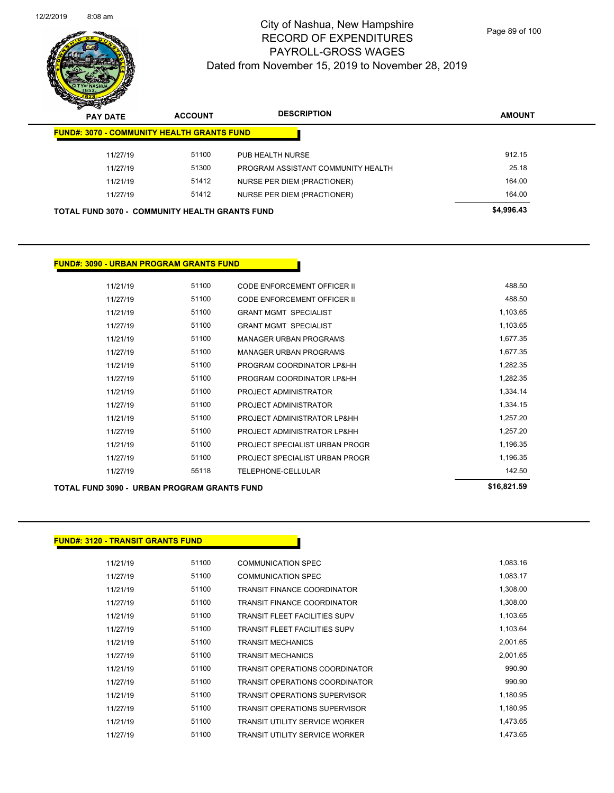

| $\boldsymbol{z}$<br>$\sim$<br><b>PAY DATE</b>         | <b>ACCOUNT</b> | <b>DESCRIPTION</b>                 | <b>AMOUNT</b> |
|-------------------------------------------------------|----------------|------------------------------------|---------------|
| <b>FUND#: 3070 - COMMUNITY HEALTH GRANTS FUND</b>     |                |                                    |               |
| 11/27/19                                              | 51100          | PUB HEALTH NURSE                   | 912.15        |
| 11/27/19                                              | 51300          | PROGRAM ASSISTANT COMMUNITY HEALTH | 25.18         |
| 11/21/19                                              | 51412          | NURSE PER DIEM (PRACTIONER)        | 164.00        |
| 11/27/19                                              | 51412          | NURSE PER DIEM (PRACTIONER)        | 164.00        |
| <b>TOTAL FUND 3070 - COMMUNITY HEALTH GRANTS FUND</b> |                |                                    | \$4,996.43    |

#### **FUND#: 3090 - URBAN PROGRAM GRANTS FUND**

| 11/27/19 | 55118 | TELEPHONE-CELLULAR             | 142.50   |
|----------|-------|--------------------------------|----------|
| 11/27/19 | 51100 | PROJECT SPECIALIST URBAN PROGR | 1,196.35 |
| 11/21/19 | 51100 | PROJECT SPECIALIST URBAN PROGR | 1,196.35 |
| 11/27/19 | 51100 | PROJECT ADMINISTRATOR LP&HH    | 1,257.20 |
| 11/21/19 | 51100 | PROJECT ADMINISTRATOR LP&HH    | 1,257.20 |
| 11/27/19 | 51100 | PROJECT ADMINISTRATOR          | 1,334.15 |
| 11/21/19 | 51100 | PROJECT ADMINISTRATOR          | 1,334.14 |
| 11/27/19 | 51100 | PROGRAM COORDINATOR LP&HH      | 1,282.35 |
| 11/21/19 | 51100 | PROGRAM COORDINATOR LP&HH      | 1,282.35 |
| 11/27/19 | 51100 | <b>MANAGER URBAN PROGRAMS</b>  | 1,677.35 |
| 11/21/19 | 51100 | <b>MANAGER URBAN PROGRAMS</b>  | 1,677.35 |
| 11/27/19 | 51100 | <b>GRANT MGMT SPECIALIST</b>   | 1,103.65 |
| 11/21/19 | 51100 | <b>GRANT MGMT SPECIALIST</b>   | 1,103.65 |
| 11/27/19 | 51100 | CODE ENFORCEMENT OFFICER II    | 488.50   |
| 11/21/19 | 51100 | CODE ENFORCEMENT OFFICER II    | 488.50   |
|          |       |                                |          |

**TOTAL FUND 3090 - URBAN PROGRAM GRANTS FUND \$16,821.59** 

| <b>FUND#: 3120 - TRANSIT GRANTS FUND</b> |  |
|------------------------------------------|--|
|                                          |  |

| 11/21/19 | 51100 | <b>COMMUNICATION SPEC</b>             | 1,083.16 |
|----------|-------|---------------------------------------|----------|
| 11/27/19 | 51100 | <b>COMMUNICATION SPEC</b>             | 1,083.17 |
| 11/21/19 | 51100 | <b>TRANSIT FINANCE COORDINATOR</b>    | 1,308.00 |
| 11/27/19 | 51100 | TRANSIT FINANCE COORDINATOR           | 1,308.00 |
| 11/21/19 | 51100 | <b>TRANSIT FLEET FACILITIES SUPV</b>  | 1,103.65 |
| 11/27/19 | 51100 | <b>TRANSIT FLEET FACILITIES SUPV</b>  | 1,103.64 |
| 11/21/19 | 51100 | <b>TRANSIT MECHANICS</b>              | 2.001.65 |
| 11/27/19 | 51100 | <b>TRANSIT MECHANICS</b>              | 2,001.65 |
| 11/21/19 | 51100 | TRANSIT OPERATIONS COORDINATOR        | 990.90   |
| 11/27/19 | 51100 | <b>TRANSIT OPERATIONS COORDINATOR</b> | 990.90   |
| 11/21/19 | 51100 | <b>TRANSIT OPERATIONS SUPERVISOR</b>  | 1,180.95 |
| 11/27/19 | 51100 | <b>TRANSIT OPERATIONS SUPERVISOR</b>  | 1,180.95 |
| 11/21/19 | 51100 | <b>TRANSIT UTILITY SERVICE WORKER</b> | 1.473.65 |
| 11/27/19 | 51100 | TRANSIT UTILITY SERVICE WORKER        | 1.473.65 |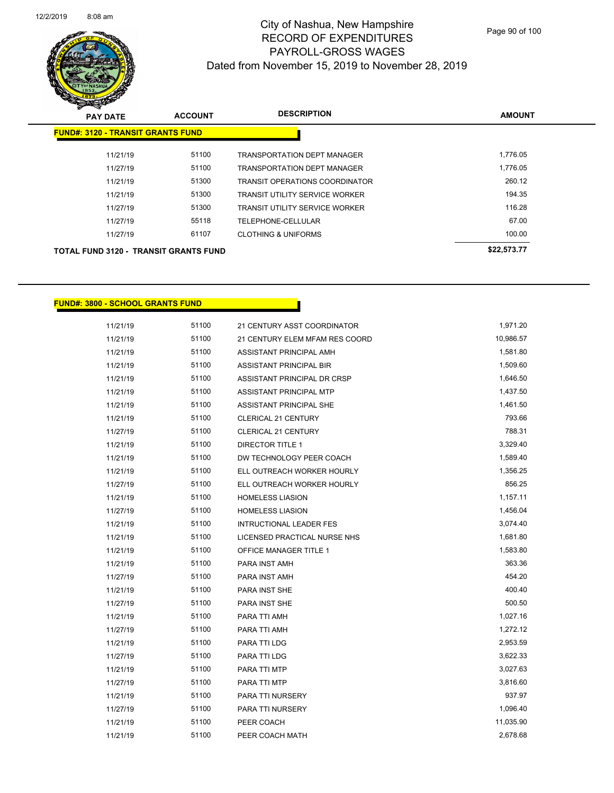

| <b>PAY DATE</b>                              | <b>ACCOUNT</b> | <b>DESCRIPTION</b>                    | <b>AMOUNT</b> |
|----------------------------------------------|----------------|---------------------------------------|---------------|
| <b>FUND#: 3120 - TRANSIT GRANTS FUND</b>     |                |                                       |               |
| 11/21/19                                     | 51100          | <b>TRANSPORTATION DEPT MANAGER</b>    | 1,776.05      |
| 11/27/19                                     | 51100          | <b>TRANSPORTATION DEPT MANAGER</b>    | 1.776.05      |
| 11/21/19                                     | 51300          | <b>TRANSIT OPERATIONS COORDINATOR</b> | 260.12        |
| 11/21/19                                     | 51300          | <b>TRANSIT UTILITY SERVICE WORKER</b> | 194.35        |
| 11/27/19                                     | 51300          | <b>TRANSIT UTILITY SERVICE WORKER</b> | 116.28        |
| 11/27/19                                     | 55118          | TELEPHONE-CELLULAR                    | 67.00         |
| 11/27/19                                     | 61107          | <b>CLOTHING &amp; UNIFORMS</b>        | 100.00        |
| <b>TOTAL FUND 3120 - TRANSIT GRANTS FUND</b> |                |                                       | \$22,573.77   |

#### **FUND#: 3800 - SCHOOL GRANTS FUND**

| 11/21/19 | 51100 | 21 CENTURY ASST COORDINATOR    | 1,971.20  |
|----------|-------|--------------------------------|-----------|
| 11/21/19 | 51100 | 21 CENTURY ELEM MFAM RES COORD | 10,986.57 |
| 11/21/19 | 51100 | ASSISTANT PRINCIPAL AMH        | 1,581.80  |
| 11/21/19 | 51100 | ASSISTANT PRINCIPAL BIR        | 1,509.60  |
| 11/21/19 | 51100 | ASSISTANT PRINCIPAL DR CRSP    | 1,646.50  |
| 11/21/19 | 51100 | ASSISTANT PRINCIPAL MTP        | 1,437.50  |
| 11/21/19 | 51100 | ASSISTANT PRINCIPAL SHE        | 1,461.50  |
| 11/21/19 | 51100 | CLERICAL 21 CENTURY            | 793.66    |
| 11/27/19 | 51100 | <b>CLERICAL 21 CENTURY</b>     | 788.31    |
| 11/21/19 | 51100 | <b>DIRECTOR TITLE 1</b>        | 3,329.40  |
| 11/21/19 | 51100 | DW TECHNOLOGY PEER COACH       | 1,589.40  |
| 11/21/19 | 51100 | ELL OUTREACH WORKER HOURLY     | 1,356.25  |
| 11/27/19 | 51100 | ELL OUTREACH WORKER HOURLY     | 856.25    |
| 11/21/19 | 51100 | <b>HOMELESS LIASION</b>        | 1,157.11  |
| 11/27/19 | 51100 | <b>HOMELESS LIASION</b>        | 1,456.04  |
| 11/21/19 | 51100 | <b>INTRUCTIONAL LEADER FES</b> | 3,074.40  |
| 11/21/19 | 51100 | LICENSED PRACTICAL NURSE NHS   | 1,681.80  |
| 11/21/19 | 51100 | <b>OFFICE MANAGER TITLE 1</b>  | 1,583.80  |
| 11/21/19 | 51100 | PARA INST AMH                  | 363.36    |
| 11/27/19 | 51100 | PARA INST AMH                  | 454.20    |
| 11/21/19 | 51100 | PARA INST SHE                  | 400.40    |
| 11/27/19 | 51100 | PARA INST SHE                  | 500.50    |
| 11/21/19 | 51100 | PARA TTI AMH                   | 1,027.16  |
| 11/27/19 | 51100 | PARA TTI AMH                   | 1,272.12  |
| 11/21/19 | 51100 | PARA TTI LDG                   | 2,953.59  |
| 11/27/19 | 51100 | PARA TTI LDG                   | 3,622.33  |
| 11/21/19 | 51100 | PARA TTI MTP                   | 3,027.63  |
| 11/27/19 | 51100 | PARA TTI MTP                   | 3,816.60  |
| 11/21/19 | 51100 | PARA TTI NURSERY               | 937.97    |
| 11/27/19 | 51100 | PARA TTI NURSERY               | 1,096.40  |
| 11/21/19 | 51100 | PEER COACH                     | 11,035.90 |
| 11/21/19 | 51100 | PEER COACH MATH                | 2,678.68  |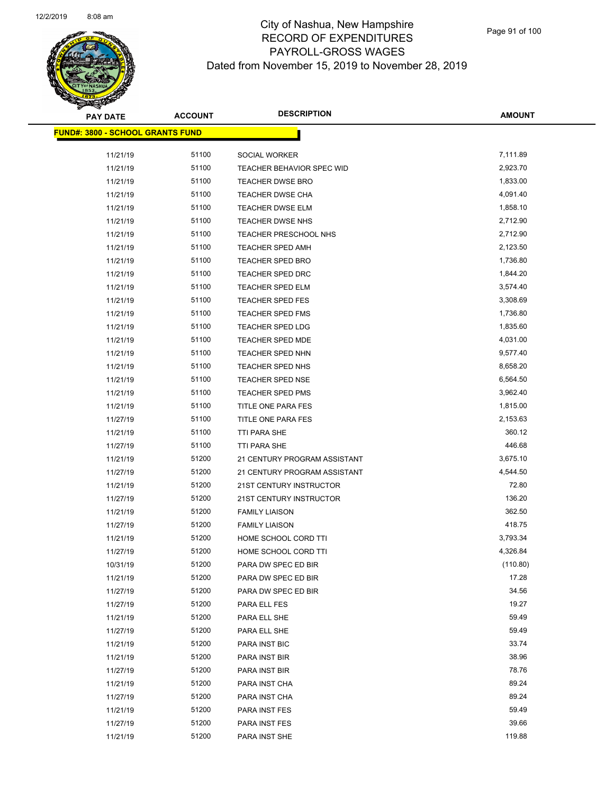$\overline{\phantom{0}}$ 

| <b>PAY DATE</b>                          | <b>ACCOUNT</b> | <b>DESCRIPTION</b>           | <b>AMOUNT</b> |
|------------------------------------------|----------------|------------------------------|---------------|
| <u> FUND#: 3800 - SCHOOL GRANTS FUND</u> |                |                              |               |
| 11/21/19                                 | 51100          | SOCIAL WORKER                | 7,111.89      |
| 11/21/19                                 | 51100          | TEACHER BEHAVIOR SPEC WID    | 2,923.70      |
| 11/21/19                                 | 51100          | <b>TEACHER DWSE BRO</b>      | 1,833.00      |
| 11/21/19                                 | 51100          | TEACHER DWSE CHA             | 4,091.40      |
| 11/21/19                                 | 51100          | TEACHER DWSE ELM             | 1,858.10      |
| 11/21/19                                 | 51100          | <b>TEACHER DWSE NHS</b>      | 2,712.90      |
| 11/21/19                                 | 51100          | TEACHER PRESCHOOL NHS        | 2,712.90      |
| 11/21/19                                 | 51100          | <b>TEACHER SPED AMH</b>      | 2,123.50      |
| 11/21/19                                 | 51100          | TEACHER SPED BRO             | 1,736.80      |
| 11/21/19                                 | 51100          | <b>TEACHER SPED DRC</b>      | 1,844.20      |
| 11/21/19                                 | 51100          | <b>TEACHER SPED ELM</b>      | 3,574.40      |
| 11/21/19                                 | 51100          | <b>TEACHER SPED FES</b>      | 3,308.69      |
| 11/21/19                                 | 51100          | <b>TEACHER SPED FMS</b>      | 1,736.80      |
| 11/21/19                                 | 51100          | TEACHER SPED LDG             | 1,835.60      |
| 11/21/19                                 | 51100          | <b>TEACHER SPED MDE</b>      | 4,031.00      |
| 11/21/19                                 | 51100          | TEACHER SPED NHN             | 9,577.40      |
| 11/21/19                                 | 51100          | <b>TEACHER SPED NHS</b>      | 8,658.20      |
| 11/21/19                                 | 51100          | <b>TEACHER SPED NSE</b>      | 6,564.50      |
| 11/21/19                                 | 51100          | TEACHER SPED PMS             | 3,962.40      |
| 11/21/19                                 | 51100          | TITLE ONE PARA FES           | 1,815.00      |
| 11/27/19                                 | 51100          | TITLE ONE PARA FES           | 2,153.63      |
| 11/21/19                                 | 51100          | TTI PARA SHE                 | 360.12        |
| 11/27/19                                 | 51100          | TTI PARA SHE                 | 446.68        |
| 11/21/19                                 | 51200          | 21 CENTURY PROGRAM ASSISTANT | 3,675.10      |
| 11/27/19                                 | 51200          | 21 CENTURY PROGRAM ASSISTANT | 4,544.50      |
| 11/21/19                                 | 51200          | 21ST CENTURY INSTRUCTOR      | 72.80         |
| 11/27/19                                 | 51200          | 21ST CENTURY INSTRUCTOR      | 136.20        |
| 11/21/19                                 | 51200          | <b>FAMILY LIAISON</b>        | 362.50        |
| 11/27/19                                 | 51200          | <b>FAMILY LIAISON</b>        | 418.75        |
| 11/21/19                                 | 51200          | HOME SCHOOL CORD TTI         | 3,793.34      |
| 11/27/19                                 | 51200          | HOME SCHOOL CORD TTI         | 4,326.84      |
| 10/31/19                                 | 51200          | PARA DW SPEC ED BIR          | (110.80)      |
| 11/21/19                                 | 51200          | PARA DW SPEC ED BIR          | 17.28         |
| 11/27/19                                 | 51200          | PARA DW SPEC ED BIR          | 34.56         |
| 11/27/19                                 | 51200          | PARA ELL FES                 | 19.27         |
| 11/21/19                                 | 51200          | PARA ELL SHE                 | 59.49         |
| 11/27/19                                 | 51200          | PARA ELL SHE                 | 59.49         |
| 11/21/19                                 | 51200          | PARA INST BIC                | 33.74         |
| 11/21/19                                 | 51200          | PARA INST BIR                | 38.96         |
| 11/27/19                                 | 51200          | PARA INST BIR                | 78.76         |
| 11/21/19                                 | 51200          | PARA INST CHA                | 89.24         |
| 11/27/19                                 | 51200          | PARA INST CHA                | 89.24         |
| 11/21/19                                 | 51200          | PARA INST FES                | 59.49         |
| 11/27/19                                 | 51200          | PARA INST FES                | 39.66         |
| 11/21/19                                 | 51200          | PARA INST SHE                | 119.88        |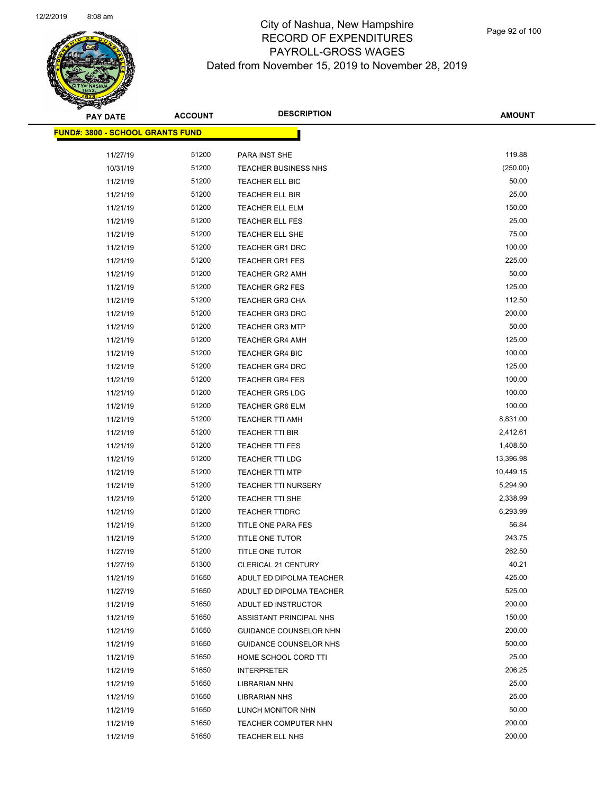| <b>PAY DATE</b>                          | <b>ACCOUNT</b> | <b>DESCRIPTION</b>                           | <b>AMOUNT</b> |
|------------------------------------------|----------------|----------------------------------------------|---------------|
| <u> FUND#: 3800 - SCHOOL GRANTS FUND</u> |                |                                              |               |
|                                          |                |                                              | 119.88        |
| 11/27/19                                 | 51200<br>51200 | PARA INST SHE<br><b>TEACHER BUSINESS NHS</b> | (250.00)      |
| 10/31/19                                 | 51200          |                                              | 50.00         |
| 11/21/19                                 | 51200          | TEACHER ELL BIC                              | 25.00         |
| 11/21/19                                 |                | TEACHER ELL BIR                              | 150.00        |
| 11/21/19                                 | 51200          | TEACHER ELL ELM                              |               |
| 11/21/19                                 | 51200          | TEACHER ELL FES                              | 25.00         |
| 11/21/19                                 | 51200          | TEACHER ELL SHE                              | 75.00         |
| 11/21/19                                 | 51200          | TEACHER GR1 DRC                              | 100.00        |
| 11/21/19                                 | 51200          | <b>TEACHER GR1 FES</b>                       | 225.00        |
| 11/21/19                                 | 51200          | <b>TEACHER GR2 AMH</b>                       | 50.00         |
| 11/21/19                                 | 51200          | <b>TEACHER GR2 FES</b>                       | 125.00        |
| 11/21/19                                 | 51200          | <b>TEACHER GR3 CHA</b>                       | 112.50        |
| 11/21/19                                 | 51200          | <b>TEACHER GR3 DRC</b>                       | 200.00        |
| 11/21/19                                 | 51200          | <b>TEACHER GR3 MTP</b>                       | 50.00         |
| 11/21/19                                 | 51200          | <b>TEACHER GR4 AMH</b>                       | 125.00        |
| 11/21/19                                 | 51200          | <b>TEACHER GR4 BIC</b>                       | 100.00        |
| 11/21/19                                 | 51200          | <b>TEACHER GR4 DRC</b>                       | 125.00        |
| 11/21/19                                 | 51200          | <b>TEACHER GR4 FES</b>                       | 100.00        |
| 11/21/19                                 | 51200          | <b>TEACHER GR5 LDG</b>                       | 100.00        |
| 11/21/19                                 | 51200          | <b>TEACHER GR6 ELM</b>                       | 100.00        |
| 11/21/19                                 | 51200          | <b>TEACHER TTI AMH</b>                       | 8,831.00      |
| 11/21/19                                 | 51200          | TEACHER TTI BIR                              | 2,412.61      |
| 11/21/19                                 | 51200          | <b>TEACHER TTI FES</b>                       | 1,408.50      |
| 11/21/19                                 | 51200          | <b>TEACHER TTI LDG</b>                       | 13,396.98     |
| 11/21/19                                 | 51200          | <b>TEACHER TTI MTP</b>                       | 10,449.15     |
| 11/21/19                                 | 51200          | <b>TEACHER TTI NURSERY</b>                   | 5,294.90      |
| 11/21/19                                 | 51200          | TEACHER TTI SHE                              | 2,338.99      |
| 11/21/19                                 | 51200          | <b>TEACHER TTIDRC</b>                        | 6,293.99      |
| 11/21/19                                 | 51200          | TITLE ONE PARA FES                           | 56.84         |
| 11/21/19                                 | 51200          | TITLE ONE TUTOR                              | 243.75        |
| 11/27/19                                 | 51200          | TITLE ONE TUTOR                              | 262.50        |
| 11/27/19                                 | 51300          | <b>CLERICAL 21 CENTURY</b>                   | 40.21         |
| 11/21/19                                 | 51650          | ADULT ED DIPOLMA TEACHER                     | 425.00        |
| 11/27/19                                 | 51650          | ADULT ED DIPOLMA TEACHER                     | 525.00        |
| 11/21/19                                 | 51650          | ADULT ED INSTRUCTOR                          | 200.00        |
| 11/21/19                                 | 51650          | ASSISTANT PRINCIPAL NHS                      | 150.00        |
| 11/21/19                                 | 51650          | GUIDANCE COUNSELOR NHN                       | 200.00        |
| 11/21/19                                 | 51650          | <b>GUIDANCE COUNSELOR NHS</b>                | 500.00        |
| 11/21/19                                 | 51650          | HOME SCHOOL CORD TTI                         | 25.00         |
| 11/21/19                                 | 51650          | <b>INTERPRETER</b>                           | 206.25        |
| 11/21/19                                 | 51650          | <b>LIBRARIAN NHN</b>                         | 25.00         |
| 11/21/19                                 | 51650          | <b>LIBRARIAN NHS</b>                         | 25.00         |
| 11/21/19                                 | 51650          | LUNCH MONITOR NHN                            | 50.00         |
| 11/21/19                                 | 51650          | TEACHER COMPUTER NHN                         | 200.00        |
| 11/21/19                                 | 51650          | TEACHER ELL NHS                              | 200.00        |
|                                          |                |                                              |               |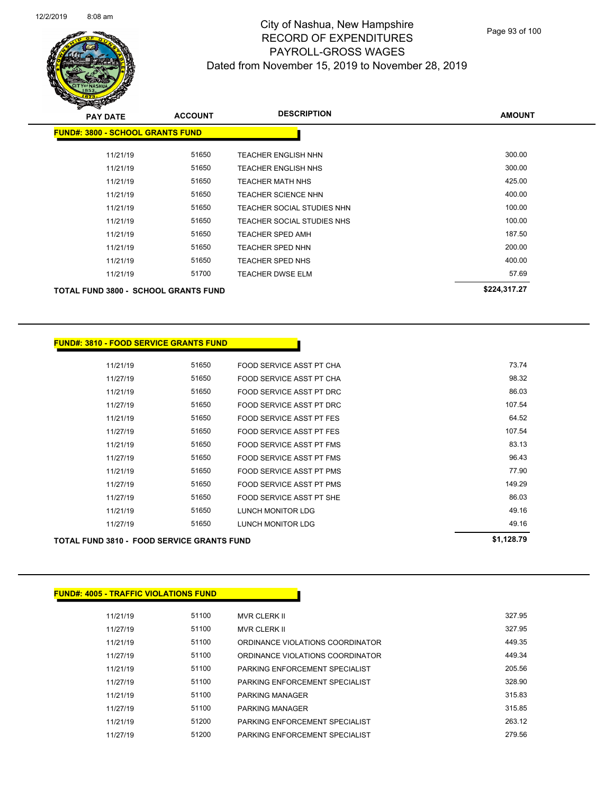

| <b>PAY DATE</b>                             | <b>ACCOUNT</b> | <b>DESCRIPTION</b>         | <b>AMOUNT</b> |
|---------------------------------------------|----------------|----------------------------|---------------|
| <b>FUND#: 3800 - SCHOOL GRANTS FUND</b>     |                |                            |               |
| 11/21/19                                    | 51650          | <b>TEACHER ENGLISH NHN</b> | 300.00        |
| 11/21/19                                    | 51650          | <b>TEACHER ENGLISH NHS</b> | 300.00        |
| 11/21/19                                    | 51650          | TEACHER MATH NHS           | 425.00        |
| 11/21/19                                    | 51650          | <b>TEACHER SCIENCE NHN</b> | 400.00        |
| 11/21/19                                    | 51650          | TEACHER SOCIAL STUDIES NHN | 100.00        |
| 11/21/19                                    | 51650          | TEACHER SOCIAL STUDIES NHS | 100.00        |
| 11/21/19                                    | 51650          | <b>TEACHER SPED AMH</b>    | 187.50        |
| 11/21/19                                    | 51650          | TEACHER SPED NHN           | 200.00        |
| 11/21/19                                    | 51650          | <b>TEACHER SPED NHS</b>    | 400.00        |
| 11/21/19                                    | 51700          | <b>TEACHER DWSE ELM</b>    | 57.69         |
| <b>TOTAL FUND 3800 - SCHOOL GRANTS FUND</b> |                |                            | \$224,317.27  |

| 73.74  | FOOD SERVICE ASST PT CHA | 51650 | 11/21/19 |
|--------|--------------------------|-------|----------|
| 98.32  | FOOD SERVICE ASST PT CHA | 51650 | 11/27/19 |
| 86.03  | FOOD SERVICE ASST PT DRC | 51650 | 11/21/19 |
| 107.54 | FOOD SERVICE ASST PT DRC | 51650 | 11/27/19 |
| 64.52  | FOOD SERVICE ASST PT FES | 51650 | 11/21/19 |
| 107.54 | FOOD SERVICE ASST PT FES | 51650 | 11/27/19 |
| 83.13  | FOOD SERVICE ASST PT FMS | 51650 | 11/21/19 |
| 96.43  | FOOD SERVICE ASST PT FMS | 51650 | 11/27/19 |
| 77.90  | FOOD SERVICE ASST PT PMS | 51650 | 11/21/19 |
| 149.29 | FOOD SERVICE ASST PT PMS | 51650 | 11/27/19 |
| 86.03  | FOOD SERVICE ASST PT SHE | 51650 | 11/27/19 |
|        |                          |       |          |

#### **TOTAL FUND 3810 - FOOD SERVICE GRANTS FUND \$1,128.79**

**FUND#: 3810 - FOOD SERVICE GRANTS FUND**

| FUND#: 4005 - TRAFFIC VIOLATIONS FUND |       |                                  |        |
|---------------------------------------|-------|----------------------------------|--------|
| 11/21/19                              | 51100 | <b>MVR CLERK II</b>              | 327.95 |
| 11/27/19                              | 51100 | <b>MVR CLERK II</b>              | 327.95 |
| 11/21/19                              | 51100 | ORDINANCE VIOLATIONS COORDINATOR | 449.35 |
| 11/27/19                              | 51100 | ORDINANCE VIOLATIONS COORDINATOR | 449.34 |
| 11/21/19                              | 51100 | PARKING ENFORCEMENT SPECIALIST   | 205.56 |
| 11/27/19                              | 51100 | PARKING ENFORCEMENT SPECIALIST   | 328.90 |
| 11/21/19                              | 51100 | <b>PARKING MANAGER</b>           | 315.83 |
| 11/27/19                              | 51100 | <b>PARKING MANAGER</b>           | 315.85 |
| 11/21/19                              | 51200 | PARKING ENFORCEMENT SPECIALIST   | 263.12 |
| 11/27/19                              | 51200 | PARKING ENFORCEMENT SPECIALIST   | 279.56 |

11/21/19 51650 LUNCH MONITOR LDG 49.16 11/27/19 51650 LUNCH MONITOR LDG 49.16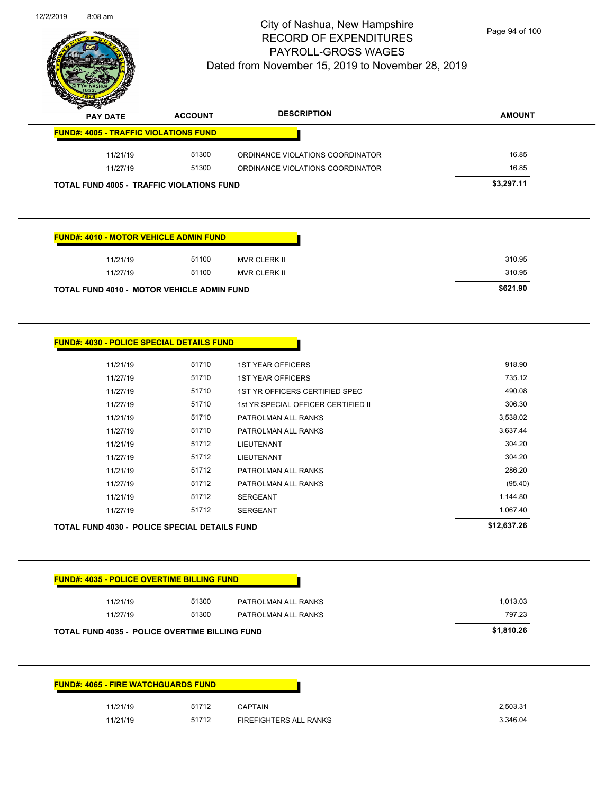| 12/2/2019 | $8:08$ am |
|-----------|-----------|
|-----------|-----------|



Page 94 of 100

| PAY DATE                                                                                                              | <b>ACCOUNT</b> | <b>DESCRIPTION</b>                  | <b>AMOUNT</b> |
|-----------------------------------------------------------------------------------------------------------------------|----------------|-------------------------------------|---------------|
| <b>FUND#: 4005 - TRAFFIC VIOLATIONS FUND</b>                                                                          |                |                                     |               |
| 11/21/19                                                                                                              | 51300          | ORDINANCE VIOLATIONS COORDINATOR    | 16.85         |
| 11/27/19                                                                                                              | 51300          | ORDINANCE VIOLATIONS COORDINATOR    | 16.85         |
| TOTAL FUND 4005 - TRAFFIC VIOLATIONS FUND                                                                             |                |                                     | \$3,297.11    |
| <b>FUND#: 4010 - MOTOR VEHICLE ADMIN FUND</b>                                                                         |                |                                     |               |
| 11/21/19                                                                                                              | 51100          | <b>MVR CLERK II</b>                 | 310.95        |
| 11/27/19                                                                                                              | 51100          | <b>MVR CLERK II</b>                 | 310.95        |
| <b>TOTAL FUND 4010 - MOTOR VEHICLE ADMIN FUND</b>                                                                     |                |                                     | \$621.90      |
| <b>FUND#: 4030 - POLICE SPECIAL DETAILS FUND</b>                                                                      |                |                                     |               |
| 11/21/19                                                                                                              | 51710          | <b>1ST YEAR OFFICERS</b>            | 918.90        |
|                                                                                                                       |                |                                     |               |
| 11/27/19                                                                                                              | 51710          | <b>1ST YEAR OFFICERS</b>            | 735.12        |
| 11/27/19                                                                                                              | 51710          | 1ST YR OFFICERS CERTIFIED SPEC      | 490.08        |
| 11/27/19                                                                                                              | 51710          | 1st YR SPECIAL OFFICER CERTIFIED II | 306.30        |
| 11/21/19                                                                                                              | 51710          | PATROLMAN ALL RANKS                 | 3,538.02      |
| 11/27/19                                                                                                              | 51710          | PATROLMAN ALL RANKS                 | 3,637.44      |
| 11/21/19                                                                                                              | 51712          | LIEUTENANT                          | 304.20        |
| 11/27/19                                                                                                              | 51712          | LIEUTENANT                          | 304.20        |
| 11/21/19                                                                                                              | 51712          | PATROLMAN ALL RANKS                 | 286.20        |
| 11/27/19                                                                                                              | 51712          | PATROLMAN ALL RANKS                 | (95.40)       |
| 11/21/19                                                                                                              | 51712          | <b>SERGEANT</b>                     | 1,144.80      |
| 11/27/19                                                                                                              | 51712          | <b>SERGEANT</b>                     | 1,067.40      |
|                                                                                                                       |                |                                     | \$12,637.26   |
|                                                                                                                       |                |                                     |               |
|                                                                                                                       |                |                                     |               |
| <b>TOTAL FUND 4030 - POLICE SPECIAL DETAILS FUND</b><br><b>FUND#: 4035 - POLICE OVERTIME BILLING FUND</b><br>11/21/19 | 51300          | PATROLMAN ALL RANKS                 | 1,013.03      |

|          | <b>FUND#: 4065 - FIRE WATCHGUARDS FUND</b> |                        |
|----------|--------------------------------------------|------------------------|
| 11/21/19 | 51712                                      | <b>CAPTAIN</b>         |
| 11/21/19 | 51712                                      | FIREFIGHTERS ALL RANKS |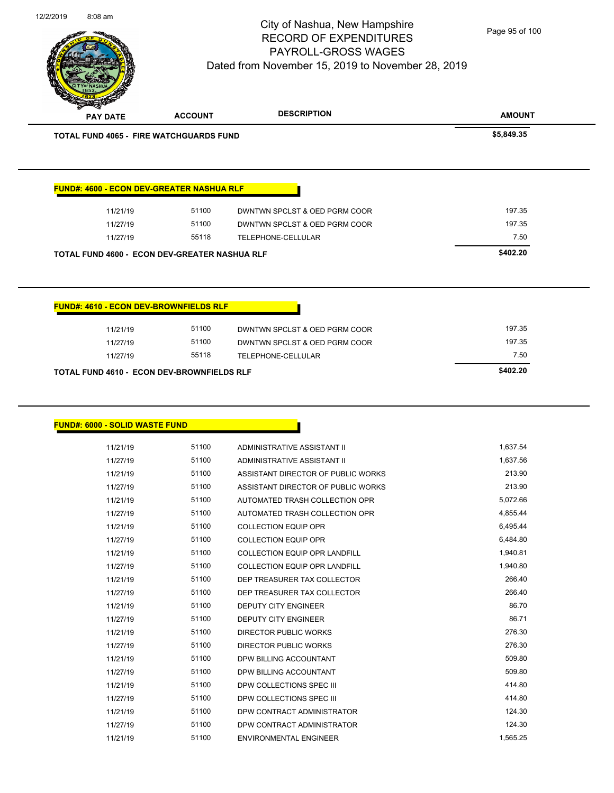| 12/2/2019 | 8:08 am         |                                                  | City of Nashua, New Hampshire<br><b>RECORD OF EXPENDITURES</b><br>PAYROLL-GROSS WAGES<br>Dated from November 15, 2019 to November 28, 2019 | Page 95 of 100 |
|-----------|-----------------|--------------------------------------------------|--------------------------------------------------------------------------------------------------------------------------------------------|----------------|
|           | <b>PAY DATE</b> | <b>ACCOUNT</b>                                   | <b>DESCRIPTION</b>                                                                                                                         | <b>AMOUNT</b>  |
|           |                 | TOTAL FUND 4065 - FIRE WATCHGUARDS FUND          |                                                                                                                                            | \$5,849.35     |
|           |                 | <b>FUND#: 4600 - ECON DEV-GREATER NASHUA RLF</b> |                                                                                                                                            |                |
|           | 11/21/19        | 51100                                            | DWNTWN SPCLST & OED PGRM COOR                                                                                                              | 197.35         |
|           | 11/27/19        | 51100                                            | DWNTWN SPCLST & OED PGRM COOR                                                                                                              | 197.35         |
|           | 11/27/19        | 55118                                            | TELEPHONE-CELLULAR                                                                                                                         | 7.50           |
|           |                 | TOTAL FUND 4600 - ECON DEV-GREATER NASHUA RLF    |                                                                                                                                            | \$402.20       |
|           |                 | <b>FUND#: 4610 - ECON DEV-BROWNFIELDS RLF</b>    |                                                                                                                                            |                |
|           | 11/21/19        | 51100                                            | DWNTWN SPCLST & OED PGRM COOR                                                                                                              | 197.35         |
|           | 11/27/19        | 51100                                            | DWNTWN SPCLST & OED PGRM COOR                                                                                                              | 197.35         |
|           | 11/27/19        | 55118                                            | TELEPHONE-CELLULAR                                                                                                                         | 7.50           |

| 11/2//19                                          | 55 1 1 0 | TELEPHONE-CELLULAR | . JU     |
|---------------------------------------------------|----------|--------------------|----------|
| <b>TOTAL FUND 4610 - ECON DEV-BROWNFIELDS RLF</b> |          |                    | \$402.20 |

# **FUND#: 6000 - SOLID WASTE FUND**

| 11/21/19 | 51100 | ADMINISTRATIVE ASSISTANT II        | 1,637.54 |
|----------|-------|------------------------------------|----------|
| 11/27/19 | 51100 | ADMINISTRATIVE ASSISTANT II        | 1.637.56 |
| 11/21/19 | 51100 | ASSISTANT DIRECTOR OF PUBLIC WORKS | 213.90   |
| 11/27/19 | 51100 | ASSISTANT DIRECTOR OF PUBLIC WORKS | 213.90   |
| 11/21/19 | 51100 | AUTOMATED TRASH COLLECTION OPR     | 5,072.66 |
| 11/27/19 | 51100 | AUTOMATED TRASH COLLECTION OPR     | 4,855.44 |
| 11/21/19 | 51100 | <b>COLLECTION EQUIP OPR</b>        | 6,495.44 |
| 11/27/19 | 51100 | <b>COLLECTION EQUIP OPR</b>        | 6,484.80 |
| 11/21/19 | 51100 | COLLECTION EQUIP OPR LANDFILL      | 1,940.81 |
| 11/27/19 | 51100 | COLLECTION EQUIP OPR LANDFILL      | 1,940.80 |
| 11/21/19 | 51100 | DEP TREASURER TAX COLLECTOR        | 266.40   |
| 11/27/19 | 51100 | DEP TREASURER TAX COLLECTOR        | 266.40   |
| 11/21/19 | 51100 | <b>DEPUTY CITY ENGINEER</b>        | 86.70    |
| 11/27/19 | 51100 | <b>DEPUTY CITY ENGINEER</b>        | 86.71    |
| 11/21/19 | 51100 | DIRECTOR PUBLIC WORKS              | 276.30   |
| 11/27/19 | 51100 | DIRECTOR PUBLIC WORKS              | 276.30   |
| 11/21/19 | 51100 | DPW BILLING ACCOUNTANT             | 509.80   |
| 11/27/19 | 51100 | DPW BILLING ACCOUNTANT             | 509.80   |
| 11/21/19 | 51100 | DPW COLLECTIONS SPEC III           | 414.80   |
| 11/27/19 | 51100 | DPW COLLECTIONS SPEC III           | 414.80   |
| 11/21/19 | 51100 | DPW CONTRACT ADMINISTRATOR         | 124.30   |
| 11/27/19 | 51100 | DPW CONTRACT ADMINISTRATOR         | 124.30   |
| 11/21/19 | 51100 | <b>ENVIRONMENTAL ENGINEER</b>      | 1.565.25 |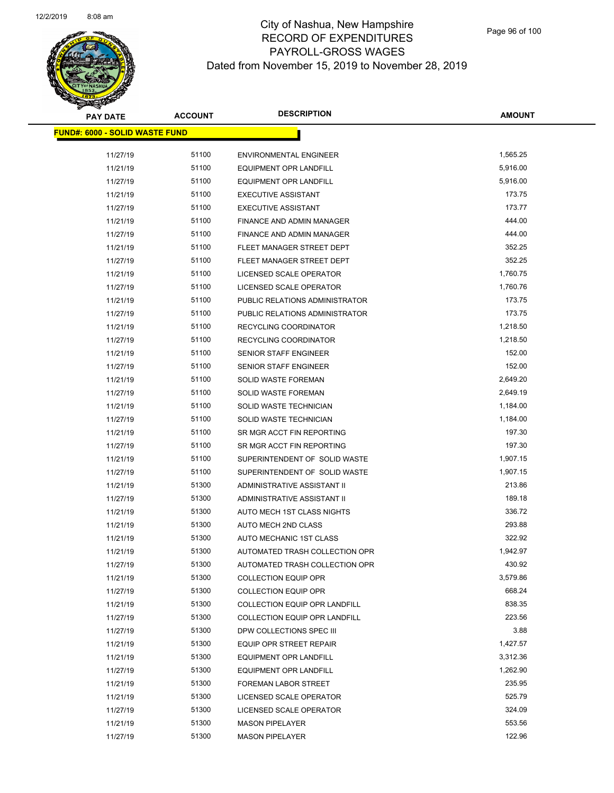

| <b>PAY DATE</b>                        | <b>ACCOUNT</b> | <b>DESCRIPTION</b>                   | <b>AMOUNT</b> |
|----------------------------------------|----------------|--------------------------------------|---------------|
| <u> FUND#: 6000 - SOLID WASTE FUND</u> |                |                                      |               |
|                                        |                |                                      |               |
| 11/27/19                               | 51100          | <b>ENVIRONMENTAL ENGINEER</b>        | 1,565.25      |
| 11/21/19                               | 51100          | <b>EQUIPMENT OPR LANDFILL</b>        | 5,916.00      |
| 11/27/19                               | 51100          | <b>EQUIPMENT OPR LANDFILL</b>        | 5,916.00      |
| 11/21/19                               | 51100          | <b>EXECUTIVE ASSISTANT</b>           | 173.75        |
| 11/27/19                               | 51100          | <b>EXECUTIVE ASSISTANT</b>           | 173.77        |
| 11/21/19                               | 51100          | FINANCE AND ADMIN MANAGER            | 444.00        |
| 11/27/19                               | 51100          | FINANCE AND ADMIN MANAGER            | 444.00        |
| 11/21/19                               | 51100          | FLEET MANAGER STREET DEPT            | 352.25        |
| 11/27/19                               | 51100          | FLEET MANAGER STREET DEPT            | 352.25        |
| 11/21/19                               | 51100          | LICENSED SCALE OPERATOR              | 1,760.75      |
| 11/27/19                               | 51100          | LICENSED SCALE OPERATOR              | 1,760.76      |
| 11/21/19                               | 51100          | PUBLIC RELATIONS ADMINISTRATOR       | 173.75        |
| 11/27/19                               | 51100          | PUBLIC RELATIONS ADMINISTRATOR       | 173.75        |
| 11/21/19                               | 51100          | RECYCLING COORDINATOR                | 1,218.50      |
| 11/27/19                               | 51100          | <b>RECYCLING COORDINATOR</b>         | 1,218.50      |
| 11/21/19                               | 51100          | SENIOR STAFF ENGINEER                | 152.00        |
| 11/27/19                               | 51100          | SENIOR STAFF ENGINEER                | 152.00        |
| 11/21/19                               | 51100          | <b>SOLID WASTE FOREMAN</b>           | 2,649.20      |
| 11/27/19                               | 51100          | SOLID WASTE FOREMAN                  | 2,649.19      |
| 11/21/19                               | 51100          | SOLID WASTE TECHNICIAN               | 1,184.00      |
| 11/27/19                               | 51100          | SOLID WASTE TECHNICIAN               | 1,184.00      |
| 11/21/19                               | 51100          | SR MGR ACCT FIN REPORTING            | 197.30        |
| 11/27/19                               | 51100          | SR MGR ACCT FIN REPORTING            | 197.30        |
| 11/21/19                               | 51100          | SUPERINTENDENT OF SOLID WASTE        | 1,907.15      |
| 11/27/19                               | 51100          | SUPERINTENDENT OF SOLID WASTE        | 1,907.15      |
| 11/21/19                               | 51300          | ADMINISTRATIVE ASSISTANT II          | 213.86        |
| 11/27/19                               | 51300          | ADMINISTRATIVE ASSISTANT II          | 189.18        |
| 11/21/19                               | 51300          | AUTO MECH 1ST CLASS NIGHTS           | 336.72        |
| 11/21/19                               | 51300          | AUTO MECH 2ND CLASS                  | 293.88        |
| 11/21/19                               | 51300          | AUTO MECHANIC 1ST CLASS              | 322.92        |
| 11/21/19                               | 51300          | AUTOMATED TRASH COLLECTION OPR       | 1,942.97      |
| 11/27/19                               | 51300          | AUTOMATED TRASH COLLECTION OPR       | 430.92        |
| 11/21/19                               | 51300          | <b>COLLECTION EQUIP OPR</b>          | 3,579.86      |
| 11/27/19                               | 51300          | <b>COLLECTION EQUIP OPR</b>          | 668.24        |
| 11/21/19                               | 51300          | <b>COLLECTION EQUIP OPR LANDFILL</b> | 838.35        |
| 11/27/19                               | 51300          | COLLECTION EQUIP OPR LANDFILL        | 223.56        |
| 11/27/19                               | 51300          | DPW COLLECTIONS SPEC III             | 3.88          |
| 11/21/19                               | 51300          | EQUIP OPR STREET REPAIR              | 1,427.57      |
| 11/21/19                               | 51300          | EQUIPMENT OPR LANDFILL               | 3,312.36      |
| 11/27/19                               | 51300          | EQUIPMENT OPR LANDFILL               | 1,262.90      |
| 11/21/19                               | 51300          | FOREMAN LABOR STREET                 | 235.95        |
| 11/21/19                               | 51300          | LICENSED SCALE OPERATOR              | 525.79        |
| 11/27/19                               | 51300          | LICENSED SCALE OPERATOR              | 324.09        |
| 11/21/19                               | 51300          | <b>MASON PIPELAYER</b>               | 553.56        |
| 11/27/19                               | 51300          | <b>MASON PIPELAYER</b>               | 122.96        |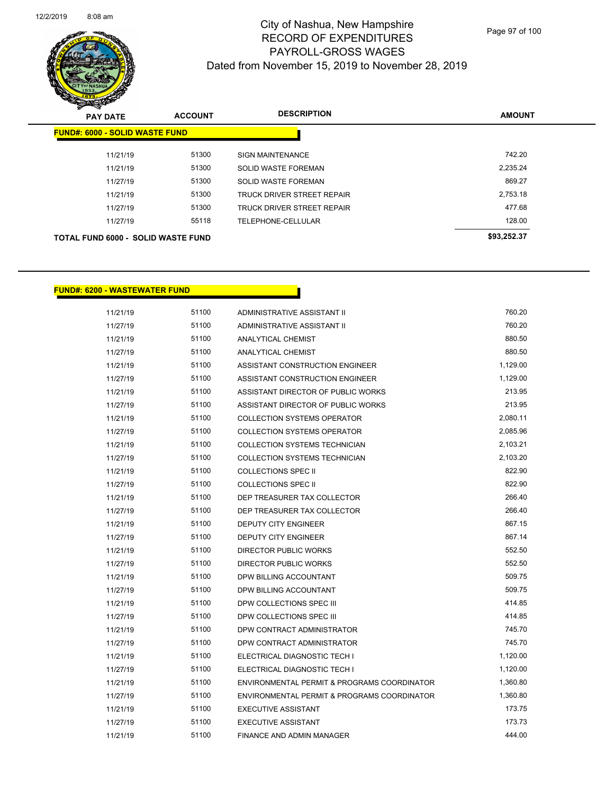

| <b>PAY DATE</b>                           | <b>ACCOUNT</b> | <b>DESCRIPTION</b>                | <b>AMOUNT</b> |
|-------------------------------------------|----------------|-----------------------------------|---------------|
| <b>FUND#: 6000 - SOLID WASTE FUND</b>     |                |                                   |               |
| 11/21/19                                  | 51300          | <b>SIGN MAINTENANCE</b>           | 742.20        |
| 11/21/19                                  | 51300          | <b>SOLID WASTE FOREMAN</b>        | 2,235.24      |
| 11/27/19                                  | 51300          | <b>SOLID WASTE FOREMAN</b>        | 869.27        |
| 11/21/19                                  | 51300          | TRUCK DRIVER STREET REPAIR        | 2,753.18      |
| 11/27/19                                  | 51300          | <b>TRUCK DRIVER STREET REPAIR</b> | 477.68        |
| 11/27/19                                  | 55118          | TELEPHONE-CELLULAR                | 128.00        |
| <b>TOTAL FUND 6000 - SOLID WASTE FUND</b> |                |                                   | \$93,252.37   |
|                                           |                |                                   |               |

#### **FUND#: 6200 - WASTEWATER FUND**

| 11/21/19 | 51100 | ADMINISTRATIVE ASSISTANT II                 | 760.20   |
|----------|-------|---------------------------------------------|----------|
| 11/27/19 | 51100 | <b>ADMINISTRATIVE ASSISTANT II</b>          | 760.20   |
| 11/21/19 | 51100 | <b>ANALYTICAL CHEMIST</b>                   | 880.50   |
| 11/27/19 | 51100 | <b>ANALYTICAL CHEMIST</b>                   | 880.50   |
| 11/21/19 | 51100 | ASSISTANT CONSTRUCTION ENGINEER             | 1,129.00 |
| 11/27/19 | 51100 | ASSISTANT CONSTRUCTION ENGINEER             | 1,129.00 |
| 11/21/19 | 51100 | ASSISTANT DIRECTOR OF PUBLIC WORKS          | 213.95   |
| 11/27/19 | 51100 | ASSISTANT DIRECTOR OF PUBLIC WORKS          | 213.95   |
| 11/21/19 | 51100 | <b>COLLECTION SYSTEMS OPERATOR</b>          | 2,080.11 |
| 11/27/19 | 51100 | <b>COLLECTION SYSTEMS OPERATOR</b>          | 2,085.96 |
| 11/21/19 | 51100 | <b>COLLECTION SYSTEMS TECHNICIAN</b>        | 2,103.21 |
| 11/27/19 | 51100 | <b>COLLECTION SYSTEMS TECHNICIAN</b>        | 2,103.20 |
| 11/21/19 | 51100 | <b>COLLECTIONS SPEC II</b>                  | 822.90   |
| 11/27/19 | 51100 | <b>COLLECTIONS SPEC II</b>                  | 822.90   |
| 11/21/19 | 51100 | DEP TREASURER TAX COLLECTOR                 | 266.40   |
| 11/27/19 | 51100 | DEP TREASURER TAX COLLECTOR                 | 266.40   |
| 11/21/19 | 51100 | <b>DEPUTY CITY ENGINEER</b>                 | 867.15   |
| 11/27/19 | 51100 | <b>DEPUTY CITY ENGINEER</b>                 | 867.14   |
| 11/21/19 | 51100 | <b>DIRECTOR PUBLIC WORKS</b>                | 552.50   |
| 11/27/19 | 51100 | DIRECTOR PUBLIC WORKS                       | 552.50   |
| 11/21/19 | 51100 | DPW BILLING ACCOUNTANT                      | 509.75   |
| 11/27/19 | 51100 | DPW BILLING ACCOUNTANT                      | 509.75   |
| 11/21/19 | 51100 | DPW COLLECTIONS SPEC III                    | 414.85   |
| 11/27/19 | 51100 | DPW COLLECTIONS SPEC III                    | 414.85   |
| 11/21/19 | 51100 | DPW CONTRACT ADMINISTRATOR                  | 745.70   |
| 11/27/19 | 51100 | DPW CONTRACT ADMINISTRATOR                  | 745.70   |
| 11/21/19 | 51100 | ELECTRICAL DIAGNOSTIC TECH I                | 1,120.00 |
| 11/27/19 | 51100 | ELECTRICAL DIAGNOSTIC TECH I                | 1,120.00 |
| 11/21/19 | 51100 | ENVIRONMENTAL PERMIT & PROGRAMS COORDINATOR | 1,360.80 |
| 11/27/19 | 51100 | ENVIRONMENTAL PERMIT & PROGRAMS COORDINATOR | 1,360.80 |
| 11/21/19 | 51100 | <b>EXECUTIVE ASSISTANT</b>                  | 173.75   |
| 11/27/19 | 51100 | <b>EXECUTIVE ASSISTANT</b>                  | 173.73   |
| 11/21/19 | 51100 | FINANCE AND ADMIN MANAGER                   | 444.00   |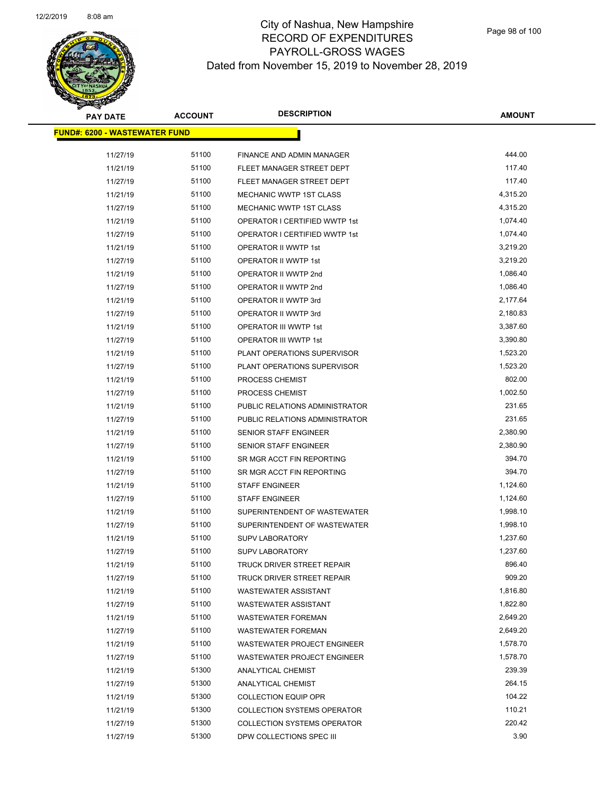

| <b>PAY DATE</b>                       | <b>ACCOUNT</b> | <b>DESCRIPTION</b>                 | <b>AMOUNT</b> |
|---------------------------------------|----------------|------------------------------------|---------------|
| <u> FUND#: 6200 - WASTEWATER FUND</u> |                |                                    |               |
|                                       |                |                                    |               |
| 11/27/19                              | 51100          | FINANCE AND ADMIN MANAGER          | 444.00        |
| 11/21/19                              | 51100          | FLEET MANAGER STREET DEPT          | 117.40        |
| 11/27/19                              | 51100          | FLEET MANAGER STREET DEPT          | 117.40        |
| 11/21/19                              | 51100          | MECHANIC WWTP 1ST CLASS            | 4,315.20      |
| 11/27/19                              | 51100          | <b>MECHANIC WWTP 1ST CLASS</b>     | 4,315.20      |
| 11/21/19                              | 51100          | OPERATOR I CERTIFIED WWTP 1st      | 1,074.40      |
| 11/27/19                              | 51100          | OPERATOR I CERTIFIED WWTP 1st      | 1,074.40      |
| 11/21/19                              | 51100          | OPERATOR II WWTP 1st               | 3,219.20      |
| 11/27/19                              | 51100          | OPERATOR II WWTP 1st               | 3,219.20      |
| 11/21/19                              | 51100          | OPERATOR II WWTP 2nd               | 1,086.40      |
| 11/27/19                              | 51100          | OPERATOR II WWTP 2nd               | 1,086.40      |
| 11/21/19                              | 51100          | OPERATOR II WWTP 3rd               | 2,177.64      |
| 11/27/19                              | 51100          | OPERATOR II WWTP 3rd               | 2,180.83      |
| 11/21/19                              | 51100          | OPERATOR III WWTP 1st              | 3,387.60      |
| 11/27/19                              | 51100          | OPERATOR III WWTP 1st              | 3,390.80      |
| 11/21/19                              | 51100          | PLANT OPERATIONS SUPERVISOR        | 1,523.20      |
| 11/27/19                              | 51100          | PLANT OPERATIONS SUPERVISOR        | 1,523.20      |
| 11/21/19                              | 51100          | PROCESS CHEMIST                    | 802.00        |
| 11/27/19                              | 51100          | PROCESS CHEMIST                    | 1,002.50      |
| 11/21/19                              | 51100          | PUBLIC RELATIONS ADMINISTRATOR     | 231.65        |
| 11/27/19                              | 51100          | PUBLIC RELATIONS ADMINISTRATOR     | 231.65        |
| 11/21/19                              | 51100          | SENIOR STAFF ENGINEER              | 2,380.90      |
| 11/27/19                              | 51100          | SENIOR STAFF ENGINEER              | 2,380.90      |
| 11/21/19                              | 51100          | SR MGR ACCT FIN REPORTING          | 394.70        |
| 11/27/19                              | 51100          | SR MGR ACCT FIN REPORTING          | 394.70        |
| 11/21/19                              | 51100          | <b>STAFF ENGINEER</b>              | 1,124.60      |
| 11/27/19                              | 51100          | <b>STAFF ENGINEER</b>              | 1,124.60      |
| 11/21/19                              | 51100          | SUPERINTENDENT OF WASTEWATER       | 1,998.10      |
| 11/27/19                              | 51100          | SUPERINTENDENT OF WASTEWATER       | 1,998.10      |
| 11/21/19                              | 51100          | <b>SUPV LABORATORY</b>             | 1,237.60      |
| 11/27/19                              | 51100          | <b>SUPV LABORATORY</b>             | 1,237.60      |
| 11/21/19                              | 51100          | <b>TRUCK DRIVER STREET REPAIR</b>  | 896.40        |
| 11/27/19                              | 51100          | <b>TRUCK DRIVER STREET REPAIR</b>  | 909.20        |
| 11/21/19                              | 51100          | WASTEWATER ASSISTANT               | 1,816.80      |
| 11/27/19                              | 51100          | <b>WASTEWATER ASSISTANT</b>        | 1,822.80      |
| 11/21/19                              | 51100          | <b>WASTEWATER FOREMAN</b>          | 2,649.20      |
| 11/27/19                              | 51100          | <b>WASTEWATER FOREMAN</b>          | 2,649.20      |
| 11/21/19                              | 51100          | WASTEWATER PROJECT ENGINEER        | 1,578.70      |
| 11/27/19                              | 51100          | WASTEWATER PROJECT ENGINEER        | 1,578.70      |
| 11/21/19                              | 51300          | ANALYTICAL CHEMIST                 | 239.39        |
| 11/27/19                              | 51300          | ANALYTICAL CHEMIST                 | 264.15        |
| 11/21/19                              | 51300          | <b>COLLECTION EQUIP OPR</b>        | 104.22        |
| 11/21/19                              | 51300          | <b>COLLECTION SYSTEMS OPERATOR</b> | 110.21        |
| 11/27/19                              | 51300          | <b>COLLECTION SYSTEMS OPERATOR</b> | 220.42        |
| 11/27/19                              | 51300          | DPW COLLECTIONS SPEC III           | 3.90          |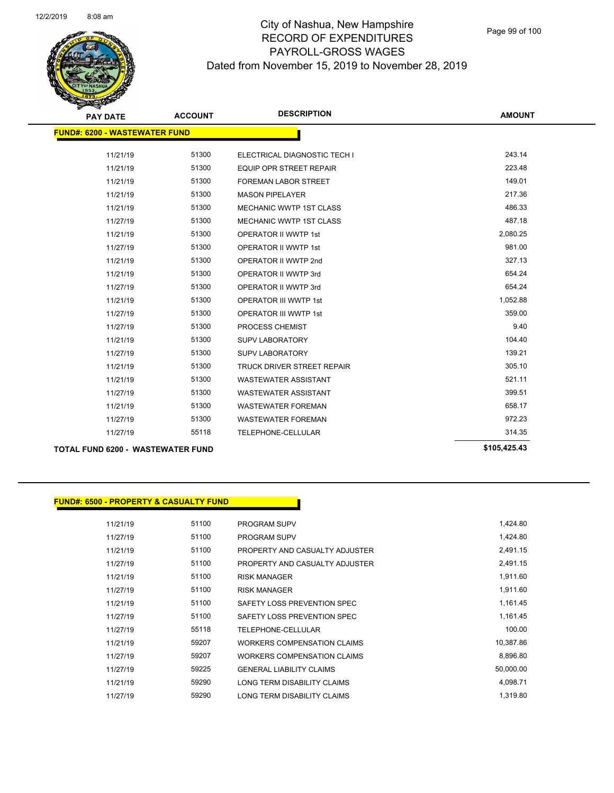

| <b>PAY DATE</b>                      | <b>ACCOUNT</b> | <b>DESCRIPTION</b>                | <b>AMOUNT</b> |
|--------------------------------------|----------------|-----------------------------------|---------------|
| <b>FUND#: 6200 - WASTEWATER FUND</b> |                |                                   |               |
|                                      |                |                                   |               |
| 11/21/19                             | 51300          | ELECTRICAL DIAGNOSTIC TECH I      | 243.14        |
| 11/21/19                             | 51300          | <b>EQUIP OPR STREET REPAIR</b>    | 223.48        |
| 11/21/19                             | 51300          | <b>FOREMAN LABOR STREET</b>       | 149.01        |
| 11/21/19                             | 51300          | <b>MASON PIPELAYER</b>            | 217.36        |
| 11/21/19                             | 51300          | <b>MECHANIC WWTP 1ST CLASS</b>    | 486.33        |
| 11/27/19                             | 51300          | MECHANIC WWTP 1ST CLASS           | 487.18        |
| 11/21/19                             | 51300          | <b>OPERATOR II WWTP 1st</b>       | 2,080.25      |
| 11/27/19                             | 51300          | <b>OPERATOR II WWTP 1st</b>       | 981.00        |
| 11/21/19                             | 51300          | OPERATOR II WWTP 2nd              | 327.13        |
| 11/21/19                             | 51300          | OPERATOR II WWTP 3rd              | 654.24        |
| 11/27/19                             | 51300          | OPERATOR II WWTP 3rd              | 654.24        |
| 11/21/19                             | 51300          | <b>OPERATOR III WWTP 1st</b>      | 1,052.88      |
| 11/27/19                             | 51300          | <b>OPERATOR III WWTP 1st</b>      | 359.00        |
| 11/27/19                             | 51300          | PROCESS CHEMIST                   | 9.40          |
| 11/21/19                             | 51300          | <b>SUPV LABORATORY</b>            | 104.40        |
| 11/27/19                             | 51300          | <b>SUPV LABORATORY</b>            | 139.21        |
| 11/21/19                             | 51300          | <b>TRUCK DRIVER STREET REPAIR</b> | 305.10        |
| 11/21/19                             | 51300          | <b>WASTEWATER ASSISTANT</b>       | 521.11        |
| 11/27/19                             | 51300          | WASTEWATER ASSISTANT              | 399.51        |
| 11/21/19                             | 51300          | <b>WASTEWATER FOREMAN</b>         | 658.17        |
| 11/27/19                             | 51300          | <b>WASTEWATER FOREMAN</b>         | 972.23        |
| 11/27/19                             | 55118          | TELEPHONE-CELLULAR                | 314.35        |
| TOTAL FUND 6200 - WASTEWATER FUND    |                |                                   | \$105,425.43  |

#### **FUND#: 6500 - PROPERTY & CASUALTY FUND**

| 1,424.80  | <b>PROGRAM SUPV</b>             | 51100 | 11/21/19 |
|-----------|---------------------------------|-------|----------|
| 1,424.80  | <b>PROGRAM SUPV</b>             | 51100 | 11/27/19 |
| 2,491.15  | PROPERTY AND CASUALTY ADJUSTER  | 51100 | 11/21/19 |
| 2,491.15  | PROPERTY AND CASUALTY ADJUSTER  | 51100 | 11/27/19 |
| 1,911.60  | <b>RISK MANAGER</b>             | 51100 | 11/21/19 |
| 1,911.60  | <b>RISK MANAGER</b>             | 51100 | 11/27/19 |
| 1,161.45  | SAFETY LOSS PREVENTION SPEC     | 51100 | 11/21/19 |
| 1,161.45  | SAFETY LOSS PREVENTION SPEC     | 51100 | 11/27/19 |
| 100.00    | TELEPHONE-CELLULAR              | 55118 | 11/27/19 |
| 10.387.86 | WORKERS COMPENSATION CLAIMS     | 59207 | 11/21/19 |
| 8,896.80  | WORKERS COMPENSATION CLAIMS     | 59207 | 11/27/19 |
| 50,000.00 | <b>GENERAL LIABILITY CLAIMS</b> | 59225 | 11/27/19 |
| 4,098.71  | LONG TERM DISABILITY CLAIMS     | 59290 | 11/21/19 |
| 1.319.80  | LONG TERM DISABILITY CLAIMS     | 59290 | 11/27/19 |